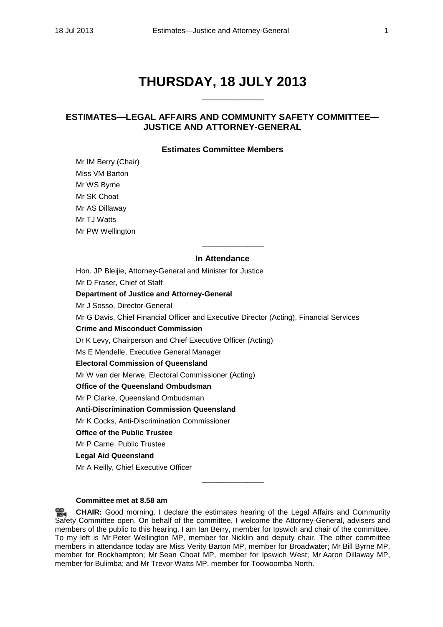# **THURSDAY, 18 JULY 2013**

\_\_\_\_\_\_\_\_\_\_\_\_\_\_\_

# **ESTIMATES—LEGAL AFFAIRS AND COMMUNITY SAFETY COMMITTEE— JUSTICE AND ATTORNEY-GENERAL**

# **Estimates Committee Members**

Mr IM Berry (Chair) Miss VM Barton Mr WS Byrne Mr SK Choat Mr AS Dillaway Mr TJ Watts Mr PW Wellington

# **In Attendance**

Hon. JP Bleijie, Attorney-General and Minister for Justice

\_\_\_\_\_\_\_\_\_\_\_\_\_\_\_

Mr D Fraser, Chief of Staff **Department of Justice and Attorney-General** Mr J Sosso, Director-General Mr G Davis, Chief Financial Officer and Executive Director (Acting), Financial Services **Crime and Misconduct Commission** Dr K Levy, Chairperson and Chief Executive Officer (Acting) Ms E Mendelle, Executive General Manager **Electoral Commission of Queensland** Mr W van der Merwe, Electoral Commissioner (Acting) **Office of the Queensland Ombudsman** Mr P Clarke, Queensland Ombudsman **Anti-Discrimination Commission Queensland** Mr K Cocks, Anti-Discrimination Commissioner **Office of the Public Trustee** Mr P Carne, Public Trustee **Legal Aid Queensland** Mr A Reilly, Chief Executive Officer

# **Committee met at 8.58 am**

**[CHAIR:](http://www.parliament.qld.gov.au/docs/find.aspx?id=0Mba20130718_085915)** Good morning. I declare the estimates hearing of the Legal Affairs and Community Safety Committee open. On behalf of the committee, I welcome the Attorney-General, advisers and members of the public to this hearing. I am Ian Berry, member for Ipswich and chair of the committee. To my left is Mr Peter Wellington MP, member for Nicklin and deputy chair. The other committee members in attendance today are Miss Verity Barton MP, member for Broadwater; Mr Bill Byrne MP, member for Rockhampton; Mr Sean Choat MP, member for Ipswich West; Mr Aaron Dillaway MP, member for Bulimba; and Mr Trevor Watts MP, member for Toowoomba North.

\_\_\_\_\_\_\_\_\_\_\_\_\_\_\_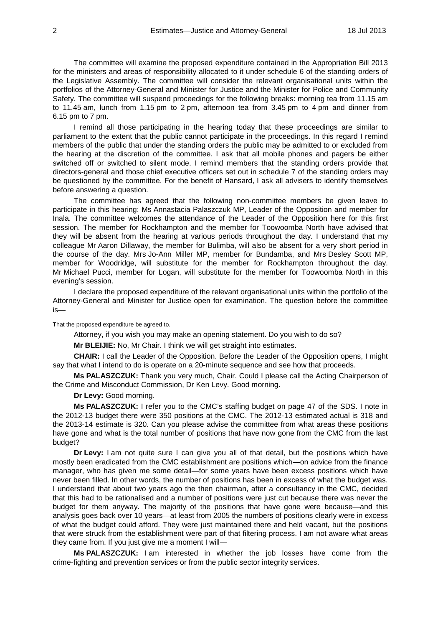The committee will examine the proposed expenditure contained in the Appropriation Bill 2013 for the ministers and areas of responsibility allocated to it under schedule 6 of the standing orders of the Legislative Assembly. The committee will consider the relevant organisational units within the portfolios of the Attorney-General and Minister for Justice and the Minister for Police and Community Safety. The committee will suspend proceedings for the following breaks: morning tea from 11.15 am to 11.45 am, lunch from 1.15 pm to 2 pm, afternoon tea from 3.45 pm to 4 pm and dinner from 6.15 pm to 7 pm.

I remind all those participating in the hearing today that these proceedings are similar to parliament to the extent that the public cannot participate in the proceedings. In this regard I remind members of the public that under the standing orders the public may be admitted to or excluded from the hearing at the discretion of the committee. I ask that all mobile phones and pagers be either switched off or switched to silent mode. I remind members that the standing orders provide that directors-general and those chief executive officers set out in schedule 7 of the standing orders may be questioned by the committee. For the benefit of Hansard, I ask all advisers to identify themselves before answering a question.

The committee has agreed that the following non-committee members be given leave to participate in this hearing: Ms Annastacia Palaszczuk MP, Leader of the Opposition and member for Inala. The committee welcomes the attendance of the Leader of the Opposition here for this first session. The member for Rockhampton and the member for Toowoomba North have advised that they will be absent from the hearing at various periods throughout the day. I understand that my colleague Mr Aaron Dillaway, the member for Bulimba, will also be absent for a very short period in the course of the day. Mrs Jo-Ann Miller MP, member for Bundamba, and Mrs Desley Scott MP, member for Woodridge, will substitute for the member for Rockhampton throughout the day. Mr Michael Pucci, member for Logan, will substitute for the member for Toowoomba North in this evening's session.

I declare the proposed expenditure of the relevant organisational units within the portfolio of the Attorney-General and Minister for Justice open for examination. The question before the committee is—

That the proposed expenditure be agreed to.

Attorney, if you wish you may make an opening statement. Do you wish to do so?

**Mr BLEIJIE:** No, Mr Chair. I think we will get straight into estimates.

**CHAIR:** I call the Leader of the Opposition. Before the Leader of the Opposition opens, I might say that what I intend to do is operate on a 20-minute sequence and see how that proceeds.

**Ms PALASZCZUK:** Thank you very much, Chair. Could I please call the Acting Chairperson of the Crime and Misconduct Commission, Dr Ken Levy. Good morning.

**Dr Levy:** Good morning.

**Ms PALASZCZUK:** I refer you to the CMC's staffing budget on page 47 of the SDS. I note in the 2012-13 budget there were 350 positions at the CMC. The 2012-13 estimated actual is 318 and the 2013-14 estimate is 320. Can you please advise the committee from what areas these positions have gone and what is the total number of positions that have now gone from the CMC from the last budget?

**Dr Levy:** I am not quite sure I can give you all of that detail, but the positions which have mostly been eradicated from the CMC establishment are positions which—on advice from the finance manager, who has given me some detail—for some years have been excess positions which have never been filled. In other words, the number of positions has been in excess of what the budget was. I understand that about two years ago the then chairman, after a consultancy in the CMC, decided that this had to be rationalised and a number of positions were just cut because there was never the budget for them anyway. The majority of the positions that have gone were because—and this analysis goes back over 10 years—at least from 2005 the numbers of positions clearly were in excess of what the budget could afford. They were just maintained there and held vacant, but the positions that were struck from the establishment were part of that filtering process. I am not aware what areas they came from. If you just give me a moment I will—

**Ms PALASZCZUK:** I am interested in whether the job losses have come from the crime-fighting and prevention services or from the public sector integrity services.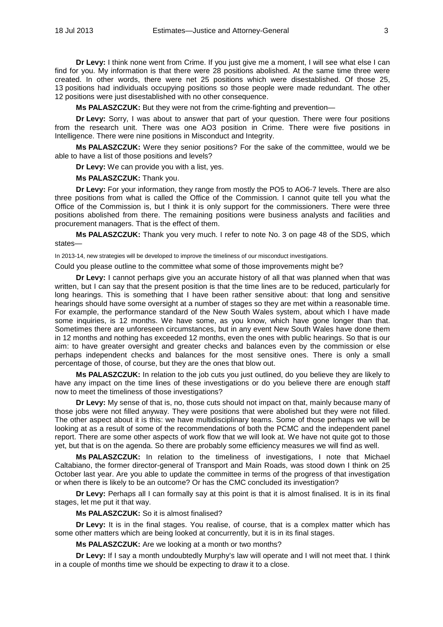**Dr Levy:** I think none went from Crime. If you just give me a moment, I will see what else I can find for you. My information is that there were 28 positions abolished. At the same time three were created. In other words, there were net 25 positions which were disestablished. Of those 25, 13 positions had individuals occupying positions so those people were made redundant. The other 12 positions were just disestablished with no other consequence.

**Ms PALASZCZUK:** But they were not from the crime-fighting and prevention—

**Dr Levy:** Sorry, I was about to answer that part of your question. There were four positions from the research unit. There was one AO3 position in Crime. There were five positions in Intelligence. There were nine positions in Misconduct and Integrity.

**Ms PALASZCZUK:** Were they senior positions? For the sake of the committee, would we be able to have a list of those positions and levels?

**Dr Levy:** We can provide you with a list, yes.

**Ms PALASZCZUK:** Thank you.

**Dr Levy:** For your information, they range from mostly the PO5 to AO6-7 levels. There are also three positions from what is called the Office of the Commission. I cannot quite tell you what the Office of the Commission is, but I think it is only support for the commissioners. There were three positions abolished from there. The remaining positions were business analysts and facilities and procurement managers. That is the effect of them.

**Ms PALASZCZUK:** Thank you very much. I refer to note No. 3 on page 48 of the SDS, which states—

In 2013-14, new strategies will be developed to improve the timeliness of our misconduct investigations.

Could you please outline to the committee what some of those improvements might be?

**Dr Levy:** I cannot perhaps give you an accurate history of all that was planned when that was written, but I can say that the present position is that the time lines are to be reduced, particularly for long hearings. This is something that I have been rather sensitive about: that long and sensitive hearings should have some oversight at a number of stages so they are met within a reasonable time. For example, the performance standard of the New South Wales system, about which I have made some inquiries, is 12 months. We have some, as you know, which have gone longer than that. Sometimes there are unforeseen circumstances, but in any event New South Wales have done them in 12 months and nothing has exceeded 12 months, even the ones with public hearings. So that is our aim: to have greater oversight and greater checks and balances even by the commission or else perhaps independent checks and balances for the most sensitive ones. There is only a small percentage of those, of course, but they are the ones that blow out.

**Ms PALASZCZUK:** In relation to the job cuts you just outlined, do you believe they are likely to have any impact on the time lines of these investigations or do you believe there are enough staff now to meet the timeliness of those investigations?

**Dr Levy:** My sense of that is, no, those cuts should not impact on that, mainly because many of those jobs were not filled anyway. They were positions that were abolished but they were not filled. The other aspect about it is this: we have multidisciplinary teams. Some of those perhaps we will be looking at as a result of some of the recommendations of both the PCMC and the independent panel report. There are some other aspects of work flow that we will look at. We have not quite got to those yet, but that is on the agenda. So there are probably some efficiency measures we will find as well.

**Ms PALASZCZUK:** In relation to the timeliness of investigations, I note that Michael Caltabiano, the former director-general of Transport and Main Roads, was stood down I think on 25 October last year. Are you able to update the committee in terms of the progress of that investigation or when there is likely to be an outcome? Or has the CMC concluded its investigation?

**Dr Levy:** Perhaps all I can formally say at this point is that it is almost finalised. It is in its final stages, let me put it that way.

**Ms PALASZCZUK:** So it is almost finalised?

**Dr Levy:** It is in the final stages. You realise, of course, that is a complex matter which has some other matters which are being looked at concurrently, but it is in its final stages.

**Ms PALASZCZUK:** Are we looking at a month or two months?

**Dr Levy:** If I say a month undoubtedly Murphy's law will operate and I will not meet that. I think in a couple of months time we should be expecting to draw it to a close.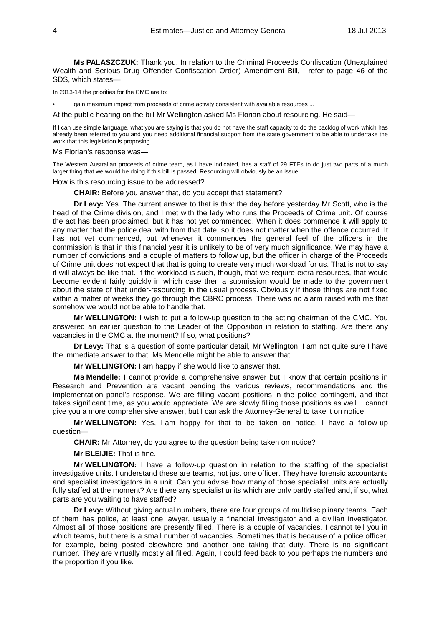**Ms PALASZCZUK:** Thank you. In relation to the Criminal Proceeds Confiscation (Unexplained Wealth and Serious Drug Offender Confiscation Order) Amendment Bill, I refer to page 46 of the SDS, which states—

In 2013-14 the priorities for the CMC are to:

qain maximum impact from proceeds of crime activity consistent with available resources ...

At the public hearing on the bill Mr Wellington asked Ms Florian about resourcing. He said—

If I can use simple language, what you are saying is that you do not have the staff capacity to do the backlog of work which has already been referred to you and you need additional financial support from the state government to be able to undertake the work that this legislation is proposing.

## Ms Florian's response was—

The Western Australian proceeds of crime team, as I have indicated, has a staff of 29 FTEs to do just two parts of a much larger thing that we would be doing if this bill is passed. Resourcing will obviously be an issue.

How is this resourcing issue to be addressed?

**CHAIR:** Before you answer that, do you accept that statement?

**Dr Levy:** Yes. The current answer to that is this: the day before yesterday Mr Scott, who is the head of the Crime division, and I met with the lady who runs the Proceeds of Crime unit. Of course the act has been proclaimed, but it has not yet commenced. When it does commence it will apply to any matter that the police deal with from that date, so it does not matter when the offence occurred. It has not yet commenced, but whenever it commences the general feel of the officers in the commission is that in this financial year it is unlikely to be of very much significance. We may have a number of convictions and a couple of matters to follow up, but the officer in charge of the Proceeds of Crime unit does not expect that that is going to create very much workload for us. That is not to say it will always be like that. If the workload is such, though, that we require extra resources, that would become evident fairly quickly in which case then a submission would be made to the government about the state of that under-resourcing in the usual process. Obviously if those things are not fixed within a matter of weeks they go through the CBRC process. There was no alarm raised with me that somehow we would not be able to handle that.

**Mr WELLINGTON:** I wish to put a follow-up question to the acting chairman of the CMC. You answered an earlier question to the Leader of the Opposition in relation to staffing. Are there any vacancies in the CMC at the moment? If so, what positions?

**Dr Levy:** That is a question of some particular detail, Mr Wellington. I am not quite sure I have the immediate answer to that. Ms Mendelle might be able to answer that.

**Mr WELLINGTON:** I am happy if she would like to answer that.

**Ms Mendelle:** I cannot provide a comprehensive answer but I know that certain positions in Research and Prevention are vacant pending the various reviews, recommendations and the implementation panel's response. We are filling vacant positions in the police contingent, and that takes significant time, as you would appreciate. We are slowly filling those positions as well. I cannot give you a more comprehensive answer, but I can ask the Attorney-General to take it on notice.

**Mr WELLINGTON:** Yes, I am happy for that to be taken on notice. I have a follow-up question—

**CHAIR:** Mr Attorney, do you agree to the question being taken on notice?

**Mr BLEIJIE:** That is fine.

**Mr WELLINGTON:** I have a follow-up question in relation to the staffing of the specialist investigative units. I understand these are teams, not just one officer. They have forensic accountants and specialist investigators in a unit. Can you advise how many of those specialist units are actually fully staffed at the moment? Are there any specialist units which are only partly staffed and, if so, what parts are you waiting to have staffed?

**Dr Levy:** Without giving actual numbers, there are four groups of multidisciplinary teams. Each of them has police, at least one lawyer, usually a financial investigator and a civilian investigator. Almost all of those positions are presently filled. There is a couple of vacancies. I cannot tell you in which teams, but there is a small number of vacancies. Sometimes that is because of a police officer, for example, being posted elsewhere and another one taking that duty. There is no significant number. They are virtually mostly all filled. Again, I could feed back to you perhaps the numbers and the proportion if you like.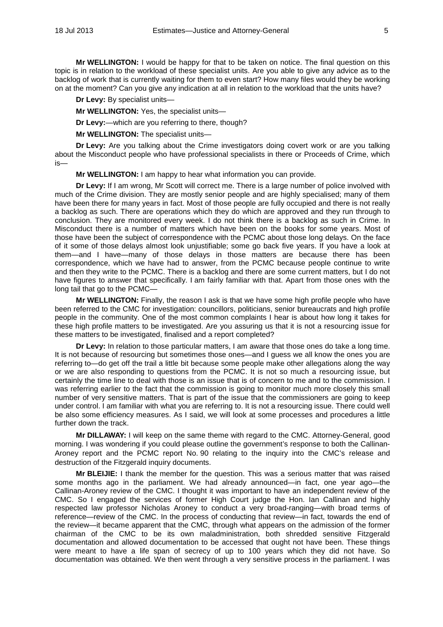**Mr WELLINGTON:** I would be happy for that to be taken on notice. The final question on this topic is in relation to the workload of these specialist units. Are you able to give any advice as to the backlog of work that is currently waiting for them to even start? How many files would they be working on at the moment? Can you give any indication at all in relation to the workload that the units have?

**Dr Levy:** By specialist units—

**Mr WELLINGTON:** Yes, the specialist units—

**Dr Levy:**—which are you referring to there, though?

**Mr WELLINGTON:** The specialist units—

**Dr Levy:** Are you talking about the Crime investigators doing covert work or are you talking about the Misconduct people who have professional specialists in there or Proceeds of Crime, which is—

**Mr WELLINGTON:** I am happy to hear what information you can provide.

**Dr Levy:** If I am wrong, Mr Scott will correct me. There is a large number of police involved with much of the Crime division. They are mostly senior people and are highly specialised; many of them have been there for many years in fact. Most of those people are fully occupied and there is not really a backlog as such. There are operations which they do which are approved and they run through to conclusion. They are monitored every week. I do not think there is a backlog as such in Crime. In Misconduct there is a number of matters which have been on the books for some years. Most of those have been the subject of correspondence with the PCMC about those long delays. On the face of it some of those delays almost look unjustifiable; some go back five years. If you have a look at them—and I have—many of those delays in those matters are because there has been correspondence, which we have had to answer, from the PCMC because people continue to write and then they write to the PCMC. There is a backlog and there are some current matters, but I do not have figures to answer that specifically. I am fairly familiar with that. Apart from those ones with the long tail that go to the PCMC—

**Mr WELLINGTON:** Finally, the reason I ask is that we have some high profile people who have been referred to the CMC for investigation: councillors, politicians, senior bureaucrats and high profile people in the community. One of the most common complaints I hear is about how long it takes for these high profile matters to be investigated. Are you assuring us that it is not a resourcing issue for these matters to be investigated, finalised and a report completed?

**Dr Levy:** In relation to those particular matters, I am aware that those ones do take a long time. It is not because of resourcing but sometimes those ones—and I guess we all know the ones you are referring to—do get off the trail a little bit because some people make other allegations along the way or we are also responding to questions from the PCMC. It is not so much a resourcing issue, but certainly the time line to deal with those is an issue that is of concern to me and to the commission. I was referring earlier to the fact that the commission is going to monitor much more closely this small number of very sensitive matters. That is part of the issue that the commissioners are going to keep under control. I am familiar with what you are referring to. It is not a resourcing issue. There could well be also some efficiency measures. As I said, we will look at some processes and procedures a little further down the track.

**Mr DILLAWAY:** I will keep on the same theme with regard to the CMC. Attorney-General, good morning. I was wondering if you could please outline the government's response to both the Callinan-Aroney report and the PCMC report No. 90 relating to the inquiry into the CMC's release and destruction of the Fitzgerald inquiry documents.

**Mr BLEIJIE:** I thank the member for the question. This was a serious matter that was raised some months ago in the parliament. We had already announced—in fact, one year ago—the Callinan-Aroney review of the CMC. I thought it was important to have an independent review of the CMC. So I engaged the services of former High Court judge the Hon. Ian Callinan and highly respected law professor Nicholas Aroney to conduct a very broad-ranging—with broad terms of reference—review of the CMC. In the process of conducting that review—in fact, towards the end of the review—it became apparent that the CMC, through what appears on the admission of the former chairman of the CMC to be its own maladministration, both shredded sensitive Fitzgerald documentation and allowed documentation to be accessed that ought not have been. These things were meant to have a life span of secrecy of up to 100 years which they did not have. So documentation was obtained. We then went through a very sensitive process in the parliament. I was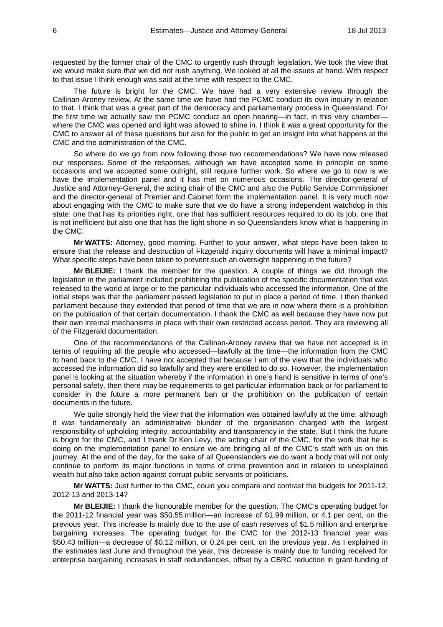requested by the former chair of the CMC to urgently rush through legislation. We took the view that we would make sure that we did not rush anything. We looked at all the issues at hand. With respect to that issue I think enough was said at the time with respect to the CMC.

The future is bright for the CMC. We have had a very extensive review through the Callinan-Aroney review. At the same time we have had the PCMC conduct its own inquiry in relation to that. I think that was a great part of the democracy and parliamentary process in Queensland. For the first time we actually saw the PCMC conduct an open hearing—in fact, in this very chamber where the CMC was opened and light was allowed to shine in. I think it was a great opportunity for the CMC to answer all of these questions but also for the public to get an insight into what happens at the CMC and the administration of the CMC.

So where do we go from now following those two recommendations? We have now released our responses. Some of the responses, although we have accepted some in principle on some occasions and we accepted some outright, still require further work. So where we go to now is we have the implementation panel and it has met on numerous occasions. The director-general of Justice and Attorney-General, the acting chair of the CMC and also the Public Service Commissioner and the director-general of Premier and Cabinet form the implementation panel. It is very much now about engaging with the CMC to make sure that we do have a strong independent watchdog in this state: one that has its priorities right, one that has sufficient resources required to do its job, one that is not inefficient but also one that has the light shone in so Queenslanders know what is happening in the CMC.

**Mr WATTS:** Attorney, good morning. Further to your answer, what steps have been taken to ensure that the release and destruction of Fitzgerald inquiry documents will have a minimal impact? What specific steps have been taken to prevent such an oversight happening in the future?

**Mr BLEIJIE:** I thank the member for the question. A couple of things we did through the legislation in the parliament included prohibiting the publication of the specific documentation that was released to the world at large or to the particular individuals who accessed the information. One of the initial steps was that the parliament passed legislation to put in place a period of time. I then thanked parliament because they extended that period of time that we are in now where there is a prohibition on the publication of that certain documentation. I thank the CMC as well because they have now put their own internal mechanisms in place with their own restricted access period. They are reviewing all of the Fitzgerald documentation.

One of the recommendations of the Callinan-Aroney review that we have not accepted is in terms of requiring all the people who accessed—lawfully at the time—the information from the CMC to hand back to the CMC. I have not accepted that because I am of the view that the individuals who accessed the information did so lawfully and they were entitled to do so. However, the implementation panel is looking at the situation whereby if the information in one's hand is sensitive in terms of one's personal safety, then there may be requirements to get particular information back or for parliament to consider in the future a more permanent ban or the prohibition on the publication of certain documents in the future.

We quite strongly held the view that the information was obtained lawfully at the time, although it was fundamentally an administrative blunder of the organisation charged with the largest responsibility of upholding integrity, accountability and transparency in the state. But I think the future is bright for the CMC, and I thank Dr Ken Levy, the acting chair of the CMC, for the work that he is doing on the implementation panel to ensure we are bringing all of the CMC's staff with us on this journey. At the end of the day, for the sake of all Queenslanders we do want a body that will not only continue to perform its major functions in terms of crime prevention and in relation to unexplained wealth but also take action against corrupt public servants or politicians.

**Mr WATTS:** Just further to the CMC, could you compare and contrast the budgets for 2011-12, 2012-13 and 2013-14?

**Mr BLEIJIE:** I thank the honourable member for the question. The CMC's operating budget for the 2011-12 financial year was \$50.55 million—an increase of \$1.99 million, or 4.1 per cent, on the previous year. This increase is mainly due to the use of cash reserves of \$1.5 million and enterprise bargaining increases. The operating budget for the CMC for the 2012-13 financial year was \$50.43 million—a decrease of \$0.12 million, or 0.24 per cent, on the previous year. As I explained in the estimates last June and throughout the year, this decrease is mainly due to funding received for enterprise bargaining increases in staff redundancies, offset by a CBRC reduction in grant funding of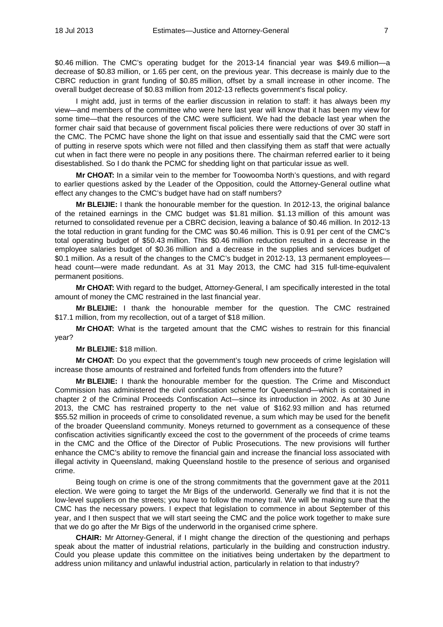\$0.46 million. The CMC's operating budget for the 2013-14 financial year was \$49.6 million—a decrease of \$0.83 million, or 1.65 per cent, on the previous year. This decrease is mainly due to the CBRC reduction in grant funding of \$0.85 million, offset by a small increase in other income. The overall budget decrease of \$0.83 million from 2012-13 reflects government's fiscal policy.

I might add, just in terms of the earlier discussion in relation to staff: it has always been my view—and members of the committee who were here last year will know that it has been my view for some time—that the resources of the CMC were sufficient. We had the debacle last year when the former chair said that because of government fiscal policies there were reductions of over 30 staff in the CMC. The PCMC have shone the light on that issue and essentially said that the CMC were sort of putting in reserve spots which were not filled and then classifying them as staff that were actually cut when in fact there were no people in any positions there. The chairman referred earlier to it being disestablished. So I do thank the PCMC for shedding light on that particular issue as well.

**Mr CHOAT:** In a similar vein to the member for Toowoomba North's questions, and with regard to earlier questions asked by the Leader of the Opposition, could the Attorney-General outline what effect any changes to the CMC's budget have had on staff numbers?

**Mr BLEIJIE:** I thank the honourable member for the question. In 2012-13, the original balance of the retained earnings in the CMC budget was \$1.81 million. \$1.13 million of this amount was returned to consolidated revenue per a CBRC decision, leaving a balance of \$0.46 million. In 2012-13 the total reduction in grant funding for the CMC was \$0.46 million. This is 0.91 per cent of the CMC's total operating budget of \$50.43 million. This \$0.46 million reduction resulted in a decrease in the employee salaries budget of \$0.36 million and a decrease in the supplies and services budget of \$0.1 million. As a result of the changes to the CMC's budget in 2012-13, 13 permanent employees head count—were made redundant. As at 31 May 2013, the CMC had 315 full-time-equivalent permanent positions.

**Mr CHOAT:** With regard to the budget, Attorney-General, I am specifically interested in the total amount of money the CMC restrained in the last financial year.

**Mr BLEIJIE:** I thank the honourable member for the question. The CMC restrained \$17.1 million, from my recollection, out of a target of \$18 million.

**Mr CHOAT:** What is the targeted amount that the CMC wishes to restrain for this financial year?

## **Mr BLEIJIE:** \$18 million.

**Mr CHOAT:** Do you expect that the government's tough new proceeds of crime legislation will increase those amounts of restrained and forfeited funds from offenders into the future?

**Mr BLEIJIE:** I thank the honourable member for the question. The Crime and Misconduct Commission has administered the civil confiscation scheme for Queensland—which is contained in chapter 2 of the Criminal Proceeds Confiscation Act—since its introduction in 2002. As at 30 June 2013, the CMC has restrained property to the net value of \$162.93 million and has returned \$55.52 million in proceeds of crime to consolidated revenue, a sum which may be used for the benefit of the broader Queensland community. Moneys returned to government as a consequence of these confiscation activities significantly exceed the cost to the government of the proceeds of crime teams in the CMC and the Office of the Director of Public Prosecutions. The new provisions will further enhance the CMC's ability to remove the financial gain and increase the financial loss associated with illegal activity in Queensland, making Queensland hostile to the presence of serious and organised crime.

Being tough on crime is one of the strong commitments that the government gave at the 2011 election. We were going to target the Mr Bigs of the underworld. Generally we find that it is not the low-level suppliers on the streets; you have to follow the money trail. We will be making sure that the CMC has the necessary powers. I expect that legislation to commence in about September of this year, and I then suspect that we will start seeing the CMC and the police work together to make sure that we do go after the Mr Bigs of the underworld in the organised crime sphere.

**CHAIR:** Mr Attorney-General, if I might change the direction of the questioning and perhaps speak about the matter of industrial relations, particularly in the building and construction industry. Could you please update this committee on the initiatives being undertaken by the department to address union militancy and unlawful industrial action, particularly in relation to that industry?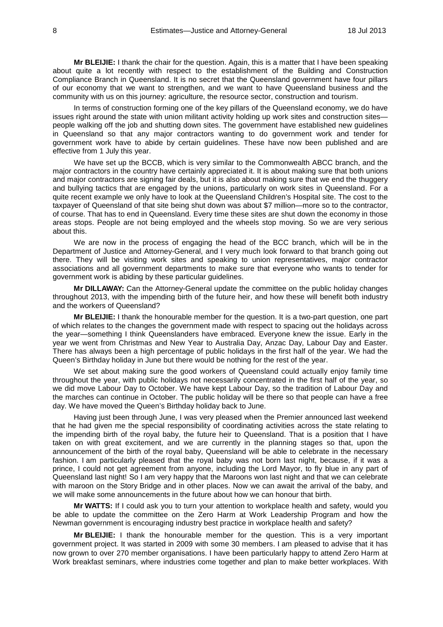**Mr BLEIJIE:** I thank the chair for the question. Again, this is a matter that I have been speaking about quite a lot recently with respect to the establishment of the Building and Construction Compliance Branch in Queensland. It is no secret that the Queensland government have four pillars of our economy that we want to strengthen, and we want to have Queensland business and the community with us on this journey: agriculture, the resource sector, construction and tourism.

In terms of construction forming one of the key pillars of the Queensland economy, we do have issues right around the state with union militant activity holding up work sites and construction sites people walking off the job and shutting down sites. The government have established new guidelines in Queensland so that any major contractors wanting to do government work and tender for government work have to abide by certain guidelines. These have now been published and are effective from 1 July this year.

We have set up the BCCB, which is very similar to the Commonwealth ABCC branch, and the major contractors in the country have certainly appreciated it. It is about making sure that both unions and major contractors are signing fair deals, but it is also about making sure that we end the thuggery and bullying tactics that are engaged by the unions, particularly on work sites in Queensland. For a quite recent example we only have to look at the Queensland Children's Hospital site. The cost to the taxpayer of Queensland of that site being shut down was about \$7 million—more so to the contractor, of course. That has to end in Queensland. Every time these sites are shut down the economy in those areas stops. People are not being employed and the wheels stop moving. So we are very serious about this.

We are now in the process of engaging the head of the BCC branch, which will be in the Department of Justice and Attorney-General, and I very much look forward to that branch going out there. They will be visiting work sites and speaking to union representatives, major contractor associations and all government departments to make sure that everyone who wants to tender for government work is abiding by these particular guidelines.

**Mr DILLAWAY:** Can the Attorney-General update the committee on the public holiday changes throughout 2013, with the impending birth of the future heir, and how these will benefit both industry and the workers of Queensland?

**Mr BLEIJIE:** I thank the honourable member for the question. It is a two-part question, one part of which relates to the changes the government made with respect to spacing out the holidays across the year—something I think Queenslanders have embraced. Everyone knew the issue. Early in the year we went from Christmas and New Year to Australia Day, Anzac Day, Labour Day and Easter. There has always been a high percentage of public holidays in the first half of the year. We had the Queen's Birthday holiday in June but there would be nothing for the rest of the year.

We set about making sure the good workers of Queensland could actually enjoy family time throughout the year, with public holidays not necessarily concentrated in the first half of the year, so we did move Labour Day to October. We have kept Labour Day, so the tradition of Labour Day and the marches can continue in October. The public holiday will be there so that people can have a free day. We have moved the Queen's Birthday holiday back to June.

Having just been through June, I was very pleased when the Premier announced last weekend that he had given me the special responsibility of coordinating activities across the state relating to the impending birth of the royal baby, the future heir to Queensland. That is a position that I have taken on with great excitement, and we are currently in the planning stages so that, upon the announcement of the birth of the royal baby, Queensland will be able to celebrate in the necessary fashion. I am particularly pleased that the royal baby was not born last night, because, if it was a prince, I could not get agreement from anyone, including the Lord Mayor, to fly blue in any part of Queensland last night! So I am very happy that the Maroons won last night and that we can celebrate with maroon on the Story Bridge and in other places. Now we can await the arrival of the baby, and we will make some announcements in the future about how we can honour that birth.

**Mr WATTS:** If I could ask you to turn your attention to workplace health and safety, would you be able to update the committee on the Zero Harm at Work Leadership Program and how the Newman government is encouraging industry best practice in workplace health and safety?

**Mr BLEIJIE:** I thank the honourable member for the question. This is a very important government project. It was started in 2009 with some 30 members. I am pleased to advise that it has now grown to over 270 member organisations. I have been particularly happy to attend Zero Harm at Work breakfast seminars, where industries come together and plan to make better workplaces. With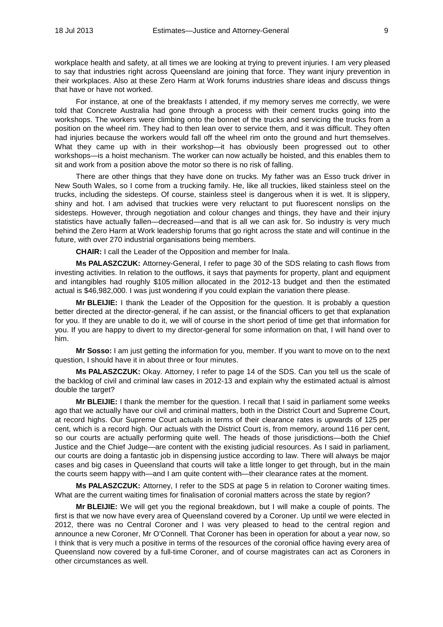workplace health and safety, at all times we are looking at trying to prevent injuries. I am very pleased to say that industries right across Queensland are joining that force. They want injury prevention in their workplaces. Also at these Zero Harm at Work forums industries share ideas and discuss things that have or have not worked.

For instance, at one of the breakfasts I attended, if my memory serves me correctly, we were told that Concrete Australia had gone through a process with their cement trucks going into the workshops. The workers were climbing onto the bonnet of the trucks and servicing the trucks from a position on the wheel rim. They had to then lean over to service them, and it was difficult. They often had injuries because the workers would fall off the wheel rim onto the ground and hurt themselves. What they came up with in their workshop—it has obviously been progressed out to other workshops—is a hoist mechanism. The worker can now actually be hoisted, and this enables them to sit and work from a position above the motor so there is no risk of falling.

There are other things that they have done on trucks. My father was an Esso truck driver in New South Wales, so I come from a trucking family. He, like all truckies, liked stainless steel on the trucks, including the sidesteps. Of course, stainless steel is dangerous when it is wet. It is slippery, shiny and hot. I am advised that truckies were very reluctant to put fluorescent nonslips on the sidesteps. However, through negotiation and colour changes and things, they have and their injury statistics have actually fallen—decreased—and that is all we can ask for. So industry is very much behind the Zero Harm at Work leadership forums that go right across the state and will continue in the future, with over 270 industrial organisations being members.

**CHAIR:** I call the Leader of the Opposition and member for Inala.

**Ms PALASZCZUK:** Attorney-General, I refer to page 30 of the SDS relating to cash flows from investing activities. In relation to the outflows, it says that payments for property, plant and equipment and intangibles had roughly \$105 million allocated in the 2012-13 budget and then the estimated actual is \$46,982,000. I was just wondering if you could explain the variation there please.

**Mr BLEIJIE:** I thank the Leader of the Opposition for the question. It is probably a question better directed at the director-general, if he can assist, or the financial officers to get that explanation for you. If they are unable to do it, we will of course in the short period of time get that information for you. If you are happy to divert to my director-general for some information on that, I will hand over to him.

**Mr Sosso:** I am just getting the information for you, member. If you want to move on to the next question, I should have it in about three or four minutes.

**Ms PALASZCZUK:** Okay. Attorney, I refer to page 14 of the SDS. Can you tell us the scale of the backlog of civil and criminal law cases in 2012-13 and explain why the estimated actual is almost double the target?

**Mr BLEIJIE:** I thank the member for the question. I recall that I said in parliament some weeks ago that we actually have our civil and criminal matters, both in the District Court and Supreme Court, at record highs. Our Supreme Court actuals in terms of their clearance rates is upwards of 125 per cent, which is a record high. Our actuals with the District Court is, from memory, around 116 per cent, so our courts are actually performing quite well. The heads of those jurisdictions—both the Chief Justice and the Chief Judge—are content with the existing judicial resources. As I said in parliament, our courts are doing a fantastic job in dispensing justice according to law. There will always be major cases and big cases in Queensland that courts will take a little longer to get through, but in the main the courts seem happy with—and I am quite content with—their clearance rates at the moment.

**Ms PALASZCZUK:** Attorney, I refer to the SDS at page 5 in relation to Coroner waiting times. What are the current waiting times for finalisation of coronial matters across the state by region?

**Mr BLEIJIE:** We will get you the regional breakdown, but I will make a couple of points. The first is that we now have every area of Queensland covered by a Coroner. Up until we were elected in 2012, there was no Central Coroner and I was very pleased to head to the central region and announce a new Coroner, Mr O'Connell. That Coroner has been in operation for about a year now, so I think that is very much a positive in terms of the resources of the coronial office having every area of Queensland now covered by a full-time Coroner, and of course magistrates can act as Coroners in other circumstances as well.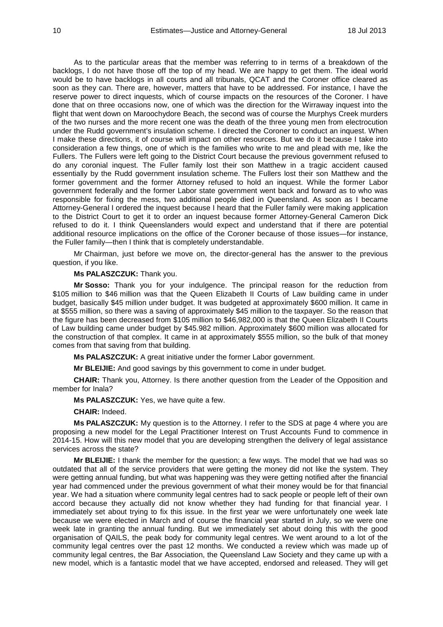As to the particular areas that the member was referring to in terms of a breakdown of the backlogs, I do not have those off the top of my head. We are happy to get them. The ideal world would be to have backlogs in all courts and all tribunals, QCAT and the Coroner office cleared as soon as they can. There are, however, matters that have to be addressed. For instance, I have the reserve power to direct inquests, which of course impacts on the resources of the Coroner. I have done that on three occasions now, one of which was the direction for the Wirraway inquest into the flight that went down on Maroochydore Beach, the second was of course the Murphys Creek murders of the two nurses and the more recent one was the death of the three young men from electrocution under the Rudd government's insulation scheme. I directed the Coroner to conduct an inquest. When I make these directions, it of course will impact on other resources. But we do it because I take into consideration a few things, one of which is the families who write to me and plead with me, like the Fullers. The Fullers were left going to the District Court because the previous government refused to do any coronial inquest. The Fuller family lost their son Matthew in a tragic accident caused essentially by the Rudd government insulation scheme. The Fullers lost their son Matthew and the former government and the former Attorney refused to hold an inquest. While the former Labor government federally and the former Labor state government went back and forward as to who was responsible for fixing the mess, two additional people died in Queensland. As soon as I became Attorney-General I ordered the inquest because I heard that the Fuller family were making application to the District Court to get it to order an inquest because former Attorney-General Cameron Dick refused to do it. I think Queenslanders would expect and understand that if there are potential additional resource implications on the office of the Coroner because of those issues—for instance, the Fuller family—then I think that is completely understandable.

Mr Chairman, just before we move on, the director-general has the answer to the previous question, if you like.

**Ms PALASZCZUK:** Thank you.

**Mr Sosso:** Thank you for your indulgence. The principal reason for the reduction from \$105 million to \$46 million was that the Queen Elizabeth II Courts of Law building came in under budget, basically \$45 million under budget. It was budgeted at approximately \$600 million. It came in at \$555 million, so there was a saving of approximately \$45 million to the taxpayer. So the reason that the figure has been decreased from \$105 million to \$46,982,000 is that the Queen Elizabeth II Courts of Law building came under budget by \$45.982 million. Approximately \$600 million was allocated for the construction of that complex. It came in at approximately \$555 million, so the bulk of that money comes from that saving from that building.

**Ms PALASZCZUK:** A great initiative under the former Labor government.

**Mr BLEIJIE:** And good savings by this government to come in under budget.

**CHAIR:** Thank you, Attorney. Is there another question from the Leader of the Opposition and member for Inala?

**Ms PALASZCZUK:** Yes, we have quite a few.

**CHAIR:** Indeed.

**Ms PALASZCZUK:** My question is to the Attorney. I refer to the SDS at page 4 where you are proposing a new model for the Legal Practitioner Interest on Trust Accounts Fund to commence in 2014-15. How will this new model that you are developing strengthen the delivery of legal assistance services across the state?

**Mr BLEIJIE:** I thank the member for the question; a few ways. The model that we had was so outdated that all of the service providers that were getting the money did not like the system. They were getting annual funding, but what was happening was they were getting notified after the financial year had commenced under the previous government of what their money would be for that financial year. We had a situation where community legal centres had to sack people or people left of their own accord because they actually did not know whether they had funding for that financial year. I immediately set about trying to fix this issue. In the first year we were unfortunately one week late because we were elected in March and of course the financial year started in July, so we were one week late in granting the annual funding. But we immediately set about doing this with the good organisation of QAILS, the peak body for community legal centres. We went around to a lot of the community legal centres over the past 12 months. We conducted a review which was made up of community legal centres, the Bar Association, the Queensland Law Society and they came up with a new model, which is a fantastic model that we have accepted, endorsed and released. They will get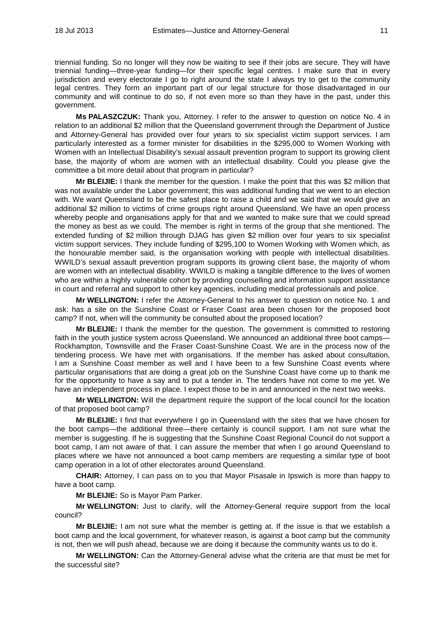triennial funding. So no longer will they now be waiting to see if their jobs are secure. They will have triennial funding—three-year funding—for their specific legal centres. I make sure that in every jurisdiction and every electorate I go to right around the state I always try to get to the community legal centres. They form an important part of our legal structure for those disadvantaged in our community and will continue to do so, if not even more so than they have in the past, under this government.

**Ms PALASZCZUK:** Thank you, Attorney. I refer to the answer to question on notice No. 4 in relation to an additional \$2 million that the Queensland government through the Department of Justice and Attorney-General has provided over four years to six specialist victim support services. I am particularly interested as a former minister for disabilities in the \$295,000 to Women Working with Women with an Intellectual Disability's sexual assault prevention program to support its growing client base, the majority of whom are women with an intellectual disability. Could you please give the committee a bit more detail about that program in particular?

**Mr BLEIJIE:** I thank the member for the question. I make the point that this was \$2 million that was not available under the Labor government; this was additional funding that we went to an election with. We want Queensland to be the safest place to raise a child and we said that we would give an additional \$2 million to victims of crime groups right around Queensland. We have an open process whereby people and organisations apply for that and we wanted to make sure that we could spread the money as best as we could. The member is right in terms of the group that she mentioned. The extended funding of \$2 million through DJAG has given \$2 million over four years to six specialist victim support services. They include funding of \$295,100 to Women Working with Women which, as the honourable member said, is the organisation working with people with intellectual disabilities. WWILD's sexual assault prevention program supports its growing client base, the majority of whom are women with an intellectual disability. WWILD is making a tangible difference to the lives of women who are within a highly vulnerable cohort by providing counselling and information support assistance in court and referral and support to other key agencies, including medical professionals and police.

**Mr WELLINGTON:** I refer the Attorney-General to his answer to question on notice No. 1 and ask: has a site on the Sunshine Coast or Fraser Coast area been chosen for the proposed boot camp? If not, when will the community be consulted about the proposed location?

**Mr BLEIJIE:** I thank the member for the question. The government is committed to restoring faith in the youth justice system across Queensland. We announced an additional three boot camps— Rockhampton, Townsville and the Fraser Coast-Sunshine Coast. We are in the process now of the tendering process. We have met with organisations. If the member has asked about consultation, I am a Sunshine Coast member as well and I have been to a few Sunshine Coast events where particular organisations that are doing a great job on the Sunshine Coast have come up to thank me for the opportunity to have a say and to put a tender in. The tenders have not come to me yet. We have an independent process in place. I expect those to be in and announced in the next two weeks.

**Mr WELLINGTON:** Will the department require the support of the local council for the location of that proposed boot camp?

**Mr BLEIJIE:** I find that everywhere I go in Queensland with the sites that we have chosen for the boot camps—the additional three—there certainly is council support. I am not sure what the member is suggesting. If he is suggesting that the Sunshine Coast Regional Council do not support a boot camp, I am not aware of that. I can assure the member that when I go around Queensland to places where we have not announced a boot camp members are requesting a similar type of boot camp operation in a lot of other electorates around Queensland.

**CHAIR:** Attorney, I can pass on to you that Mayor Pisasale in Ipswich is more than happy to have a boot camp.

**Mr BLEIJIE:** So is Mayor Pam Parker.

**Mr WELLINGTON:** Just to clarify, will the Attorney-General require support from the local council?

**Mr BLEIJIE:** I am not sure what the member is getting at. If the issue is that we establish a boot camp and the local government, for whatever reason, is against a boot camp but the community is not, then we will push ahead, because we are doing it because the community wants us to do it.

**Mr WELLINGTON:** Can the Attorney-General advise what the criteria are that must be met for the successful site?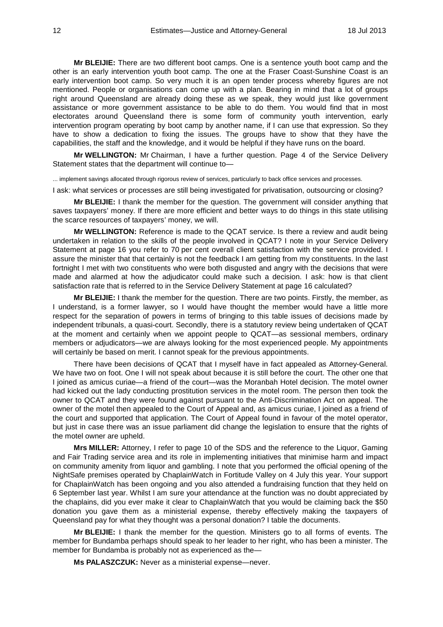**Mr BLEIJIE:** There are two different boot camps. One is a sentence youth boot camp and the other is an early intervention youth boot camp. The one at the Fraser Coast-Sunshine Coast is an early intervention boot camp. So very much it is an open tender process whereby figures are not mentioned. People or organisations can come up with a plan. Bearing in mind that a lot of groups right around Queensland are already doing these as we speak, they would just like government assistance or more government assistance to be able to do them. You would find that in most electorates around Queensland there is some form of community youth intervention, early intervention program operating by boot camp by another name, if I can use that expression. So they have to show a dedication to fixing the issues. The groups have to show that they have the capabilities, the staff and the knowledge, and it would be helpful if they have runs on the board.

**Mr WELLINGTON:** Mr Chairman, I have a further question. Page 4 of the Service Delivery Statement states that the department will continue to—

... implement savings allocated through rigorous review of services, particularly to back office services and processes.

I ask: what services or processes are still being investigated for privatisation, outsourcing or closing?

**Mr BLEIJIE:** I thank the member for the question. The government will consider anything that saves taxpayers' money. If there are more efficient and better ways to do things in this state utilising the scarce resources of taxpayers' money, we will.

**Mr WELLINGTON:** Reference is made to the QCAT service. Is there a review and audit being undertaken in relation to the skills of the people involved in QCAT? I note in your Service Delivery Statement at page 16 you refer to 70 per cent overall client satisfaction with the service provided. I assure the minister that that certainly is not the feedback I am getting from my constituents. In the last fortnight I met with two constituents who were both disgusted and angry with the decisions that were made and alarmed at how the adjudicator could make such a decision. I ask: how is that client satisfaction rate that is referred to in the Service Delivery Statement at page 16 calculated?

**Mr BLEIJIE:** I thank the member for the question. There are two points. Firstly, the member, as I understand, is a former lawyer, so I would have thought the member would have a little more respect for the separation of powers in terms of bringing to this table issues of decisions made by independent tribunals, a quasi-court. Secondly, there is a statutory review being undertaken of QCAT at the moment and certainly when we appoint people to QCAT—as sessional members, ordinary members or adjudicators—we are always looking for the most experienced people. My appointments will certainly be based on merit. I cannot speak for the previous appointments.

There have been decisions of QCAT that I myself have in fact appealed as Attorney-General. We have two on foot. One I will not speak about because it is still before the court. The other one that I joined as amicus curiae—a friend of the court—was the Moranbah Hotel decision. The motel owner had kicked out the lady conducting prostitution services in the motel room. The person then took the owner to QCAT and they were found against pursuant to the Anti-Discrimination Act on appeal. The owner of the motel then appealed to the Court of Appeal and, as amicus curiae, I joined as a friend of the court and supported that application. The Court of Appeal found in favour of the motel operator, but just in case there was an issue parliament did change the legislation to ensure that the rights of the motel owner are upheld.

**Mrs MILLER:** Attorney, I refer to page 10 of the SDS and the reference to the Liquor, Gaming and Fair Trading service area and its role in implementing initiatives that minimise harm and impact on community amenity from liquor and gambling. I note that you performed the official opening of the NightSafe premises operated by ChaplainWatch in Fortitude Valley on 4 July this year. Your support for ChaplainWatch has been ongoing and you also attended a fundraising function that they held on 6 September last year. Whilst I am sure your attendance at the function was no doubt appreciated by the chaplains, did you ever make it clear to ChaplainWatch that you would be claiming back the \$50 donation you gave them as a ministerial expense, thereby effectively making the taxpayers of Queensland pay for what they thought was a personal donation? I table the documents.

**Mr BLEIJIE:** I thank the member for the question. Ministers go to all forms of events. The member for Bundamba perhaps should speak to her leader to her right, who has been a minister. The member for Bundamba is probably not as experienced as the—

**Ms PALASZCZUK:** Never as a ministerial expense—never.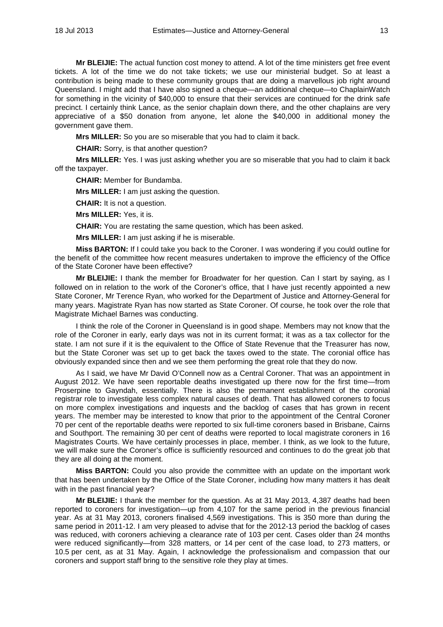**Mr BLEIJIE:** The actual function cost money to attend. A lot of the time ministers get free event tickets. A lot of the time we do not take tickets; we use our ministerial budget. So at least a contribution is being made to these community groups that are doing a marvellous job right around Queensland. I might add that I have also signed a cheque—an additional cheque—to ChaplainWatch for something in the vicinity of \$40,000 to ensure that their services are continued for the drink safe precinct. I certainly think Lance, as the senior chaplain down there, and the other chaplains are very appreciative of a \$50 donation from anyone, let alone the \$40,000 in additional money the government gave them.

**Mrs MILLER:** So you are so miserable that you had to claim it back.

**CHAIR:** Sorry, is that another question?

**Mrs MILLER:** Yes. I was just asking whether you are so miserable that you had to claim it back off the taxpayer.

**CHAIR:** Member for Bundamba.

**Mrs MILLER:** I am just asking the question.

**CHAIR:** It is not a question.

**Mrs MILLER:** Yes, it is.

**CHAIR:** You are restating the same question, which has been asked.

**Mrs MILLER:** I am just asking if he is miserable.

**Miss BARTON:** If I could take you back to the Coroner. I was wondering if you could outline for the benefit of the committee how recent measures undertaken to improve the efficiency of the Office of the State Coroner have been effective?

**Mr BLEIJIE:** I thank the member for Broadwater for her question. Can I start by saying, as I followed on in relation to the work of the Coroner's office, that I have just recently appointed a new State Coroner, Mr Terence Ryan, who worked for the Department of Justice and Attorney-General for many years. Magistrate Ryan has now started as State Coroner. Of course, he took over the role that Magistrate Michael Barnes was conducting.

I think the role of the Coroner in Queensland is in good shape. Members may not know that the role of the Coroner in early, early days was not in its current format; it was as a tax collector for the state. I am not sure if it is the equivalent to the Office of State Revenue that the Treasurer has now, but the State Coroner was set up to get back the taxes owed to the state. The coronial office has obviously expanded since then and we see them performing the great role that they do now.

As I said, we have Mr David O'Connell now as a Central Coroner. That was an appointment in August 2012. We have seen reportable deaths investigated up there now for the first time—from Proserpine to Gayndah, essentially. There is also the permanent establishment of the coronial registrar role to investigate less complex natural causes of death. That has allowed coroners to focus on more complex investigations and inquests and the backlog of cases that has grown in recent years. The member may be interested to know that prior to the appointment of the Central Coroner 70 per cent of the reportable deaths were reported to six full-time coroners based in Brisbane, Cairns and Southport. The remaining 30 per cent of deaths were reported to local magistrate coroners in 16 Magistrates Courts. We have certainly processes in place, member. I think, as we look to the future, we will make sure the Coroner's office is sufficiently resourced and continues to do the great job that they are all doing at the moment.

**Miss BARTON:** Could you also provide the committee with an update on the important work that has been undertaken by the Office of the State Coroner, including how many matters it has dealt with in the past financial year?

**Mr BLEIJIE:** I thank the member for the question. As at 31 May 2013, 4,387 deaths had been reported to coroners for investigation—up from 4,107 for the same period in the previous financial year. As at 31 May 2013, coroners finalised 4,569 investigations. This is 350 more than during the same period in 2011-12. I am very pleased to advise that for the 2012-13 period the backlog of cases was reduced, with coroners achieving a clearance rate of 103 per cent. Cases older than 24 months were reduced significantly—from 328 matters, or 14 per cent of the case load, to 273 matters, or 10.5 per cent, as at 31 May. Again, I acknowledge the professionalism and compassion that our coroners and support staff bring to the sensitive role they play at times.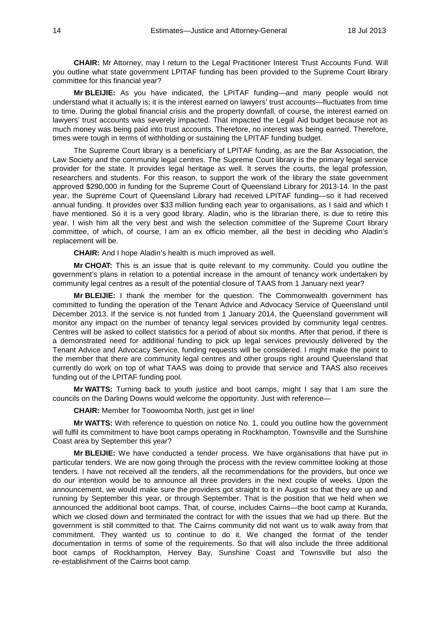**CHAIR:** Mr Attorney, may I return to the Legal Practitioner Interest Trust Accounts Fund. Will you outline what state government LPITAF funding has been provided to the Supreme Court library committee for this financial year?

**Mr BLEIJIE:** As you have indicated, the LPITAF funding—and many people would not understand what it actually is; it is the interest earned on lawyers' trust accounts—fluctuates from time to time. During the global financial crisis and the property downfall, of course, the interest earned on lawyers' trust accounts was severely impacted. That impacted the Legal Aid budget because not as much money was being paid into trust accounts. Therefore, no interest was being earned. Therefore, times were tough in terms of withholding or sustaining the LPITAF funding budget.

The Supreme Court library is a beneficiary of LPITAF funding, as are the Bar Association, the Law Society and the community legal centres. The Supreme Court library is the primary legal service provider for the state. It provides legal heritage as well. It serves the courts, the legal profession, researchers and students. For this reason, to support the work of the library the state government approved \$290,000 in funding for the Supreme Court of Queensland Library for 2013-14. In the past year, the Supreme Court of Queensland Library had received LPITAF funding—so it had received annual funding. It provides over \$33 million funding each year to organisations, as I said and which I have mentioned. So it is a very good library. Aladin, who is the librarian there, is due to retire this year. I wish him all the very best and wish the selection committee of the Supreme Court library committee, of which, of course, I am an ex officio member, all the best in deciding who Aladin's replacement will be.

**CHAIR:** And I hope Aladin's health is much improved as well.

**Mr CHOAT:** This is an issue that is quite relevant to my community. Could you outline the government's plans in relation to a potential increase in the amount of tenancy work undertaken by community legal centres as a result of the potential closure of TAAS from 1 January next year?

**Mr BLEIJIE:** I thank the member for the question. The Commonwealth government has committed to funding the operation of the Tenant Advice and Advocacy Service of Queensland until December 2013. If the service is not funded from 1 January 2014, the Queensland government will monitor any impact on the number of tenancy legal services provided by community legal centres. Centres will be asked to collect statistics for a period of about six months. After that period, if there is a demonstrated need for additional funding to pick up legal services previously delivered by the Tenant Advice and Advocacy Service, funding requests will be considered. I might make the point to the member that there are community legal centres and other groups right around Queensland that currently do work on top of what TAAS was doing to provide that service and TAAS also receives funding out of the LPITAF funding pool.

**Mr WATTS:** Turning back to youth justice and boot camps, might I say that I am sure the councils on the Darling Downs would welcome the opportunity. Just with reference—

**CHAIR:** Member for Toowoomba North, just get in line!

**Mr WATTS:** With reference to question on notice No. 1, could you outline how the government will fulfil its commitment to have boot camps operating in Rockhampton, Townsville and the Sunshine Coast area by September this year?

**Mr BLEIJIE:** We have conducted a tender process. We have organisations that have put in particular tenders. We are now going through the process with the review committee looking at those tenders. I have not received all the tenders, all the recommendations for the providers, but once we do our intention would be to announce all three providers in the next couple of weeks. Upon the announcement, we would make sure the providers got straight to it in August so that they are up and running by September this year, or through September. That is the position that we held when we announced the additional boot camps. That, of course, includes Cairns—the boot camp at Kuranda, which we closed down and terminated the contract for with the issues that we had up there. But the government is still committed to that. The Cairns community did not want us to walk away from that commitment. They wanted us to continue to do it. We changed the format of the tender documentation in terms of some of the requirements. So that will also include the three additional boot camps of Rockhampton, Hervey Bay, Sunshine Coast and Townsville but also the re-establishment of the Cairns boot camp.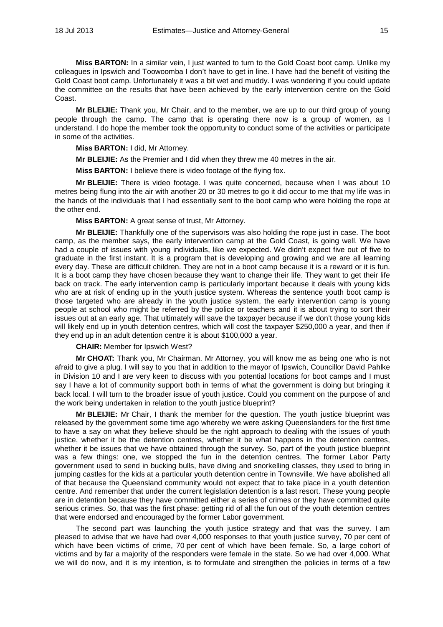**Miss BARTON:** In a similar vein, I just wanted to turn to the Gold Coast boot camp. Unlike my colleagues in Ipswich and Toowoomba I don't have to get in line. I have had the benefit of visiting the Gold Coast boot camp. Unfortunately it was a bit wet and muddy. I was wondering if you could update the committee on the results that have been achieved by the early intervention centre on the Gold Coast.

**Mr BLEIJIE:** Thank you, Mr Chair, and to the member, we are up to our third group of young people through the camp. The camp that is operating there now is a group of women, as I understand. I do hope the member took the opportunity to conduct some of the activities or participate in some of the activities.

**Miss BARTON:** I did, Mr Attorney.

**Mr BLEIJIE:** As the Premier and I did when they threw me 40 metres in the air.

**Miss BARTON:** I believe there is video footage of the flying fox.

**Mr BLEIJIE:** There is video footage. I was quite concerned, because when I was about 10 metres being flung into the air with another 20 or 30 metres to go it did occur to me that my life was in the hands of the individuals that I had essentially sent to the boot camp who were holding the rope at the other end.

**Miss BARTON:** A great sense of trust, Mr Attorney.

**Mr BLEIJIE:** Thankfully one of the supervisors was also holding the rope just in case. The boot camp, as the member says, the early intervention camp at the Gold Coast, is going well. We have had a couple of issues with young individuals, like we expected. We didn't expect five out of five to graduate in the first instant. It is a program that is developing and growing and we are all learning every day. These are difficult children. They are not in a boot camp because it is a reward or it is fun. It is a boot camp they have chosen because they want to change their life. They want to get their life back on track. The early intervention camp is particularly important because it deals with young kids who are at risk of ending up in the youth justice system. Whereas the sentence youth boot camp is those targeted who are already in the youth justice system, the early intervention camp is young people at school who might be referred by the police or teachers and it is about trying to sort their issues out at an early age. That ultimately will save the taxpayer because if we don't those young kids will likely end up in youth detention centres, which will cost the taxpayer \$250,000 a year, and then if they end up in an adult detention centre it is about \$100,000 a year.

**CHAIR:** Member for Ipswich West?

**Mr CHOAT:** Thank you, Mr Chairman. Mr Attorney, you will know me as being one who is not afraid to give a plug. I will say to you that in addition to the mayor of Ipswich, Councillor David Pahlke in Division 10 and I are very keen to discuss with you potential locations for boot camps and I must say I have a lot of community support both in terms of what the government is doing but bringing it back local. I will turn to the broader issue of youth justice. Could you comment on the purpose of and the work being undertaken in relation to the youth justice blueprint?

**Mr BLEIJIE:** Mr Chair, I thank the member for the question. The youth justice blueprint was released by the government some time ago whereby we were asking Queenslanders for the first time to have a say on what they believe should be the right approach to dealing with the issues of youth justice, whether it be the detention centres, whether it be what happens in the detention centres, whether it be issues that we have obtained through the survey. So, part of the youth justice blueprint was a few things: one, we stopped the fun in the detention centres. The former Labor Party government used to send in bucking bulls, have diving and snorkelling classes, they used to bring in jumping castles for the kids at a particular youth detention centre in Townsville. We have abolished all of that because the Queensland community would not expect that to take place in a youth detention centre. And remember that under the current legislation detention is a last resort. These young people are in detention because they have committed either a series of crimes or they have committed quite serious crimes. So, that was the first phase: getting rid of all the fun out of the youth detention centres that were endorsed and encouraged by the former Labor government.

The second part was launching the youth justice strategy and that was the survey. I am pleased to advise that we have had over 4,000 responses to that youth justice survey, 70 per cent of which have been victims of crime, 70 per cent of which have been female. So, a large cohort of victims and by far a majority of the responders were female in the state. So we had over 4,000. What we will do now, and it is my intention, is to formulate and strengthen the policies in terms of a few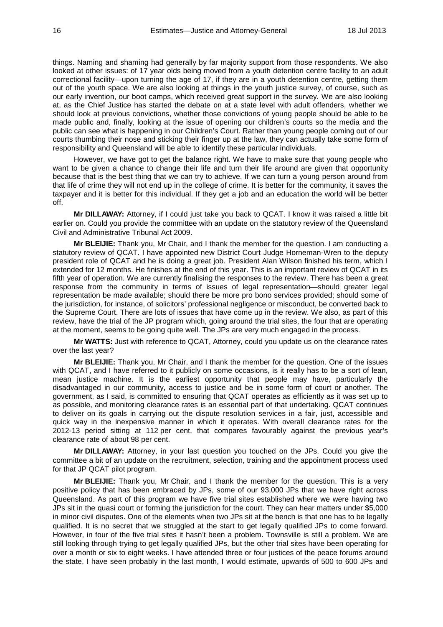things. Naming and shaming had generally by far majority support from those respondents. We also looked at other issues: of 17 year olds being moved from a youth detention centre facility to an adult correctional facility—upon turning the age of 17, if they are in a youth detention centre, getting them out of the youth space. We are also looking at things in the youth justice survey, of course, such as our early invention, our boot camps, which received great support in the survey. We are also looking at, as the Chief Justice has started the debate on at a state level with adult offenders, whether we should look at previous convictions, whether those convictions of young people should be able to be made public and, finally, looking at the issue of opening our children's courts so the media and the public can see what is happening in our Children's Court. Rather than young people coming out of our courts thumbing their nose and sticking their finger up at the law, they can actually take some form of responsibility and Queensland will be able to identify these particular individuals.

However, we have got to get the balance right. We have to make sure that young people who want to be given a chance to change their life and turn their life around are given that opportunity because that is the best thing that we can try to achieve. If we can turn a young person around from that life of crime they will not end up in the college of crime. It is better for the community, it saves the taxpayer and it is better for this individual. If they get a job and an education the world will be better off.

**Mr DILLAWAY:** Attorney, if I could just take you back to QCAT. I know it was raised a little bit earlier on. Could you provide the committee with an update on the statutory review of the Queensland Civil and Administrative Tribunal Act 2009.

**Mr BLEIJIE:** Thank you, Mr Chair, and I thank the member for the question. I am conducting a statutory review of QCAT. I have appointed new District Court Judge Horneman-Wren to the deputy president role of QCAT and he is doing a great job. President Alan Wilson finished his term, which I extended for 12 months. He finishes at the end of this year. This is an important review of QCAT in its fifth year of operation. We are currently finalising the responses to the review. There has been a great response from the community in terms of issues of legal representation—should greater legal representation be made available; should there be more pro bono services provided; should some of the jurisdiction, for instance, of solicitors' professional negligence or misconduct, be converted back to the Supreme Court. There are lots of issues that have come up in the review. We also, as part of this review, have the trial of the JP program which, going around the trial sites, the four that are operating at the moment, seems to be going quite well. The JPs are very much engaged in the process.

**Mr WATTS:** Just with reference to QCAT, Attorney, could you update us on the clearance rates over the last year?

**Mr BLEIJIE:** Thank you, Mr Chair, and I thank the member for the question. One of the issues with QCAT, and I have referred to it publicly on some occasions, is it really has to be a sort of lean, mean justice machine. It is the earliest opportunity that people may have, particularly the disadvantaged in our community, access to justice and be in some form of court or another. The government, as I said, is committed to ensuring that QCAT operates as efficiently as it was set up to as possible, and monitoring clearance rates is an essential part of that undertaking. QCAT continues to deliver on its goals in carrying out the dispute resolution services in a fair, just, accessible and quick way in the inexpensive manner in which it operates. With overall clearance rates for the 2012-13 period sitting at 112 per cent, that compares favourably against the previous year's clearance rate of about 98 per cent.

**Mr DILLAWAY:** Attorney, in your last question you touched on the JPs. Could you give the committee a bit of an update on the recruitment, selection, training and the appointment process used for that JP QCAT pilot program.

**Mr BLEIJIE:** Thank you, Mr Chair, and I thank the member for the question. This is a very positive policy that has been embraced by JPs, some of our 93,000 JPs that we have right across Queensland. As part of this program we have five trial sites established where we were having two JPs sit in the quasi court or forming the jurisdiction for the court. They can hear matters under \$5,000 in minor civil disputes. One of the elements when two JPs sit at the bench is that one has to be legally qualified. It is no secret that we struggled at the start to get legally qualified JPs to come forward. However, in four of the five trial sites it hasn't been a problem. Townsville is still a problem. We are still looking through trying to get legally qualified JPs, but the other trial sites have been operating for over a month or six to eight weeks. I have attended three or four justices of the peace forums around the state. I have seen probably in the last month, I would estimate, upwards of 500 to 600 JPs and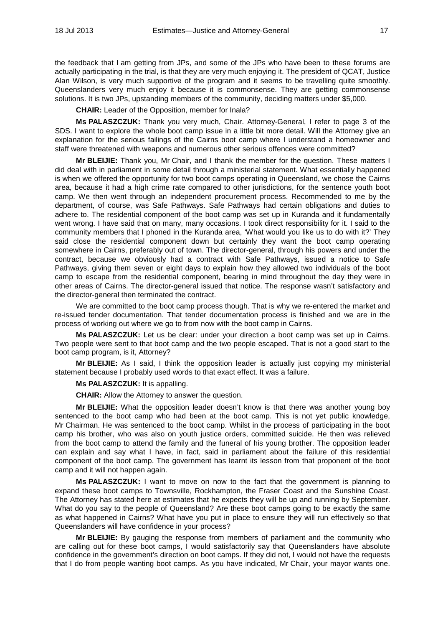the feedback that I am getting from JPs, and some of the JPs who have been to these forums are actually participating in the trial, is that they are very much enjoying it. The president of QCAT, Justice Alan Wilson, is very much supportive of the program and it seems to be travelling quite smoothly. Queenslanders very much enjoy it because it is commonsense. They are getting commonsense solutions. It is two JPs, upstanding members of the community, deciding matters under \$5,000.

**CHAIR:** Leader of the Opposition, member for Inala?

**Ms PALASZCZUK:** Thank you very much, Chair. Attorney-General, I refer to page 3 of the SDS. I want to explore the whole boot camp issue in a little bit more detail. Will the Attorney give an explanation for the serious failings of the Cairns boot camp where I understand a homeowner and staff were threatened with weapons and numerous other serious offences were committed?

**Mr BLEIJIE:** Thank you, Mr Chair, and I thank the member for the question. These matters I did deal with in parliament in some detail through a ministerial statement. What essentially happened is when we offered the opportunity for two boot camps operating in Queensland, we chose the Cairns area, because it had a high crime rate compared to other jurisdictions, for the sentence youth boot camp. We then went through an independent procurement process. Recommended to me by the department, of course, was Safe Pathways. Safe Pathways had certain obligations and duties to adhere to. The residential component of the boot camp was set up in Kuranda and it fundamentally went wrong. I have said that on many, many occasions. I took direct responsibility for it. I said to the community members that I phoned in the Kuranda area, 'What would you like us to do with it?' They said close the residential component down but certainly they want the boot camp operating somewhere in Cairns, preferably out of town. The director-general, through his powers and under the contract, because we obviously had a contract with Safe Pathways, issued a notice to Safe Pathways, giving them seven or eight days to explain how they allowed two individuals of the boot camp to escape from the residential component, bearing in mind throughout the day they were in other areas of Cairns. The director-general issued that notice. The response wasn't satisfactory and the director-general then terminated the contract.

We are committed to the boot camp process though. That is why we re-entered the market and re-issued tender documentation. That tender documentation process is finished and we are in the process of working out where we go to from now with the boot camp in Cairns.

**Ms PALASZCZUK:** Let us be clear: under your direction a boot camp was set up in Cairns. Two people were sent to that boot camp and the two people escaped. That is not a good start to the boot camp program, is it, Attorney?

**Mr BLEIJIE:** As I said, I think the opposition leader is actually just copying my ministerial statement because I probably used words to that exact effect. It was a failure.

#### **Ms PALASZCZUK:** It is appalling.

**CHAIR:** Allow the Attorney to answer the question.

**Mr BLEIJIE:** What the opposition leader doesn't know is that there was another young boy sentenced to the boot camp who had been at the boot camp. This is not yet public knowledge, Mr Chairman. He was sentenced to the boot camp. Whilst in the process of participating in the boot camp his brother, who was also on youth justice orders, committed suicide. He then was relieved from the boot camp to attend the family and the funeral of his young brother. The opposition leader can explain and say what I have, in fact, said in parliament about the failure of this residential component of the boot camp. The government has learnt its lesson from that proponent of the boot camp and it will not happen again.

**Ms PALASZCZUK:** I want to move on now to the fact that the government is planning to expand these boot camps to Townsville, Rockhampton, the Fraser Coast and the Sunshine Coast. The Attorney has stated here at estimates that he expects they will be up and running by September. What do you say to the people of Queensland? Are these boot camps going to be exactly the same as what happened in Cairns? What have you put in place to ensure they will run effectively so that Queenslanders will have confidence in your process?

**Mr BLEIJIE:** By gauging the response from members of parliament and the community who are calling out for these boot camps, I would satisfactorily say that Queenslanders have absolute confidence in the government's direction on boot camps. If they did not, I would not have the requests that I do from people wanting boot camps. As you have indicated, Mr Chair, your mayor wants one.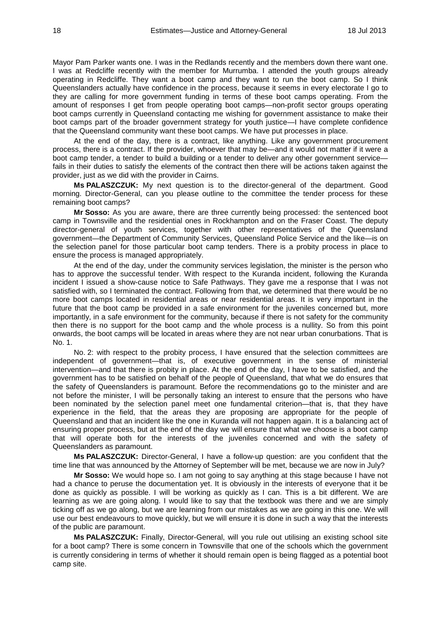Mayor Pam Parker wants one. I was in the Redlands recently and the members down there want one. I was at Redcliffe recently with the member for Murrumba. I attended the youth groups already operating in Redcliffe. They want a boot camp and they want to run the boot camp. So I think Queenslanders actually have confidence in the process, because it seems in every electorate I go to they are calling for more government funding in terms of these boot camps operating. From the amount of responses I get from people operating boot camps—non-profit sector groups operating boot camps currently in Queensland contacting me wishing for government assistance to make their boot camps part of the broader government strategy for youth justice—I have complete confidence that the Queensland community want these boot camps. We have put processes in place.

At the end of the day, there is a contract, like anything. Like any government procurement process, there is a contract. If the provider, whoever that may be—and it would not matter if it were a boot camp tender, a tender to build a building or a tender to deliver any other government service fails in their duties to satisfy the elements of the contract then there will be actions taken against the provider, just as we did with the provider in Cairns.

**Ms PALASZCZUK:** My next question is to the director-general of the department. Good morning. Director-General, can you please outline to the committee the tender process for these remaining boot camps?

**Mr Sosso:** As you are aware, there are three currently being processed: the sentenced boot camp in Townsville and the residential ones in Rockhampton and on the Fraser Coast. The deputy director-general of youth services, together with other representatives of the Queensland government—the Department of Community Services, Queensland Police Service and the like—is on the selection panel for those particular boot camp tenders. There is a probity process in place to ensure the process is managed appropriately.

At the end of the day, under the community services legislation, the minister is the person who has to approve the successful tender. With respect to the Kuranda incident, following the Kuranda incident I issued a show-cause notice to Safe Pathways. They gave me a response that I was not satisfied with, so I terminated the contract. Following from that, we determined that there would be no more boot camps located in residential areas or near residential areas. It is very important in the future that the boot camp be provided in a safe environment for the juveniles concerned but, more importantly, in a safe environment for the community, because if there is not safety for the community then there is no support for the boot camp and the whole process is a nullity. So from this point onwards, the boot camps will be located in areas where they are not near urban conurbations. That is No. 1.

No. 2: with respect to the probity process, I have ensured that the selection committees are independent of government—that is, of executive government in the sense of ministerial intervention—and that there is probity in place. At the end of the day, I have to be satisfied, and the government has to be satisfied on behalf of the people of Queensland, that what we do ensures that the safety of Queenslanders is paramount. Before the recommendations go to the minister and are not before the minister, I will be personally taking an interest to ensure that the persons who have been nominated by the selection panel meet one fundamental criterion—that is, that they have experience in the field, that the areas they are proposing are appropriate for the people of Queensland and that an incident like the one in Kuranda will not happen again. It is a balancing act of ensuring proper process, but at the end of the day we will ensure that what we choose is a boot camp that will operate both for the interests of the juveniles concerned and with the safety of Queenslanders as paramount.

**Ms PALASZCZUK:** Director-General, I have a follow-up question: are you confident that the time line that was announced by the Attorney of September will be met, because we are now in July?

**Mr Sosso:** We would hope so. I am not going to say anything at this stage because I have not had a chance to peruse the documentation yet. It is obviously in the interests of everyone that it be done as quickly as possible. I will be working as quickly as I can. This is a bit different. We are learning as we are going along. I would like to say that the textbook was there and we are simply ticking off as we go along, but we are learning from our mistakes as we are going in this one. We will use our best endeavours to move quickly, but we will ensure it is done in such a way that the interests of the public are paramount.

**Ms PALASZCZUK:** Finally, Director-General, will you rule out utilising an existing school site for a boot camp? There is some concern in Townsville that one of the schools which the government is currently considering in terms of whether it should remain open is being flagged as a potential boot camp site.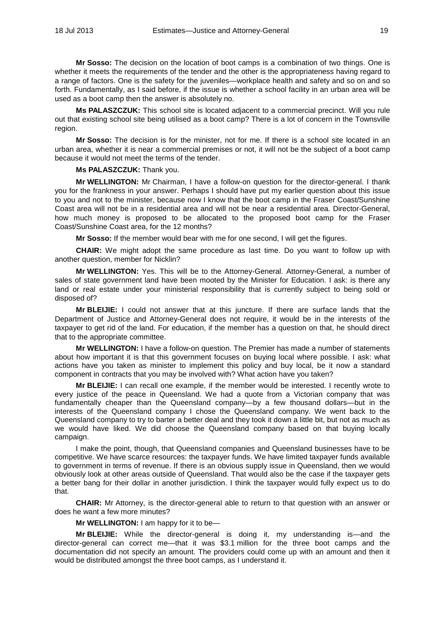**Mr Sosso:** The decision on the location of boot camps is a combination of two things. One is whether it meets the requirements of the tender and the other is the appropriateness having regard to a range of factors. One is the safety for the juveniles—workplace health and safety and so on and so forth. Fundamentally, as I said before, if the issue is whether a school facility in an urban area will be used as a boot camp then the answer is absolutely no.

**Ms PALASZCZUK:** This school site is located adjacent to a commercial precinct. Will you rule out that existing school site being utilised as a boot camp? There is a lot of concern in the Townsville region.

**Mr Sosso:** The decision is for the minister, not for me. If there is a school site located in an urban area, whether it is near a commercial premises or not, it will not be the subject of a boot camp because it would not meet the terms of the tender.

**Ms PALASZCZUK:** Thank you.

**Mr WELLINGTON:** Mr Chairman, I have a follow-on question for the director-general. I thank you for the frankness in your answer. Perhaps I should have put my earlier question about this issue to you and not to the minister, because now I know that the boot camp in the Fraser Coast/Sunshine Coast area will not be in a residential area and will not be near a residential area. Director-General, how much money is proposed to be allocated to the proposed boot camp for the Fraser Coast/Sunshine Coast area, for the 12 months?

**Mr Sosso:** If the member would bear with me for one second, I will get the figures.

**CHAIR:** We might adopt the same procedure as last time. Do you want to follow up with another question, member for Nicklin?

**Mr WELLINGTON:** Yes. This will be to the Attorney-General. Attorney-General, a number of sales of state government land have been mooted by the Minister for Education. I ask: is there any land or real estate under your ministerial responsibility that is currently subject to being sold or disposed of?

**Mr BLEIJIE:** I could not answer that at this juncture. If there are surface lands that the Department of Justice and Attorney-General does not require, it would be in the interests of the taxpayer to get rid of the land. For education, if the member has a question on that, he should direct that to the appropriate committee.

**Mr WELLINGTON:** I have a follow-on question. The Premier has made a number of statements about how important it is that this government focuses on buying local where possible. I ask: what actions have you taken as minister to implement this policy and buy local, be it now a standard component in contracts that you may be involved with? What action have you taken?

**Mr BLEIJIE:** I can recall one example, if the member would be interested. I recently wrote to every justice of the peace in Queensland. We had a quote from a Victorian company that was fundamentally cheaper than the Queensland company—by a few thousand dollars—but in the interests of the Queensland company I chose the Queensland company. We went back to the Queensland company to try to barter a better deal and they took it down a little bit, but not as much as we would have liked. We did choose the Queensland company based on that buying locally campaign.

I make the point, though, that Queensland companies and Queensland businesses have to be competitive. We have scarce resources: the taxpayer funds. We have limited taxpayer funds available to government in terms of revenue. If there is an obvious supply issue in Queensland, then we would obviously look at other areas outside of Queensland. That would also be the case if the taxpayer gets a better bang for their dollar in another jurisdiction. I think the taxpayer would fully expect us to do that.

**CHAIR:** Mr Attorney, is the director-general able to return to that question with an answer or does he want a few more minutes?

**Mr WELLINGTON:** I am happy for it to be—

**Mr BLEIJIE:** While the director-general is doing it, my understanding is—and the director-general can correct me—that it was \$3.1 million for the three boot camps and the documentation did not specify an amount. The providers could come up with an amount and then it would be distributed amongst the three boot camps, as I understand it.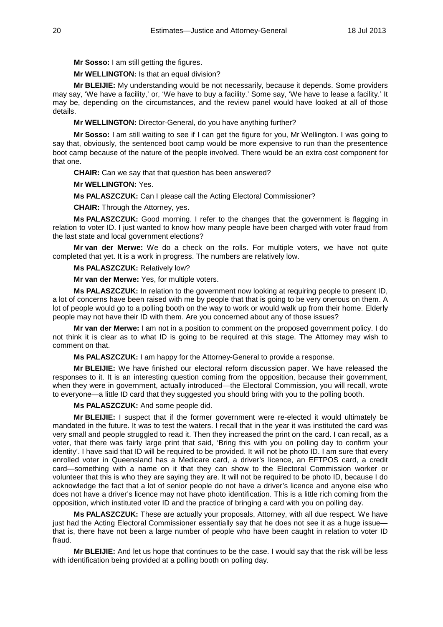**Mr Sosso:** I am still getting the figures.

# **Mr WELLINGTON:** Is that an equal division?

**Mr BLEIJIE:** My understanding would be not necessarily, because it depends. Some providers may say, 'We have a facility,' or, 'We have to buy a facility.' Some say, 'We have to lease a facility.' It may be, depending on the circumstances, and the review panel would have looked at all of those details.

**Mr WELLINGTON:** Director-General, do you have anything further?

**Mr Sosso:** I am still waiting to see if I can get the figure for you, Mr Wellington. I was going to say that, obviously, the sentenced boot camp would be more expensive to run than the presentence boot camp because of the nature of the people involved. There would be an extra cost component for that one.

**CHAIR:** Can we say that that question has been answered?

**Mr WELLINGTON:** Yes.

**Ms PALASZCZUK:** Can I please call the Acting Electoral Commissioner?

**CHAIR:** Through the Attorney, yes.

**Ms PALASZCZUK:** Good morning. I refer to the changes that the government is flagging in relation to voter ID. I just wanted to know how many people have been charged with voter fraud from the last state and local government elections?

**Mr van der Merwe:** We do a check on the rolls. For multiple voters, we have not quite completed that yet. It is a work in progress. The numbers are relatively low.

**Ms PALASZCZUK:** Relatively low?

**Mr van der Merwe:** Yes, for multiple voters.

**Ms PALASZCZUK:** In relation to the government now looking at requiring people to present ID, a lot of concerns have been raised with me by people that that is going to be very onerous on them. A lot of people would go to a polling booth on the way to work or would walk up from their home. Elderly people may not have their ID with them. Are you concerned about any of those issues?

**Mr van der Merwe:** I am not in a position to comment on the proposed government policy. I do not think it is clear as to what ID is going to be required at this stage. The Attorney may wish to comment on that.

**Ms PALASZCZUK:** I am happy for the Attorney-General to provide a response.

**Mr BLEIJIE:** We have finished our electoral reform discussion paper. We have released the responses to it. It is an interesting question coming from the opposition, because their government, when they were in government, actually introduced—the Electoral Commission, you will recall, wrote to everyone—a little ID card that they suggested you should bring with you to the polling booth.

**Ms PALASZCZUK:** And some people did.

**Mr BLEIJIE:** I suspect that if the former government were re-elected it would ultimately be mandated in the future. It was to test the waters. I recall that in the year it was instituted the card was very small and people struggled to read it. Then they increased the print on the card. I can recall, as a voter, that there was fairly large print that said, 'Bring this with you on polling day to confirm your identity'. I have said that ID will be required to be provided. It will not be photo ID. I am sure that every enrolled voter in Queensland has a Medicare card, a driver's licence, an EFTPOS card, a credit card—something with a name on it that they can show to the Electoral Commission worker or volunteer that this is who they are saying they are. It will not be required to be photo ID, because I do acknowledge the fact that a lot of senior people do not have a driver's licence and anyone else who does not have a driver's licence may not have photo identification. This is a little rich coming from the opposition, which instituted voter ID and the practice of bringing a card with you on polling day.

**Ms PALASZCZUK:** These are actually your proposals, Attorney, with all due respect. We have just had the Acting Electoral Commissioner essentially say that he does not see it as a huge issue that is, there have not been a large number of people who have been caught in relation to voter ID fraud.

**Mr BLEIJIE:** And let us hope that continues to be the case. I would say that the risk will be less with identification being provided at a polling booth on polling day.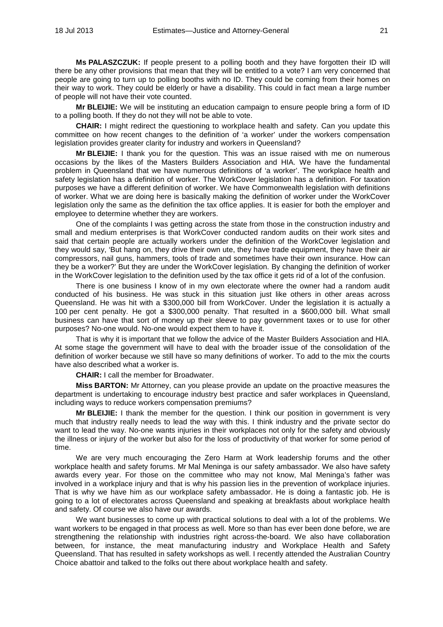**Ms PALASZCZUK:** If people present to a polling booth and they have forgotten their ID will there be any other provisions that mean that they will be entitled to a vote? I am very concerned that people are going to turn up to polling booths with no ID. They could be coming from their homes on their way to work. They could be elderly or have a disability. This could in fact mean a large number of people will not have their vote counted.

**Mr BLEIJIE:** We will be instituting an education campaign to ensure people bring a form of ID to a polling booth. If they do not they will not be able to vote.

**CHAIR:** I might redirect the questioning to workplace health and safety. Can you update this committee on how recent changes to the definition of 'a worker' under the workers compensation legislation provides greater clarity for industry and workers in Queensland?

**Mr BLEIJIE:** I thank you for the question. This was an issue raised with me on numerous occasions by the likes of the Masters Builders Association and HIA. We have the fundamental problem in Queensland that we have numerous definitions of 'a worker'. The workplace health and safety legislation has a definition of worker. The WorkCover legislation has a definition. For taxation purposes we have a different definition of worker. We have Commonwealth legislation with definitions of worker. What we are doing here is basically making the definition of worker under the WorkCover legislation only the same as the definition the tax office applies. It is easier for both the employer and employee to determine whether they are workers.

One of the complaints I was getting across the state from those in the construction industry and small and medium enterprises is that WorkCover conducted random audits on their work sites and said that certain people are actually workers under the definition of the WorkCover legislation and they would say, 'But hang on, they drive their own ute, they have trade equipment, they have their air compressors, nail guns, hammers, tools of trade and sometimes have their own insurance. How can they be a worker?' But they are under the WorkCover legislation. By changing the definition of worker in the WorkCover legislation to the definition used by the tax office it gets rid of a lot of the confusion.

There is one business I know of in my own electorate where the owner had a random audit conducted of his business. He was stuck in this situation just like others in other areas across Queensland. He was hit with a \$300,000 bill from WorkCover. Under the legislation it is actually a 100 per cent penalty. He got a \$300,000 penalty. That resulted in a \$600,000 bill. What small business can have that sort of money up their sleeve to pay government taxes or to use for other purposes? No-one would. No-one would expect them to have it.

That is why it is important that we follow the advice of the Master Builders Association and HIA. At some stage the government will have to deal with the broader issue of the consolidation of the definition of worker because we still have so many definitions of worker. To add to the mix the courts have also described what a worker is.

**CHAIR:** I call the member for Broadwater.

**Miss BARTON:** Mr Attorney, can you please provide an update on the proactive measures the department is undertaking to encourage industry best practice and safer workplaces in Queensland, including ways to reduce workers compensation premiums?

**Mr BLEIJIE:** I thank the member for the question. I think our position in government is very much that industry really needs to lead the way with this. I think industry and the private sector do want to lead the way. No-one wants injuries in their workplaces not only for the safety and obviously the illness or injury of the worker but also for the loss of productivity of that worker for some period of time.

We are very much encouraging the Zero Harm at Work leadership forums and the other workplace health and safety forums. Mr Mal Meninga is our safety ambassador. We also have safety awards every year. For those on the committee who may not know, Mal Meninga's father was involved in a workplace injury and that is why his passion lies in the prevention of workplace injuries. That is why we have him as our workplace safety ambassador. He is doing a fantastic job. He is going to a lot of electorates across Queensland and speaking at breakfasts about workplace health and safety. Of course we also have our awards.

We want businesses to come up with practical solutions to deal with a lot of the problems. We want workers to be engaged in that process as well. More so than has ever been done before, we are strengthening the relationship with industries right across-the-board. We also have collaboration between, for instance, the meat manufacturing industry and Workplace Health and Safety Queensland. That has resulted in safety workshops as well. I recently attended the Australian Country Choice abattoir and talked to the folks out there about workplace health and safety.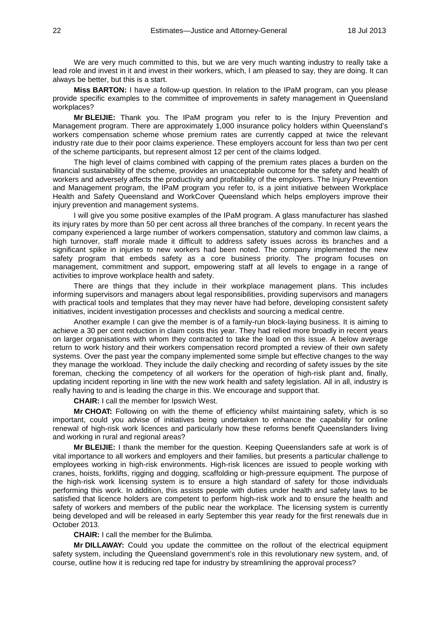We are very much committed to this, but we are very much wanting industry to really take a lead role and invest in it and invest in their workers, which, I am pleased to say, they are doing. It can always be better, but this is a start.

**Miss BARTON:** I have a follow-up question. In relation to the IPaM program, can you please provide specific examples to the committee of improvements in safety management in Queensland workplaces?

**Mr BLEIJIE:** Thank you. The IPaM program you refer to is the Injury Prevention and Management program. There are approximately 1,000 insurance policy holders within Queensland's workers compensation scheme whose premium rates are currently capped at twice the relevant industry rate due to their poor claims experience. These employers account for less than two per cent of the scheme participants, but represent almost 12 per cent of the claims lodged.

The high level of claims combined with capping of the premium rates places a burden on the financial sustainability of the scheme, provides an unacceptable outcome for the safety and health of workers and adversely affects the productivity and profitability of the employers. The Injury Prevention and Management program, the IPaM program you refer to, is a joint initiative between Workplace Health and Safety Queensland and WorkCover Queensland which helps employers improve their injury prevention and management systems.

I will give you some positive examples of the IPaM program. A glass manufacturer has slashed its injury rates by more than 50 per cent across all three branches of the company. In recent years the company experienced a large number of workers compensation, statutory and common law claims, a high turnover, staff morale made it difficult to address safety issues across its branches and a significant spike in injuries to new workers had been noted. The company implemented the new safety program that embeds safety as a core business priority. The program focuses on management, commitment and support, empowering staff at all levels to engage in a range of activities to improve workplace health and safety.

There are things that they include in their workplace management plans. This includes informing supervisors and managers about legal responsibilities, providing supervisors and managers with practical tools and templates that they may never have had before, developing consistent safety initiatives, incident investigation processes and checklists and sourcing a medical centre.

Another example I can give the member is of a family-run block-laying business. It is aiming to achieve a 30 per cent reduction in claim costs this year. They had relied more broadly in recent years on larger organisations with whom they contracted to take the load on this issue. A below average return to work history and their workers compensation record prompted a review of their own safety systems. Over the past year the company implemented some simple but effective changes to the way they manage the workload. They include the daily checking and recording of safety issues by the site foreman, checking the competency of all workers for the operation of high-risk plant and, finally, updating incident reporting in line with the new work health and safety legislation. All in all, industry is really having to and is leading the charge in this. We encourage and support that.

**CHAIR:** I call the member for Ipswich West.

**Mr CHOAT:** Following on with the theme of efficiency whilst maintaining safety, which is so important, could you advise of initiatives being undertaken to enhance the capability for online renewal of high-risk work licences and particularly how these reforms benefit Queenslanders living and working in rural and regional areas?

**Mr BLEIJIE:** I thank the member for the question. Keeping Queenslanders safe at work is of vital importance to all workers and employers and their families, but presents a particular challenge to employees working in high-risk environments. High-risk licences are issued to people working with cranes, hoists, forklifts, rigging and dogging, scaffolding or high-pressure equipment. The purpose of the high-risk work licensing system is to ensure a high standard of safety for those individuals performing this work. In addition, this assists people with duties under health and safety laws to be satisfied that licence holders are competent to perform high-risk work and to ensure the health and safety of workers and members of the public near the workplace. The licensing system is currently being developed and will be released in early September this year ready for the first renewals due in October 2013.

**CHAIR:** I call the member for the Bulimba.

**Mr DILLAWAY:** Could you update the committee on the rollout of the electrical equipment safety system, including the Queensland government's role in this revolutionary new system, and, of course, outline how it is reducing red tape for industry by streamlining the approval process?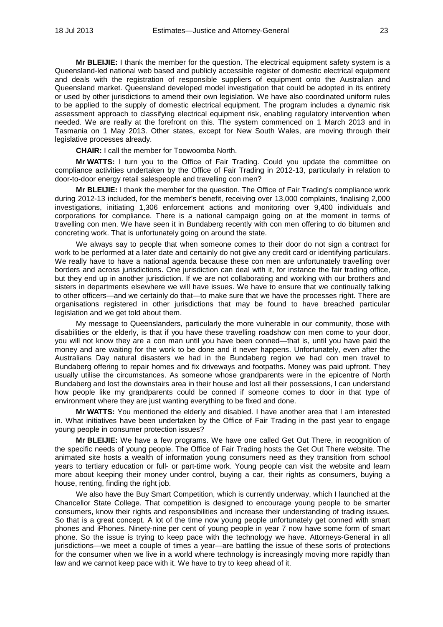**Mr BLEIJIE:** I thank the member for the question. The electrical equipment safety system is a Queensland-led national web based and publicly accessible register of domestic electrical equipment and deals with the registration of responsible suppliers of equipment onto the Australian and Queensland market. Queensland developed model investigation that could be adopted in its entirety or used by other jurisdictions to amend their own legislation. We have also coordinated uniform rules to be applied to the supply of domestic electrical equipment. The program includes a dynamic risk assessment approach to classifying electrical equipment risk, enabling regulatory intervention when needed. We are really at the forefront on this. The system commenced on 1 March 2013 and in Tasmania on 1 May 2013. Other states, except for New South Wales, are moving through their legislative processes already.

**CHAIR:** I call the member for Toowoomba North.

**Mr WATTS:** I turn you to the Office of Fair Trading. Could you update the committee on compliance activities undertaken by the Office of Fair Trading in 2012-13, particularly in relation to door-to-door energy retail salespeople and travelling con men?

**Mr BLEIJIE:** I thank the member for the question. The Office of Fair Trading's compliance work during 2012-13 included, for the member's benefit, receiving over 13,000 complaints, finalising 2,000 investigations, initiating 1,306 enforcement actions and monitoring over 9,400 individuals and corporations for compliance. There is a national campaign going on at the moment in terms of travelling con men. We have seen it in Bundaberg recently with con men offering to do bitumen and concreting work. That is unfortunately going on around the state.

We always say to people that when someone comes to their door do not sign a contract for work to be performed at a later date and certainly do not give any credit card or identifying particulars. We really have to have a national agenda because these con men are unfortunately travelling over borders and across jurisdictions. One jurisdiction can deal with it, for instance the fair trading office, but they end up in another jurisdiction. If we are not collaborating and working with our brothers and sisters in departments elsewhere we will have issues. We have to ensure that we continually talking to other officers—and we certainly do that—to make sure that we have the processes right. There are organisations registered in other jurisdictions that may be found to have breached particular legislation and we get told about them.

My message to Queenslanders, particularly the more vulnerable in our community, those with disabilities or the elderly, is that if you have these travelling roadshow con men come to your door, you will not know they are a con man until you have been conned—that is, until you have paid the money and are waiting for the work to be done and it never happens. Unfortunately, even after the Australians Day natural disasters we had in the Bundaberg region we had con men travel to Bundaberg offering to repair homes and fix driveways and footpaths. Money was paid upfront. They usually utilise the circumstances. As someone whose grandparents were in the epicentre of North Bundaberg and lost the downstairs area in their house and lost all their possessions, I can understand how people like my grandparents could be conned if someone comes to door in that type of environment where they are just wanting everything to be fixed and done.

**Mr WATTS:** You mentioned the elderly and disabled. I have another area that I am interested in. What initiatives have been undertaken by the Office of Fair Trading in the past year to engage young people in consumer protection issues?

**Mr BLEIJIE:** We have a few programs. We have one called Get Out There, in recognition of the specific needs of young people. The Office of Fair Trading hosts the Get Out There website. The animated site hosts a wealth of information young consumers need as they transition from school years to tertiary education or full- or part-time work. Young people can visit the website and learn more about keeping their money under control, buying a car, their rights as consumers, buying a house, renting, finding the right job.

We also have the Buy Smart Competition, which is currently underway, which I launched at the Chancellor State College. That competition is designed to encourage young people to be smarter consumers, know their rights and responsibilities and increase their understanding of trading issues. So that is a great concept. A lot of the time now young people unfortunately get conned with smart phones and iPhones. Ninety-nine per cent of young people in year 7 now have some form of smart phone. So the issue is trying to keep pace with the technology we have. Attorneys-General in all jurisdictions—we meet a couple of times a year—are battling the issue of these sorts of protections for the consumer when we live in a world where technology is increasingly moving more rapidly than law and we cannot keep pace with it. We have to try to keep ahead of it.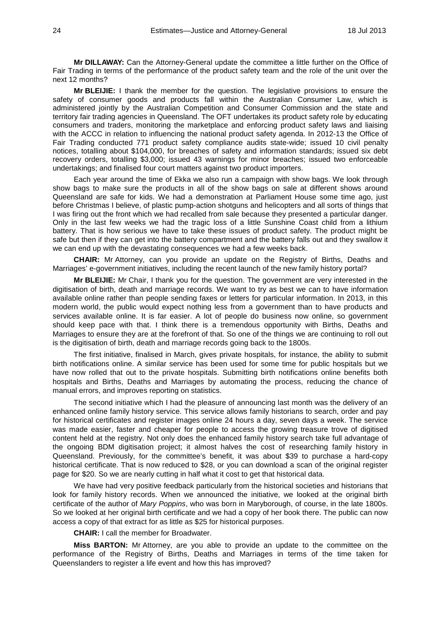**Mr DILLAWAY:** Can the Attorney-General update the committee a little further on the Office of Fair Trading in terms of the performance of the product safety team and the role of the unit over the next 12 months?

**Mr BLEIJIE:** I thank the member for the question. The legislative provisions to ensure the safety of consumer goods and products fall within the Australian Consumer Law, which is administered jointly by the Australian Competition and Consumer Commission and the state and territory fair trading agencies in Queensland. The OFT undertakes its product safety role by educating consumers and traders, monitoring the marketplace and enforcing product safety laws and liaising with the ACCC in relation to influencing the national product safety agenda. In 2012-13 the Office of Fair Trading conducted 771 product safety compliance audits state-wide; issued 10 civil penalty notices, totalling about \$104,000, for breaches of safety and information standards; issued six debt recovery orders, totalling \$3,000; issued 43 warnings for minor breaches; issued two enforceable undertakings; and finalised four court matters against two product importers.

Each year around the time of Ekka we also run a campaign with show bags. We look through show bags to make sure the products in all of the show bags on sale at different shows around Queensland are safe for kids. We had a demonstration at Parliament House some time ago, just before Christmas I believe, of plastic pump-action shotguns and helicopters and all sorts of things that I was firing out the front which we had recalled from sale because they presented a particular danger. Only in the last few weeks we had the tragic loss of a little Sunshine Coast child from a lithium battery. That is how serious we have to take these issues of product safety. The product might be safe but then if they can get into the battery compartment and the battery falls out and they swallow it we can end up with the devastating consequences we had a few weeks back.

**CHAIR:** Mr Attorney, can you provide an update on the Registry of Births, Deaths and Marriages' e-government initiatives, including the recent launch of the new family history portal?

**Mr BLEIJIE:** Mr Chair, I thank you for the question. The government are very interested in the digitisation of birth, death and marriage records. We want to try as best we can to have information available online rather than people sending faxes or letters for particular information. In 2013, in this modern world, the public would expect nothing less from a government than to have products and services available online. It is far easier. A lot of people do business now online, so government should keep pace with that. I think there is a tremendous opportunity with Births, Deaths and Marriages to ensure they are at the forefront of that. So one of the things we are continuing to roll out is the digitisation of birth, death and marriage records going back to the 1800s.

The first initiative, finalised in March, gives private hospitals, for instance, the ability to submit birth notifications online. A similar service has been used for some time for public hospitals but we have now rolled that out to the private hospitals. Submitting birth notifications online benefits both hospitals and Births, Deaths and Marriages by automating the process, reducing the chance of manual errors, and improves reporting on statistics.

The second initiative which I had the pleasure of announcing last month was the delivery of an enhanced online family history service. This service allows family historians to search, order and pay for historical certificates and register images online 24 hours a day, seven days a week. The service was made easier, faster and cheaper for people to access the growing treasure trove of digitised content held at the registry. Not only does the enhanced family history search take full advantage of the ongoing BDM digitisation project; it almost halves the cost of researching family history in Queensland. Previously, for the committee's benefit, it was about \$39 to purchase a hard-copy historical certificate. That is now reduced to \$28, or you can download a scan of the original register page for \$20. So we are nearly cutting in half what it cost to get that historical data.

We have had very positive feedback particularly from the historical societies and historians that look for family history records. When we announced the initiative, we looked at the original birth certificate of the author of *Mary Poppins*, who was born in Maryborough, of course, in the late 1800s. So we looked at her original birth certificate and we had a copy of her book there. The public can now access a copy of that extract for as little as \$25 for historical purposes.

**CHAIR:** I call the member for Broadwater.

**Miss BARTON:** Mr Attorney, are you able to provide an update to the committee on the performance of the Registry of Births, Deaths and Marriages in terms of the time taken for Queenslanders to register a life event and how this has improved?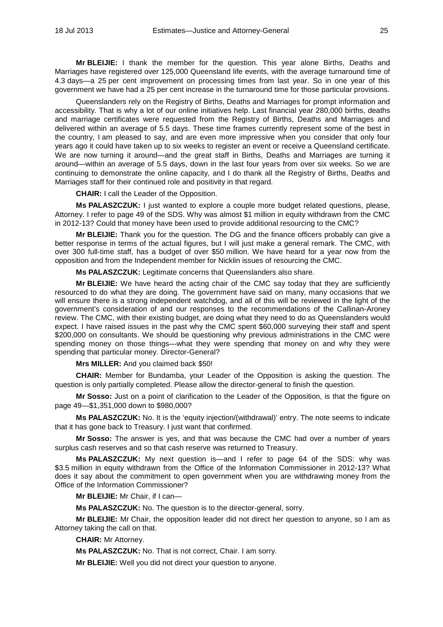**Mr BLEIJIE:** I thank the member for the question. This year alone Births, Deaths and Marriages have registered over 125,000 Queensland life events, with the average turnaround time of 4.3 days—a 25 per cent improvement on processing times from last year. So in one year of this government we have had a 25 per cent increase in the turnaround time for those particular provisions.

Queenslanders rely on the Registry of Births, Deaths and Marriages for prompt information and accessibility. That is why a lot of our online initiatives help. Last financial year 280,000 births, deaths and marriage certificates were requested from the Registry of Births, Deaths and Marriages and delivered within an average of 5.5 days. These time frames currently represent some of the best in the country, I am pleased to say, and are even more impressive when you consider that only four years ago it could have taken up to six weeks to register an event or receive a Queensland certificate. We are now turning it around—and the great staff in Births, Deaths and Marriages are turning it around—within an average of 5.5 days, down in the last four years from over six weeks. So we are continuing to demonstrate the online capacity, and I do thank all the Registry of Births, Deaths and Marriages staff for their continued role and positivity in that regard.

**CHAIR:** I call the Leader of the Opposition.

**Ms PALASZCZUK:** I just wanted to explore a couple more budget related questions, please, Attorney. I refer to page 49 of the SDS. Why was almost \$1 million in equity withdrawn from the CMC in 2012-13? Could that money have been used to provide additional resourcing to the CMC?

**Mr BLEIJIE:** Thank you for the question. The DG and the finance officers probably can give a better response in terms of the actual figures, but I will just make a general remark. The CMC, with over 300 full-time staff, has a budget of over \$50 million. We have heard for a year now from the opposition and from the Independent member for Nicklin issues of resourcing the CMC.

**Ms PALASZCZUK:** Legitimate concerns that Queenslanders also share.

**Mr BLEIJIE:** We have heard the acting chair of the CMC say today that they are sufficiently resourced to do what they are doing. The government have said on many, many occasions that we will ensure there is a strong independent watchdog, and all of this will be reviewed in the light of the government's consideration of and our responses to the recommendations of the Callinan-Aroney review. The CMC, with their existing budget, are doing what they need to do as Queenslanders would expect. I have raised issues in the past why the CMC spent \$60,000 surveying their staff and spent \$200,000 on consultants. We should be questioning why previous administrations in the CMC were spending money on those things—what they were spending that money on and why they were spending that particular money. Director-General?

**Mrs MILLER:** And you claimed back \$50!

**CHAIR:** Member for Bundamba, your Leader of the Opposition is asking the question. The question is only partially completed. Please allow the director-general to finish the question.

**Mr Sosso:** Just on a point of clarification to the Leader of the Opposition, is that the figure on page 49—\$1,351,000 down to \$980,000?

**Ms PALASZCZUK:** No. It is the 'equity injection/(withdrawal)' entry. The note seems to indicate that it has gone back to Treasury. I just want that confirmed.

**Mr Sosso:** The answer is yes, and that was because the CMC had over a number of years surplus cash reserves and so that cash reserve was returned to Treasury.

**Ms PALASZCZUK:** My next question is—and I refer to page 64 of the SDS: why was \$3.5 million in equity withdrawn from the Office of the Information Commissioner in 2012-13? What does it say about the commitment to open government when you are withdrawing money from the Office of the Information Commissioner?

**Mr BLEIJIE:** Mr Chair, if I can—

**Ms PALASZCZUK:** No. The question is to the director-general, sorry.

**Mr BLEIJIE:** Mr Chair, the opposition leader did not direct her question to anyone, so I am as Attorney taking the call on that.

**CHAIR:** Mr Attorney.

**Ms PALASZCZUK:** No. That is not correct, Chair. I am sorry.

**Mr BLEIJIE:** Well you did not direct your question to anyone.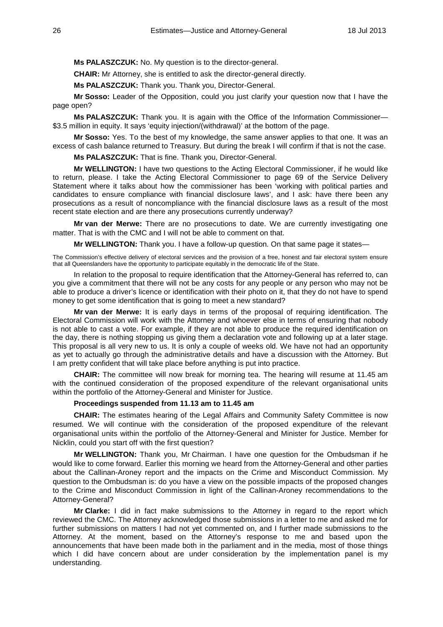**Ms PALASZCZUK:** No. My question is to the director-general.

**CHAIR:** Mr Attorney, she is entitled to ask the director-general directly.

**Ms PALASZCZUK:** Thank you. Thank you, Director-General.

**Mr Sosso:** Leader of the Opposition, could you just clarify your question now that I have the page open?

**Ms PALASZCZUK:** Thank you. It is again with the Office of the Information Commissioner— \$3.5 million in equity. It says 'equity injection/(withdrawal)' at the bottom of the page.

**Mr Sosso:** Yes. To the best of my knowledge, the same answer applies to that one. It was an excess of cash balance returned to Treasury. But during the break I will confirm if that is not the case.

**Ms PALASZCZUK:** That is fine. Thank you, Director-General.

**Mr WELLINGTON:** I have two questions to the Acting Electoral Commissioner, if he would like to return, please. I take the Acting Electoral Commissioner to page 69 of the Service Delivery Statement where it talks about how the commissioner has been 'working with political parties and candidates to ensure compliance with financial disclosure laws', and I ask: have there been any prosecutions as a result of noncompliance with the financial disclosure laws as a result of the most recent state election and are there any prosecutions currently underway?

**Mr van der Merwe:** There are no prosecutions to date. We are currently investigating one matter. That is with the CMC and I will not be able to comment on that.

**Mr WELLINGTON:** Thank you. I have a follow-up question. On that same page it states—

The Commission's effective delivery of electoral services and the provision of a free, honest and fair electoral system ensure that all Queenslanders have the opportunity to participate equitably in the democratic life of the State.

In relation to the proposal to require identification that the Attorney-General has referred to, can you give a commitment that there will not be any costs for any people or any person who may not be able to produce a driver's licence or identification with their photo on it, that they do not have to spend money to get some identification that is going to meet a new standard?

**Mr van der Merwe:** It is early days in terms of the proposal of requiring identification. The Electoral Commission will work with the Attorney and whoever else in terms of ensuring that nobody is not able to cast a vote. For example, if they are not able to produce the required identification on the day, there is nothing stopping us giving them a declaration vote and following up at a later stage. This proposal is all very new to us. It is only a couple of weeks old. We have not had an opportunity as yet to actually go through the administrative details and have a discussion with the Attorney. But I am pretty confident that will take place before anything is put into practice.

**CHAIR:** The committee will now break for morning tea. The hearing will resume at 11.45 am with the continued consideration of the proposed expenditure of the relevant organisational units within the portfolio of the Attorney-General and Minister for Justice.

# **Proceedings suspended from 11.13 am to 11.45 am**

**CHAIR:** The estimates hearing of the Legal Affairs and Community Safety Committee is now resumed. We will continue with the consideration of the proposed expenditure of the relevant organisational units within the portfolio of the Attorney-General and Minister for Justice. Member for Nicklin, could you start off with the first question?

**Mr WELLINGTON:** Thank you, Mr Chairman. I have one question for the Ombudsman if he would like to come forward. Earlier this morning we heard from the Attorney-General and other parties about the Callinan-Aroney report and the impacts on the Crime and Misconduct Commission. My question to the Ombudsman is: do you have a view on the possible impacts of the proposed changes to the Crime and Misconduct Commission in light of the Callinan-Aroney recommendations to the Attorney-General?

**Mr Clarke:** I did in fact make submissions to the Attorney in regard to the report which reviewed the CMC. The Attorney acknowledged those submissions in a letter to me and asked me for further submissions on matters I had not yet commented on, and I further made submissions to the Attorney. At the moment, based on the Attorney's response to me and based upon the announcements that have been made both in the parliament and in the media, most of those things which I did have concern about are under consideration by the implementation panel is my understanding.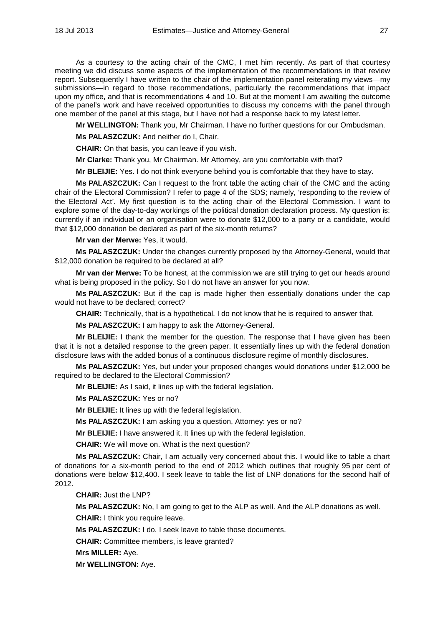As a courtesy to the acting chair of the CMC, I met him recently. As part of that courtesy meeting we did discuss some aspects of the implementation of the recommendations in that review report. Subsequently I have written to the chair of the implementation panel reiterating my views—my submissions—in regard to those recommendations, particularly the recommendations that impact upon my office, and that is recommendations 4 and 10. But at the moment I am awaiting the outcome of the panel's work and have received opportunities to discuss my concerns with the panel through one member of the panel at this stage, but I have not had a response back to my latest letter.

**Mr WELLINGTON:** Thank you, Mr Chairman. I have no further questions for our Ombudsman.

**Ms PALASZCZUK:** And neither do I, Chair.

**CHAIR:** On that basis, you can leave if you wish.

**Mr Clarke:** Thank you, Mr Chairman. Mr Attorney, are you comfortable with that?

**Mr BLEIJIE:** Yes. I do not think everyone behind you is comfortable that they have to stay.

**Ms PALASZCZUK:** Can I request to the front table the acting chair of the CMC and the acting chair of the Electoral Commission? I refer to page 4 of the SDS; namely, 'responding to the review of the Electoral Act'. My first question is to the acting chair of the Electoral Commission. I want to explore some of the day-to-day workings of the political donation declaration process. My question is: currently if an individual or an organisation were to donate \$12,000 to a party or a candidate, would that \$12,000 donation be declared as part of the six-month returns?

**Mr van der Merwe:** Yes, it would.

**Ms PALASZCZUK:** Under the changes currently proposed by the Attorney-General, would that \$12,000 donation be required to be declared at all?

**Mr van der Merwe:** To be honest, at the commission we are still trying to get our heads around what is being proposed in the policy. So I do not have an answer for you now.

**Ms PALASZCZUK:** But if the cap is made higher then essentially donations under the cap would not have to be declared; correct?

**CHAIR:** Technically, that is a hypothetical. I do not know that he is required to answer that.

**Ms PALASZCZUK:** I am happy to ask the Attorney-General.

**Mr BLEIJIE:** I thank the member for the question. The response that I have given has been that it is not a detailed response to the green paper. It essentially lines up with the federal donation disclosure laws with the added bonus of a continuous disclosure regime of monthly disclosures.

**Ms PALASZCZUK:** Yes, but under your proposed changes would donations under \$12,000 be required to be declared to the Electoral Commission?

**Mr BLEIJIE:** As I said, it lines up with the federal legislation.

**Ms PALASZCZUK:** Yes or no?

**Mr BLEIJIE:** It lines up with the federal legislation.

**Ms PALASZCZUK:** I am asking you a question, Attorney: yes or no?

**Mr BLEIJIE:** I have answered it. It lines up with the federal legislation.

**CHAIR:** We will move on. What is the next question?

**Ms PALASZCZUK:** Chair, I am actually very concerned about this. I would like to table a chart of donations for a six-month period to the end of 2012 which outlines that roughly 95 per cent of donations were below \$12,400. I seek leave to table the list of LNP donations for the second half of 2012.

**CHAIR:** Just the LNP?

**Ms PALASZCZUK:** No, I am going to get to the ALP as well. And the ALP donations as well.

**CHAIR:** I think you require leave.

**Ms PALASZCZUK:** I do. I seek leave to table those documents.

**CHAIR:** Committee members, is leave granted?

**Mrs MILLER:** Aye.

**Mr WELLINGTON:** Aye.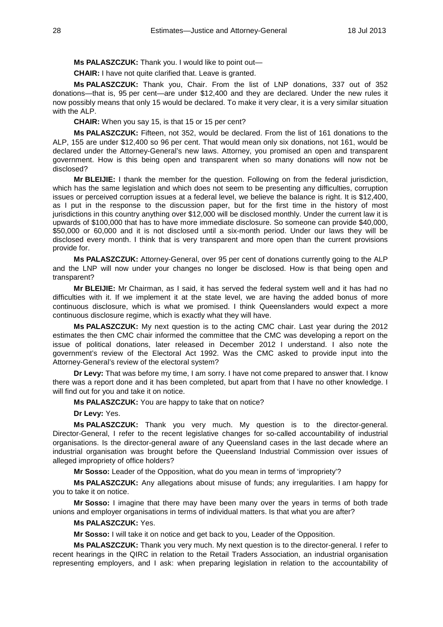**Ms PALASZCZUK:** Thank you. I would like to point out—

**CHAIR:** I have not quite clarified that. Leave is granted.

**Ms PALASZCZUK:** Thank you, Chair. From the list of LNP donations, 337 out of 352 donations—that is, 95 per cent—are under \$12,400 and they are declared. Under the new rules it now possibly means that only 15 would be declared. To make it very clear, it is a very similar situation with the ALP.

**CHAIR:** When you say 15, is that 15 or 15 per cent?

**Ms PALASZCZUK:** Fifteen, not 352, would be declared. From the list of 161 donations to the ALP, 155 are under \$12,400 so 96 per cent. That would mean only six donations, not 161, would be declared under the Attorney-General's new laws. Attorney, you promised an open and transparent government. How is this being open and transparent when so many donations will now not be disclosed?

**Mr BLEIJIE:** I thank the member for the question. Following on from the federal jurisdiction, which has the same legislation and which does not seem to be presenting any difficulties, corruption issues or perceived corruption issues at a federal level, we believe the balance is right. It is \$12,400, as I put in the response to the discussion paper, but for the first time in the history of most jurisdictions in this country anything over \$12,000 will be disclosed monthly. Under the current law it is upwards of \$100,000 that has to have more immediate disclosure. So someone can provide \$40,000, \$50,000 or 60,000 and it is not disclosed until a six-month period. Under our laws they will be disclosed every month. I think that is very transparent and more open than the current provisions provide for.

**Ms PALASZCZUK:** Attorney-General, over 95 per cent of donations currently going to the ALP and the LNP will now under your changes no longer be disclosed. How is that being open and transparent?

**Mr BLEIJIE:** Mr Chairman, as I said, it has served the federal system well and it has had no difficulties with it. If we implement it at the state level, we are having the added bonus of more continuous disclosure, which is what we promised. I think Queenslanders would expect a more continuous disclosure regime, which is exactly what they will have.

**Ms PALASZCZUK:** My next question is to the acting CMC chair. Last year during the 2012 estimates the then CMC chair informed the committee that the CMC was developing a report on the issue of political donations, later released in December 2012 I understand. I also note the government's review of the Electoral Act 1992. Was the CMC asked to provide input into the Attorney-General's review of the electoral system?

**Dr Levy:** That was before my time, I am sorry. I have not come prepared to answer that. I know there was a report done and it has been completed, but apart from that I have no other knowledge. I will find out for you and take it on notice.

**Ms PALASZCZUK:** You are happy to take that on notice?

**Dr Levy:** Yes.

**Ms PALASZCZUK:** Thank you very much. My question is to the director-general. Director-General, I refer to the recent legislative changes for so-called accountability of industrial organisations. Is the director-general aware of any Queensland cases in the last decade where an industrial organisation was brought before the Queensland Industrial Commission over issues of alleged impropriety of office holders?

**Mr Sosso:** Leader of the Opposition, what do you mean in terms of 'impropriety'?

**Ms PALASZCZUK:** Any allegations about misuse of funds; any irregularities. I am happy for you to take it on notice.

**Mr Sosso:** I imagine that there may have been many over the years in terms of both trade unions and employer organisations in terms of individual matters. Is that what you are after?

# **Ms PALASZCZUK:** Yes.

**Mr Sosso:** I will take it on notice and get back to you, Leader of the Opposition.

**Ms PALASZCZUK:** Thank you very much. My next question is to the director-general. I refer to recent hearings in the QIRC in relation to the Retail Traders Association, an industrial organisation representing employers, and I ask: when preparing legislation in relation to the accountability of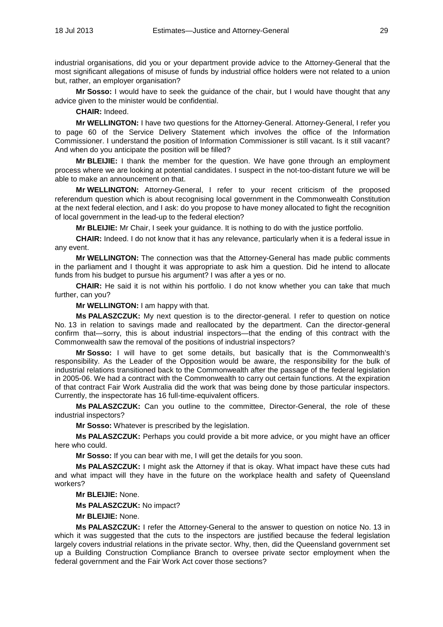industrial organisations, did you or your department provide advice to the Attorney-General that the most significant allegations of misuse of funds by industrial office holders were not related to a union but, rather, an employer organisation?

**Mr Sosso:** I would have to seek the guidance of the chair, but I would have thought that any advice given to the minister would be confidential.

**CHAIR:** Indeed.

**Mr WELLINGTON:** I have two questions for the Attorney-General. Attorney-General, I refer you to page 60 of the Service Delivery Statement which involves the office of the Information Commissioner. I understand the position of Information Commissioner is still vacant. Is it still vacant? And when do you anticipate the position will be filled?

**Mr BLEIJIE:** I thank the member for the question. We have gone through an employment process where we are looking at potential candidates. I suspect in the not-too-distant future we will be able to make an announcement on that.

**Mr WELLINGTON:** Attorney-General, I refer to your recent criticism of the proposed referendum question which is about recognising local government in the Commonwealth Constitution at the next federal election, and I ask: do you propose to have money allocated to fight the recognition of local government in the lead-up to the federal election?

**Mr BLEIJIE:** Mr Chair, I seek your guidance. It is nothing to do with the justice portfolio.

**CHAIR:** Indeed. I do not know that it has any relevance, particularly when it is a federal issue in any event.

**Mr WELLINGTON:** The connection was that the Attorney-General has made public comments in the parliament and I thought it was appropriate to ask him a question. Did he intend to allocate funds from his budget to pursue his argument? I was after a yes or no.

**CHAIR:** He said it is not within his portfolio. I do not know whether you can take that much further, can you?

**Mr WELLINGTON:** I am happy with that.

**Ms PALASZCZUK:** My next question is to the director-general. I refer to question on notice No. 13 in relation to savings made and reallocated by the department. Can the director-general confirm that—sorry, this is about industrial inspectors—that the ending of this contract with the Commonwealth saw the removal of the positions of industrial inspectors?

**Mr Sosso:** I will have to get some details, but basically that is the Commonwealth's responsibility. As the Leader of the Opposition would be aware, the responsibility for the bulk of industrial relations transitioned back to the Commonwealth after the passage of the federal legislation in 2005-06. We had a contract with the Commonwealth to carry out certain functions. At the expiration of that contract Fair Work Australia did the work that was being done by those particular inspectors. Currently, the inspectorate has 16 full-time-equivalent officers.

**Ms PALASZCZUK:** Can you outline to the committee, Director-General, the role of these industrial inspectors?

**Mr Sosso:** Whatever is prescribed by the legislation.

**Ms PALASZCZUK:** Perhaps you could provide a bit more advice, or you might have an officer here who could.

**Mr Sosso:** If you can bear with me, I will get the details for you soon.

**Ms PALASZCZUK:** I might ask the Attorney if that is okay. What impact have these cuts had and what impact will they have in the future on the workplace health and safety of Queensland workers?

**Mr BLEIJIE:** None.

**Ms PALASZCZUK:** No impact?

**Mr BLEIJIE:** None.

**Ms PALASZCZUK:** I refer the Attorney-General to the answer to question on notice No. 13 in which it was suggested that the cuts to the inspectors are justified because the federal legislation largely covers industrial relations in the private sector. Why, then, did the Queensland government set up a Building Construction Compliance Branch to oversee private sector employment when the federal government and the Fair Work Act cover those sections?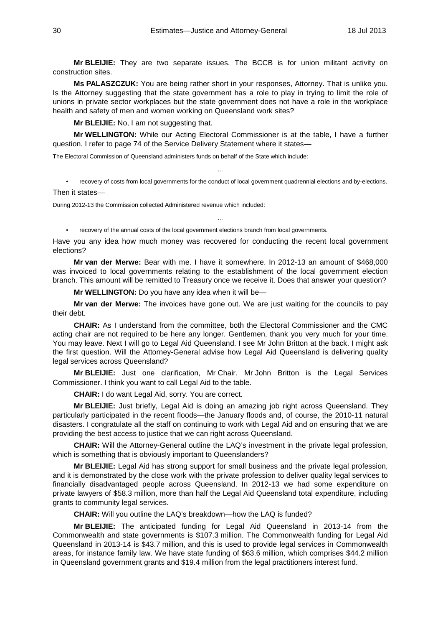**Mr BLEIJIE:** They are two separate issues. The BCCB is for union militant activity on construction sites.

**Ms PALASZCZUK:** You are being rather short in your responses, Attorney. That is unlike you. Is the Attorney suggesting that the state government has a role to play in trying to limit the role of unions in private sector workplaces but the state government does not have a role in the workplace health and safety of men and women working on Queensland work sites?

**Mr BLEIJIE:** No, I am not suggesting that.

**Mr WELLINGTON:** While our Acting Electoral Commissioner is at the table, I have a further question. I refer to page 74 of the Service Delivery Statement where it states—

The Electoral Commission of Queensland administers funds on behalf of the State which include:

• recovery of costs from local governments for the conduct of local government quadrennial elections and by-elections.

...

Then it states—

During 2012-13 the Commission collected Administered revenue which included:

• recovery of the annual costs of the local government elections branch from local governments.

Have you any idea how much money was recovered for conducting the recent local government elections?

...

**Mr van der Merwe:** Bear with me. I have it somewhere. In 2012-13 an amount of \$468,000 was invoiced to local governments relating to the establishment of the local government election branch. This amount will be remitted to Treasury once we receive it. Does that answer your question?

**Mr WELLINGTON:** Do you have any idea when it will be—

**Mr van der Merwe:** The invoices have gone out. We are just waiting for the councils to pay their debt.

**CHAIR:** As I understand from the committee, both the Electoral Commissioner and the CMC acting chair are not required to be here any longer. Gentlemen, thank you very much for your time. You may leave. Next I will go to Legal Aid Queensland. I see Mr John Britton at the back. I might ask the first question. Will the Attorney-General advise how Legal Aid Queensland is delivering quality legal services across Queensland?

**Mr BLEIJIE:** Just one clarification, Mr Chair. Mr John Britton is the Legal Services Commissioner. I think you want to call Legal Aid to the table.

**CHAIR:** I do want Legal Aid, sorry. You are correct.

**Mr BLEIJIE:** Just briefly, Legal Aid is doing an amazing job right across Queensland. They particularly participated in the recent floods—the January floods and, of course, the 2010-11 natural disasters. I congratulate all the staff on continuing to work with Legal Aid and on ensuring that we are providing the best access to justice that we can right across Queensland.

**CHAIR:** Will the Attorney-General outline the LAQ's investment in the private legal profession, which is something that is obviously important to Queenslanders?

**Mr BLEIJIE:** Legal Aid has strong support for small business and the private legal profession, and it is demonstrated by the close work with the private profession to deliver quality legal services to financially disadvantaged people across Queensland. In 2012-13 we had some expenditure on private lawyers of \$58.3 million, more than half the Legal Aid Queensland total expenditure, including grants to community legal services.

**CHAIR:** Will you outline the LAQ's breakdown—how the LAQ is funded?

**Mr BLEIJIE:** The anticipated funding for Legal Aid Queensland in 2013-14 from the Commonwealth and state governments is \$107.3 million. The Commonwealth funding for Legal Aid Queensland in 2013-14 is \$43.7 million, and this is used to provide legal services in Commonwealth areas, for instance family law. We have state funding of \$63.6 million, which comprises \$44.2 million in Queensland government grants and \$19.4 million from the legal practitioners interest fund.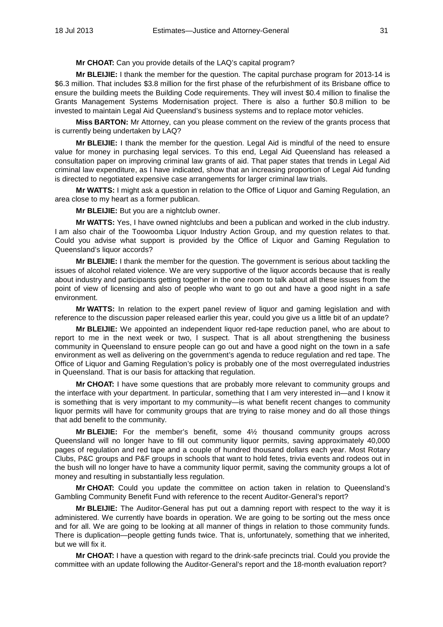**Mr CHOAT:** Can you provide details of the LAQ's capital program?

**Mr BLEIJIE:** I thank the member for the question. The capital purchase program for 2013-14 is \$6.3 million. That includes \$3.8 million for the first phase of the refurbishment of its Brisbane office to ensure the building meets the Building Code requirements. They will invest \$0.4 million to finalise the Grants Management Systems Modernisation project. There is also a further \$0.8 million to be invested to maintain Legal Aid Queensland's business systems and to replace motor vehicles.

**Miss BARTON:** Mr Attorney, can you please comment on the review of the grants process that is currently being undertaken by LAQ?

**Mr BLEIJIE:** I thank the member for the question. Legal Aid is mindful of the need to ensure value for money in purchasing legal services. To this end, Legal Aid Queensland has released a consultation paper on improving criminal law grants of aid. That paper states that trends in Legal Aid criminal law expenditure, as I have indicated, show that an increasing proportion of Legal Aid funding is directed to negotiated expensive case arrangements for larger criminal law trials.

**Mr WATTS:** I might ask a question in relation to the Office of Liquor and Gaming Regulation, an area close to my heart as a former publican.

**Mr BLEIJIE:** But you are a nightclub owner.

**Mr WATTS:** Yes, I have owned nightclubs and been a publican and worked in the club industry. I am also chair of the Toowoomba Liquor Industry Action Group, and my question relates to that. Could you advise what support is provided by the Office of Liquor and Gaming Regulation to Queensland's liquor accords?

**Mr BLEIJIE:** I thank the member for the question. The government is serious about tackling the issues of alcohol related violence. We are very supportive of the liquor accords because that is really about industry and participants getting together in the one room to talk about all these issues from the point of view of licensing and also of people who want to go out and have a good night in a safe environment.

**Mr WATTS:** In relation to the expert panel review of liquor and gaming legislation and with reference to the discussion paper released earlier this year, could you give us a little bit of an update?

**Mr BLEIJIE:** We appointed an independent liquor red-tape reduction panel, who are about to report to me in the next week or two, I suspect. That is all about strengthening the business community in Queensland to ensure people can go out and have a good night on the town in a safe environment as well as delivering on the government's agenda to reduce regulation and red tape. The Office of Liquor and Gaming Regulation's policy is probably one of the most overregulated industries in Queensland. That is our basis for attacking that regulation.

**Mr CHOAT:** I have some questions that are probably more relevant to community groups and the interface with your department. In particular, something that I am very interested in—and I know it is something that is very important to my community—is what benefit recent changes to community liquor permits will have for community groups that are trying to raise money and do all those things that add benefit to the community.

**Mr BLEIJIE:** For the member's benefit, some 4½ thousand community groups across Queensland will no longer have to fill out community liquor permits, saving approximately 40,000 pages of regulation and red tape and a couple of hundred thousand dollars each year. Most Rotary Clubs, P&C groups and P&F groups in schools that want to hold fetes, trivia events and rodeos out in the bush will no longer have to have a community liquor permit, saving the community groups a lot of money and resulting in substantially less regulation.

**Mr CHOAT:** Could you update the committee on action taken in relation to Queensland's Gambling Community Benefit Fund with reference to the recent Auditor-General's report?

**Mr BLEIJIE:** The Auditor-General has put out a damning report with respect to the way it is administered. We currently have boards in operation. We are going to be sorting out the mess once and for all. We are going to be looking at all manner of things in relation to those community funds. There is duplication—people getting funds twice. That is, unfortunately, something that we inherited, but we will fix it.

**Mr CHOAT:** I have a question with regard to the drink-safe precincts trial. Could you provide the committee with an update following the Auditor-General's report and the 18-month evaluation report?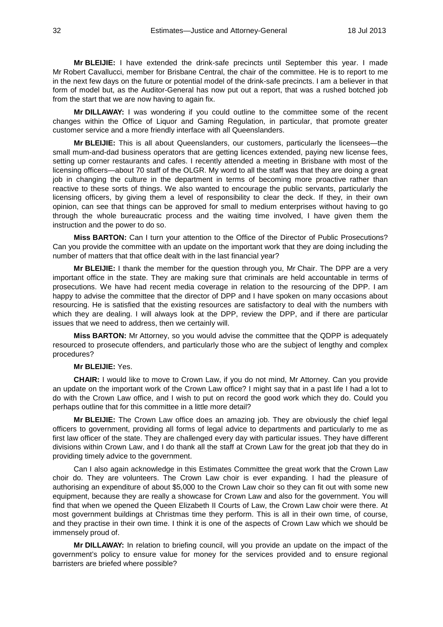**Mr BLEIJIE:** I have extended the drink-safe precincts until September this year. I made Mr Robert Cavallucci, member for Brisbane Central, the chair of the committee. He is to report to me in the next few days on the future or potential model of the drink-safe precincts. I am a believer in that form of model but, as the Auditor-General has now put out a report, that was a rushed botched job from the start that we are now having to again fix.

**Mr DILLAWAY:** I was wondering if you could outline to the committee some of the recent changes within the Office of Liquor and Gaming Regulation, in particular, that promote greater customer service and a more friendly interface with all Queenslanders.

**Mr BLEIJIE:** This is all about Queenslanders, our customers, particularly the licensees—the small mum-and-dad business operators that are getting licences extended, paying new license fees, setting up corner restaurants and cafes. I recently attended a meeting in Brisbane with most of the licensing officers—about 70 staff of the OLGR. My word to all the staff was that they are doing a great job in changing the culture in the department in terms of becoming more proactive rather than reactive to these sorts of things. We also wanted to encourage the public servants, particularly the licensing officers, by giving them a level of responsibility to clear the deck. If they, in their own opinion, can see that things can be approved for small to medium enterprises without having to go through the whole bureaucratic process and the waiting time involved, I have given them the instruction and the power to do so.

**Miss BARTON:** Can I turn your attention to the Office of the Director of Public Prosecutions? Can you provide the committee with an update on the important work that they are doing including the number of matters that that office dealt with in the last financial year?

**Mr BLEIJIE:** I thank the member for the question through you, Mr Chair. The DPP are a very important office in the state. They are making sure that criminals are held accountable in terms of prosecutions. We have had recent media coverage in relation to the resourcing of the DPP. I am happy to advise the committee that the director of DPP and I have spoken on many occasions about resourcing. He is satisfied that the existing resources are satisfactory to deal with the numbers with which they are dealing. I will always look at the DPP, review the DPP, and if there are particular issues that we need to address, then we certainly will.

**Miss BARTON:** Mr Attorney, so you would advise the committee that the QDPP is adequately resourced to prosecute offenders, and particularly those who are the subject of lengthy and complex procedures?

# **Mr BLEIJIE:** Yes.

**CHAIR:** I would like to move to Crown Law, if you do not mind, Mr Attorney. Can you provide an update on the important work of the Crown Law office? I might say that in a past life I had a lot to do with the Crown Law office, and I wish to put on record the good work which they do. Could you perhaps outline that for this committee in a little more detail?

**Mr BLEIJIE:** The Crown Law office does an amazing job. They are obviously the chief legal officers to government, providing all forms of legal advice to departments and particularly to me as first law officer of the state. They are challenged every day with particular issues. They have different divisions within Crown Law, and I do thank all the staff at Crown Law for the great job that they do in providing timely advice to the government.

Can I also again acknowledge in this Estimates Committee the great work that the Crown Law choir do. They are volunteers. The Crown Law choir is ever expanding. I had the pleasure of authorising an expenditure of about \$5,000 to the Crown Law choir so they can fit out with some new equipment, because they are really a showcase for Crown Law and also for the government. You will find that when we opened the Queen Elizabeth II Courts of Law, the Crown Law choir were there. At most government buildings at Christmas time they perform. This is all in their own time, of course, and they practise in their own time. I think it is one of the aspects of Crown Law which we should be immensely proud of.

**Mr DILLAWAY:** In relation to briefing council, will you provide an update on the impact of the government's policy to ensure value for money for the services provided and to ensure regional barristers are briefed where possible?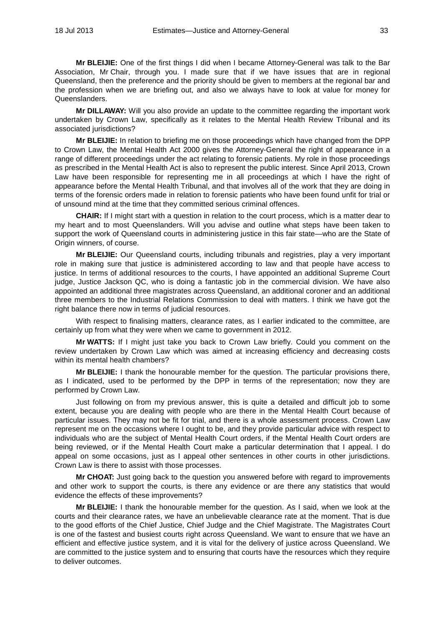**Mr BLEIJIE:** One of the first things I did when I became Attorney-General was talk to the Bar Association, Mr Chair, through you. I made sure that if we have issues that are in regional Queensland, then the preference and the priority should be given to members at the regional bar and the profession when we are briefing out, and also we always have to look at value for money for Queenslanders.

**Mr DILLAWAY:** Will you also provide an update to the committee regarding the important work undertaken by Crown Law, specifically as it relates to the Mental Health Review Tribunal and its associated jurisdictions?

**Mr BLEIJIE:** In relation to briefing me on those proceedings which have changed from the DPP to Crown Law, the Mental Health Act 2000 gives the Attorney-General the right of appearance in a range of different proceedings under the act relating to forensic patients. My role in those proceedings as prescribed in the Mental Health Act is also to represent the public interest. Since April 2013, Crown Law have been responsible for representing me in all proceedings at which I have the right of appearance before the Mental Health Tribunal, and that involves all of the work that they are doing in terms of the forensic orders made in relation to forensic patients who have been found unfit for trial or of unsound mind at the time that they committed serious criminal offences.

**CHAIR:** If I might start with a question in relation to the court process, which is a matter dear to my heart and to most Queenslanders. Will you advise and outline what steps have been taken to support the work of Queensland courts in administering justice in this fair state—who are the State of Origin winners, of course.

**Mr BLEIJIE:** Our Queensland courts, including tribunals and registries, play a very important role in making sure that justice is administered according to law and that people have access to justice. In terms of additional resources to the courts, I have appointed an additional Supreme Court judge, Justice Jackson QC, who is doing a fantastic job in the commercial division. We have also appointed an additional three magistrates across Queensland, an additional coroner and an additional three members to the Industrial Relations Commission to deal with matters. I think we have got the right balance there now in terms of judicial resources.

With respect to finalising matters, clearance rates, as I earlier indicated to the committee, are certainly up from what they were when we came to government in 2012.

**Mr WATTS:** If I might just take you back to Crown Law briefly. Could you comment on the review undertaken by Crown Law which was aimed at increasing efficiency and decreasing costs within its mental health chambers?

**Mr BLEIJIE:** I thank the honourable member for the question. The particular provisions there, as I indicated, used to be performed by the DPP in terms of the representation; now they are performed by Crown Law.

Just following on from my previous answer, this is quite a detailed and difficult job to some extent, because you are dealing with people who are there in the Mental Health Court because of particular issues. They may not be fit for trial, and there is a whole assessment process. Crown Law represent me on the occasions where I ought to be, and they provide particular advice with respect to individuals who are the subject of Mental Health Court orders, if the Mental Health Court orders are being reviewed, or if the Mental Health Court make a particular determination that I appeal. I do appeal on some occasions, just as I appeal other sentences in other courts in other jurisdictions. Crown Law is there to assist with those processes.

**Mr CHOAT:** Just going back to the question you answered before with regard to improvements and other work to support the courts, is there any evidence or are there any statistics that would evidence the effects of these improvements?

**Mr BLEIJIE:** I thank the honourable member for the question. As I said, when we look at the courts and their clearance rates, we have an unbelievable clearance rate at the moment. That is due to the good efforts of the Chief Justice, Chief Judge and the Chief Magistrate. The Magistrates Court is one of the fastest and busiest courts right across Queensland. We want to ensure that we have an efficient and effective justice system, and it is vital for the delivery of justice across Queensland. We are committed to the justice system and to ensuring that courts have the resources which they require to deliver outcomes.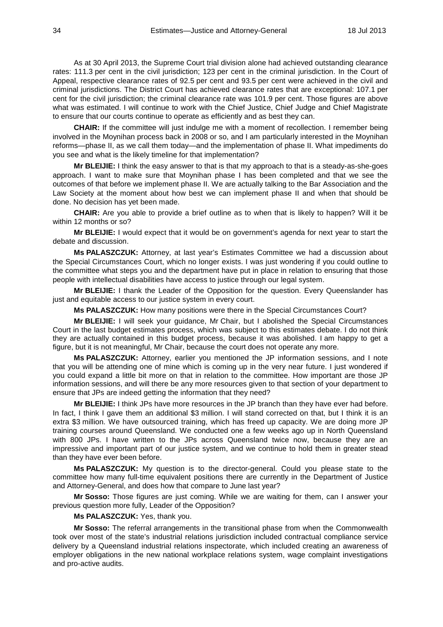As at 30 April 2013, the Supreme Court trial division alone had achieved outstanding clearance rates: 111.3 per cent in the civil jurisdiction; 123 per cent in the criminal jurisdiction. In the Court of Appeal, respective clearance rates of 92.5 per cent and 93.5 per cent were achieved in the civil and criminal jurisdictions. The District Court has achieved clearance rates that are exceptional: 107.1 per cent for the civil jurisdiction; the criminal clearance rate was 101.9 per cent. Those figures are above what was estimated. I will continue to work with the Chief Justice, Chief Judge and Chief Magistrate to ensure that our courts continue to operate as efficiently and as best they can.

**CHAIR:** If the committee will just indulge me with a moment of recollection. I remember being involved in the Moynihan process back in 2008 or so, and I am particularly interested in the Moynihan reforms—phase II, as we call them today—and the implementation of phase II. What impediments do you see and what is the likely timeline for that implementation?

**Mr BLEIJIE:** I think the easy answer to that is that my approach to that is a steady-as-she-goes approach. I want to make sure that Moynihan phase I has been completed and that we see the outcomes of that before we implement phase II. We are actually talking to the Bar Association and the Law Society at the moment about how best we can implement phase II and when that should be done. No decision has yet been made.

**CHAIR:** Are you able to provide a brief outline as to when that is likely to happen? Will it be within 12 months or so?

**Mr BLEIJIE:** I would expect that it would be on government's agenda for next year to start the debate and discussion.

**Ms PALASZCZUK:** Attorney, at last year's Estimates Committee we had a discussion about the Special Circumstances Court, which no longer exists. I was just wondering if you could outline to the committee what steps you and the department have put in place in relation to ensuring that those people with intellectual disabilities have access to justice through our legal system.

**Mr BLEIJIE:** I thank the Leader of the Opposition for the question. Every Queenslander has just and equitable access to our justice system in every court.

**Ms PALASZCZUK:** How many positions were there in the Special Circumstances Court?

**Mr BLEIJIE:** I will seek your guidance, Mr Chair, but I abolished the Special Circumstances Court in the last budget estimates process, which was subject to this estimates debate. I do not think they are actually contained in this budget process, because it was abolished. I am happy to get a figure, but it is not meaningful, Mr Chair, because the court does not operate any more.

**Ms PALASZCZUK:** Attorney, earlier you mentioned the JP information sessions, and I note that you will be attending one of mine which is coming up in the very near future. I just wondered if you could expand a little bit more on that in relation to the committee. How important are those JP information sessions, and will there be any more resources given to that section of your department to ensure that JPs are indeed getting the information that they need?

**Mr BLEIJIE:** I think JPs have more resources in the JP branch than they have ever had before. In fact, I think I gave them an additional \$3 million. I will stand corrected on that, but I think it is an extra \$3 million. We have outsourced training, which has freed up capacity. We are doing more JP training courses around Queensland. We conducted one a few weeks ago up in North Queensland with 800 JPs. I have written to the JPs across Queensland twice now, because they are an impressive and important part of our justice system, and we continue to hold them in greater stead than they have ever been before.

**Ms PALASZCZUK:** My question is to the director-general. Could you please state to the committee how many full-time equivalent positions there are currently in the Department of Justice and Attorney-General, and does how that compare to June last year?

**Mr Sosso:** Those figures are just coming. While we are waiting for them, can I answer your previous question more fully, Leader of the Opposition?

# **Ms PALASZCZUK:** Yes, thank you.

**Mr Sosso:** The referral arrangements in the transitional phase from when the Commonwealth took over most of the state's industrial relations jurisdiction included contractual compliance service delivery by a Queensland industrial relations inspectorate, which included creating an awareness of employer obligations in the new national workplace relations system, wage complaint investigations and pro-active audits.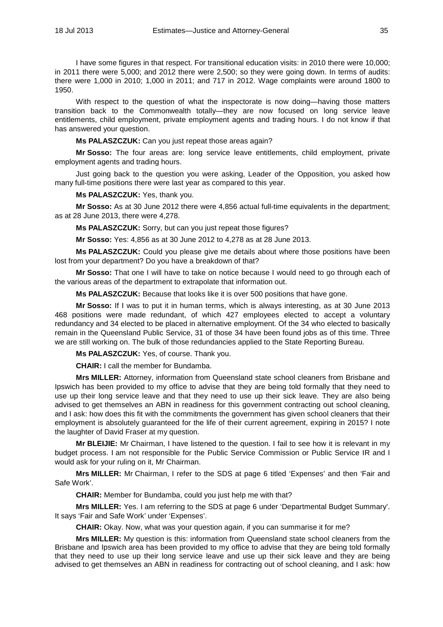I have some figures in that respect. For transitional education visits: in 2010 there were 10,000; in 2011 there were 5,000; and 2012 there were 2,500; so they were going down. In terms of audits: there were 1,000 in 2010; 1,000 in 2011; and 717 in 2012. Wage complaints were around 1800 to 1950.

With respect to the question of what the inspectorate is now doing—having those matters transition back to the Commonwealth totally—they are now focused on long service leave entitlements, child employment, private employment agents and trading hours. I do not know if that has answered your question.

**Ms PALASZCZUK:** Can you just repeat those areas again?

**Mr Sosso:** The four areas are: long service leave entitlements, child employment, private employment agents and trading hours.

Just going back to the question you were asking, Leader of the Opposition, you asked how many full-time positions there were last year as compared to this year.

**Ms PALASZCZUK:** Yes, thank you.

**Mr Sosso:** As at 30 June 2012 there were 4,856 actual full-time equivalents in the department; as at 28 June 2013, there were 4,278.

**Ms PALASZCZUK:** Sorry, but can you just repeat those figures?

**Mr Sosso:** Yes: 4,856 as at 30 June 2012 to 4,278 as at 28 June 2013.

**Ms PALASZCZUK:** Could you please give me details about where those positions have been lost from your department? Do you have a breakdown of that?

**Mr Sosso:** That one I will have to take on notice because I would need to go through each of the various areas of the department to extrapolate that information out.

**Ms PALASZCZUK:** Because that looks like it is over 500 positions that have gone.

**Mr Sosso:** If I was to put it in human terms, which is always interesting, as at 30 June 2013 468 positions were made redundant, of which 427 employees elected to accept a voluntary redundancy and 34 elected to be placed in alternative employment. Of the 34 who elected to basically remain in the Queensland Public Service, 31 of those 34 have been found jobs as of this time. Three we are still working on. The bulk of those redundancies applied to the State Reporting Bureau.

**Ms PALASZCZUK:** Yes, of course. Thank you.

**CHAIR:** I call the member for Bundamba.

**Mrs MILLER:** Attorney, information from Queensland state school cleaners from Brisbane and Ipswich has been provided to my office to advise that they are being told formally that they need to use up their long service leave and that they need to use up their sick leave. They are also being advised to get themselves an ABN in readiness for this government contracting out school cleaning, and I ask: how does this fit with the commitments the government has given school cleaners that their employment is absolutely guaranteed for the life of their current agreement, expiring in 2015? I note the laughter of David Fraser at my question.

**Mr BLEIJIE:** Mr Chairman, I have listened to the question. I fail to see how it is relevant in my budget process. I am not responsible for the Public Service Commission or Public Service IR and I would ask for your ruling on it, Mr Chairman.

**Mrs MILLER:** Mr Chairman, I refer to the SDS at page 6 titled 'Expenses' and then 'Fair and Safe Work'.

**CHAIR:** Member for Bundamba, could you just help me with that?

**Mrs MILLER:** Yes. I am referring to the SDS at page 6 under 'Departmental Budget Summary'. It says 'Fair and Safe Work' under 'Expenses'.

**CHAIR:** Okay. Now, what was your question again, if you can summarise it for me?

**Mrs MILLER:** My question is this: information from Queensland state school cleaners from the Brisbane and Ipswich area has been provided to my office to advise that they are being told formally that they need to use up their long service leave and use up their sick leave and they are being advised to get themselves an ABN in readiness for contracting out of school cleaning, and I ask: how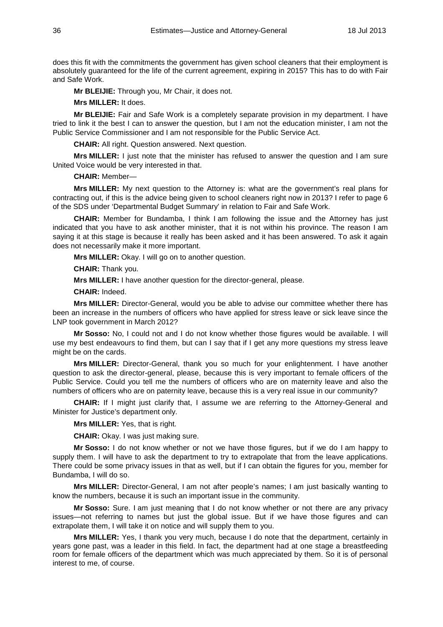does this fit with the commitments the government has given school cleaners that their employment is absolutely guaranteed for the life of the current agreement, expiring in 2015? This has to do with Fair and Safe Work.

**Mr BLEIJIE:** Through you, Mr Chair, it does not.

**Mrs MILLER:** It does.

**Mr BLEIJIE:** Fair and Safe Work is a completely separate provision in my department. I have tried to link it the best I can to answer the question, but I am not the education minister, I am not the Public Service Commissioner and I am not responsible for the Public Service Act.

**CHAIR:** All right. Question answered. Next question.

**Mrs MILLER:** I just note that the minister has refused to answer the question and I am sure United Voice would be very interested in that.

**CHAIR:** Member—

**Mrs MILLER:** My next question to the Attorney is: what are the government's real plans for contracting out, if this is the advice being given to school cleaners right now in 2013? I refer to page 6 of the SDS under 'Departmental Budget Summary' in relation to Fair and Safe Work.

**CHAIR:** Member for Bundamba, I think I am following the issue and the Attorney has just indicated that you have to ask another minister, that it is not within his province. The reason I am saying it at this stage is because it really has been asked and it has been answered. To ask it again does not necessarily make it more important.

**Mrs MILLER:** Okay. I will go on to another question.

**CHAIR:** Thank you.

**Mrs MILLER:** I have another question for the director-general, please.

**CHAIR:** Indeed.

**Mrs MILLER:** Director-General, would you be able to advise our committee whether there has been an increase in the numbers of officers who have applied for stress leave or sick leave since the LNP took government in March 2012?

**Mr Sosso:** No, I could not and I do not know whether those figures would be available. I will use my best endeavours to find them, but can I say that if I get any more questions my stress leave might be on the cards.

**Mrs MILLER:** Director-General, thank you so much for your enlightenment. I have another question to ask the director-general, please, because this is very important to female officers of the Public Service. Could you tell me the numbers of officers who are on maternity leave and also the numbers of officers who are on paternity leave, because this is a very real issue in our community?

**CHAIR:** If I might just clarify that, I assume we are referring to the Attorney-General and Minister for Justice's department only.

**Mrs MILLER:** Yes, that is right.

**CHAIR:** Okay. I was just making sure.

**Mr Sosso:** I do not know whether or not we have those figures, but if we do I am happy to supply them. I will have to ask the department to try to extrapolate that from the leave applications. There could be some privacy issues in that as well, but if I can obtain the figures for you, member for Bundamba, I will do so.

**Mrs MILLER:** Director-General, I am not after people's names; I am just basically wanting to know the numbers, because it is such an important issue in the community.

**Mr Sosso:** Sure. I am just meaning that I do not know whether or not there are any privacy issues—not referring to names but just the global issue. But if we have those figures and can extrapolate them, I will take it on notice and will supply them to you.

**Mrs MILLER:** Yes, I thank you very much, because I do note that the department, certainly in years gone past, was a leader in this field. In fact, the department had at one stage a breastfeeding room for female officers of the department which was much appreciated by them. So it is of personal interest to me, of course.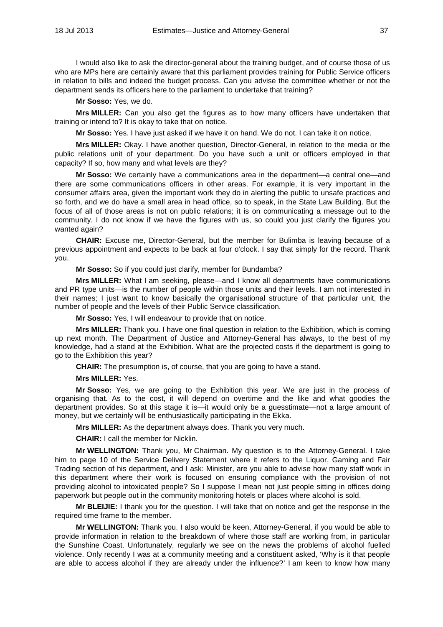I would also like to ask the director-general about the training budget, and of course those of us who are MPs here are certainly aware that this parliament provides training for Public Service officers in relation to bills and indeed the budget process. Can you advise the committee whether or not the department sends its officers here to the parliament to undertake that training?

**Mr Sosso:** Yes, we do.

**Mrs MILLER:** Can you also get the figures as to how many officers have undertaken that training or intend to? It is okay to take that on notice.

**Mr Sosso:** Yes. I have just asked if we have it on hand. We do not. I can take it on notice.

**Mrs MILLER:** Okay. I have another question, Director-General, in relation to the media or the public relations unit of your department. Do you have such a unit or officers employed in that capacity? If so, how many and what levels are they?

**Mr Sosso:** We certainly have a communications area in the department—a central one—and there are some communications officers in other areas. For example, it is very important in the consumer affairs area, given the important work they do in alerting the public to unsafe practices and so forth, and we do have a small area in head office, so to speak, in the State Law Building. But the focus of all of those areas is not on public relations; it is on communicating a message out to the community. I do not know if we have the figures with us, so could you just clarify the figures you wanted again?

**CHAIR:** Excuse me, Director-General, but the member for Bulimba is leaving because of a previous appointment and expects to be back at four o'clock. I say that simply for the record. Thank you.

**Mr Sosso:** So if you could just clarify, member for Bundamba?

**Mrs MILLER:** What I am seeking, please—and I know all departments have communications and PR type units—is the number of people within those units and their levels. I am not interested in their names; I just want to know basically the organisational structure of that particular unit, the number of people and the levels of their Public Service classification.

**Mr Sosso:** Yes, I will endeavour to provide that on notice.

**Mrs MILLER:** Thank you. I have one final question in relation to the Exhibition, which is coming up next month. The Department of Justice and Attorney-General has always, to the best of my knowledge, had a stand at the Exhibition. What are the projected costs if the department is going to go to the Exhibition this year?

**CHAIR:** The presumption is, of course, that you are going to have a stand.

**Mrs MILLER:** Yes.

**Mr Sosso:** Yes, we are going to the Exhibition this year. We are just in the process of organising that. As to the cost, it will depend on overtime and the like and what goodies the department provides. So at this stage it is—it would only be a guesstimate—not a large amount of money, but we certainly will be enthusiastically participating in the Ekka.

**Mrs MILLER:** As the department always does. Thank you very much.

**CHAIR:** I call the member for Nicklin.

**Mr WELLINGTON:** Thank you, Mr Chairman. My question is to the Attorney-General. I take him to page 10 of the Service Delivery Statement where it refers to the Liquor, Gaming and Fair Trading section of his department, and I ask: Minister, are you able to advise how many staff work in this department where their work is focused on ensuring compliance with the provision of not providing alcohol to intoxicated people? So I suppose I mean not just people sitting in offices doing paperwork but people out in the community monitoring hotels or places where alcohol is sold.

**Mr BLEIJIE:** I thank you for the question. I will take that on notice and get the response in the required time frame to the member.

**Mr WELLINGTON:** Thank you. I also would be keen, Attorney-General, if you would be able to provide information in relation to the breakdown of where those staff are working from, in particular the Sunshine Coast. Unfortunately, regularly we see on the news the problems of alcohol fuelled violence. Only recently I was at a community meeting and a constituent asked, 'Why is it that people are able to access alcohol if they are already under the influence?' I am keen to know how many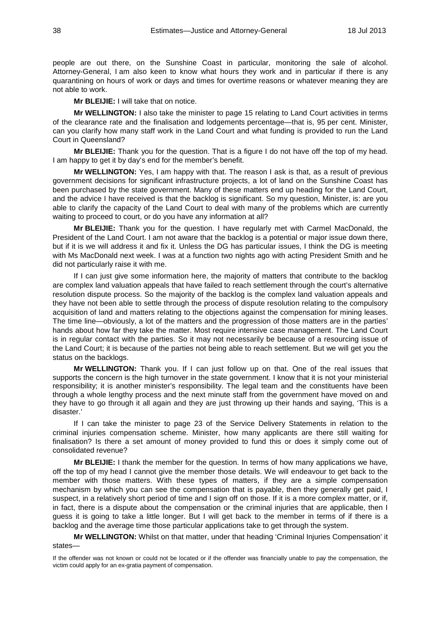people are out there, on the Sunshine Coast in particular, monitoring the sale of alcohol. Attorney-General, I am also keen to know what hours they work and in particular if there is any quarantining on hours of work or days and times for overtime reasons or whatever meaning they are not able to work.

**Mr BLEIJIE:** I will take that on notice.

**Mr WELLINGTON:** I also take the minister to page 15 relating to Land Court activities in terms of the clearance rate and the finalisation and lodgements percentage—that is, 95 per cent. Minister, can you clarify how many staff work in the Land Court and what funding is provided to run the Land Court in Queensland?

**Mr BLEIJIE:** Thank you for the question. That is a figure I do not have off the top of my head. I am happy to get it by day's end for the member's benefit.

**Mr WELLINGTON:** Yes, I am happy with that. The reason I ask is that, as a result of previous government decisions for significant infrastructure projects, a lot of land on the Sunshine Coast has been purchased by the state government. Many of these matters end up heading for the Land Court, and the advice I have received is that the backlog is significant. So my question, Minister, is: are you able to clarify the capacity of the Land Court to deal with many of the problems which are currently waiting to proceed to court, or do you have any information at all?

**Mr BLEIJIE:** Thank you for the question. I have regularly met with Carmel MacDonald, the President of the Land Court. I am not aware that the backlog is a potential or major issue down there, but if it is we will address it and fix it. Unless the DG has particular issues, I think the DG is meeting with Ms MacDonald next week. I was at a function two nights ago with acting President Smith and he did not particularly raise it with me.

If I can just give some information here, the majority of matters that contribute to the backlog are complex land valuation appeals that have failed to reach settlement through the court's alternative resolution dispute process. So the majority of the backlog is the complex land valuation appeals and they have not been able to settle through the process of dispute resolution relating to the compulsory acquisition of land and matters relating to the objections against the compensation for mining leases. The time line—obviously, a lot of the matters and the progression of those matters are in the parties' hands about how far they take the matter. Most require intensive case management. The Land Court is in regular contact with the parties. So it may not necessarily be because of a resourcing issue of the Land Court; it is because of the parties not being able to reach settlement. But we will get you the status on the backlogs.

**Mr WELLINGTON:** Thank you. If I can just follow up on that. One of the real issues that supports the concern is the high turnover in the state government. I know that it is not your ministerial responsibility; it is another minister's responsibility. The legal team and the constituents have been through a whole lengthy process and the next minute staff from the government have moved on and they have to go through it all again and they are just throwing up their hands and saying, 'This is a disaster.'

If I can take the minister to page 23 of the Service Delivery Statements in relation to the criminal injuries compensation scheme. Minister, how many applicants are there still waiting for finalisation? Is there a set amount of money provided to fund this or does it simply come out of consolidated revenue?

**Mr BLEIJIE:** I thank the member for the question. In terms of how many applications we have, off the top of my head I cannot give the member those details. We will endeavour to get back to the member with those matters. With these types of matters, if they are a simple compensation mechanism by which you can see the compensation that is payable, then they generally get paid, I suspect, in a relatively short period of time and I sign off on those. If it is a more complex matter, or if, in fact, there is a dispute about the compensation or the criminal injuries that are applicable, then I guess it is going to take a little longer. But I will get back to the member in terms of if there is a backlog and the average time those particular applications take to get through the system.

**Mr WELLINGTON:** Whilst on that matter, under that heading 'Criminal Injuries Compensation' it states—

If the offender was not known or could not be located or if the offender was financially unable to pay the compensation, the victim could apply for an ex-gratia payment of compensation.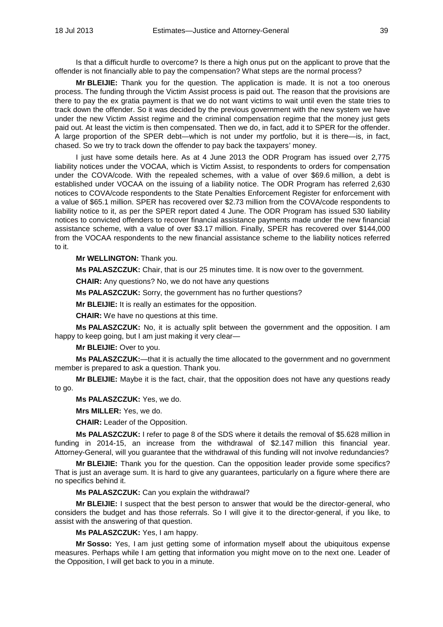Is that a difficult hurdle to overcome? Is there a high onus put on the applicant to prove that the offender is not financially able to pay the compensation? What steps are the normal process?

**Mr BLEIJIE:** Thank you for the question. The application is made. It is not a too onerous process. The funding through the Victim Assist process is paid out. The reason that the provisions are there to pay the ex gratia payment is that we do not want victims to wait until even the state tries to track down the offender. So it was decided by the previous government with the new system we have under the new Victim Assist regime and the criminal compensation regime that the money just gets paid out. At least the victim is then compensated. Then we do, in fact, add it to SPER for the offender. A large proportion of the SPER debt—which is not under my portfolio, but it is there—is, in fact, chased. So we try to track down the offender to pay back the taxpayers' money.

I just have some details here. As at 4 June 2013 the ODR Program has issued over 2,775 liability notices under the VOCAA, which is Victim Assist, to respondents to orders for compensation under the COVA/code. With the repealed schemes, with a value of over \$69.6 million, a debt is established under VOCAA on the issuing of a liability notice. The ODR Program has referred 2,630 notices to COVA/code respondents to the State Penalties Enforcement Register for enforcement with a value of \$65.1 million. SPER has recovered over \$2.73 million from the COVA/code respondents to liability notice to it, as per the SPER report dated 4 June. The ODR Program has issued 530 liability notices to convicted offenders to recover financial assistance payments made under the new financial assistance scheme, with a value of over \$3.17 million. Finally, SPER has recovered over \$144,000 from the VOCAA respondents to the new financial assistance scheme to the liability notices referred to it.

**Mr WELLINGTON:** Thank you.

**Ms PALASZCZUK:** Chair, that is our 25 minutes time. It is now over to the government.

**CHAIR:** Any questions? No, we do not have any questions

**Ms PALASZCZUK:** Sorry, the government has no further questions?

**Mr BLEIJIE:** It is really an estimates for the opposition.

**CHAIR:** We have no questions at this time.

**Ms PALASZCZUK:** No, it is actually split between the government and the opposition. I am happy to keep going, but I am just making it very clear—

**Mr BLEIJIE:** Over to you.

**Ms PALASZCZUK:**—that it is actually the time allocated to the government and no government member is prepared to ask a question. Thank you.

**Mr BLEIJIE:** Maybe it is the fact, chair, that the opposition does not have any questions ready to go.

**Ms PALASZCZUK:** Yes, we do.

**Mrs MILLER:** Yes, we do.

**CHAIR:** Leader of the Opposition.

**Ms PALASZCZUK:** I refer to page 8 of the SDS where it details the removal of \$5.628 million in funding in 2014-15, an increase from the withdrawal of \$2.147 million this financial year. Attorney-General, will you guarantee that the withdrawal of this funding will not involve redundancies?

**Mr BLEIJIE:** Thank you for the question. Can the opposition leader provide some specifics? That is just an average sum. It is hard to give any guarantees, particularly on a figure where there are no specifics behind it.

**Ms PALASZCZUK:** Can you explain the withdrawal?

**Mr BLEIJIE:** I suspect that the best person to answer that would be the director-general, who considers the budget and has those referrals. So I will give it to the director-general, if you like, to assist with the answering of that question.

**Ms PALASZCZUK:** Yes, I am happy.

**Mr Sosso:** Yes, I am just getting some of information myself about the ubiquitous expense measures. Perhaps while I am getting that information you might move on to the next one. Leader of the Opposition, I will get back to you in a minute.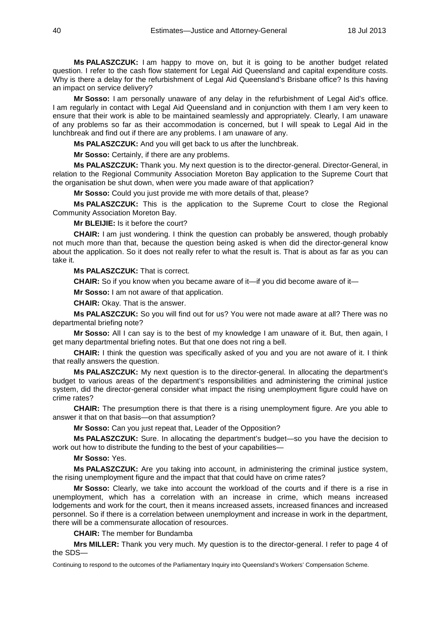**Ms PALASZCZUK:** I am happy to move on, but it is going to be another budget related question. I refer to the cash flow statement for Legal Aid Queensland and capital expenditure costs. Why is there a delay for the refurbishment of Legal Aid Queensland's Brisbane office? Is this having an impact on service delivery?

**Mr Sosso:** I am personally unaware of any delay in the refurbishment of Legal Aid's office. I am regularly in contact with Legal Aid Queensland and in conjunction with them I am very keen to ensure that their work is able to be maintained seamlessly and appropriately. Clearly, I am unaware of any problems so far as their accommodation is concerned, but I will speak to Legal Aid in the lunchbreak and find out if there are any problems. I am unaware of any.

**Ms PALASZCZUK:** And you will get back to us after the lunchbreak.

**Mr Sosso:** Certainly, if there are any problems.

**Ms PALASZCZUK:** Thank you. My next question is to the director-general. Director-General, in relation to the Regional Community Association Moreton Bay application to the Supreme Court that the organisation be shut down, when were you made aware of that application?

**Mr Sosso:** Could you just provide me with more details of that, please?

**Ms PALASZCZUK:** This is the application to the Supreme Court to close the Regional Community Association Moreton Bay.

**Mr BLEIJIE:** Is it before the court?

**CHAIR:** I am just wondering. I think the question can probably be answered, though probably not much more than that, because the question being asked is when did the director-general know about the application. So it does not really refer to what the result is. That is about as far as you can take it.

**Ms PALASZCZUK:** That is correct.

**CHAIR:** So if you know when you became aware of it—if you did become aware of it—

**Mr Sosso:** I am not aware of that application.

**CHAIR:** Okay. That is the answer.

**Ms PALASZCZUK:** So you will find out for us? You were not made aware at all? There was no departmental briefing note?

**Mr Sosso:** All I can say is to the best of my knowledge I am unaware of it. But, then again, I get many departmental briefing notes. But that one does not ring a bell.

**CHAIR:** I think the question was specifically asked of you and you are not aware of it. I think that really answers the question.

**Ms PALASZCZUK:** My next question is to the director-general. In allocating the department's budget to various areas of the department's responsibilities and administering the criminal justice system, did the director-general consider what impact the rising unemployment figure could have on crime rates?

**CHAIR:** The presumption there is that there is a rising unemployment figure. Are you able to answer it that on that basis—on that assumption?

**Mr Sosso:** Can you just repeat that, Leader of the Opposition?

**Ms PALASZCZUK:** Sure. In allocating the department's budget—so you have the decision to work out how to distribute the funding to the best of your capabilities—

**Mr Sosso:** Yes.

**Ms PALASZCZUK:** Are you taking into account, in administering the criminal justice system, the rising unemployment figure and the impact that that could have on crime rates?

**Mr Sosso:** Clearly, we take into account the workload of the courts and if there is a rise in unemployment, which has a correlation with an increase in crime, which means increased lodgements and work for the court, then it means increased assets, increased finances and increased personnel. So if there is a correlation between unemployment and increase in work in the department, there will be a commensurate allocation of resources.

**CHAIR:** The member for Bundamba

**Mrs MILLER:** Thank you very much. My question is to the director-general. I refer to page 4 of the SDS—

Continuing to respond to the outcomes of the Parliamentary Inquiry into Queensland's Workers' Compensation Scheme.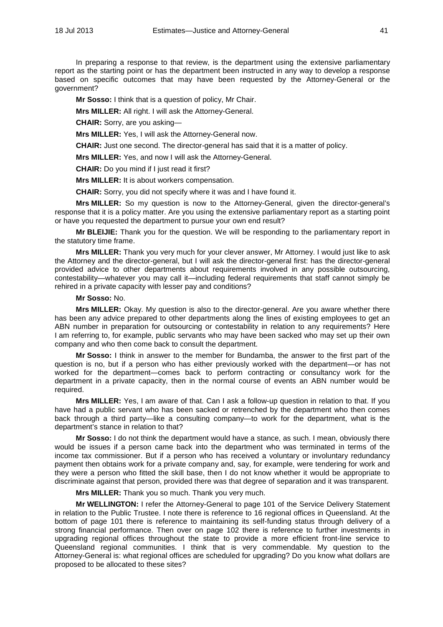In preparing a response to that review, is the department using the extensive parliamentary report as the starting point or has the department been instructed in any way to develop a response based on specific outcomes that may have been requested by the Attorney-General or the government?

**Mr Sosso:** I think that is a question of policy, Mr Chair.

**Mrs MILLER:** All right. I will ask the Attorney-General.

**CHAIR:** Sorry, are you asking—

**Mrs MILLER:** Yes, I will ask the Attorney-General now.

**CHAIR:** Just one second. The director-general has said that it is a matter of policy.

**Mrs MILLER:** Yes, and now I will ask the Attorney-General.

**CHAIR:** Do you mind if I just read it first?

**Mrs MILLER:** It is about workers compensation.

**CHAIR:** Sorry, you did not specify where it was and I have found it.

**Mrs MILLER:** So my question is now to the Attorney-General, given the director-general's response that it is a policy matter. Are you using the extensive parliamentary report as a starting point or have you requested the department to pursue your own end result?

**Mr BLEIJIE:** Thank you for the question. We will be responding to the parliamentary report in the statutory time frame.

**Mrs MILLER:** Thank you very much for your clever answer, Mr Attorney. I would just like to ask the Attorney and the director-general, but I will ask the director-general first: has the director-general provided advice to other departments about requirements involved in any possible outsourcing, contestability—whatever you may call it—including federal requirements that staff cannot simply be rehired in a private capacity with lesser pay and conditions?

# **Mr Sosso:** No.

**Mrs MILLER:** Okay. My question is also to the director-general. Are you aware whether there has been any advice prepared to other departments along the lines of existing employees to get an ABN number in preparation for outsourcing or contestability in relation to any requirements? Here I am referring to, for example, public servants who may have been sacked who may set up their own company and who then come back to consult the department.

**Mr Sosso:** I think in answer to the member for Bundamba, the answer to the first part of the question is no, but if a person who has either previously worked with the department—or has not worked for the department—comes back to perform contracting or consultancy work for the department in a private capacity, then in the normal course of events an ABN number would be required.

**Mrs MILLER:** Yes, I am aware of that. Can I ask a follow-up question in relation to that. If you have had a public servant who has been sacked or retrenched by the department who then comes back through a third party—like a consulting company—to work for the department, what is the department's stance in relation to that?

**Mr Sosso:** I do not think the department would have a stance, as such. I mean, obviously there would be issues if a person came back into the department who was terminated in terms of the income tax commissioner. But if a person who has received a voluntary or involuntary redundancy payment then obtains work for a private company and, say, for example, were tendering for work and they were a person who fitted the skill base, then I do not know whether it would be appropriate to discriminate against that person, provided there was that degree of separation and it was transparent.

**Mrs MILLER:** Thank you so much. Thank you very much.

**Mr WELLINGTON:** I refer the Attorney-General to page 101 of the Service Delivery Statement in relation to the Public Trustee. I note there is reference to 16 regional offices in Queensland. At the bottom of page 101 there is reference to maintaining its self-funding status through delivery of a strong financial performance. Then over on page 102 there is reference to further investments in upgrading regional offices throughout the state to provide a more efficient front-line service to Queensland regional communities. I think that is very commendable. My question to the Attorney-General is: what regional offices are scheduled for upgrading? Do you know what dollars are proposed to be allocated to these sites?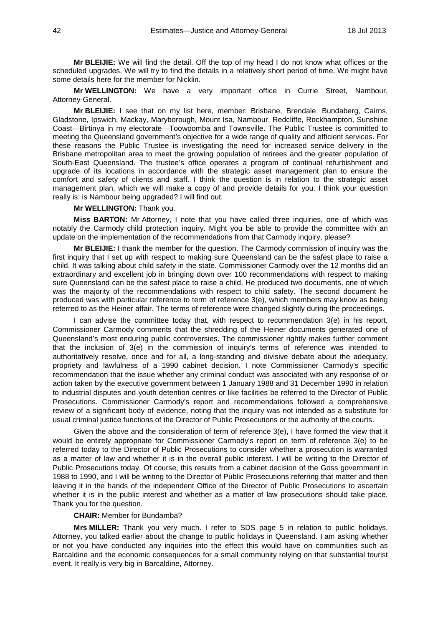**Mr BLEIJIE:** We will find the detail. Off the top of my head I do not know what offices or the scheduled upgrades. We will try to find the details in a relatively short period of time. We might have some details here for the member for Nicklin.

**Mr WELLINGTON:** We have a very important office in Currie Street, Nambour, Attorney-General.

**Mr BLEIJIE:** I see that on my list here, member: Brisbane, Brendale, Bundaberg, Cairns, Gladstone, Ipswich, Mackay, Maryborough, Mount Isa, Nambour, Redcliffe, Rockhampton, Sunshine Coast—Birtinya in my electorate—Toowoomba and Townsville. The Public Trustee is committed to meeting the Queensland government's objective for a wide range of quality and efficient services. For these reasons the Public Trustee is investigating the need for increased service delivery in the Brisbane metropolitan area to meet the growing population of retirees and the greater population of South-East Queensland. The trustee's office operates a program of continual refurbishment and upgrade of its locations in accordance with the strategic asset management plan to ensure the comfort and safety of clients and staff. I think the question is in relation to the strategic asset management plan, which we will make a copy of and provide details for you. I think your question really is: is Nambour being upgraded? I will find out.

#### **Mr WELLINGTON:** Thank you.

**Miss BARTON:** Mr Attorney, I note that you have called three inquiries, one of which was notably the Carmody child protection inquiry. Might you be able to provide the committee with an update on the implementation of the recommendations from that Carmody inquiry, please?

**Mr BLEIJIE:** I thank the member for the question. The Carmody commission of inquiry was the first inquiry that I set up with respect to making sure Queensland can be the safest place to raise a child. It was talking about child safety in the state. Commissioner Carmody over the 12 months did an extraordinary and excellent job in bringing down over 100 recommendations with respect to making sure Queensland can be the safest place to raise a child. He produced two documents, one of which was the majority of the recommendations with respect to child safety. The second document he produced was with particular reference to term of reference 3(e), which members may know as being referred to as the Heiner affair. The terms of reference were changed slightly during the proceedings.

I can advise the committee today that, with respect to recommendation 3(e) in his report, Commissioner Carmody comments that the shredding of the Heiner documents generated one of Queensland's most enduring public controversies. The commissioner rightly makes further comment that the inclusion of 3(e) in the commission of inquiry's terms of reference was intended to authoritatively resolve, once and for all, a long-standing and divisive debate about the adequacy, propriety and lawfulness of a 1990 cabinet decision. I note Commissioner Carmody's specific recommendation that the issue whether any criminal conduct was associated with any response of or action taken by the executive government between 1 January 1988 and 31 December 1990 in relation to industrial disputes and youth detention centres or like facilities be referred to the Director of Public Prosecutions. Commissioner Carmody's report and recommendations followed a comprehensive review of a significant body of evidence, noting that the inquiry was not intended as a substitute for usual criminal justice functions of the Director of Public Prosecutions or the authority of the courts.

Given the above and the consideration of term of reference 3(e), I have formed the view that it would be entirely appropriate for Commissioner Carmody's report on term of reference 3(e) to be referred today to the Director of Public Prosecutions to consider whether a prosecution is warranted as a matter of law and whether it is in the overall public interest. I will be writing to the Director of Public Prosecutions today. Of course, this results from a cabinet decision of the Goss government in 1988 to 1990, and I will be writing to the Director of Public Prosecutions referring that matter and then leaving it in the hands of the independent Office of the Director of Public Prosecutions to ascertain whether it is in the public interest and whether as a matter of law prosecutions should take place. Thank you for the question.

#### **CHAIR:** Member for Bundamba?

**Mrs MILLER:** Thank you very much. I refer to SDS page 5 in relation to public holidays. Attorney, you talked earlier about the change to public holidays in Queensland. I am asking whether or not you have conducted any inquiries into the effect this would have on communities such as Barcaldine and the economic consequences for a small community relying on that substantial tourist event. It really is very big in Barcaldine, Attorney.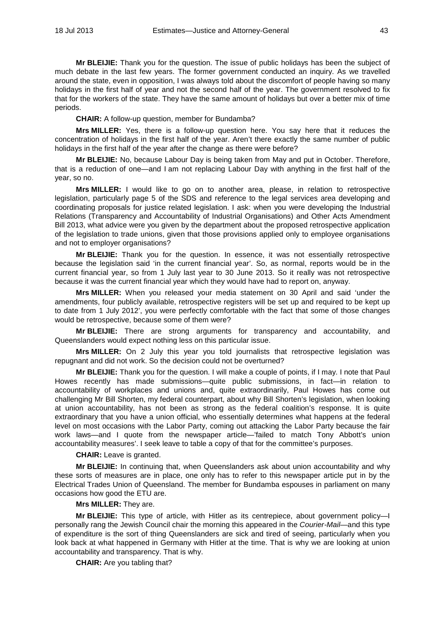**Mr BLEIJIE:** Thank you for the question. The issue of public holidays has been the subject of much debate in the last few years. The former government conducted an inquiry. As we travelled around the state, even in opposition, I was always told about the discomfort of people having so many holidays in the first half of year and not the second half of the year. The government resolved to fix that for the workers of the state. They have the same amount of holidays but over a better mix of time periods.

**CHAIR:** A follow-up question, member for Bundamba?

**Mrs MILLER:** Yes, there is a follow-up question here. You say here that it reduces the concentration of holidays in the first half of the year. Aren't there exactly the same number of public holidays in the first half of the year after the change as there were before?

**Mr BLEIJIE:** No, because Labour Day is being taken from May and put in October. Therefore, that is a reduction of one—and I am not replacing Labour Day with anything in the first half of the year, so no.

**Mrs MILLER:** I would like to go on to another area, please, in relation to retrospective legislation, particularly page 5 of the SDS and reference to the legal services area developing and coordinating proposals for justice related legislation. I ask: when you were developing the Industrial Relations (Transparency and Accountability of Industrial Organisations) and Other Acts Amendment Bill 2013, what advice were you given by the department about the proposed retrospective application of the legislation to trade unions, given that those provisions applied only to employee organisations and not to employer organisations?

**Mr BLEIJIE:** Thank you for the question. In essence, it was not essentially retrospective because the legislation said 'in the current financial year'. So, as normal, reports would be in the current financial year, so from 1 July last year to 30 June 2013. So it really was not retrospective because it was the current financial year which they would have had to report on, anyway.

**Mrs MILLER:** When you released your media statement on 30 April and said 'under the amendments, four publicly available, retrospective registers will be set up and required to be kept up to date from 1 July 2012', you were perfectly comfortable with the fact that some of those changes would be retrospective, because some of them were?

**Mr BLEIJIE:** There are strong arguments for transparency and accountability, and Queenslanders would expect nothing less on this particular issue.

**Mrs MILLER:** On 2 July this year you told journalists that retrospective legislation was repugnant and did not work. So the decision could not be overturned?

**Mr BLEIJIE:** Thank you for the question. I will make a couple of points, if I may. I note that Paul Howes recently has made submissions—quite public submissions, in fact—in relation to accountability of workplaces and unions and, quite extraordinarily, Paul Howes has come out challenging Mr Bill Shorten, my federal counterpart, about why Bill Shorten's legislation, when looking at union accountability, has not been as strong as the federal coalition's response. It is quite extraordinary that you have a union official, who essentially determines what happens at the federal level on most occasions with the Labor Party, coming out attacking the Labor Party because the fair work laws—and I quote from the newspaper article—'failed to match Tony Abbott's union accountability measures'. I seek leave to table a copy of that for the committee's purposes.

**CHAIR:** Leave is granted.

**Mr BLEIJIE:** In continuing that, when Queenslanders ask about union accountability and why these sorts of measures are in place, one only has to refer to this newspaper article put in by the Electrical Trades Union of Queensland. The member for Bundamba espouses in parliament on many occasions how good the ETU are.

# **Mrs MILLER:** They are.

**Mr BLEIJIE:** This type of article, with Hitler as its centrepiece, about government policy—I personally rang the Jewish Council chair the morning this appeared in the *Courier-Mail*—and this type of expenditure is the sort of thing Queenslanders are sick and tired of seeing, particularly when you look back at what happened in Germany with Hitler at the time. That is why we are looking at union accountability and transparency. That is why.

**CHAIR:** Are you tabling that?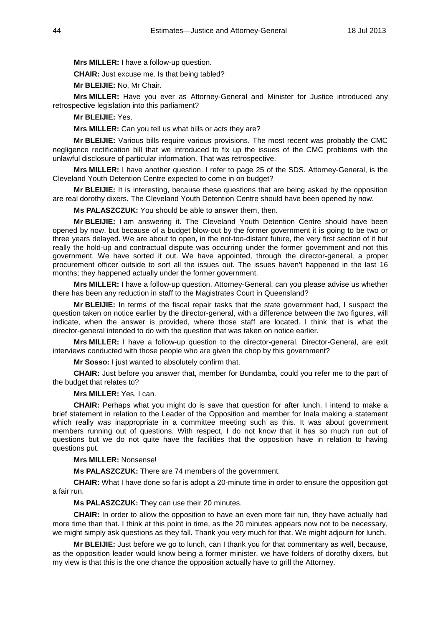**Mrs MILLER:** I have a follow-up question.

**CHAIR:** Just excuse me. Is that being tabled?

**Mr BLEIJIE:** No, Mr Chair.

**Mrs MILLER:** Have you ever as Attorney-General and Minister for Justice introduced any retrospective legislation into this parliament?

**Mr BLEIJIE:** Yes.

**Mrs MILLER:** Can you tell us what bills or acts they are?

**Mr BLEIJIE:** Various bills require various provisions. The most recent was probably the CMC negligence rectification bill that we introduced to fix up the issues of the CMC problems with the unlawful disclosure of particular information. That was retrospective.

**Mrs MILLER:** I have another question. I refer to page 25 of the SDS. Attorney-General, is the Cleveland Youth Detention Centre expected to come in on budget?

**Mr BLEIJIE:** It is interesting, because these questions that are being asked by the opposition are real dorothy dixers. The Cleveland Youth Detention Centre should have been opened by now.

**Ms PALASZCZUK:** You should be able to answer them, then.

**Mr BLEIJIE:** I am answering it. The Cleveland Youth Detention Centre should have been opened by now, but because of a budget blow-out by the former government it is going to be two or three years delayed. We are about to open, in the not-too-distant future, the very first section of it but really the hold-up and contractual dispute was occurring under the former government and not this government. We have sorted it out. We have appointed, through the director-general, a proper procurement officer outside to sort all the issues out. The issues haven't happened in the last 16 months; they happened actually under the former government.

**Mrs MILLER:** I have a follow-up question. Attorney-General, can you please advise us whether there has been any reduction in staff to the Magistrates Court in Queensland?

**Mr BLEIJIE:** In terms of the fiscal repair tasks that the state government had, I suspect the question taken on notice earlier by the director-general, with a difference between the two figures, will indicate, when the answer is provided, where those staff are located. I think that is what the director-general intended to do with the question that was taken on notice earlier.

**Mrs MILLER:** I have a follow-up question to the director-general. Director-General, are exit interviews conducted with those people who are given the chop by this government?

**Mr Sosso:** I just wanted to absolutely confirm that.

**CHAIR:** Just before you answer that, member for Bundamba, could you refer me to the part of the budget that relates to?

**Mrs MILLER:** Yes, I can.

**CHAIR:** Perhaps what you might do is save that question for after lunch. I intend to make a brief statement in relation to the Leader of the Opposition and member for Inala making a statement which really was inappropriate in a committee meeting such as this. It was about government members running out of questions. With respect, I do not know that it has so much run out of questions but we do not quite have the facilities that the opposition have in relation to having questions put.

**Mrs MILLER:** Nonsense!

**Ms PALASZCZUK:** There are 74 members of the government.

**CHAIR:** What I have done so far is adopt a 20-minute time in order to ensure the opposition got a fair run.

**Ms PALASZCZUK:** They can use their 20 minutes.

**CHAIR:** In order to allow the opposition to have an even more fair run, they have actually had more time than that. I think at this point in time, as the 20 minutes appears now not to be necessary, we might simply ask questions as they fall. Thank you very much for that. We might adjourn for lunch.

**Mr BLEIJIE:** Just before we go to lunch, can I thank you for that commentary as well, because, as the opposition leader would know being a former minister, we have folders of dorothy dixers, but my view is that this is the one chance the opposition actually have to grill the Attorney.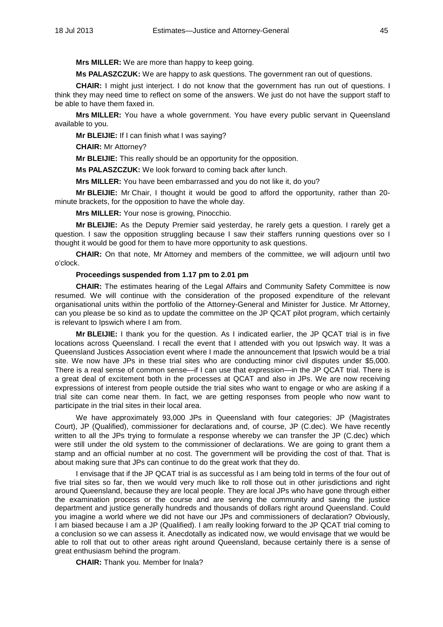**Mrs MILLER:** We are more than happy to keep going.

**Ms PALASZCZUK:** We are happy to ask questions. The government ran out of questions.

**CHAIR:** I might just interject. I do not know that the government has run out of questions. I think they may need time to reflect on some of the answers. We just do not have the support staff to be able to have them faxed in.

**Mrs MILLER:** You have a whole government. You have every public servant in Queensland available to you.

**Mr BLEIJIE:** If I can finish what I was saying?

**CHAIR:** Mr Attorney?

**Mr BLEIJIE:** This really should be an opportunity for the opposition.

**Ms PALASZCZUK:** We look forward to coming back after lunch.

**Mrs MILLER:** You have been embarrassed and you do not like it, do you?

**Mr BLEIJIE:** Mr Chair, I thought it would be good to afford the opportunity, rather than 20 minute brackets, for the opposition to have the whole day.

**Mrs MILLER:** Your nose is growing, Pinocchio.

**Mr BLEIJIE:** As the Deputy Premier said yesterday, he rarely gets a question. I rarely get a question. I saw the opposition struggling because I saw their staffers running questions over so I thought it would be good for them to have more opportunity to ask questions.

**CHAIR:** On that note, Mr Attorney and members of the committee, we will adjourn until two o'clock.

# **Proceedings suspended from 1.17 pm to 2.01 pm**

**CHAIR:** The estimates hearing of the Legal Affairs and Community Safety Committee is now resumed. We will continue with the consideration of the proposed expenditure of the relevant organisational units within the portfolio of the Attorney-General and Minister for Justice. Mr Attorney, can you please be so kind as to update the committee on the JP QCAT pilot program, which certainly is relevant to Ipswich where I am from.

**Mr BLEIJIE:** I thank you for the question. As I indicated earlier, the JP QCAT trial is in five locations across Queensland. I recall the event that I attended with you out Ipswich way. It was a Queensland Justices Association event where I made the announcement that Ipswich would be a trial site. We now have JPs in these trial sites who are conducting minor civil disputes under \$5,000. There is a real sense of common sense—if I can use that expression—in the JP QCAT trial. There is a great deal of excitement both in the processes at QCAT and also in JPs. We are now receiving expressions of interest from people outside the trial sites who want to engage or who are asking if a trial site can come near them. In fact, we are getting responses from people who now want to participate in the trial sites in their local area.

We have approximately 93,000 JPs in Queensland with four categories: JP (Magistrates Court), JP (Qualified), commissioner for declarations and, of course, JP (C.dec). We have recently written to all the JPs trying to formulate a response whereby we can transfer the JP (C.dec) which were still under the old system to the commissioner of declarations. We are going to grant them a stamp and an official number at no cost. The government will be providing the cost of that. That is about making sure that JPs can continue to do the great work that they do.

I envisage that if the JP QCAT trial is as successful as I am being told in terms of the four out of five trial sites so far, then we would very much like to roll those out in other jurisdictions and right around Queensland, because they are local people. They are local JPs who have gone through either the examination process or the course and are serving the community and saving the justice department and justice generally hundreds and thousands of dollars right around Queensland. Could you imagine a world where we did not have our JPs and commissioners of declaration? Obviously, I am biased because I am a JP (Qualified). I am really looking forward to the JP QCAT trial coming to a conclusion so we can assess it. Anecdotally as indicated now, we would envisage that we would be able to roll that out to other areas right around Queensland, because certainly there is a sense of great enthusiasm behind the program.

**CHAIR:** Thank you. Member for Inala?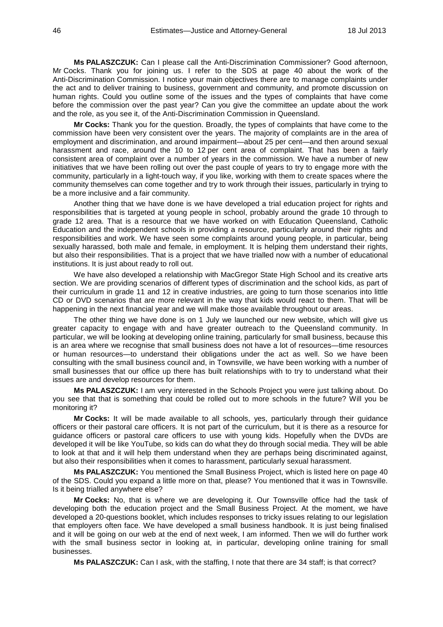**Ms PALASZCZUK:** Can I please call the Anti-Discrimination Commissioner? Good afternoon, Mr Cocks. Thank you for joining us. I refer to the SDS at page 40 about the work of the Anti-Discrimination Commission. I notice your main objectives there are to manage complaints under the act and to deliver training to business, government and community, and promote discussion on human rights. Could you outline some of the issues and the types of complaints that have come before the commission over the past year? Can you give the committee an update about the work and the role, as you see it, of the Anti-Discrimination Commission in Queensland.

**Mr Cocks:** Thank you for the question. Broadly, the types of complaints that have come to the commission have been very consistent over the years. The majority of complaints are in the area of employment and discrimination, and around impairment—about 25 per cent—and then around sexual harassment and race, around the 10 to 12 per cent area of complaint. That has been a fairly consistent area of complaint over a number of years in the commission. We have a number of new initiatives that we have been rolling out over the past couple of years to try to engage more with the community, particularly in a light-touch way, if you like, working with them to create spaces where the community themselves can come together and try to work through their issues, particularly in trying to be a more inclusive and a fair community.

Another thing that we have done is we have developed a trial education project for rights and responsibilities that is targeted at young people in school, probably around the grade 10 through to grade 12 area. That is a resource that we have worked on with Education Queensland, Catholic Education and the independent schools in providing a resource, particularly around their rights and responsibilities and work. We have seen some complaints around young people, in particular, being sexually harassed, both male and female, in employment. It is helping them understand their rights, but also their responsibilities. That is a project that we have trialled now with a number of educational institutions. It is just about ready to roll out.

We have also developed a relationship with MacGregor State High School and its creative arts section. We are providing scenarios of different types of discrimination and the school kids, as part of their curriculum in grade 11 and 12 in creative industries, are going to turn those scenarios into little CD or DVD scenarios that are more relevant in the way that kids would react to them. That will be happening in the next financial year and we will make those available throughout our areas.

The other thing we have done is on 1 July we launched our new website, which will give us greater capacity to engage with and have greater outreach to the Queensland community. In particular, we will be looking at developing online training, particularly for small business, because this is an area where we recognise that small business does not have a lot of resources—time resources or human resources—to understand their obligations under the act as well. So we have been consulting with the small business council and, in Townsville, we have been working with a number of small businesses that our office up there has built relationships with to try to understand what their issues are and develop resources for them.

**Ms PALASZCZUK:** I am very interested in the Schools Project you were just talking about. Do you see that that is something that could be rolled out to more schools in the future? Will you be monitoring it?

**Mr Cocks:** It will be made available to all schools, yes, particularly through their guidance officers or their pastoral care officers. It is not part of the curriculum, but it is there as a resource for guidance officers or pastoral care officers to use with young kids. Hopefully when the DVDs are developed it will be like YouTube, so kids can do what they do through social media. They will be able to look at that and it will help them understand when they are perhaps being discriminated against, but also their responsibilities when it comes to harassment, particularly sexual harassment.

**Ms PALASZCZUK:** You mentioned the Small Business Project, which is listed here on page 40 of the SDS. Could you expand a little more on that, please? You mentioned that it was in Townsville. Is it being trialled anywhere else?

**Mr Cocks:** No, that is where we are developing it. Our Townsville office had the task of developing both the education project and the Small Business Project. At the moment, we have developed a 20-questions booklet, which includes responses to tricky issues relating to our legislation that employers often face. We have developed a small business handbook. It is just being finalised and it will be going on our web at the end of next week, I am informed. Then we will do further work with the small business sector in looking at, in particular, developing online training for small businesses.

**Ms PALASZCZUK:** Can I ask, with the staffing, I note that there are 34 staff; is that correct?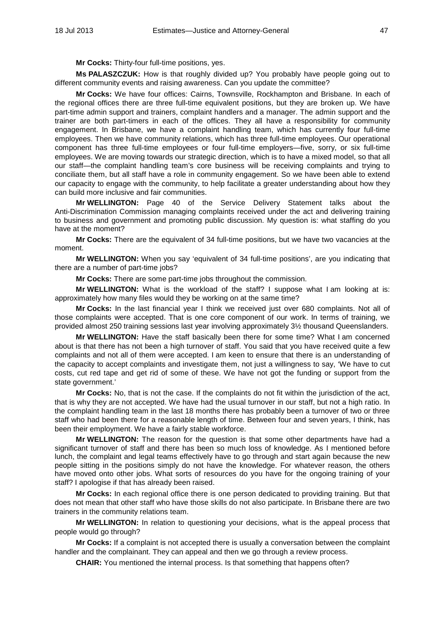**Mr Cocks:** Thirty-four full-time positions, yes.

**Ms PALASZCZUK:** How is that roughly divided up? You probably have people going out to different community events and raising awareness. Can you update the committee?

**Mr Cocks:** We have four offices: Cairns, Townsville, Rockhampton and Brisbane. In each of the regional offices there are three full-time equivalent positions, but they are broken up. We have part-time admin support and trainers, complaint handlers and a manager. The admin support and the trainer are both part-timers in each of the offices. They all have a responsibility for community engagement. In Brisbane, we have a complaint handling team, which has currently four full-time employees. Then we have community relations, which has three full-time employees. Our operational component has three full-time employees or four full-time employers—five, sorry, or six full-time employees. We are moving towards our strategic direction, which is to have a mixed model, so that all our staff—the complaint handling team's core business will be receiving complaints and trying to conciliate them, but all staff have a role in community engagement. So we have been able to extend our capacity to engage with the community, to help facilitate a greater understanding about how they can build more inclusive and fair communities.

**Mr WELLINGTON:** Page 40 of the Service Delivery Statement talks about the Anti-Discrimination Commission managing complaints received under the act and delivering training to business and government and promoting public discussion. My question is: what staffing do you have at the moment?

**Mr Cocks:** There are the equivalent of 34 full-time positions, but we have two vacancies at the moment.

**Mr WELLINGTON:** When you say 'equivalent of 34 full-time positions', are you indicating that there are a number of part-time jobs?

**Mr Cocks:** There are some part-time jobs throughout the commission.

**Mr WELLINGTON:** What is the workload of the staff? I suppose what I am looking at is: approximately how many files would they be working on at the same time?

**Mr Cocks:** In the last financial year I think we received just over 680 complaints. Not all of those complaints were accepted. That is one core component of our work. In terms of training, we provided almost 250 training sessions last year involving approximately 3½ thousand Queenslanders.

**Mr WELLINGTON:** Have the staff basically been there for some time? What I am concerned about is that there has not been a high turnover of staff. You said that you have received quite a few complaints and not all of them were accepted. I am keen to ensure that there is an understanding of the capacity to accept complaints and investigate them, not just a willingness to say, 'We have to cut costs, cut red tape and get rid of some of these. We have not got the funding or support from the state government.'

**Mr Cocks:** No, that is not the case. If the complaints do not fit within the jurisdiction of the act, that is why they are not accepted. We have had the usual turnover in our staff, but not a high ratio. In the complaint handling team in the last 18 months there has probably been a turnover of two or three staff who had been there for a reasonable length of time. Between four and seven years, I think, has been their employment. We have a fairly stable workforce.

**Mr WELLINGTON:** The reason for the question is that some other departments have had a significant turnover of staff and there has been so much loss of knowledge. As I mentioned before lunch, the complaint and legal teams effectively have to go through and start again because the new people sitting in the positions simply do not have the knowledge. For whatever reason, the others have moved onto other jobs. What sorts of resources do you have for the ongoing training of your staff? I apologise if that has already been raised.

**Mr Cocks:** In each regional office there is one person dedicated to providing training. But that does not mean that other staff who have those skills do not also participate. In Brisbane there are two trainers in the community relations team.

**Mr WELLINGTON:** In relation to questioning your decisions, what is the appeal process that people would go through?

**Mr Cocks:** If a complaint is not accepted there is usually a conversation between the complaint handler and the complainant. They can appeal and then we go through a review process.

**CHAIR:** You mentioned the internal process. Is that something that happens often?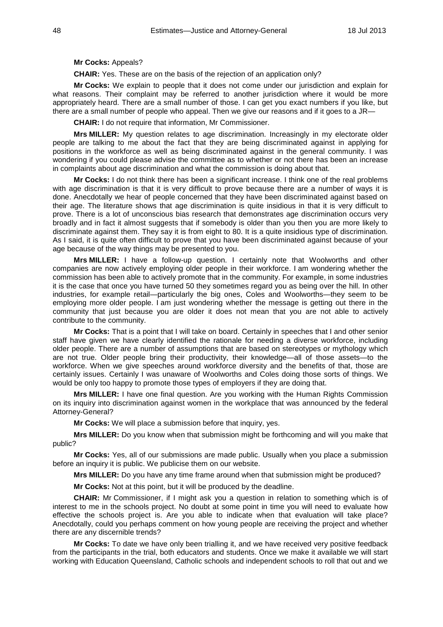#### **Mr Cocks:** Appeals?

**CHAIR:** Yes. These are on the basis of the rejection of an application only?

**Mr Cocks:** We explain to people that it does not come under our jurisdiction and explain for what reasons. Their complaint may be referred to another jurisdiction where it would be more appropriately heard. There are a small number of those. I can get you exact numbers if you like, but there are a small number of people who appeal. Then we give our reasons and if it goes to a JR—

**CHAIR:** I do not require that information, Mr Commissioner.

**Mrs MILLER:** My question relates to age discrimination. Increasingly in my electorate older people are talking to me about the fact that they are being discriminated against in applying for positions in the workforce as well as being discriminated against in the general community. I was wondering if you could please advise the committee as to whether or not there has been an increase in complaints about age discrimination and what the commission is doing about that.

**Mr Cocks:** I do not think there has been a significant increase. I think one of the real problems with age discrimination is that it is very difficult to prove because there are a number of ways it is done. Anecdotally we hear of people concerned that they have been discriminated against based on their age. The literature shows that age discrimination is quite insidious in that it is very difficult to prove. There is a lot of unconscious bias research that demonstrates age discrimination occurs very broadly and in fact it almost suggests that if somebody is older than you then you are more likely to discriminate against them. They say it is from eight to 80. It is a quite insidious type of discrimination. As I said, it is quite often difficult to prove that you have been discriminated against because of your age because of the way things may be presented to you.

**Mrs MILLER:** I have a follow-up question. I certainly note that Woolworths and other companies are now actively employing older people in their workforce. I am wondering whether the commission has been able to actively promote that in the community. For example, in some industries it is the case that once you have turned 50 they sometimes regard you as being over the hill. In other industries, for example retail—particularly the big ones, Coles and Woolworths—they seem to be employing more older people. I am just wondering whether the message is getting out there in the community that just because you are older it does not mean that you are not able to actively contribute to the community.

**Mr Cocks:** That is a point that I will take on board. Certainly in speeches that I and other senior staff have given we have clearly identified the rationale for needing a diverse workforce, including older people. There are a number of assumptions that are based on stereotypes or mythology which are not true. Older people bring their productivity, their knowledge—all of those assets—to the workforce. When we give speeches around workforce diversity and the benefits of that, those are certainly issues. Certainly I was unaware of Woolworths and Coles doing those sorts of things. We would be only too happy to promote those types of employers if they are doing that.

**Mrs MILLER:** I have one final question. Are you working with the Human Rights Commission on its inquiry into discrimination against women in the workplace that was announced by the federal Attorney-General?

**Mr Cocks:** We will place a submission before that inquiry, yes.

**Mrs MILLER:** Do you know when that submission might be forthcoming and will you make that public?

**Mr Cocks:** Yes, all of our submissions are made public. Usually when you place a submission before an inquiry it is public. We publicise them on our website.

**Mrs MILLER:** Do you have any time frame around when that submission might be produced?

**Mr Cocks:** Not at this point, but it will be produced by the deadline.

**CHAIR:** Mr Commissioner, if I might ask you a question in relation to something which is of interest to me in the schools project. No doubt at some point in time you will need to evaluate how effective the schools project is. Are you able to indicate when that evaluation will take place? Anecdotally, could you perhaps comment on how young people are receiving the project and whether there are any discernible trends?

**Mr Cocks:** To date we have only been trialling it, and we have received very positive feedback from the participants in the trial, both educators and students. Once we make it available we will start working with Education Queensland, Catholic schools and independent schools to roll that out and we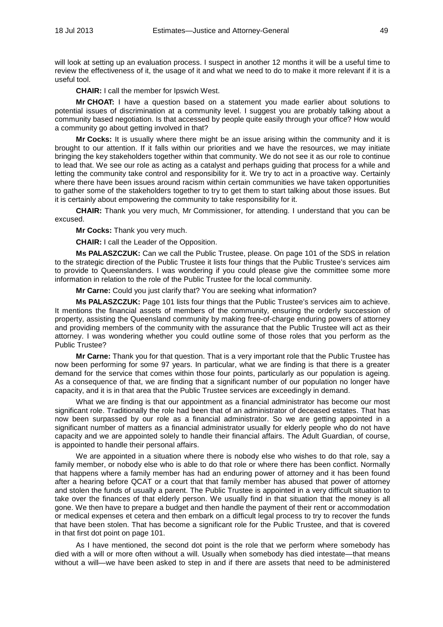will look at setting up an evaluation process. I suspect in another 12 months it will be a useful time to review the effectiveness of it, the usage of it and what we need to do to make it more relevant if it is a useful tool.

**CHAIR:** I call the member for Ipswich West.

**Mr CHOAT:** I have a question based on a statement you made earlier about solutions to potential issues of discrimination at a community level. I suggest you are probably talking about a community based negotiation. Is that accessed by people quite easily through your office? How would a community go about getting involved in that?

**Mr Cocks:** It is usually where there might be an issue arising within the community and it is brought to our attention. If it falls within our priorities and we have the resources, we may initiate bringing the key stakeholders together within that community. We do not see it as our role to continue to lead that. We see our role as acting as a catalyst and perhaps guiding that process for a while and letting the community take control and responsibility for it. We try to act in a proactive way. Certainly where there have been issues around racism within certain communities we have taken opportunities to gather some of the stakeholders together to try to get them to start talking about those issues. But it is certainly about empowering the community to take responsibility for it.

**CHAIR:** Thank you very much, Mr Commissioner, for attending. I understand that you can be excused.

**Mr Cocks:** Thank you very much.

**CHAIR:** I call the Leader of the Opposition.

**Ms PALASZCZUK:** Can we call the Public Trustee, please. On page 101 of the SDS in relation to the strategic direction of the Public Trustee it lists four things that the Public Trustee's services aim to provide to Queenslanders. I was wondering if you could please give the committee some more information in relation to the role of the Public Trustee for the local community.

**Mr Carne:** Could you just clarify that? You are seeking what information?

**Ms PALASZCZUK:** Page 101 lists four things that the Public Trustee's services aim to achieve. It mentions the financial assets of members of the community, ensuring the orderly succession of property, assisting the Queensland community by making free-of-charge enduring powers of attorney and providing members of the community with the assurance that the Public Trustee will act as their attorney. I was wondering whether you could outline some of those roles that you perform as the Public Trustee?

**Mr Carne:** Thank you for that question. That is a very important role that the Public Trustee has now been performing for some 97 years. In particular, what we are finding is that there is a greater demand for the service that comes within those four points, particularly as our population is ageing. As a consequence of that, we are finding that a significant number of our population no longer have capacity, and it is in that area that the Public Trustee services are exceedingly in demand.

What we are finding is that our appointment as a financial administrator has become our most significant role. Traditionally the role had been that of an administrator of deceased estates. That has now been surpassed by our role as a financial administrator. So we are getting appointed in a significant number of matters as a financial administrator usually for elderly people who do not have capacity and we are appointed solely to handle their financial affairs. The Adult Guardian, of course, is appointed to handle their personal affairs.

We are appointed in a situation where there is nobody else who wishes to do that role, say a family member, or nobody else who is able to do that role or where there has been conflict. Normally that happens where a family member has had an enduring power of attorney and it has been found after a hearing before QCAT or a court that that family member has abused that power of attorney and stolen the funds of usually a parent. The Public Trustee is appointed in a very difficult situation to take over the finances of that elderly person. We usually find in that situation that the money is all gone. We then have to prepare a budget and then handle the payment of their rent or accommodation or medical expenses et cetera and then embark on a difficult legal process to try to recover the funds that have been stolen. That has become a significant role for the Public Trustee, and that is covered in that first dot point on page 101.

As I have mentioned, the second dot point is the role that we perform where somebody has died with a will or more often without a will. Usually when somebody has died intestate—that means without a will—we have been asked to step in and if there are assets that need to be administered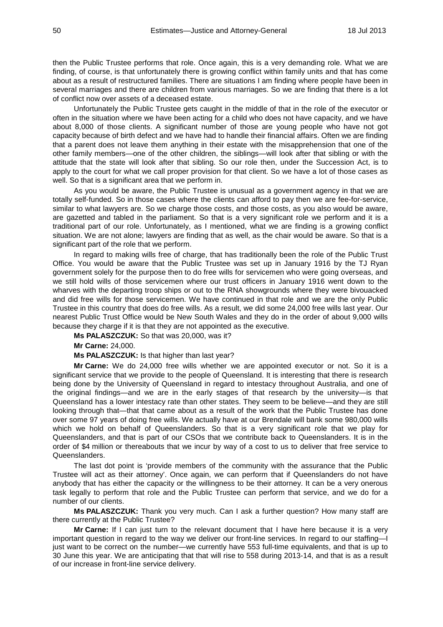then the Public Trustee performs that role. Once again, this is a very demanding role. What we are finding, of course, is that unfortunately there is growing conflict within family units and that has come about as a result of restructured families. There are situations I am finding where people have been in several marriages and there are children from various marriages. So we are finding that there is a lot of conflict now over assets of a deceased estate.

Unfortunately the Public Trustee gets caught in the middle of that in the role of the executor or often in the situation where we have been acting for a child who does not have capacity, and we have about 8,000 of those clients. A significant number of those are young people who have not got capacity because of birth defect and we have had to handle their financial affairs. Often we are finding that a parent does not leave them anything in their estate with the misapprehension that one of the other family members—one of the other children, the siblings—will look after that sibling or with the attitude that the state will look after that sibling. So our role then, under the Succession Act, is to apply to the court for what we call proper provision for that client. So we have a lot of those cases as well. So that is a significant area that we perform in.

As you would be aware, the Public Trustee is unusual as a government agency in that we are totally self-funded. So in those cases where the clients can afford to pay then we are fee-for-service, similar to what lawyers are. So we charge those costs, and those costs, as you also would be aware, are gazetted and tabled in the parliament. So that is a very significant role we perform and it is a traditional part of our role. Unfortunately, as I mentioned, what we are finding is a growing conflict situation. We are not alone; lawyers are finding that as well, as the chair would be aware. So that is a significant part of the role that we perform.

In regard to making wills free of charge, that has traditionally been the role of the Public Trust Office. You would be aware that the Public Trustee was set up in January 1916 by the TJ Ryan government solely for the purpose then to do free wills for servicemen who were going overseas, and we still hold wills of those servicemen where our trust officers in January 1916 went down to the wharves with the departing troop ships or out to the RNA showgrounds where they were bivouacked and did free wills for those servicemen. We have continued in that role and we are the only Public Trustee in this country that does do free wills. As a result, we did some 24,000 free wills last year. Our nearest Public Trust Office would be New South Wales and they do in the order of about 9,000 wills because they charge if it is that they are not appointed as the executive.

**Ms PALASZCZUK:** So that was 20,000, was it?

**Mr Carne:** 24,000.

**Ms PALASZCZUK:** Is that higher than last year?

**Mr Carne:** We do 24,000 free wills whether we are appointed executor or not. So it is a significant service that we provide to the people of Queensland. It is interesting that there is research being done by the University of Queensland in regard to intestacy throughout Australia, and one of the original findings—and we are in the early stages of that research by the university—is that Queensland has a lower intestacy rate than other states. They seem to be believe—and they are still looking through that—that that came about as a result of the work that the Public Trustee has done over some 97 years of doing free wills. We actually have at our Brendale will bank some 980,000 wills which we hold on behalf of Queenslanders. So that is a very significant role that we play for Queenslanders, and that is part of our CSOs that we contribute back to Queenslanders. It is in the order of \$4 million or thereabouts that we incur by way of a cost to us to deliver that free service to Queenslanders.

The last dot point is 'provide members of the community with the assurance that the Public Trustee will act as their attorney'. Once again, we can perform that if Queenslanders do not have anybody that has either the capacity or the willingness to be their attorney. It can be a very onerous task legally to perform that role and the Public Trustee can perform that service, and we do for a number of our clients.

**Ms PALASZCZUK:** Thank you very much. Can I ask a further question? How many staff are there currently at the Public Trustee?

**Mr Carne:** If I can just turn to the relevant document that I have here because it is a very important question in regard to the way we deliver our front-line services. In regard to our staffing—I just want to be correct on the number—we currently have 553 full-time equivalents, and that is up to 30 June this year. We are anticipating that that will rise to 558 during 2013-14, and that is as a result of our increase in front-line service delivery.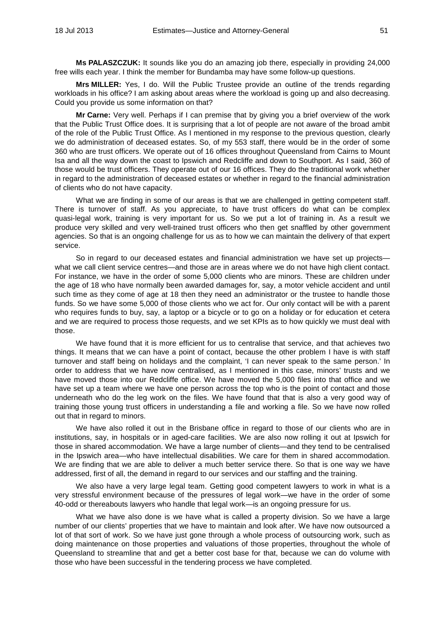**Ms PALASZCZUK:** It sounds like you do an amazing job there, especially in providing 24,000 free wills each year. I think the member for Bundamba may have some follow-up questions.

**Mrs MILLER:** Yes, I do. Will the Public Trustee provide an outline of the trends regarding workloads in his office? I am asking about areas where the workload is going up and also decreasing. Could you provide us some information on that?

**Mr Carne:** Very well. Perhaps if I can premise that by giving you a brief overview of the work that the Public Trust Office does. It is surprising that a lot of people are not aware of the broad ambit of the role of the Public Trust Office. As I mentioned in my response to the previous question, clearly we do administration of deceased estates. So, of my 553 staff, there would be in the order of some 360 who are trust officers. We operate out of 16 offices throughout Queensland from Cairns to Mount Isa and all the way down the coast to Ipswich and Redcliffe and down to Southport. As I said, 360 of those would be trust officers. They operate out of our 16 offices. They do the traditional work whether in regard to the administration of deceased estates or whether in regard to the financial administration of clients who do not have capacity.

What we are finding in some of our areas is that we are challenged in getting competent staff. There is turnover of staff. As you appreciate, to have trust officers do what can be complex quasi-legal work, training is very important for us. So we put a lot of training in. As a result we produce very skilled and very well-trained trust officers who then get snaffled by other government agencies. So that is an ongoing challenge for us as to how we can maintain the delivery of that expert service.

So in regard to our deceased estates and financial administration we have set up projects what we call client service centres—and those are in areas where we do not have high client contact. For instance, we have in the order of some 5,000 clients who are minors. These are children under the age of 18 who have normally been awarded damages for, say, a motor vehicle accident and until such time as they come of age at 18 then they need an administrator or the trustee to handle those funds. So we have some 5,000 of those clients who we act for. Our only contact will be with a parent who requires funds to buy, say, a laptop or a bicycle or to go on a holiday or for education et cetera and we are required to process those requests, and we set KPIs as to how quickly we must deal with those.

We have found that it is more efficient for us to centralise that service, and that achieves two things. It means that we can have a point of contact, because the other problem I have is with staff turnover and staff being on holidays and the complaint, 'I can never speak to the same person.' In order to address that we have now centralised, as I mentioned in this case, minors' trusts and we have moved those into our Redcliffe office. We have moved the 5,000 files into that office and we have set up a team where we have one person across the top who is the point of contact and those underneath who do the leg work on the files. We have found that that is also a very good way of training those young trust officers in understanding a file and working a file. So we have now rolled out that in regard to minors.

We have also rolled it out in the Brisbane office in regard to those of our clients who are in institutions, say, in hospitals or in aged-care facilities. We are also now rolling it out at Ipswich for those in shared accommodation. We have a large number of clients—and they tend to be centralised in the Ipswich area—who have intellectual disabilities. We care for them in shared accommodation. We are finding that we are able to deliver a much better service there. So that is one way we have addressed, first of all, the demand in regard to our services and our staffing and the training.

We also have a very large legal team. Getting good competent lawyers to work in what is a very stressful environment because of the pressures of legal work—we have in the order of some 40-odd or thereabouts lawyers who handle that legal work—is an ongoing pressure for us.

What we have also done is we have what is called a property division. So we have a large number of our clients' properties that we have to maintain and look after. We have now outsourced a lot of that sort of work. So we have just gone through a whole process of outsourcing work, such as doing maintenance on those properties and valuations of those properties, throughout the whole of Queensland to streamline that and get a better cost base for that, because we can do volume with those who have been successful in the tendering process we have completed.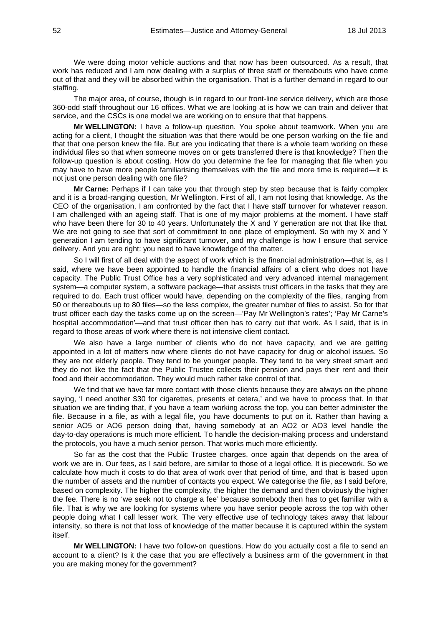We were doing motor vehicle auctions and that now has been outsourced. As a result, that work has reduced and I am now dealing with a surplus of three staff or thereabouts who have come out of that and they will be absorbed within the organisation. That is a further demand in regard to our staffing.

The major area, of course, though is in regard to our front-line service delivery, which are those 360-odd staff throughout our 16 offices. What we are looking at is how we can train and deliver that service, and the CSCs is one model we are working on to ensure that that happens.

**Mr WELLINGTON:** I have a follow-up question. You spoke about teamwork. When you are acting for a client, I thought the situation was that there would be one person working on the file and that that one person knew the file. But are you indicating that there is a whole team working on these individual files so that when someone moves on or gets transferred there is that knowledge? Then the follow-up question is about costing. How do you determine the fee for managing that file when you may have to have more people familiarising themselves with the file and more time is required—it is not just one person dealing with one file?

**Mr Carne:** Perhaps if I can take you that through step by step because that is fairly complex and it is a broad-ranging question, Mr Wellington. First of all, I am not losing that knowledge. As the CEO of the organisation, I am confronted by the fact that I have staff turnover for whatever reason. I am challenged with an ageing staff. That is one of my major problems at the moment. I have staff who have been there for 30 to 40 years. Unfortunately the X and Y generation are not that like that. We are not going to see that sort of commitment to one place of employment. So with my X and Y generation I am tending to have significant turnover, and my challenge is how I ensure that service delivery. And you are right: you need to have knowledge of the matter.

So I will first of all deal with the aspect of work which is the financial administration—that is, as I said, where we have been appointed to handle the financial affairs of a client who does not have capacity. The Public Trust Office has a very sophisticated and very advanced internal management system—a computer system, a software package—that assists trust officers in the tasks that they are required to do. Each trust officer would have, depending on the complexity of the files, ranging from 50 or thereabouts up to 80 files—so the less complex, the greater number of files to assist. So for that trust officer each day the tasks come up on the screen—'Pay Mr Wellington's rates'; 'Pay Mr Carne's hospital accommodation'—and that trust officer then has to carry out that work. As I said, that is in regard to those areas of work where there is not intensive client contact.

We also have a large number of clients who do not have capacity, and we are getting appointed in a lot of matters now where clients do not have capacity for drug or alcohol issues. So they are not elderly people. They tend to be younger people. They tend to be very street smart and they do not like the fact that the Public Trustee collects their pension and pays their rent and their food and their accommodation. They would much rather take control of that.

We find that we have far more contact with those clients because they are always on the phone saying, 'I need another \$30 for cigarettes, presents et cetera,' and we have to process that. In that situation we are finding that, if you have a team working across the top, you can better administer the file. Because in a file, as with a legal file, you have documents to put on it. Rather than having a senior AO5 or AO6 person doing that, having somebody at an AO2 or AO3 level handle the day-to-day operations is much more efficient. To handle the decision-making process and understand the protocols, you have a much senior person. That works much more efficiently.

So far as the cost that the Public Trustee charges, once again that depends on the area of work we are in. Our fees, as I said before, are similar to those of a legal office. It is piecework. So we calculate how much it costs to do that area of work over that period of time, and that is based upon the number of assets and the number of contacts you expect. We categorise the file, as I said before, based on complexity. The higher the complexity, the higher the demand and then obviously the higher the fee. There is no 'we seek not to charge a fee' because somebody then has to get familiar with a file. That is why we are looking for systems where you have senior people across the top with other people doing what I call lesser work. The very effective use of technology takes away that labour intensity, so there is not that loss of knowledge of the matter because it is captured within the system itself.

**Mr WELLINGTON:** I have two follow-on questions. How do you actually cost a file to send an account to a client? Is it the case that you are effectively a business arm of the government in that you are making money for the government?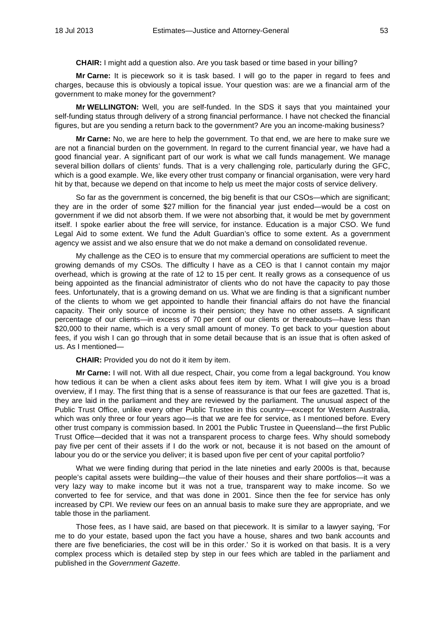**CHAIR:** I might add a question also. Are you task based or time based in your billing?

**Mr Carne:** It is piecework so it is task based. I will go to the paper in regard to fees and charges, because this is obviously a topical issue. Your question was: are we a financial arm of the government to make money for the government?

**Mr WELLINGTON:** Well, you are self-funded. In the SDS it says that you maintained your self-funding status through delivery of a strong financial performance. I have not checked the financial figures, but are you sending a return back to the government? Are you an income-making business?

**Mr Carne:** No, we are here to help the government. To that end, we are here to make sure we are not a financial burden on the government. In regard to the current financial year, we have had a good financial year. A significant part of our work is what we call funds management. We manage several billion dollars of clients' funds. That is a very challenging role, particularly during the GFC, which is a good example. We, like every other trust company or financial organisation, were very hard hit by that, because we depend on that income to help us meet the major costs of service delivery.

So far as the government is concerned, the big benefit is that our CSOs—which are significant; they are in the order of some \$27 million for the financial year just ended—would be a cost on government if we did not absorb them. If we were not absorbing that, it would be met by government itself. I spoke earlier about the free will service, for instance. Education is a major CSO. We fund Legal Aid to some extent. We fund the Adult Guardian's office to some extent. As a government agency we assist and we also ensure that we do not make a demand on consolidated revenue.

My challenge as the CEO is to ensure that my commercial operations are sufficient to meet the growing demands of my CSOs. The difficulty I have as a CEO is that I cannot contain my major overhead, which is growing at the rate of 12 to 15 per cent. It really grows as a consequence of us being appointed as the financial administrator of clients who do not have the capacity to pay those fees. Unfortunately, that is a growing demand on us. What we are finding is that a significant number of the clients to whom we get appointed to handle their financial affairs do not have the financial capacity. Their only source of income is their pension; they have no other assets. A significant percentage of our clients—in excess of 70 per cent of our clients or thereabouts—have less than \$20,000 to their name, which is a very small amount of money. To get back to your question about fees, if you wish I can go through that in some detail because that is an issue that is often asked of us. As I mentioned—

**CHAIR:** Provided you do not do it item by item.

**Mr Carne:** I will not. With all due respect, Chair, you come from a legal background. You know how tedious it can be when a client asks about fees item by item. What I will give you is a broad overview, if I may. The first thing that is a sense of reassurance is that our fees are gazetted. That is, they are laid in the parliament and they are reviewed by the parliament. The unusual aspect of the Public Trust Office, unlike every other Public Trustee in this country—except for Western Australia, which was only three or four years ago-is that we are fee for service, as I mentioned before. Every other trust company is commission based. In 2001 the Public Trustee in Queensland—the first Public Trust Office—decided that it was not a transparent process to charge fees. Why should somebody pay five per cent of their assets if I do the work or not, because it is not based on the amount of labour you do or the service you deliver; it is based upon five per cent of your capital portfolio?

What we were finding during that period in the late nineties and early 2000s is that, because people's capital assets were building—the value of their houses and their share portfolios—it was a very lazy way to make income but it was not a true, transparent way to make income. So we converted to fee for service, and that was done in 2001. Since then the fee for service has only increased by CPI. We review our fees on an annual basis to make sure they are appropriate, and we table those in the parliament.

Those fees, as I have said, are based on that piecework. It is similar to a lawyer saying, 'For me to do your estate, based upon the fact you have a house, shares and two bank accounts and there are five beneficiaries, the cost will be in this order.' So it is worked on that basis. It is a very complex process which is detailed step by step in our fees which are tabled in the parliament and published in the *Government Gazette*.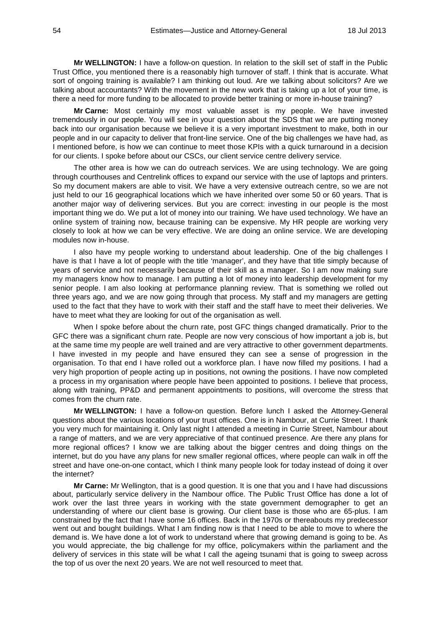**Mr WELLINGTON:** I have a follow-on question. In relation to the skill set of staff in the Public Trust Office, you mentioned there is a reasonably high turnover of staff. I think that is accurate. What sort of ongoing training is available? I am thinking out loud. Are we talking about solicitors? Are we talking about accountants? With the movement in the new work that is taking up a lot of your time, is there a need for more funding to be allocated to provide better training or more in-house training?

**Mr Carne:** Most certainly my most valuable asset is my people. We have invested tremendously in our people. You will see in your question about the SDS that we are putting money back into our organisation because we believe it is a very important investment to make, both in our people and in our capacity to deliver that front-line service. One of the big challenges we have had, as I mentioned before, is how we can continue to meet those KPIs with a quick turnaround in a decision for our clients. I spoke before about our CSCs, our client service centre delivery service.

The other area is how we can do outreach services. We are using technology. We are going through courthouses and Centrelink offices to expand our service with the use of laptops and printers. So my document makers are able to visit. We have a very extensive outreach centre, so we are not just held to our 16 geographical locations which we have inherited over some 50 or 60 years. That is another major way of delivering services. But you are correct: investing in our people is the most important thing we do. We put a lot of money into our training. We have used technology. We have an online system of training now, because training can be expensive. My HR people are working very closely to look at how we can be very effective. We are doing an online service. We are developing modules now in-house.

I also have my people working to understand about leadership. One of the big challenges I have is that I have a lot of people with the title 'manager', and they have that title simply because of years of service and not necessarily because of their skill as a manager. So I am now making sure my managers know how to manage. I am putting a lot of money into leadership development for my senior people. I am also looking at performance planning review. That is something we rolled out three years ago, and we are now going through that process. My staff and my managers are getting used to the fact that they have to work with their staff and the staff have to meet their deliveries. We have to meet what they are looking for out of the organisation as well.

When I spoke before about the churn rate, post GFC things changed dramatically. Prior to the GFC there was a significant churn rate. People are now very conscious of how important a job is, but at the same time my people are well trained and are very attractive to other government departments. I have invested in my people and have ensured they can see a sense of progression in the organisation. To that end I have rolled out a workforce plan. I have now filled my positions. I had a very high proportion of people acting up in positions, not owning the positions. I have now completed a process in my organisation where people have been appointed to positions. I believe that process, along with training, PP&D and permanent appointments to positions, will overcome the stress that comes from the churn rate.

**Mr WELLINGTON:** I have a follow-on question. Before lunch I asked the Attorney-General questions about the various locations of your trust offices. One is in Nambour, at Currie Street. I thank you very much for maintaining it. Only last night I attended a meeting in Currie Street, Nambour about a range of matters, and we are very appreciative of that continued presence. Are there any plans for more regional offices? I know we are talking about the bigger centres and doing things on the internet, but do you have any plans for new smaller regional offices, where people can walk in off the street and have one-on-one contact, which I think many people look for today instead of doing it over the internet?

**Mr Carne:** Mr Wellington, that is a good question. It is one that you and I have had discussions about, particularly service delivery in the Nambour office. The Public Trust Office has done a lot of work over the last three years in working with the state government demographer to get an understanding of where our client base is growing. Our client base is those who are 65-plus. I am constrained by the fact that I have some 16 offices. Back in the 1970s or thereabouts my predecessor went out and bought buildings. What I am finding now is that I need to be able to move to where the demand is. We have done a lot of work to understand where that growing demand is going to be. As you would appreciate, the big challenge for my office, policymakers within the parliament and the delivery of services in this state will be what I call the ageing tsunami that is going to sweep across the top of us over the next 20 years. We are not well resourced to meet that.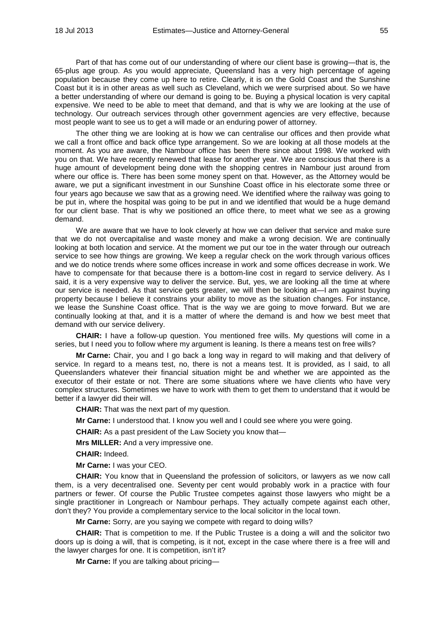Part of that has come out of our understanding of where our client base is growing—that is, the 65-plus age group. As you would appreciate, Queensland has a very high percentage of ageing population because they come up here to retire. Clearly, it is on the Gold Coast and the Sunshine Coast but it is in other areas as well such as Cleveland, which we were surprised about. So we have a better understanding of where our demand is going to be. Buying a physical location is very capital expensive. We need to be able to meet that demand, and that is why we are looking at the use of technology. Our outreach services through other government agencies are very effective, because most people want to see us to get a will made or an enduring power of attorney.

The other thing we are looking at is how we can centralise our offices and then provide what we call a front office and back office type arrangement. So we are looking at all those models at the moment. As you are aware, the Nambour office has been there since about 1998. We worked with you on that. We have recently renewed that lease for another year. We are conscious that there is a huge amount of development being done with the shopping centres in Nambour just around from where our office is. There has been some money spent on that. However, as the Attorney would be aware, we put a significant investment in our Sunshine Coast office in his electorate some three or four years ago because we saw that as a growing need. We identified where the railway was going to be put in, where the hospital was going to be put in and we identified that would be a huge demand for our client base. That is why we positioned an office there, to meet what we see as a growing demand.

We are aware that we have to look cleverly at how we can deliver that service and make sure that we do not overcapitalise and waste money and make a wrong decision. We are continually looking at both location and service. At the moment we put our toe in the water through our outreach service to see how things are growing. We keep a regular check on the work through various offices and we do notice trends where some offices increase in work and some offices decrease in work. We have to compensate for that because there is a bottom-line cost in regard to service delivery. As I said, it is a very expensive way to deliver the service. But, yes, we are looking all the time at where our service is needed. As that service gets greater, we will then be looking at—I am against buying property because I believe it constrains your ability to move as the situation changes. For instance, we lease the Sunshine Coast office. That is the way we are going to move forward. But we are continually looking at that, and it is a matter of where the demand is and how we best meet that demand with our service delivery.

**CHAIR:** I have a follow-up question. You mentioned free wills. My questions will come in a series, but I need you to follow where my argument is leaning. Is there a means test on free wills?

**Mr Carne:** Chair, you and I go back a long way in regard to will making and that delivery of service. In regard to a means test, no, there is not a means test. It is provided, as I said, to all Queenslanders whatever their financial situation might be and whether we are appointed as the executor of their estate or not. There are some situations where we have clients who have very complex structures. Sometimes we have to work with them to get them to understand that it would be better if a lawyer did their will.

**CHAIR:** That was the next part of my question.

**Mr Carne:** I understood that. I know you well and I could see where you were going.

**CHAIR:** As a past president of the Law Society you know that—

**Mrs MILLER:** And a very impressive one.

**CHAIR:** Indeed.

**Mr Carne:** I was your CEO.

**CHAIR:** You know that in Queensland the profession of solicitors, or lawyers as we now call them, is a very decentralised one. Seventy per cent would probably work in a practice with four partners or fewer. Of course the Public Trustee competes against those lawyers who might be a single practitioner in Longreach or Nambour perhaps. They actually compete against each other, don't they? You provide a complementary service to the local solicitor in the local town.

**Mr Carne:** Sorry, are you saying we compete with regard to doing wills?

**CHAIR:** That is competition to me. If the Public Trustee is a doing a will and the solicitor two doors up is doing a will, that is competing, is it not, except in the case where there is a free will and the lawyer charges for one. It is competition, isn't it?

**Mr Carne:** If you are talking about pricing—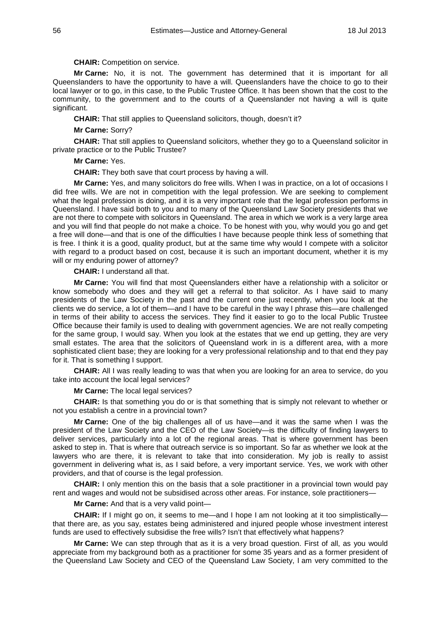## **CHAIR:** Competition on service.

**Mr Carne:** No, it is not. The government has determined that it is important for all Queenslanders to have the opportunity to have a will. Queenslanders have the choice to go to their local lawyer or to go, in this case, to the Public Trustee Office. It has been shown that the cost to the community, to the government and to the courts of a Queenslander not having a will is quite significant.

**CHAIR:** That still applies to Queensland solicitors, though, doesn't it?

**Mr Carne:** Sorry?

**CHAIR:** That still applies to Queensland solicitors, whether they go to a Queensland solicitor in private practice or to the Public Trustee?

**Mr Carne:** Yes.

**CHAIR:** They both save that court process by having a will.

**Mr Carne:** Yes, and many solicitors do free wills. When I was in practice, on a lot of occasions I did free wills. We are not in competition with the legal profession. We are seeking to complement what the legal profession is doing, and it is a very important role that the legal profession performs in Queensland. I have said both to you and to many of the Queensland Law Society presidents that we are not there to compete with solicitors in Queensland. The area in which we work is a very large area and you will find that people do not make a choice. To be honest with you, why would you go and get a free will done—and that is one of the difficulties I have because people think less of something that is free. I think it is a good, quality product, but at the same time why would I compete with a solicitor with regard to a product based on cost, because it is such an important document, whether it is my will or my enduring power of attorney?

**CHAIR:** I understand all that.

**Mr Carne:** You will find that most Queenslanders either have a relationship with a solicitor or know somebody who does and they will get a referral to that solicitor. As I have said to many presidents of the Law Society in the past and the current one just recently, when you look at the clients we do service, a lot of them—and I have to be careful in the way I phrase this—are challenged in terms of their ability to access the services. They find it easier to go to the local Public Trustee Office because their family is used to dealing with government agencies. We are not really competing for the same group, I would say. When you look at the estates that we end up getting, they are very small estates. The area that the solicitors of Queensland work in is a different area, with a more sophisticated client base; they are looking for a very professional relationship and to that end they pay for it. That is something I support.

**CHAIR:** All I was really leading to was that when you are looking for an area to service, do you take into account the local legal services?

# **Mr Carne:** The local legal services?

**CHAIR:** Is that something you do or is that something that is simply not relevant to whether or not you establish a centre in a provincial town?

**Mr Carne:** One of the big challenges all of us have—and it was the same when I was the president of the Law Society and the CEO of the Law Society—is the difficulty of finding lawyers to deliver services, particularly into a lot of the regional areas. That is where government has been asked to step in. That is where that outreach service is so important. So far as whether we look at the lawyers who are there, it is relevant to take that into consideration. My job is really to assist government in delivering what is, as I said before, a very important service. Yes, we work with other providers, and that of course is the legal profession.

**CHAIR:** I only mention this on the basis that a sole practitioner in a provincial town would pay rent and wages and would not be subsidised across other areas. For instance, sole practitioners—

**Mr Carne:** And that is a very valid point—

**CHAIR:** If I might go on, it seems to me—and I hope I am not looking at it too simplistically that there are, as you say, estates being administered and injured people whose investment interest funds are used to effectively subsidise the free wills? Isn't that effectively what happens?

**Mr Carne:** We can step through that as it is a very broad question. First of all, as you would appreciate from my background both as a practitioner for some 35 years and as a former president of the Queensland Law Society and CEO of the Queensland Law Society, I am very committed to the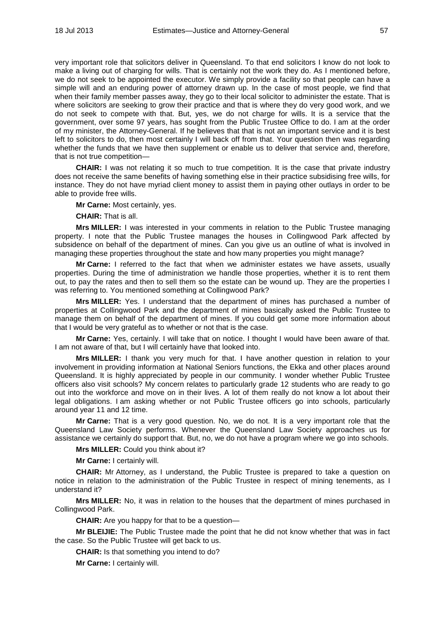very important role that solicitors deliver in Queensland. To that end solicitors I know do not look to make a living out of charging for wills. That is certainly not the work they do. As I mentioned before, we do not seek to be appointed the executor. We simply provide a facility so that people can have a simple will and an enduring power of attorney drawn up. In the case of most people, we find that when their family member passes away, they go to their local solicitor to administer the estate. That is where solicitors are seeking to grow their practice and that is where they do very good work, and we do not seek to compete with that. But, yes, we do not charge for wills. It is a service that the government, over some 97 years, has sought from the Public Trustee Office to do. I am at the order of my minister, the Attorney-General. If he believes that that is not an important service and it is best left to solicitors to do, then most certainly I will back off from that. Your question then was regarding whether the funds that we have then supplement or enable us to deliver that service and, therefore, that is not true competition—

**CHAIR:** I was not relating it so much to true competition. It is the case that private industry does not receive the same benefits of having something else in their practice subsidising free wills, for instance. They do not have myriad client money to assist them in paying other outlays in order to be able to provide free wills.

**Mr Carne:** Most certainly, yes.

**CHAIR:** That is all.

**Mrs MILLER:** I was interested in your comments in relation to the Public Trustee managing property. I note that the Public Trustee manages the houses in Collingwood Park affected by subsidence on behalf of the department of mines. Can you give us an outline of what is involved in managing these properties throughout the state and how many properties you might manage?

**Mr Carne:** I referred to the fact that when we administer estates we have assets, usually properties. During the time of administration we handle those properties, whether it is to rent them out, to pay the rates and then to sell them so the estate can be wound up. They are the properties I was referring to. You mentioned something at Collingwood Park?

**Mrs MILLER:** Yes. I understand that the department of mines has purchased a number of properties at Collingwood Park and the department of mines basically asked the Public Trustee to manage them on behalf of the department of mines. If you could get some more information about that I would be very grateful as to whether or not that is the case.

**Mr Carne:** Yes, certainly. I will take that on notice. I thought I would have been aware of that. I am not aware of that, but I will certainly have that looked into.

**Mrs MILLER:** I thank you very much for that. I have another question in relation to your involvement in providing information at National Seniors functions, the Ekka and other places around Queensland. It is highly appreciated by people in our community. I wonder whether Public Trustee officers also visit schools? My concern relates to particularly grade 12 students who are ready to go out into the workforce and move on in their lives. A lot of them really do not know a lot about their legal obligations. I am asking whether or not Public Trustee officers go into schools, particularly around year 11 and 12 time.

**Mr Carne:** That is a very good question. No, we do not. It is a very important role that the Queensland Law Society performs. Whenever the Queensland Law Society approaches us for assistance we certainly do support that. But, no, we do not have a program where we go into schools.

**Mrs MILLER:** Could you think about it?

**Mr Carne:** I certainly will.

**CHAIR:** Mr Attorney, as I understand, the Public Trustee is prepared to take a question on notice in relation to the administration of the Public Trustee in respect of mining tenements, as I understand it?

**Mrs MILLER:** No, it was in relation to the houses that the department of mines purchased in Collingwood Park.

**CHAIR:** Are you happy for that to be a question—

**Mr BLEIJIE:** The Public Trustee made the point that he did not know whether that was in fact the case. So the Public Trustee will get back to us.

**CHAIR:** Is that something you intend to do?

**Mr Carne:** I certainly will.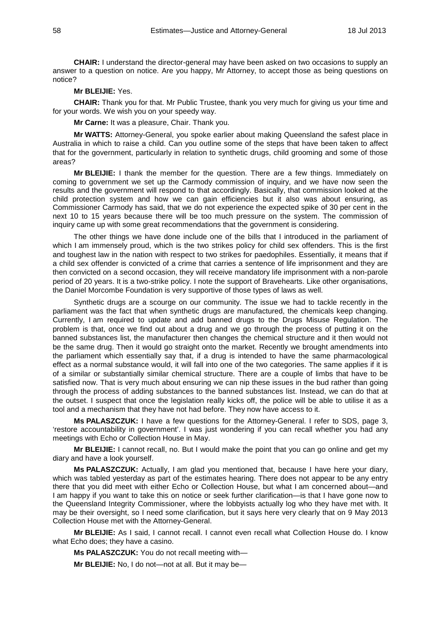**CHAIR:** I understand the director-general may have been asked on two occasions to supply an answer to a question on notice. Are you happy, Mr Attorney, to accept those as being questions on notice?

# **Mr BLEIJIE:** Yes.

**CHAIR:** Thank you for that. Mr Public Trustee, thank you very much for giving us your time and for your words. We wish you on your speedy way.

**Mr Carne:** It was a pleasure, Chair. Thank you.

**Mr WATTS:** Attorney-General, you spoke earlier about making Queensland the safest place in Australia in which to raise a child. Can you outline some of the steps that have been taken to affect that for the government, particularly in relation to synthetic drugs, child grooming and some of those areas?

**Mr BLEIJIE:** I thank the member for the question. There are a few things. Immediately on coming to government we set up the Carmody commission of inquiry, and we have now seen the results and the government will respond to that accordingly. Basically, that commission looked at the child protection system and how we can gain efficiencies but it also was about ensuring, as Commissioner Carmody has said, that we do not experience the expected spike of 30 per cent in the next 10 to 15 years because there will be too much pressure on the system. The commission of inquiry came up with some great recommendations that the government is considering.

The other things we have done include one of the bills that I introduced in the parliament of which I am immensely proud, which is the two strikes policy for child sex offenders. This is the first and toughest law in the nation with respect to two strikes for paedophiles. Essentially, it means that if a child sex offender is convicted of a crime that carries a sentence of life imprisonment and they are then convicted on a second occasion, they will receive mandatory life imprisonment with a non-parole period of 20 years. It is a two-strike policy. I note the support of Bravehearts. Like other organisations, the Daniel Morcombe Foundation is very supportive of those types of laws as well.

Synthetic drugs are a scourge on our community. The issue we had to tackle recently in the parliament was the fact that when synthetic drugs are manufactured, the chemicals keep changing. Currently, I am required to update and add banned drugs to the Drugs Misuse Regulation. The problem is that, once we find out about a drug and we go through the process of putting it on the banned substances list, the manufacturer then changes the chemical structure and it then would not be the same drug. Then it would go straight onto the market. Recently we brought amendments into the parliament which essentially say that, if a drug is intended to have the same pharmacological effect as a normal substance would, it will fall into one of the two categories. The same applies if it is of a similar or substantially similar chemical structure. There are a couple of limbs that have to be satisfied now. That is very much about ensuring we can nip these issues in the bud rather than going through the process of adding substances to the banned substances list. Instead, we can do that at the outset. I suspect that once the legislation really kicks off, the police will be able to utilise it as a tool and a mechanism that they have not had before. They now have access to it.

**Ms PALASZCZUK:** I have a few questions for the Attorney-General. I refer to SDS, page 3, 'restore accountability in government'. I was just wondering if you can recall whether you had any meetings with Echo or Collection House in May.

**Mr BLEIJIE:** I cannot recall, no. But I would make the point that you can go online and get my diary and have a look yourself.

**Ms PALASZCZUK:** Actually, I am glad you mentioned that, because I have here your diary, which was tabled yesterday as part of the estimates hearing. There does not appear to be any entry there that you did meet with either Echo or Collection House, but what I am concerned about—and I am happy if you want to take this on notice or seek further clarification—is that I have gone now to the Queensland Integrity Commissioner, where the lobbyists actually log who they have met with. It may be their oversight, so I need some clarification, but it says here very clearly that on 9 May 2013 Collection House met with the Attorney-General.

**Mr BLEIJIE:** As I said, I cannot recall. I cannot even recall what Collection House do. I know what Echo does; they have a casino.

**Ms PALASZCZUK:** You do not recall meeting with—

**Mr BLEIJIE:** No, I do not—not at all. But it may be—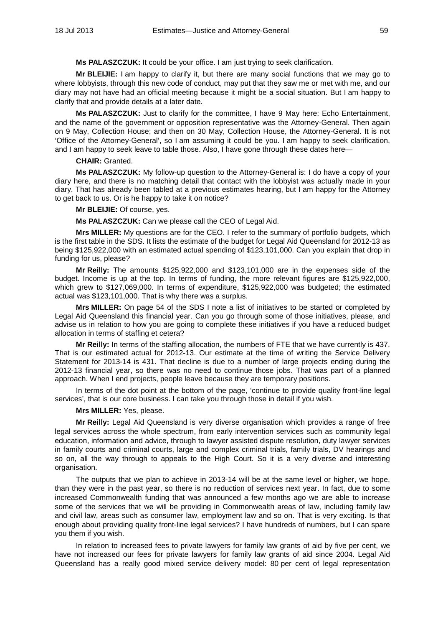**Ms PALASZCZUK:** It could be your office. I am just trying to seek clarification.

**Mr BLEIJIE:** I am happy to clarify it, but there are many social functions that we may go to where lobbyists, through this new code of conduct, may put that they saw me or met with me, and our diary may not have had an official meeting because it might be a social situation. But I am happy to clarify that and provide details at a later date.

**Ms PALASZCZUK:** Just to clarify for the committee, I have 9 May here: Echo Entertainment, and the name of the government or opposition representative was the Attorney-General. Then again on 9 May, Collection House; and then on 30 May, Collection House, the Attorney-General. It is not 'Office of the Attorney-General', so I am assuming it could be you. I am happy to seek clarification, and I am happy to seek leave to table those. Also, I have gone through these dates here—

#### **CHAIR:** Granted.

**Ms PALASZCZUK:** My follow-up question to the Attorney-General is: I do have a copy of your diary here, and there is no matching detail that contact with the lobbyist was actually made in your diary. That has already been tabled at a previous estimates hearing, but I am happy for the Attorney to get back to us. Or is he happy to take it on notice?

# **Mr BLEIJIE:** Of course, yes.

**Ms PALASZCZUK:** Can we please call the CEO of Legal Aid.

**Mrs MILLER:** My questions are for the CEO. I refer to the summary of portfolio budgets, which is the first table in the SDS. It lists the estimate of the budget for Legal Aid Queensland for 2012-13 as being \$125,922,000 with an estimated actual spending of \$123,101,000. Can you explain that drop in funding for us, please?

**Mr Reilly:** The amounts \$125,922,000 and \$123,101,000 are in the expenses side of the budget. Income is up at the top. In terms of funding, the more relevant figures are \$125,922,000, which grew to \$127,069,000. In terms of expenditure, \$125,922,000 was budgeted; the estimated actual was \$123,101,000. That is why there was a surplus.

**Mrs MILLER:** On page 54 of the SDS I note a list of initiatives to be started or completed by Legal Aid Queensland this financial year. Can you go through some of those initiatives, please, and advise us in relation to how you are going to complete these initiatives if you have a reduced budget allocation in terms of staffing et cetera?

**Mr Reilly:** In terms of the staffing allocation, the numbers of FTE that we have currently is 437. That is our estimated actual for 2012-13. Our estimate at the time of writing the Service Delivery Statement for 2013-14 is 431. That decline is due to a number of large projects ending during the 2012-13 financial year, so there was no need to continue those jobs. That was part of a planned approach. When I end projects, people leave because they are temporary positions.

In terms of the dot point at the bottom of the page, 'continue to provide quality front-line legal services', that is our core business. I can take you through those in detail if you wish.

#### **Mrs MILLER:** Yes, please.

**Mr Reilly:** Legal Aid Queensland is very diverse organisation which provides a range of free legal services across the whole spectrum, from early intervention services such as community legal education, information and advice, through to lawyer assisted dispute resolution, duty lawyer services in family courts and criminal courts, large and complex criminal trials, family trials, DV hearings and so on, all the way through to appeals to the High Court. So it is a very diverse and interesting organisation.

The outputs that we plan to achieve in 2013-14 will be at the same level or higher, we hope, than they were in the past year, so there is no reduction of services next year. In fact, due to some increased Commonwealth funding that was announced a few months ago we are able to increase some of the services that we will be providing in Commonwealth areas of law, including family law and civil law, areas such as consumer law, employment law and so on. That is very exciting. Is that enough about providing quality front-line legal services? I have hundreds of numbers, but I can spare you them if you wish.

In relation to increased fees to private lawyers for family law grants of aid by five per cent, we have not increased our fees for private lawyers for family law grants of aid since 2004. Legal Aid Queensland has a really good mixed service delivery model: 80 per cent of legal representation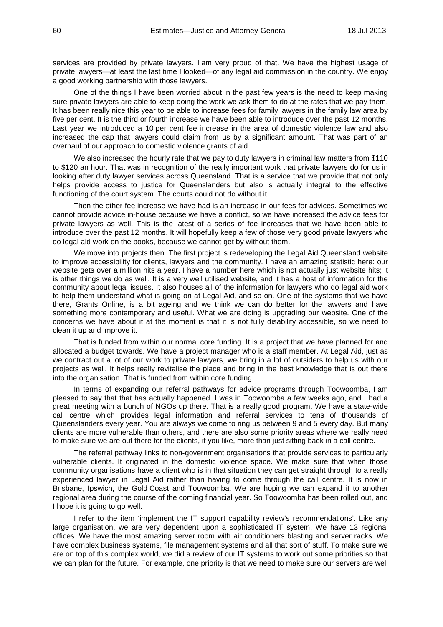services are provided by private lawyers. I am very proud of that. We have the highest usage of private lawyers—at least the last time I looked—of any legal aid commission in the country. We enjoy a good working partnership with those lawyers.

One of the things I have been worried about in the past few years is the need to keep making sure private lawyers are able to keep doing the work we ask them to do at the rates that we pay them. It has been really nice this year to be able to increase fees for family lawyers in the family law area by five per cent. It is the third or fourth increase we have been able to introduce over the past 12 months. Last year we introduced a 10 per cent fee increase in the area of domestic violence law and also increased the cap that lawyers could claim from us by a significant amount. That was part of an overhaul of our approach to domestic violence grants of aid.

We also increased the hourly rate that we pay to duty lawyers in criminal law matters from \$110 to \$120 an hour. That was in recognition of the really important work that private lawyers do for us in looking after duty lawyer services across Queensland. That is a service that we provide that not only helps provide access to justice for Queenslanders but also is actually integral to the effective functioning of the court system. The courts could not do without it.

Then the other fee increase we have had is an increase in our fees for advices. Sometimes we cannot provide advice in-house because we have a conflict, so we have increased the advice fees for private lawyers as well. This is the latest of a series of fee increases that we have been able to introduce over the past 12 months. It will hopefully keep a few of those very good private lawyers who do legal aid work on the books, because we cannot get by without them.

We move into projects then. The first project is redeveloping the Legal Aid Queensland website to improve accessibility for clients, lawyers and the community. I have an amazing statistic here: our website gets over a million hits a year. I have a number here which is not actually just website hits; it is other things we do as well. It is a very well utilised website, and it has a host of information for the community about legal issues. It also houses all of the information for lawyers who do legal aid work to help them understand what is going on at Legal Aid, and so on. One of the systems that we have there, Grants Online, is a bit ageing and we think we can do better for the lawyers and have something more contemporary and useful. What we are doing is upgrading our website. One of the concerns we have about it at the moment is that it is not fully disability accessible, so we need to clean it up and improve it.

That is funded from within our normal core funding. It is a project that we have planned for and allocated a budget towards. We have a project manager who is a staff member. At Legal Aid, just as we contract out a lot of our work to private lawyers, we bring in a lot of outsiders to help us with our projects as well. It helps really revitalise the place and bring in the best knowledge that is out there into the organisation. That is funded from within core funding.

In terms of expanding our referral pathways for advice programs through Toowoomba, I am pleased to say that that has actually happened. I was in Toowoomba a few weeks ago, and I had a great meeting with a bunch of NGOs up there. That is a really good program. We have a state-wide call centre which provides legal information and referral services to tens of thousands of Queenslanders every year. You are always welcome to ring us between 9 and 5 every day. But many clients are more vulnerable than others, and there are also some priority areas where we really need to make sure we are out there for the clients, if you like, more than just sitting back in a call centre.

The referral pathway links to non-government organisations that provide services to particularly vulnerable clients. It originated in the domestic violence space. We make sure that when those community organisations have a client who is in that situation they can get straight through to a really experienced lawyer in Legal Aid rather than having to come through the call centre. It is now in Brisbane, Ipswich, the Gold Coast and Toowoomba. We are hoping we can expand it to another regional area during the course of the coming financial year. So Toowoomba has been rolled out, and I hope it is going to go well.

I refer to the item 'implement the IT support capability review's recommendations'. Like any large organisation, we are very dependent upon a sophisticated IT system. We have 13 regional offices. We have the most amazing server room with air conditioners blasting and server racks. We have complex business systems, file management systems and all that sort of stuff. To make sure we are on top of this complex world, we did a review of our IT systems to work out some priorities so that we can plan for the future. For example, one priority is that we need to make sure our servers are well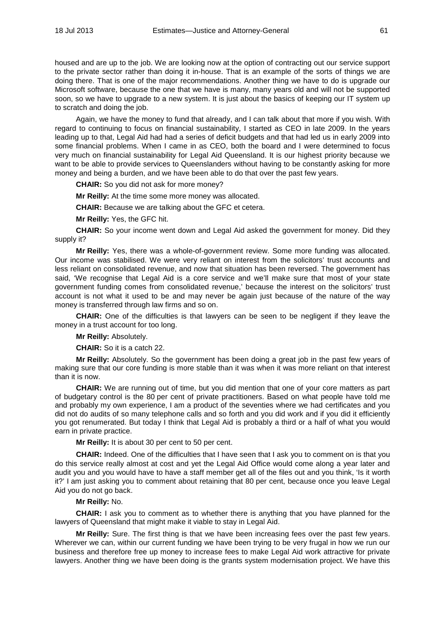housed and are up to the job. We are looking now at the option of contracting out our service support to the private sector rather than doing it in-house. That is an example of the sorts of things we are doing there. That is one of the major recommendations. Another thing we have to do is upgrade our Microsoft software, because the one that we have is many, many years old and will not be supported soon, so we have to upgrade to a new system. It is just about the basics of keeping our IT system up to scratch and doing the job.

Again, we have the money to fund that already, and I can talk about that more if you wish. With regard to continuing to focus on financial sustainability, I started as CEO in late 2009. In the years leading up to that, Legal Aid had had a series of deficit budgets and that had led us in early 2009 into some financial problems. When I came in as CEO, both the board and I were determined to focus very much on financial sustainability for Legal Aid Queensland. It is our highest priority because we want to be able to provide services to Queenslanders without having to be constantly asking for more money and being a burden, and we have been able to do that over the past few years.

**CHAIR:** So you did not ask for more money?

**Mr Reilly:** At the time some more money was allocated.

**CHAIR:** Because we are talking about the GFC et cetera.

**Mr Reilly:** Yes, the GFC hit.

**CHAIR:** So your income went down and Legal Aid asked the government for money. Did they supply it?

**Mr Reilly:** Yes, there was a whole-of-government review. Some more funding was allocated. Our income was stabilised. We were very reliant on interest from the solicitors' trust accounts and less reliant on consolidated revenue, and now that situation has been reversed. The government has said, 'We recognise that Legal Aid is a core service and we'll make sure that most of your state government funding comes from consolidated revenue,' because the interest on the solicitors' trust account is not what it used to be and may never be again just because of the nature of the way money is transferred through law firms and so on.

**CHAIR:** One of the difficulties is that lawyers can be seen to be negligent if they leave the money in a trust account for too long.

**Mr Reilly:** Absolutely.

**CHAIR:** So it is a catch 22.

**Mr Reilly:** Absolutely. So the government has been doing a great job in the past few years of making sure that our core funding is more stable than it was when it was more reliant on that interest than it is now.

**CHAIR:** We are running out of time, but you did mention that one of your core matters as part of budgetary control is the 80 per cent of private practitioners. Based on what people have told me and probably my own experience, I am a product of the seventies where we had certificates and you did not do audits of so many telephone calls and so forth and you did work and if you did it efficiently you got renumerated. But today I think that Legal Aid is probably a third or a half of what you would earn in private practice.

**Mr Reilly:** It is about 30 per cent to 50 per cent.

**CHAIR:** Indeed. One of the difficulties that I have seen that I ask you to comment on is that you do this service really almost at cost and yet the Legal Aid Office would come along a year later and audit you and you would have to have a staff member get all of the files out and you think, 'Is it worth it?' I am just asking you to comment about retaining that 80 per cent, because once you leave Legal Aid you do not go back.

#### **Mr Reilly:** No.

**CHAIR:** I ask you to comment as to whether there is anything that you have planned for the lawyers of Queensland that might make it viable to stay in Legal Aid.

**Mr Reilly:** Sure. The first thing is that we have been increasing fees over the past few years. Wherever we can, within our current funding we have been trying to be very frugal in how we run our business and therefore free up money to increase fees to make Legal Aid work attractive for private lawyers. Another thing we have been doing is the grants system modernisation project. We have this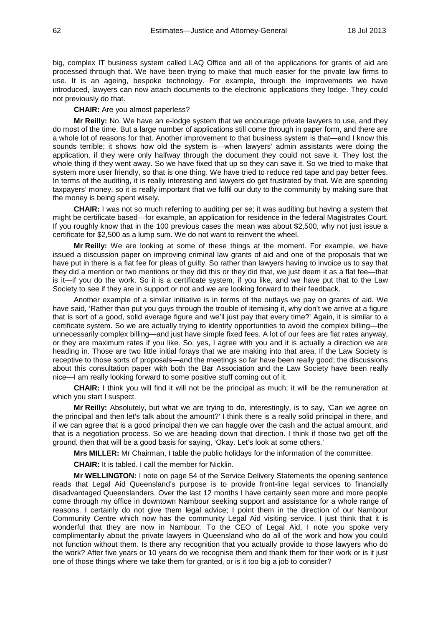big, complex IT business system called LAQ Office and all of the applications for grants of aid are processed through that. We have been trying to make that much easier for the private law firms to use. It is an ageing, bespoke technology. For example, through the improvements we have introduced, lawyers can now attach documents to the electronic applications they lodge. They could not previously do that.

#### **CHAIR:** Are you almost paperless?

**Mr Reilly:** No. We have an e-lodge system that we encourage private lawyers to use, and they do most of the time. But a large number of applications still come through in paper form, and there are a whole lot of reasons for that. Another improvement to that business system is that—and I know this sounds terrible; it shows how old the system is—when lawyers' admin assistants were doing the application, if they were only halfway through the document they could not save it. They lost the whole thing if they went away. So we have fixed that up so they can save it. So we tried to make that system more user friendly, so that is one thing. We have tried to reduce red tape and pay better fees. In terms of the auditing, it is really interesting and lawyers do get frustrated by that. We are spending taxpayers' money, so it is really important that we fulfil our duty to the community by making sure that the money is being spent wisely.

**CHAIR:** I was not so much referring to auditing per se; it was auditing but having a system that might be certificate based—for example, an application for residence in the federal Magistrates Court. If you roughly know that in the 100 previous cases the mean was about \$2,500, why not just issue a certificate for \$2,500 as a lump sum. We do not want to reinvent the wheel.

**Mr Reilly:** We are looking at some of these things at the moment. For example, we have issued a discussion paper on improving criminal law grants of aid and one of the proposals that we have put in there is a flat fee for pleas of guilty. So rather than lawyers having to invoice us to say that they did a mention or two mentions or they did this or they did that, we just deem it as a flat fee—that is it—if you do the work. So it is a certificate system, if you like, and we have put that to the Law Society to see if they are in support or not and we are looking forward to their feedback.

Another example of a similar initiative is in terms of the outlays we pay on grants of aid. We have said, 'Rather than put you guys through the trouble of itemising it, why don't we arrive at a figure that is sort of a good, solid average figure and we'll just pay that every time?' Again, it is similar to a certificate system. So we are actually trying to identify opportunities to avoid the complex billing—the unnecessarily complex billing—and just have simple fixed fees. A lot of our fees are flat rates anyway, or they are maximum rates if you like. So, yes, I agree with you and it is actually a direction we are heading in. Those are two little initial forays that we are making into that area. If the Law Society is receptive to those sorts of proposals—and the meetings so far have been really good; the discussions about this consultation paper with both the Bar Association and the Law Society have been really nice—I am really looking forward to some positive stuff coming out of it.

**CHAIR:** I think you will find it will not be the principal as much; it will be the remuneration at which you start I suspect.

**Mr Reilly:** Absolutely, but what we are trying to do, interestingly, is to say, 'Can we agree on the principal and then let's talk about the amount?' I think there is a really solid principal in there, and if we can agree that is a good principal then we can haggle over the cash and the actual amount, and that is a negotiation process. So we are heading down that direction. I think if those two get off the ground, then that will be a good basis for saying, 'Okay. Let's look at some others.'

**Mrs MILLER:** Mr Chairman, I table the public holidays for the information of the committee.

**CHAIR:** It is tabled. I call the member for Nicklin.

**Mr WELLINGTON:** I note on page 54 of the Service Delivery Statements the opening sentence reads that Legal Aid Queensland's purpose is to provide front-line legal services to financially disadvantaged Queenslanders. Over the last 12 months I have certainly seen more and more people come through my office in downtown Nambour seeking support and assistance for a whole range of reasons. I certainly do not give them legal advice; I point them in the direction of our Nambour Community Centre which now has the community Legal Aid visiting service. I just think that it is wonderful that they are now in Nambour. To the CEO of Legal Aid, I note you spoke very complimentarily about the private lawyers in Queensland who do all of the work and how you could not function without them. Is there any recognition that you actually provide to those lawyers who do the work? After five years or 10 years do we recognise them and thank them for their work or is it just one of those things where we take them for granted, or is it too big a job to consider?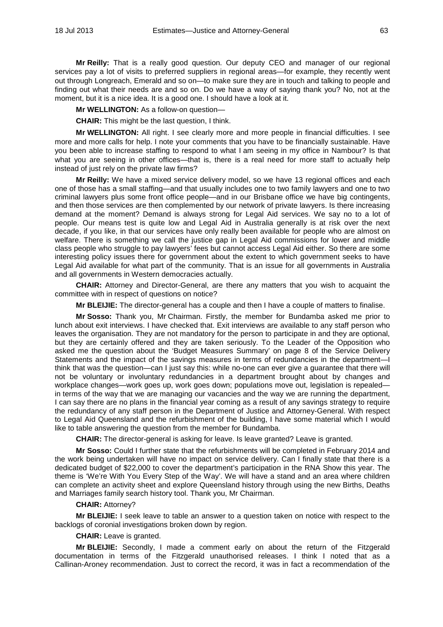**Mr Reilly:** That is a really good question. Our deputy CEO and manager of our regional services pay a lot of visits to preferred suppliers in regional areas—for example, they recently went out through Longreach, Emerald and so on—to make sure they are in touch and talking to people and finding out what their needs are and so on. Do we have a way of saying thank you? No, not at the moment, but it is a nice idea. It is a good one. I should have a look at it.

**Mr WELLINGTON:** As a follow-on question—

**CHAIR:** This might be the last question, I think.

**Mr WELLINGTON:** All right. I see clearly more and more people in financial difficulties. I see more and more calls for help. I note your comments that you have to be financially sustainable. Have you been able to increase staffing to respond to what I am seeing in my office in Nambour? Is that what you are seeing in other offices—that is, there is a real need for more staff to actually help instead of just rely on the private law firms?

**Mr Reilly:** We have a mixed service delivery model, so we have 13 regional offices and each one of those has a small staffing—and that usually includes one to two family lawyers and one to two criminal lawyers plus some front office people—and in our Brisbane office we have big contingents, and then those services are then complemented by our network of private lawyers. Is there increasing demand at the moment? Demand is always strong for Legal Aid services. We say no to a lot of people. Our means test is quite low and Legal Aid in Australia generally is at risk over the next decade, if you like, in that our services have only really been available for people who are almost on welfare. There is something we call the justice gap in Legal Aid commissions for lower and middle class people who struggle to pay lawyers' fees but cannot access Legal Aid either. So there are some interesting policy issues there for government about the extent to which government seeks to have Legal Aid available for what part of the community. That is an issue for all governments in Australia and all governments in Western democracies actually.

**CHAIR:** Attorney and Director-General, are there any matters that you wish to acquaint the committee with in respect of questions on notice?

**Mr BLEIJIE:** The director-general has a couple and then I have a couple of matters to finalise.

**Mr Sosso:** Thank you, Mr Chairman. Firstly, the member for Bundamba asked me prior to lunch about exit interviews. I have checked that. Exit interviews are available to any staff person who leaves the organisation. They are not mandatory for the person to participate in and they are optional, but they are certainly offered and they are taken seriously. To the Leader of the Opposition who asked me the question about the 'Budget Measures Summary' on page 8 of the Service Delivery Statements and the impact of the savings measures in terms of redundancies in the department—I think that was the question—can I just say this: while no-one can ever give a guarantee that there will not be voluntary or involuntary redundancies in a department brought about by changes and workplace changes—work goes up, work goes down; populations move out, legislation is repealed in terms of the way that we are managing our vacancies and the way we are running the department, I can say there are no plans in the financial year coming as a result of any savings strategy to require the redundancy of any staff person in the Department of Justice and Attorney-General. With respect to Legal Aid Queensland and the refurbishment of the building, I have some material which I would like to table answering the question from the member for Bundamba.

**CHAIR:** The director-general is asking for leave. Is leave granted? Leave is granted.

**Mr Sosso:** Could I further state that the refurbishments will be completed in February 2014 and the work being undertaken will have no impact on service delivery. Can I finally state that there is a dedicated budget of \$22,000 to cover the department's participation in the RNA Show this year. The theme is 'We're With You Every Step of the Way'. We will have a stand and an area where children can complete an activity sheet and explore Queensland history through using the new Births, Deaths and Marriages family search history tool. Thank you, Mr Chairman.

# **CHAIR:** Attorney?

**Mr BLEIJIE:** I seek leave to table an answer to a question taken on notice with respect to the backlogs of coronial investigations broken down by region.

# **CHAIR:** Leave is granted.

**Mr BLEIJIE:** Secondly, I made a comment early on about the return of the Fitzgerald documentation in terms of the Fitzgerald unauthorised releases. I think I noted that as a Callinan-Aroney recommendation. Just to correct the record, it was in fact a recommendation of the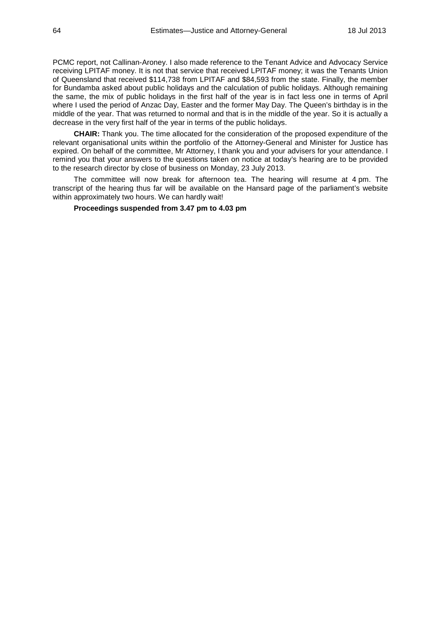PCMC report, not Callinan-Aroney. I also made reference to the Tenant Advice and Advocacy Service receiving LPITAF money. It is not that service that received LPITAF money; it was the Tenants Union of Queensland that received \$114,738 from LPITAF and \$84,593 from the state. Finally, the member for Bundamba asked about public holidays and the calculation of public holidays. Although remaining the same, the mix of public holidays in the first half of the year is in fact less one in terms of April where I used the period of Anzac Day, Easter and the former May Day. The Queen's birthday is in the middle of the year. That was returned to normal and that is in the middle of the year. So it is actually a decrease in the very first half of the year in terms of the public holidays.

**CHAIR:** Thank you. The time allocated for the consideration of the proposed expenditure of the relevant organisational units within the portfolio of the Attorney-General and Minister for Justice has expired. On behalf of the committee, Mr Attorney, I thank you and your advisers for your attendance. I remind you that your answers to the questions taken on notice at today's hearing are to be provided to the research director by close of business on Monday, 23 July 2013.

The committee will now break for afternoon tea. The hearing will resume at 4 pm. The transcript of the hearing thus far will be available on the Hansard page of the parliament's website within approximately two hours. We can hardly wait!

**Proceedings suspended from 3.47 pm to 4.03 pm**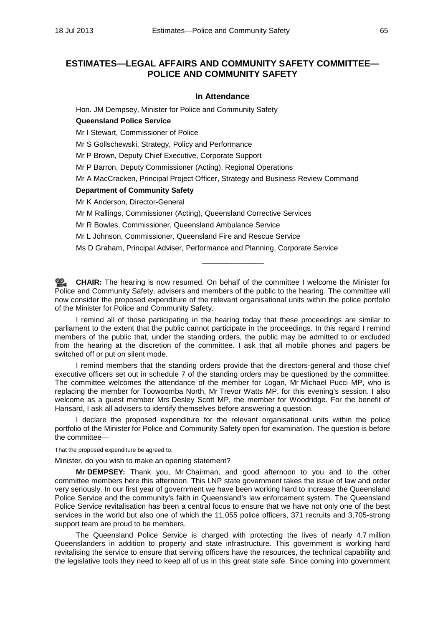# **ESTIMATES—LEGAL AFFAIRS AND COMMUNITY SAFETY COMMITTEE— POLICE AND COMMUNITY SAFETY**

# **In Attendance**

Hon. JM Dempsey, Minister for Police and Community Safety

# **Queensland Police Service**

Mr I Stewart, Commissioner of Police

Mr S Gollschewski, Strategy, Policy and Performance

Mr P Brown, Deputy Chief Executive, Corporate Support

Mr P Barron, Deputy Commissioner (Acting), Regional Operations

Mr A MacCracken, Principal Project Officer, Strategy and Business Review Command

## **Department of Community Safety**

Mr K Anderson, Director-General

Mr M Rallings, Commissioner (Acting), Queensland Corrective Services

Mr R Bowles, Commissioner, Queensland Ambulance Service

Mr L Johnson, Commissioner, Queensland Fire and Rescue Service

Ms D Graham, Principal Adviser, Performance and Planning, Corporate Service

**[CHAIR:](http://www.parliament.qld.gov.au/docs/find.aspx?id=0Mba20130718_160404)** The hearing is now resumed. On behalf of the committee I welcome the Minister for Police and Community Safety, advisers and members of the public to the hearing. The committee will now consider the proposed expenditure of the relevant organisational units within the police portfolio of the Minister for Police and Community Safety.

\_\_\_\_\_\_\_\_\_\_\_\_\_\_\_

I remind all of those participating in the hearing today that these proceedings are similar to parliament to the extent that the public cannot participate in the proceedings. In this regard I remind members of the public that, under the standing orders, the public may be admitted to or excluded from the hearing at the discretion of the committee. I ask that all mobile phones and pagers be switched off or put on silent mode.

I remind members that the standing orders provide that the directors-general and those chief executive officers set out in schedule 7 of the standing orders may be questioned by the committee. The committee welcomes the attendance of the member for Logan, Mr Michael Pucci MP, who is replacing the member for Toowoomba North, Mr Trevor Watts MP, for this evening's session. I also welcome as a guest member Mrs Desley Scott MP, the member for Woodridge. For the benefit of Hansard, I ask all advisers to identify themselves before answering a question.

I declare the proposed expenditure for the relevant organisational units within the police portfolio of the Minister for Police and Community Safety open for examination. The question is before the committee—

That the proposed expenditure be agreed to.

Minister, do you wish to make an opening statement?

**Mr DEMPSEY:** Thank you, Mr Chairman, and good afternoon to you and to the other committee members here this afternoon. This LNP state government takes the issue of law and order very seriously. In our first year of government we have been working hard to increase the Queensland Police Service and the community's faith in Queensland's law enforcement system. The Queensland Police Service revitalisation has been a central focus to ensure that we have not only one of the best services in the world but also one of which the 11,055 police officers, 371 recruits and 3,705-strong support team are proud to be members.

The Queensland Police Service is charged with protecting the lives of nearly 4.7 million Queenslanders in addition to property and state infrastructure. This government is working hard revitalising the service to ensure that serving officers have the resources, the technical capability and the legislative tools they need to keep all of us in this great state safe. Since coming into government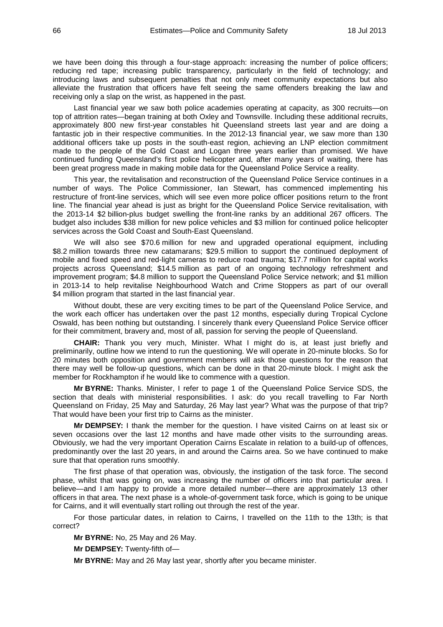we have been doing this through a four-stage approach: increasing the number of police officers; reducing red tape; increasing public transparency, particularly in the field of technology; and introducing laws and subsequent penalties that not only meet community expectations but also alleviate the frustration that officers have felt seeing the same offenders breaking the law and receiving only a slap on the wrist, as happened in the past.

Last financial year we saw both police academies operating at capacity, as 300 recruits—on top of attrition rates—began training at both Oxley and Townsville. Including these additional recruits, approximately 800 new first-year constables hit Queensland streets last year and are doing a fantastic job in their respective communities. In the 2012-13 financial year, we saw more than 130 additional officers take up posts in the south-east region, achieving an LNP election commitment made to the people of the Gold Coast and Logan three years earlier than promised. We have continued funding Queensland's first police helicopter and, after many years of waiting, there has been great progress made in making mobile data for the Queensland Police Service a reality.

This year, the revitalisation and reconstruction of the Queensland Police Service continues in a number of ways. The Police Commissioner, Ian Stewart, has commenced implementing his restructure of front-line services, which will see even more police officer positions return to the front line. The financial year ahead is just as bright for the Queensland Police Service revitalisation, with the 2013-14 \$2 billion-plus budget swelling the front-line ranks by an additional 267 officers. The budget also includes \$38 million for new police vehicles and \$3 million for continued police helicopter services across the Gold Coast and South-East Queensland.

We will also see \$70.6 million for new and upgraded operational equipment, including \$8.2 million towards three new catamarans; \$29.5 million to support the continued deployment of mobile and fixed speed and red-light cameras to reduce road trauma; \$17.7 million for capital works projects across Queensland; \$14.5 million as part of an ongoing technology refreshment and improvement program; \$4.8 million to support the Queensland Police Service network; and \$1 million in 2013-14 to help revitalise Neighbourhood Watch and Crime Stoppers as part of our overall \$4 million program that started in the last financial year.

Without doubt, these are very exciting times to be part of the Queensland Police Service, and the work each officer has undertaken over the past 12 months, especially during Tropical Cyclone Oswald, has been nothing but outstanding. I sincerely thank every Queensland Police Service officer for their commitment, bravery and, most of all, passion for serving the people of Queensland.

**CHAIR:** Thank you very much, Minister. What I might do is, at least just briefly and preliminarily, outline how we intend to run the questioning. We will operate in 20-minute blocks. So for 20 minutes both opposition and government members will ask those questions for the reason that there may well be follow-up questions, which can be done in that 20-minute block. I might ask the member for Rockhampton if he would like to commence with a question.

**Mr BYRNE:** Thanks. Minister, I refer to page 1 of the Queensland Police Service SDS, the section that deals with ministerial responsibilities. I ask: do you recall travelling to Far North Queensland on Friday, 25 May and Saturday, 26 May last year? What was the purpose of that trip? That would have been your first trip to Cairns as the minister.

**Mr DEMPSEY:** I thank the member for the question. I have visited Cairns on at least six or seven occasions over the last 12 months and have made other visits to the surrounding areas. Obviously, we had the very important Operation Cairns Escalate in relation to a build-up of offences, predominantly over the last 20 years, in and around the Cairns area. So we have continued to make sure that that operation runs smoothly.

The first phase of that operation was, obviously, the instigation of the task force. The second phase, whilst that was going on, was increasing the number of officers into that particular area. I believe—and I am happy to provide a more detailed number—there are approximately 13 other officers in that area. The next phase is a whole-of-government task force, which is going to be unique for Cairns, and it will eventually start rolling out through the rest of the year.

For those particular dates, in relation to Cairns, I travelled on the 11th to the 13th; is that correct?

**Mr BYRNE:** No, 25 May and 26 May.

**Mr DEMPSEY:** Twenty-fifth of—

**Mr BYRNE:** May and 26 May last year, shortly after you became minister.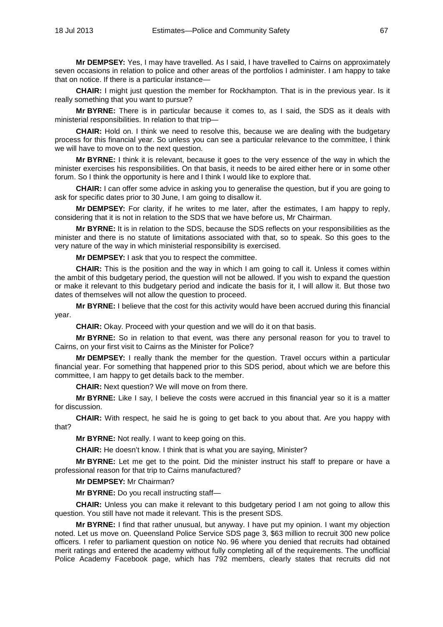**Mr DEMPSEY:** Yes, I may have travelled. As I said, I have travelled to Cairns on approximately seven occasions in relation to police and other areas of the portfolios I administer. I am happy to take that on notice. If there is a particular instance—

**CHAIR:** I might just question the member for Rockhampton. That is in the previous year. Is it really something that you want to pursue?

**Mr BYRNE:** There is in particular because it comes to, as I said, the SDS as it deals with ministerial responsibilities. In relation to that trip—

**CHAIR:** Hold on. I think we need to resolve this, because we are dealing with the budgetary process for this financial year. So unless you can see a particular relevance to the committee, I think we will have to move on to the next question.

**Mr BYRNE:** I think it is relevant, because it goes to the very essence of the way in which the minister exercises his responsibilities. On that basis, it needs to be aired either here or in some other forum. So I think the opportunity is here and I think I would like to explore that.

**CHAIR:** I can offer some advice in asking you to generalise the question, but if you are going to ask for specific dates prior to 30 June, I am going to disallow it.

**Mr DEMPSEY:** For clarity, if he writes to me later, after the estimates, I am happy to reply, considering that it is not in relation to the SDS that we have before us, Mr Chairman.

**Mr BYRNE:** It is in relation to the SDS, because the SDS reflects on your responsibilities as the minister and there is no statute of limitations associated with that, so to speak. So this goes to the very nature of the way in which ministerial responsibility is exercised.

**Mr DEMPSEY:** I ask that you to respect the committee.

**CHAIR:** This is the position and the way in which I am going to call it. Unless it comes within the ambit of this budgetary period, the question will not be allowed. If you wish to expand the question or make it relevant to this budgetary period and indicate the basis for it, I will allow it. But those two dates of themselves will not allow the question to proceed.

**Mr BYRNE:** I believe that the cost for this activity would have been accrued during this financial year.

**CHAIR:** Okay. Proceed with your question and we will do it on that basis.

**Mr BYRNE:** So in relation to that event, was there any personal reason for you to travel to Cairns, on your first visit to Cairns as the Minister for Police?

**Mr DEMPSEY:** I really thank the member for the question. Travel occurs within a particular financial year. For something that happened prior to this SDS period, about which we are before this committee, I am happy to get details back to the member.

**CHAIR:** Next question? We will move on from there.

**Mr BYRNE:** Like I say, I believe the costs were accrued in this financial year so it is a matter for discussion.

**CHAIR:** With respect, he said he is going to get back to you about that. Are you happy with that?

**Mr BYRNE:** Not really. I want to keep going on this.

**CHAIR:** He doesn't know. I think that is what you are saying, Minister?

**Mr BYRNE:** Let me get to the point. Did the minister instruct his staff to prepare or have a professional reason for that trip to Cairns manufactured?

**Mr DEMPSEY:** Mr Chairman?

**Mr BYRNE:** Do you recall instructing staff—

**CHAIR:** Unless you can make it relevant to this budgetary period I am not going to allow this question. You still have not made it relevant. This is the present SDS.

**Mr BYRNE:** I find that rather unusual, but anyway. I have put my opinion. I want my objection noted. Let us move on. Queensland Police Service SDS page 3, \$63 million to recruit 300 new police officers. I refer to parliament question on notice No. 96 where you denied that recruits had obtained merit ratings and entered the academy without fully completing all of the requirements. The unofficial Police Academy Facebook page, which has 792 members, clearly states that recruits did not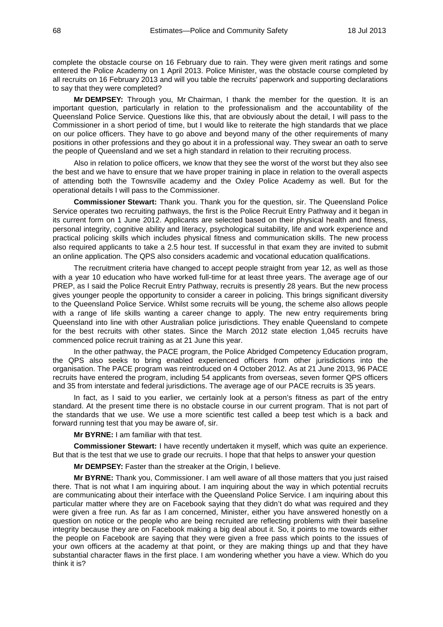complete the obstacle course on 16 February due to rain. They were given merit ratings and some entered the Police Academy on 1 April 2013. Police Minister, was the obstacle course completed by all recruits on 16 February 2013 and will you table the recruits' paperwork and supporting declarations to say that they were completed?

**Mr DEMPSEY:** Through you, Mr Chairman, I thank the member for the question. It is an important question, particularly in relation to the professionalism and the accountability of the Queensland Police Service. Questions like this, that are obviously about the detail, I will pass to the Commissioner in a short period of time, but I would like to reiterate the high standards that we place on our police officers. They have to go above and beyond many of the other requirements of many positions in other professions and they go about it in a professional way. They swear an oath to serve the people of Queensland and we set a high standard in relation to their recruiting process.

Also in relation to police officers, we know that they see the worst of the worst but they also see the best and we have to ensure that we have proper training in place in relation to the overall aspects of attending both the Townsville academy and the Oxley Police Academy as well. But for the operational details I will pass to the Commissioner.

**Commissioner Stewart:** Thank you. Thank you for the question, sir. The Queensland Police Service operates two recruiting pathways, the first is the Police Recruit Entry Pathway and it began in its current form on 1 June 2012. Applicants are selected based on their physical health and fitness, personal integrity, cognitive ability and literacy, psychological suitability, life and work experience and practical policing skills which includes physical fitness and communication skills. The new process also required applicants to take a 2.5 hour test. If successful in that exam they are invited to submit an online application. The QPS also considers academic and vocational education qualifications.

The recruitment criteria have changed to accept people straight from year 12, as well as those with a year 10 education who have worked full-time for at least three years. The average age of our PREP, as I said the Police Recruit Entry Pathway, recruits is presently 28 years. But the new process gives younger people the opportunity to consider a career in policing. This brings significant diversity to the Queensland Police Service. Whilst some recruits will be young, the scheme also allows people with a range of life skills wanting a career change to apply. The new entry requirements bring Queensland into line with other Australian police jurisdictions. They enable Queensland to compete for the best recruits with other states. Since the March 2012 state election 1,045 recruits have commenced police recruit training as at 21 June this year.

In the other pathway, the PACE program, the Police Abridged Competency Education program, the QPS also seeks to bring enabled experienced officers from other jurisdictions into the organisation. The PACE program was reintroduced on 4 October 2012. As at 21 June 2013, 96 PACE recruits have entered the program, including 54 applicants from overseas, seven former QPS officers and 35 from interstate and federal jurisdictions. The average age of our PACE recruits is 35 years.

In fact, as I said to you earlier, we certainly look at a person's fitness as part of the entry standard. At the present time there is no obstacle course in our current program. That is not part of the standards that we use. We use a more scientific test called a beep test which is a back and forward running test that you may be aware of, sir.

**Mr BYRNE:** I am familiar with that test.

**Commissioner Stewart:** I have recently undertaken it myself, which was quite an experience. But that is the test that we use to grade our recruits. I hope that that helps to answer your question

**Mr DEMPSEY:** Faster than the streaker at the Origin, I believe.

**Mr BYRNE:** Thank you, Commissioner. I am well aware of all those matters that you just raised there. That is not what I am inquiring about. I am inquiring about the way in which potential recruits are communicating about their interface with the Queensland Police Service. I am inquiring about this particular matter where they are on Facebook saying that they didn't do what was required and they were given a free run. As far as I am concerned, Minister, either you have answered honestly on a question on notice or the people who are being recruited are reflecting problems with their baseline integrity because they are on Facebook making a big deal about it. So, it points to me towards either the people on Facebook are saying that they were given a free pass which points to the issues of your own officers at the academy at that point, or they are making things up and that they have substantial character flaws in the first place. I am wondering whether you have a view. Which do you think it is?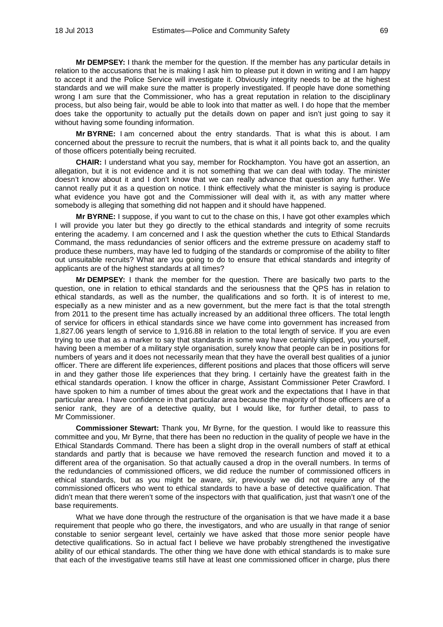**Mr DEMPSEY:** I thank the member for the question. If the member has any particular details in relation to the accusations that he is making I ask him to please put it down in writing and I am happy to accept it and the Police Service will investigate it. Obviously integrity needs to be at the highest standards and we will make sure the matter is properly investigated. If people have done something wrong I am sure that the Commissioner, who has a great reputation in relation to the disciplinary process, but also being fair, would be able to look into that matter as well. I do hope that the member does take the opportunity to actually put the details down on paper and isn't just going to say it without having some founding information.

**Mr BYRNE:** I am concerned about the entry standards. That is what this is about. I am concerned about the pressure to recruit the numbers, that is what it all points back to, and the quality of those officers potentially being recruited.

**CHAIR:** I understand what you say, member for Rockhampton. You have got an assertion, an allegation, but it is not evidence and it is not something that we can deal with today. The minister doesn't know about it and I don't know that we can really advance that question any further. We cannot really put it as a question on notice. I think effectively what the minister is saying is produce what evidence you have got and the Commissioner will deal with it, as with any matter where somebody is alleging that something did not happen and it should have happened.

**Mr BYRNE:** I suppose, if you want to cut to the chase on this, I have got other examples which I will provide you later but they go directly to the ethical standards and integrity of some recruits entering the academy. I am concerned and I ask the question whether the cuts to Ethical Standards Command, the mass redundancies of senior officers and the extreme pressure on academy staff to produce these numbers, may have led to fudging of the standards or compromise of the ability to filter out unsuitable recruits? What are you going to do to ensure that ethical standards and integrity of applicants are of the highest standards at all times?

**Mr DEMPSEY:** I thank the member for the question. There are basically two parts to the question, one in relation to ethical standards and the seriousness that the QPS has in relation to ethical standards, as well as the number, the qualifications and so forth. It is of interest to me, especially as a new minister and as a new government, but the mere fact is that the total strength from 2011 to the present time has actually increased by an additional three officers. The total length of service for officers in ethical standards since we have come into government has increased from 1,827.06 years length of service to 1,916.88 in relation to the total length of service. If you are even trying to use that as a marker to say that standards in some way have certainly slipped, you yourself, having been a member of a military style organisation, surely know that people can be in positions for numbers of years and it does not necessarily mean that they have the overall best qualities of a junior officer. There are different life experiences, different positions and places that those officers will serve in and they gather those life experiences that they bring. I certainly have the greatest faith in the ethical standards operation. I know the officer in charge, Assistant Commissioner Peter Crawford. I have spoken to him a number of times about the great work and the expectations that I have in that particular area. I have confidence in that particular area because the majority of those officers are of a senior rank, they are of a detective quality, but I would like, for further detail, to pass to Mr Commissioner.

**Commissioner Stewart:** Thank you, Mr Byrne, for the question. I would like to reassure this committee and you, Mr Byrne, that there has been no reduction in the quality of people we have in the Ethical Standards Command. There has been a slight drop in the overall numbers of staff at ethical standards and partly that is because we have removed the research function and moved it to a different area of the organisation. So that actually caused a drop in the overall numbers. In terms of the redundancies of commissioned officers, we did reduce the number of commissioned officers in ethical standards, but as you might be aware, sir, previously we did not require any of the commissioned officers who went to ethical standards to have a base of detective qualification. That didn't mean that there weren't some of the inspectors with that qualification, just that wasn't one of the base requirements.

What we have done through the restructure of the organisation is that we have made it a base requirement that people who go there, the investigators, and who are usually in that range of senior constable to senior sergeant level, certainly we have asked that those more senior people have detective qualifications. So in actual fact I believe we have probably strengthened the investigative ability of our ethical standards. The other thing we have done with ethical standards is to make sure that each of the investigative teams still have at least one commissioned officer in charge, plus there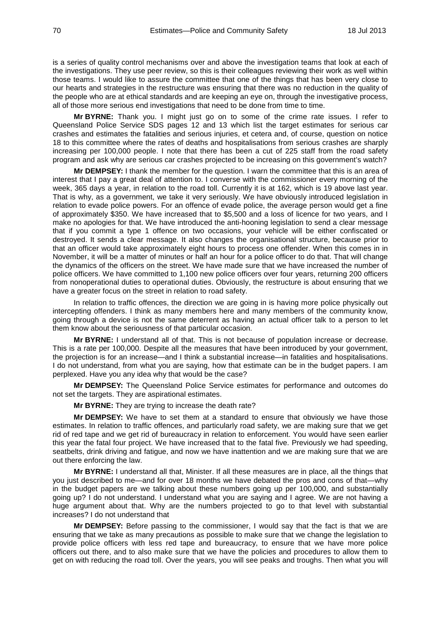is a series of quality control mechanisms over and above the investigation teams that look at each of the investigations. They use peer review, so this is their colleagues reviewing their work as well within those teams. I would like to assure the committee that one of the things that has been very close to our hearts and strategies in the restructure was ensuring that there was no reduction in the quality of the people who are at ethical standards and are keeping an eye on, through the investigative process, all of those more serious end investigations that need to be done from time to time.

**Mr BYRNE:** Thank you. I might just go on to some of the crime rate issues. I refer to Queensland Police Service SDS pages 12 and 13 which list the target estimates for serious car crashes and estimates the fatalities and serious injuries, et cetera and, of course, question on notice 18 to this committee where the rates of deaths and hospitalisations from serious crashes are sharply increasing per 100,000 people. I note that there has been a cut of 225 staff from the road safety program and ask why are serious car crashes projected to be increasing on this government's watch?

**Mr DEMPSEY:** I thank the member for the question. I warn the committee that this is an area of interest that I pay a great deal of attention to. I converse with the commissioner every morning of the week, 365 days a year, in relation to the road toll. Currently it is at 162, which is 19 above last year. That is why, as a government, we take it very seriously. We have obviously introduced legislation in relation to evade police powers. For an offence of evade police, the average person would get a fine of approximately \$350. We have increased that to \$5,500 and a loss of licence for two years, and I make no apologies for that. We have introduced the anti-hooning legislation to send a clear message that if you commit a type 1 offence on two occasions, your vehicle will be either confiscated or destroyed. It sends a clear message. It also changes the organisational structure, because prior to that an officer would take approximately eight hours to process one offender. When this comes in in November, it will be a matter of minutes or half an hour for a police officer to do that. That will change the dynamics of the officers on the street. We have made sure that we have increased the number of police officers. We have committed to 1,100 new police officers over four years, returning 200 officers from nonoperational duties to operational duties. Obviously, the restructure is about ensuring that we have a greater focus on the street in relation to road safety.

In relation to traffic offences, the direction we are going in is having more police physically out intercepting offenders. I think as many members here and many members of the community know, going through a device is not the same deterrent as having an actual officer talk to a person to let them know about the seriousness of that particular occasion.

**Mr BYRNE:** I understand all of that. This is not because of population increase or decrease. This is a rate per 100,000. Despite all the measures that have been introduced by your government, the projection is for an increase—and I think a substantial increase—in fatalities and hospitalisations. I do not understand, from what you are saying, how that estimate can be in the budget papers. I am perplexed. Have you any idea why that would be the case?

**Mr DEMPSEY:** The Queensland Police Service estimates for performance and outcomes do not set the targets. They are aspirational estimates.

**Mr BYRNE:** They are trying to increase the death rate?

**Mr DEMPSEY:** We have to set them at a standard to ensure that obviously we have those estimates. In relation to traffic offences, and particularly road safety, we are making sure that we get rid of red tape and we get rid of bureaucracy in relation to enforcement. You would have seen earlier this year the fatal four project. We have increased that to the fatal five. Previously we had speeding, seatbelts, drink driving and fatigue, and now we have inattention and we are making sure that we are out there enforcing the law.

**Mr BYRNE:** I understand all that, Minister. If all these measures are in place, all the things that you just described to me—and for over 18 months we have debated the pros and cons of that—why in the budget papers are we talking about these numbers going up per 100,000, and substantially going up? I do not understand. I understand what you are saying and I agree. We are not having a huge argument about that. Why are the numbers projected to go to that level with substantial increases? I do not understand that

**Mr DEMPSEY:** Before passing to the commissioner, I would say that the fact is that we are ensuring that we take as many precautions as possible to make sure that we change the legislation to provide police officers with less red tape and bureaucracy, to ensure that we have more police officers out there, and to also make sure that we have the policies and procedures to allow them to get on with reducing the road toll. Over the years, you will see peaks and troughs. Then what you will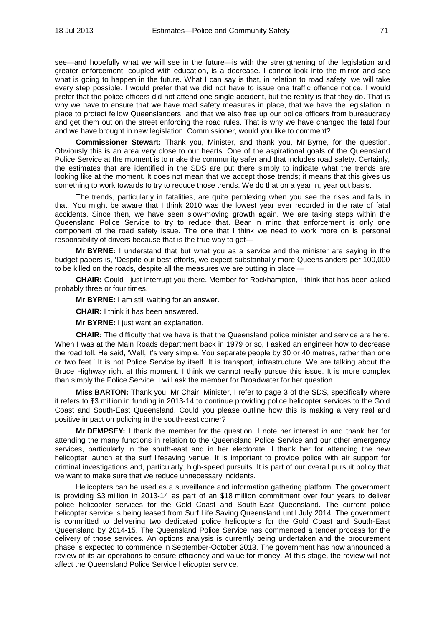see—and hopefully what we will see in the future—is with the strengthening of the legislation and greater enforcement, coupled with education, is a decrease. I cannot look into the mirror and see what is going to happen in the future. What I can say is that, in relation to road safety, we will take every step possible. I would prefer that we did not have to issue one traffic offence notice. I would prefer that the police officers did not attend one single accident, but the reality is that they do. That is why we have to ensure that we have road safety measures in place, that we have the legislation in place to protect fellow Queenslanders, and that we also free up our police officers from bureaucracy and get them out on the street enforcing the road rules. That is why we have changed the fatal four and we have brought in new legislation. Commissioner, would you like to comment?

**Commissioner Stewart:** Thank you, Minister, and thank you, Mr Byrne, for the question. Obviously this is an area very close to our hearts. One of the aspirational goals of the Queensland Police Service at the moment is to make the community safer and that includes road safety. Certainly, the estimates that are identified in the SDS are put there simply to indicate what the trends are looking like at the moment. It does not mean that we accept those trends; it means that this gives us something to work towards to try to reduce those trends. We do that on a year in, year out basis.

The trends, particularly in fatalities, are quite perplexing when you see the rises and falls in that. You might be aware that I think 2010 was the lowest year ever recorded in the rate of fatal accidents. Since then, we have seen slow-moving growth again. We are taking steps within the Queensland Police Service to try to reduce that. Bear in mind that enforcement is only one component of the road safety issue. The one that I think we need to work more on is personal responsibility of drivers because that is the true way to get—

**Mr BYRNE:** I understand that but what you as a service and the minister are saying in the budget papers is, 'Despite our best efforts, we expect substantially more Queenslanders per 100,000 to be killed on the roads, despite all the measures we are putting in place'—

**CHAIR:** Could I just interrupt you there. Member for Rockhampton, I think that has been asked probably three or four times.

**Mr BYRNE:** I am still waiting for an answer.

**CHAIR:** I think it has been answered.

**Mr BYRNE:** I just want an explanation.

**CHAIR:** The difficulty that we have is that the Queensland police minister and service are here. When I was at the Main Roads department back in 1979 or so, I asked an engineer how to decrease the road toll. He said, 'Well, it's very simple. You separate people by 30 or 40 metres, rather than one or two feet.' It is not Police Service by itself. It is transport, infrastructure. We are talking about the Bruce Highway right at this moment. I think we cannot really pursue this issue. It is more complex than simply the Police Service. I will ask the member for Broadwater for her question.

**Miss BARTON:** Thank you, Mr Chair. Minister, I refer to page 3 of the SDS, specifically where it refers to \$3 million in funding in 2013-14 to continue providing police helicopter services to the Gold Coast and South-East Queensland. Could you please outline how this is making a very real and positive impact on policing in the south-east corner?

**Mr DEMPSEY:** I thank the member for the question. I note her interest in and thank her for attending the many functions in relation to the Queensland Police Service and our other emergency services, particularly in the south-east and in her electorate. I thank her for attending the new helicopter launch at the surf lifesaving venue. It is important to provide police with air support for criminal investigations and, particularly, high-speed pursuits. It is part of our overall pursuit policy that we want to make sure that we reduce unnecessary incidents.

Helicopters can be used as a surveillance and information gathering platform. The government is providing \$3 million in 2013-14 as part of an \$18 million commitment over four years to deliver police helicopter services for the Gold Coast and South-East Queensland. The current police helicopter service is being leased from Surf Life Saving Queensland until July 2014. The government is committed to delivering two dedicated police helicopters for the Gold Coast and South-East Queensland by 2014-15. The Queensland Police Service has commenced a tender process for the delivery of those services. An options analysis is currently being undertaken and the procurement phase is expected to commence in September-October 2013. The government has now announced a review of its air operations to ensure efficiency and value for money. At this stage, the review will not affect the Queensland Police Service helicopter service.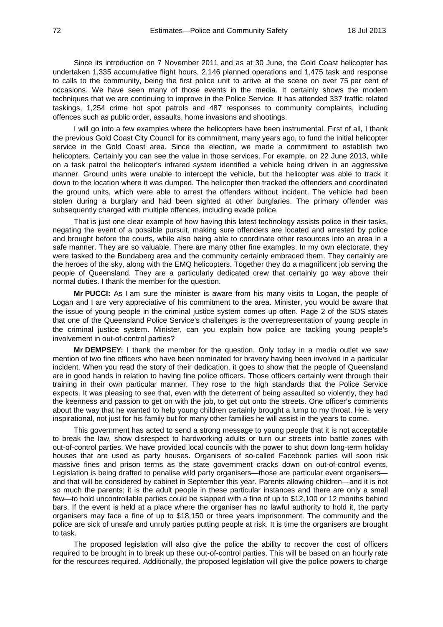Since its introduction on 7 November 2011 and as at 30 June, the Gold Coast helicopter has undertaken 1,335 accumulative flight hours, 2,146 planned operations and 1,475 task and response to calls to the community, being the first police unit to arrive at the scene on over 75 per cent of occasions. We have seen many of those events in the media. It certainly shows the modern techniques that we are continuing to improve in the Police Service. It has attended 337 traffic related taskings, 1,254 crime hot spot patrols and 487 responses to community complaints, including offences such as public order, assaults, home invasions and shootings.

I will go into a few examples where the helicopters have been instrumental. First of all, I thank the previous Gold Coast City Council for its commitment, many years ago, to fund the initial helicopter service in the Gold Coast area. Since the election, we made a commitment to establish two helicopters. Certainly you can see the value in those services. For example, on 22 June 2013, while on a task patrol the helicopter's infrared system identified a vehicle being driven in an aggressive manner. Ground units were unable to intercept the vehicle, but the helicopter was able to track it down to the location where it was dumped. The helicopter then tracked the offenders and coordinated the ground units, which were able to arrest the offenders without incident. The vehicle had been stolen during a burglary and had been sighted at other burglaries. The primary offender was subsequently charged with multiple offences, including evade police.

That is just one clear example of how having this latest technology assists police in their tasks, negating the event of a possible pursuit, making sure offenders are located and arrested by police and brought before the courts, while also being able to coordinate other resources into an area in a safe manner. They are so valuable. There are many other fine examples. In my own electorate, they were tasked to the Bundaberg area and the community certainly embraced them. They certainly are the heroes of the sky, along with the EMQ helicopters. Together they do a magnificent job serving the people of Queensland. They are a particularly dedicated crew that certainly go way above their normal duties. I thank the member for the question.

**Mr PUCCI:** As I am sure the minister is aware from his many visits to Logan, the people of Logan and I are very appreciative of his commitment to the area. Minister, you would be aware that the issue of young people in the criminal justice system comes up often. Page 2 of the SDS states that one of the Queensland Police Service's challenges is the overrepresentation of young people in the criminal justice system. Minister, can you explain how police are tackling young people's involvement in out-of-control parties?

**Mr DEMPSEY:** I thank the member for the question. Only today in a media outlet we saw mention of two fine officers who have been nominated for bravery having been involved in a particular incident. When you read the story of their dedication, it goes to show that the people of Queensland are in good hands in relation to having fine police officers. Those officers certainly went through their training in their own particular manner. They rose to the high standards that the Police Service expects. It was pleasing to see that, even with the deterrent of being assaulted so violently, they had the keenness and passion to get on with the job, to get out onto the streets. One officer's comments about the way that he wanted to help young children certainly brought a lump to my throat. He is very inspirational, not just for his family but for many other families he will assist in the years to come.

This government has acted to send a strong message to young people that it is not acceptable to break the law, show disrespect to hardworking adults or turn our streets into battle zones with out-of-control parties. We have provided local councils with the power to shut down long-term holiday houses that are used as party houses. Organisers of so-called Facebook parties will soon risk massive fines and prison terms as the state government cracks down on out-of-control events. Legislation is being drafted to penalise wild party organisers—those are particular event organisers and that will be considered by cabinet in September this year. Parents allowing children—and it is not so much the parents; it is the adult people in these particular instances and there are only a small few—to hold uncontrollable parties could be slapped with a fine of up to \$12,100 or 12 months behind bars. If the event is held at a place where the organiser has no lawful authority to hold it, the party organisers may face a fine of up to \$18,150 or three years imprisonment. The community and the police are sick of unsafe and unruly parties putting people at risk. It is time the organisers are brought to task.

The proposed legislation will also give the police the ability to recover the cost of officers required to be brought in to break up these out-of-control parties. This will be based on an hourly rate for the resources required. Additionally, the proposed legislation will give the police powers to charge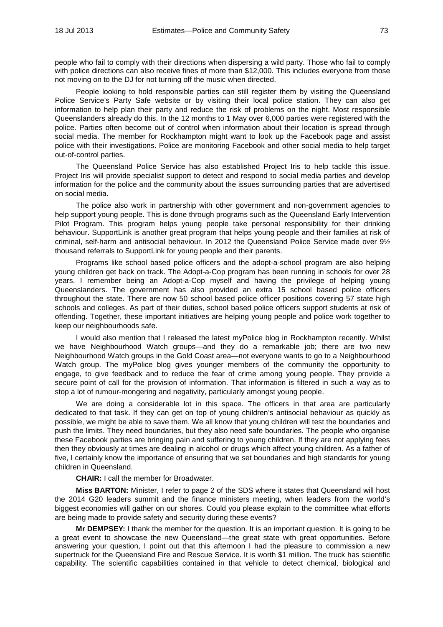people who fail to comply with their directions when dispersing a wild party. Those who fail to comply with police directions can also receive fines of more than \$12,000. This includes everyone from those not moving on to the DJ for not turning off the music when directed.

People looking to hold responsible parties can still register them by visiting the Queensland Police Service's Party Safe website or by visiting their local police station. They can also get information to help plan their party and reduce the risk of problems on the night. Most responsible Queenslanders already do this. In the 12 months to 1 May over 6,000 parties were registered with the police. Parties often become out of control when information about their location is spread through social media. The member for Rockhampton might want to look up the Facebook page and assist police with their investigations. Police are monitoring Facebook and other social media to help target out-of-control parties.

The Queensland Police Service has also established Project Iris to help tackle this issue. Project Iris will provide specialist support to detect and respond to social media parties and develop information for the police and the community about the issues surrounding parties that are advertised on social media.

The police also work in partnership with other government and non-government agencies to help support young people. This is done through programs such as the Queensland Early Intervention Pilot Program. This program helps young people take personal responsibility for their drinking behaviour. SupportLink is another great program that helps young people and their families at risk of criminal, self-harm and antisocial behaviour. In 2012 the Queensland Police Service made over 9½ thousand referrals to SupportLink for young people and their parents.

Programs like school based police officers and the adopt-a-school program are also helping young children get back on track. The Adopt-a-Cop program has been running in schools for over 28 years. I remember being an Adopt-a-Cop myself and having the privilege of helping young Queenslanders. The government has also provided an extra 15 school based police officers throughout the state. There are now 50 school based police officer positions covering 57 state high schools and colleges. As part of their duties, school based police officers support students at risk of offending. Together, these important initiatives are helping young people and police work together to keep our neighbourhoods safe.

I would also mention that I released the latest myPolice blog in Rockhampton recently. Whilst we have Neighbourhood Watch groups—and they do a remarkable job; there are two new Neighbourhood Watch groups in the Gold Coast area—not everyone wants to go to a Neighbourhood Watch group. The myPolice blog gives younger members of the community the opportunity to engage, to give feedback and to reduce the fear of crime among young people. They provide a secure point of call for the provision of information. That information is filtered in such a way as to stop a lot of rumour-mongering and negativity, particularly amongst young people.

We are doing a considerable lot in this space. The officers in that area are particularly dedicated to that task. If they can get on top of young children's antisocial behaviour as quickly as possible, we might be able to save them. We all know that young children will test the boundaries and push the limits. They need boundaries, but they also need safe boundaries. The people who organise these Facebook parties are bringing pain and suffering to young children. If they are not applying fees then they obviously at times are dealing in alcohol or drugs which affect young children. As a father of five, I certainly know the importance of ensuring that we set boundaries and high standards for young children in Queensland.

**CHAIR:** I call the member for Broadwater.

**Miss BARTON:** Minister, I refer to page 2 of the SDS where it states that Queensland will host the 2014 G20 leaders summit and the finance ministers meeting, when leaders from the world's biggest economies will gather on our shores. Could you please explain to the committee what efforts are being made to provide safety and security during these events?

**Mr DEMPSEY:** I thank the member for the question. It is an important question. It is going to be a great event to showcase the new Queensland—the great state with great opportunities. Before answering your question, I point out that this afternoon I had the pleasure to commission a new supertruck for the Queensland Fire and Rescue Service. It is worth \$1 million. The truck has scientific capability. The scientific capabilities contained in that vehicle to detect chemical, biological and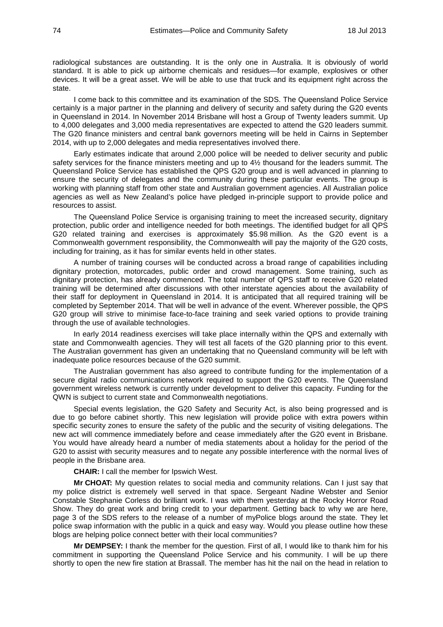radiological substances are outstanding. It is the only one in Australia. It is obviously of world standard. It is able to pick up airborne chemicals and residues—for example, explosives or other devices. It will be a great asset. We will be able to use that truck and its equipment right across the state.

I come back to this committee and its examination of the SDS. The Queensland Police Service certainly is a major partner in the planning and delivery of security and safety during the G20 events in Queensland in 2014. In November 2014 Brisbane will host a Group of Twenty leaders summit. Up to 4,000 delegates and 3,000 media representatives are expected to attend the G20 leaders summit. The G20 finance ministers and central bank governors meeting will be held in Cairns in September 2014, with up to 2,000 delegates and media representatives involved there.

Early estimates indicate that around 2,000 police will be needed to deliver security and public safety services for the finance ministers meeting and up to  $4\frac{1}{2}$  thousand for the leaders summit. The Queensland Police Service has established the QPS G20 group and is well advanced in planning to ensure the security of delegates and the community during these particular events. The group is working with planning staff from other state and Australian government agencies. All Australian police agencies as well as New Zealand's police have pledged in-principle support to provide police and resources to assist.

The Queensland Police Service is organising training to meet the increased security, dignitary protection, public order and intelligence needed for both meetings. The identified budget for all QPS G20 related training and exercises is approximately \$5.98 million. As the G20 event is a Commonwealth government responsibility, the Commonwealth will pay the majority of the G20 costs, including for training, as it has for similar events held in other states.

A number of training courses will be conducted across a broad range of capabilities including dignitary protection, motorcades, public order and crowd management. Some training, such as dignitary protection, has already commenced. The total number of QPS staff to receive G20 related training will be determined after discussions with other interstate agencies about the availability of their staff for deployment in Queensland in 2014. It is anticipated that all required training will be completed by September 2014. That will be well in advance of the event. Wherever possible, the QPS G20 group will strive to minimise face-to-face training and seek varied options to provide training through the use of available technologies.

In early 2014 readiness exercises will take place internally within the QPS and externally with state and Commonwealth agencies. They will test all facets of the G20 planning prior to this event. The Australian government has given an undertaking that no Queensland community will be left with inadequate police resources because of the G20 summit.

The Australian government has also agreed to contribute funding for the implementation of a secure digital radio communications network required to support the G20 events. The Queensland government wireless network is currently under development to deliver this capacity. Funding for the QWN is subject to current state and Commonwealth negotiations.

Special events legislation, the G20 Safety and Security Act, is also being progressed and is due to go before cabinet shortly. This new legislation will provide police with extra powers within specific security zones to ensure the safety of the public and the security of visiting delegations. The new act will commence immediately before and cease immediately after the G20 event in Brisbane. You would have already heard a number of media statements about a holiday for the period of the G20 to assist with security measures and to negate any possible interference with the normal lives of people in the Brisbane area.

**CHAIR:** I call the member for Ipswich West.

**Mr CHOAT:** My question relates to social media and community relations. Can I just say that my police district is extremely well served in that space. Sergeant Nadine Webster and Senior Constable Stephanie Corless do brilliant work. I was with them yesterday at the Rocky Horror Road Show. They do great work and bring credit to your department. Getting back to why we are here, page 3 of the SDS refers to the release of a number of myPolice blogs around the state. They let police swap information with the public in a quick and easy way. Would you please outline how these blogs are helping police connect better with their local communities?

**Mr DEMPSEY:** I thank the member for the question. First of all, I would like to thank him for his commitment in supporting the Queensland Police Service and his community. I will be up there shortly to open the new fire station at Brassall. The member has hit the nail on the head in relation to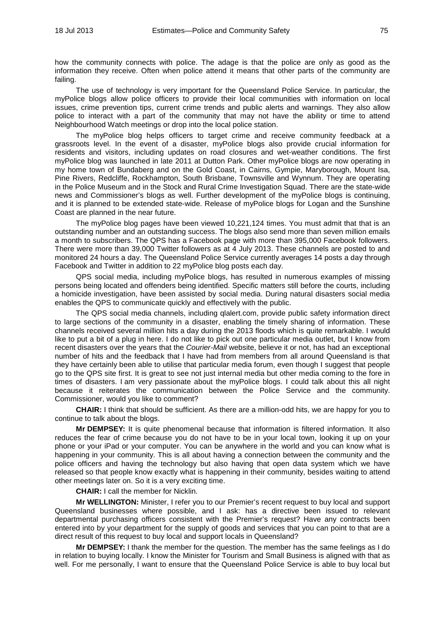how the community connects with police. The adage is that the police are only as good as the information they receive. Often when police attend it means that other parts of the community are failing.

The use of technology is very important for the Queensland Police Service. In particular, the myPolice blogs allow police officers to provide their local communities with information on local issues, crime prevention tips, current crime trends and public alerts and warnings. They also allow police to interact with a part of the community that may not have the ability or time to attend Neighbourhood Watch meetings or drop into the local police station.

The myPolice blog helps officers to target crime and receive community feedback at a grassroots level. In the event of a disaster, myPolice blogs also provide crucial information for residents and visitors, including updates on road closures and wet-weather conditions. The first myPolice blog was launched in late 2011 at Dutton Park. Other myPolice blogs are now operating in my home town of Bundaberg and on the Gold Coast, in Cairns, Gympie, Maryborough, Mount Isa, Pine Rivers, Redcliffe, Rockhampton, South Brisbane, Townsville and Wynnum. They are operating in the Police Museum and in the Stock and Rural Crime Investigation Squad. There are the state-wide news and Commissioner's blogs as well. Further development of the myPolice blogs is continuing, and it is planned to be extended state-wide. Release of myPolice blogs for Logan and the Sunshine Coast are planned in the near future.

The myPolice blog pages have been viewed 10,221,124 times. You must admit that that is an outstanding number and an outstanding success. The blogs also send more than seven million emails a month to subscribers. The QPS has a Facebook page with more than 395,000 Facebook followers. There were more than 39,000 Twitter followers as at 4 July 2013. These channels are posted to and monitored 24 hours a day. The Queensland Police Service currently averages 14 posts a day through Facebook and Twitter in addition to 22 myPolice blog posts each day.

QPS social media, including myPolice blogs, has resulted in numerous examples of missing persons being located and offenders being identified. Specific matters still before the courts, including a homicide investigation, have been assisted by social media. During natural disasters social media enables the QPS to communicate quickly and effectively with the public.

The QPS social media channels, including qlalert.com, provide public safety information direct to large sections of the community in a disaster, enabling the timely sharing of information. These channels received several million hits a day during the 2013 floods which is quite remarkable. I would like to put a bit of a plug in here. I do not like to pick out one particular media outlet, but I know from recent disasters over the years that the *Courier-Mail* website, believe it or not, has had an exceptional number of hits and the feedback that I have had from members from all around Queensland is that they have certainly been able to utilise that particular media forum, even though I suggest that people go to the QPS site first. It is great to see not just internal media but other media coming to the fore in times of disasters. I am very passionate about the myPolice blogs. I could talk about this all night because it reiterates the communication between the Police Service and the community. Commissioner, would you like to comment?

**CHAIR:** I think that should be sufficient. As there are a million-odd hits, we are happy for you to continue to talk about the blogs.

**Mr DEMPSEY:** It is quite phenomenal because that information is filtered information. It also reduces the fear of crime because you do not have to be in your local town, looking it up on your phone or your iPad or your computer. You can be anywhere in the world and you can know what is happening in your community. This is all about having a connection between the community and the police officers and having the technology but also having that open data system which we have released so that people know exactly what is happening in their community, besides waiting to attend other meetings later on. So it is a very exciting time.

**CHAIR:** I call the member for Nicklin.

**Mr WELLINGTON:** Minister, I refer you to our Premier's recent request to buy local and support Queensland businesses where possible, and I ask: has a directive been issued to relevant departmental purchasing officers consistent with the Premier's request? Have any contracts been entered into by your department for the supply of goods and services that you can point to that are a direct result of this request to buy local and support locals in Queensland?

**Mr DEMPSEY:** I thank the member for the question. The member has the same feelings as I do in relation to buying locally. I know the Minister for Tourism and Small Business is aligned with that as well. For me personally, I want to ensure that the Queensland Police Service is able to buy local but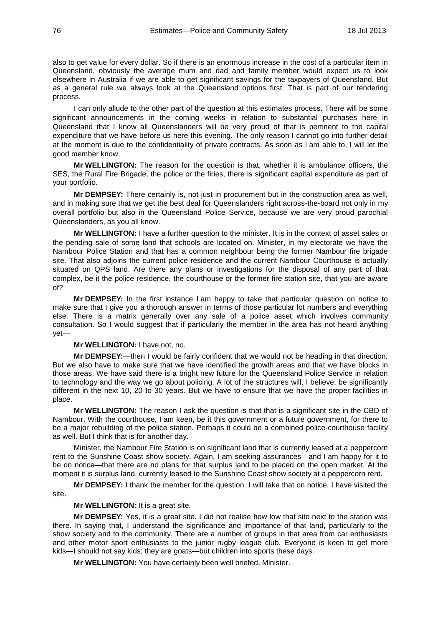also to get value for every dollar. So if there is an enormous increase in the cost of a particular item in Queensland, obviously the average mum and dad and family member would expect us to look elsewhere in Australia if we are able to get significant savings for the taxpayers of Queensland. But as a general rule we always look at the Queensland options first. That is part of our tendering process.

I can only allude to the other part of the question at this estimates process. There will be some significant announcements in the coming weeks in relation to substantial purchases here in Queensland that I know all Queenslanders will be very proud of that is pertinent to the capital expenditure that we have before us here this evening. The only reason I cannot go into further detail at the moment is due to the confidentiality of private contracts. As soon as I am able to, I will let the good member know.

**Mr WELLINGTON:** The reason for the question is that, whether it is ambulance officers, the SES, the Rural Fire Brigade, the police or the firies, there is significant capital expenditure as part of your portfolio.

**Mr DEMPSEY:** There certainly is, not just in procurement but in the construction area as well, and in making sure that we get the best deal for Queenslanders right across-the-board not only in my overall portfolio but also in the Queensland Police Service, because we are very proud parochial Queenslanders, as you all know.

**Mr WELLINGTON:** I have a further question to the minister. It is in the context of asset sales or the pending sale of some land that schools are located on. Minister, in my electorate we have the Nambour Police Station and that has a common neighbour being the former Nambour fire brigade site. That also adjoins the current police residence and the current Nambour Courthouse is actually situated on QPS land. Are there any plans or investigations for the disposal of any part of that complex, be it the police residence, the courthouse or the former fire station site, that you are aware of?

**Mr DEMPSEY:** In the first instance I am happy to take that particular question on notice to make sure that I give you a thorough answer in terms of those particular lot numbers and everything else. There is a matrix generally over any sale of a police asset which involves community consultation. So I would suggest that if particularly the member in the area has not heard anything yet—

#### **Mr WELLINGTON:** I have not, no.

**Mr DEMPSEY:**—then I would be fairly confident that we would not be heading in that direction. But we also have to make sure that we have identified the growth areas and that we have blocks in those areas. We have said there is a bright new future for the Queensland Police Service in relation to technology and the way we go about policing. A lot of the structures will, I believe, be significantly different in the next 10, 20 to 30 years. But we have to ensure that we have the proper facilities in place.

**Mr WELLINGTON:** The reason I ask the question is that that is a significant site in the CBD of Nambour. With the courthouse, I am keen, be it this government or a future government, for there to be a major rebuilding of the police station. Perhaps it could be a combined police-courthouse facility as well. But I think that is for another day.

Minister, the Nambour Fire Station is on significant land that is currently leased at a peppercorn rent to the Sunshine Coast show society. Again, I am seeking assurances—and I am happy for it to be on notice—that there are no plans for that surplus land to be placed on the open market. At the moment it is surplus land, currently leased to the Sunshine Coast show society at a peppercorn rent.

**Mr DEMPSEY:** I thank the member for the question. I will take that on notice. I have visited the site.

**Mr WELLINGTON:** It is a great site.

**Mr DEMPSEY:** Yes, it is a great site. I did not realise how low that site next to the station was there. In saying that, I understand the significance and importance of that land, particularly to the show society and to the community. There are a number of groups in that area from car enthusiasts and other motor sport enthusiasts to the junior rugby league club. Everyone is keen to get more kids—I should not say kids; they are goats—but children into sports these days.

**Mr WELLINGTON:** You have certainly been well briefed, Minister.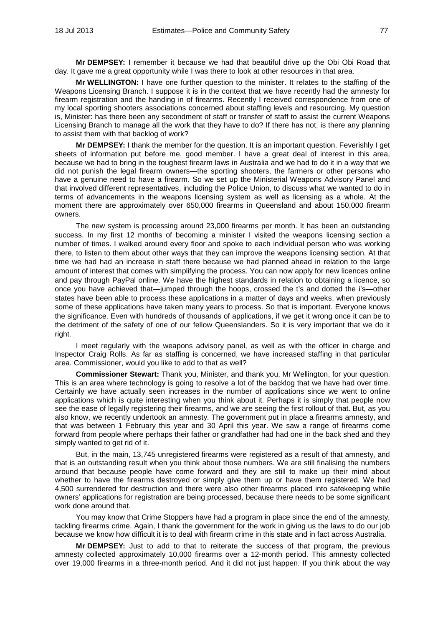**Mr DEMPSEY:** I remember it because we had that beautiful drive up the Obi Obi Road that day. It gave me a great opportunity while I was there to look at other resources in that area.

**Mr WELLINGTON:** I have one further question to the minister. It relates to the staffing of the Weapons Licensing Branch. I suppose it is in the context that we have recently had the amnesty for firearm registration and the handing in of firearms. Recently I received correspondence from one of my local sporting shooters associations concerned about staffing levels and resourcing. My question is, Minister: has there been any secondment of staff or transfer of staff to assist the current Weapons Licensing Branch to manage all the work that they have to do? If there has not, is there any planning to assist them with that backlog of work?

**Mr DEMPSEY:** I thank the member for the question. It is an important question. Feverishly I get sheets of information put before me, good member. I have a great deal of interest in this area, because we had to bring in the toughest firearm laws in Australia and we had to do it in a way that we did not punish the legal firearm owners—the sporting shooters, the farmers or other persons who have a genuine need to have a firearm. So we set up the Ministerial Weapons Advisory Panel and that involved different representatives, including the Police Union, to discuss what we wanted to do in terms of advancements in the weapons licensing system as well as licensing as a whole. At the moment there are approximately over 650,000 firearms in Queensland and about 150,000 firearm owners.

The new system is processing around 23,000 firearms per month. It has been an outstanding success. In my first 12 months of becoming a minister I visited the weapons licensing section a number of times. I walked around every floor and spoke to each individual person who was working there, to listen to them about other ways that they can improve the weapons licensing section. At that time we had had an increase in staff there because we had planned ahead in relation to the large amount of interest that comes with simplifying the process. You can now apply for new licences online and pay through PayPal online. We have the highest standards in relation to obtaining a licence, so once you have achieved that—jumped through the hoops, crossed the t's and dotted the i's—other states have been able to process these applications in a matter of days and weeks, when previously some of these applications have taken many years to process. So that is important. Everyone knows the significance. Even with hundreds of thousands of applications, if we get it wrong once it can be to the detriment of the safety of one of our fellow Queenslanders. So it is very important that we do it right.

I meet regularly with the weapons advisory panel, as well as with the officer in charge and Inspector Craig Rolls. As far as staffing is concerned, we have increased staffing in that particular area. Commissioner, would you like to add to that as well?

**Commissioner Stewart:** Thank you, Minister, and thank you, Mr Wellington, for your question. This is an area where technology is going to resolve a lot of the backlog that we have had over time. Certainly we have actually seen increases in the number of applications since we went to online applications which is quite interesting when you think about it. Perhaps it is simply that people now see the ease of legally registering their firearms, and we are seeing the first rollout of that. But, as you also know, we recently undertook an amnesty. The government put in place a firearms amnesty, and that was between 1 February this year and 30 April this year. We saw a range of firearms come forward from people where perhaps their father or grandfather had had one in the back shed and they simply wanted to get rid of it.

But, in the main, 13,745 unregistered firearms were registered as a result of that amnesty, and that is an outstanding result when you think about those numbers. We are still finalising the numbers around that because people have come forward and they are still to make up their mind about whether to have the firearms destroyed or simply give them up or have them registered. We had 4,500 surrendered for destruction and there were also other firearms placed into safekeeping while owners' applications for registration are being processed, because there needs to be some significant work done around that.

You may know that Crime Stoppers have had a program in place since the end of the amnesty, tackling firearms crime. Again, I thank the government for the work in giving us the laws to do our job because we know how difficult it is to deal with firearm crime in this state and in fact across Australia.

**Mr DEMPSEY:** Just to add to that to reiterate the success of that program, the previous amnesty collected approximately 10,000 firearms over a 12-month period. This amnesty collected over 19,000 firearms in a three-month period. And it did not just happen. If you think about the way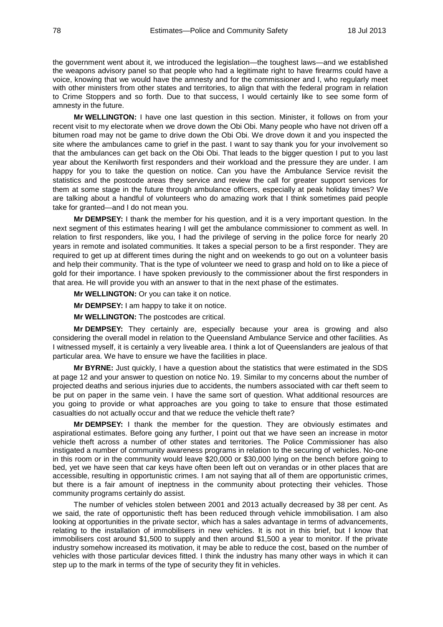the government went about it, we introduced the legislation—the toughest laws—and we established the weapons advisory panel so that people who had a legitimate right to have firearms could have a voice, knowing that we would have the amnesty and for the commissioner and I, who regularly meet with other ministers from other states and territories, to align that with the federal program in relation to Crime Stoppers and so forth. Due to that success, I would certainly like to see some form of amnesty in the future.

**Mr WELLINGTON:** I have one last question in this section. Minister, it follows on from your recent visit to my electorate when we drove down the Obi Obi. Many people who have not driven off a bitumen road may not be game to drive down the Obi Obi. We drove down it and you inspected the site where the ambulances came to grief in the past. I want to say thank you for your involvement so that the ambulances can get back on the Obi Obi. That leads to the bigger question I put to you last year about the Kenilworth first responders and their workload and the pressure they are under. I am happy for you to take the question on notice. Can you have the Ambulance Service revisit the statistics and the postcode areas they service and review the call for greater support services for them at some stage in the future through ambulance officers, especially at peak holiday times? We are talking about a handful of volunteers who do amazing work that I think sometimes paid people take for granted—and I do not mean you.

**Mr DEMPSEY:** I thank the member for his question, and it is a very important question. In the next segment of this estimates hearing I will get the ambulance commissioner to comment as well. In relation to first responders, like you, I had the privilege of serving in the police force for nearly 20 years in remote and isolated communities. It takes a special person to be a first responder. They are required to get up at different times during the night and on weekends to go out on a volunteer basis and help their community. That is the type of volunteer we need to grasp and hold on to like a piece of gold for their importance. I have spoken previously to the commissioner about the first responders in that area. He will provide you with an answer to that in the next phase of the estimates.

**Mr WELLINGTON:** Or you can take it on notice.

**Mr DEMPSEY:** I am happy to take it on notice.

**Mr WELLINGTON:** The postcodes are critical.

**Mr DEMPSEY:** They certainly are, especially because your area is growing and also considering the overall model in relation to the Queensland Ambulance Service and other facilities. As I witnessed myself, it is certainly a very liveable area. I think a lot of Queenslanders are jealous of that particular area. We have to ensure we have the facilities in place.

**Mr BYRNE:** Just quickly, I have a question about the statistics that were estimated in the SDS at page 12 and your answer to question on notice No. 19. Similar to my concerns about the number of projected deaths and serious injuries due to accidents, the numbers associated with car theft seem to be put on paper in the same vein. I have the same sort of question. What additional resources are you going to provide or what approaches are you going to take to ensure that those estimated casualties do not actually occur and that we reduce the vehicle theft rate?

**Mr DEMPSEY:** I thank the member for the question. They are obviously estimates and aspirational estimates. Before going any further, I point out that we have seen an increase in motor vehicle theft across a number of other states and territories. The Police Commissioner has also instigated a number of community awareness programs in relation to the securing of vehicles. No-one in this room or in the community would leave \$20,000 or \$30,000 lying on the bench before going to bed, yet we have seen that car keys have often been left out on verandas or in other places that are accessible, resulting in opportunistic crimes. I am not saying that all of them are opportunistic crimes, but there is a fair amount of ineptness in the community about protecting their vehicles. Those community programs certainly do assist.

The number of vehicles stolen between 2001 and 2013 actually decreased by 38 per cent. As we said, the rate of opportunistic theft has been reduced through vehicle immobilisation. I am also looking at opportunities in the private sector, which has a sales advantage in terms of advancements, relating to the installation of immobilisers in new vehicles. It is not in this brief, but I know that immobilisers cost around \$1,500 to supply and then around \$1,500 a year to monitor. If the private industry somehow increased its motivation, it may be able to reduce the cost, based on the number of vehicles with those particular devices fitted. I think the industry has many other ways in which it can step up to the mark in terms of the type of security they fit in vehicles.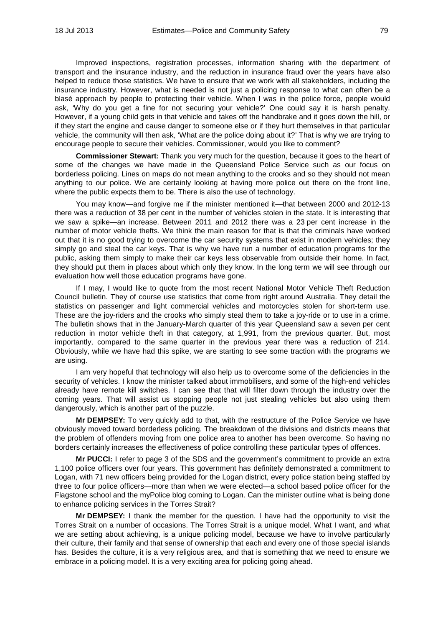Improved inspections, registration processes, information sharing with the department of transport and the insurance industry, and the reduction in insurance fraud over the years have also helped to reduce those statistics. We have to ensure that we work with all stakeholders, including the insurance industry. However, what is needed is not just a policing response to what can often be a blasé approach by people to protecting their vehicle. When I was in the police force, people would ask, 'Why do you get a fine for not securing your vehicle?' One could say it is harsh penalty. However, if a young child gets in that vehicle and takes off the handbrake and it goes down the hill, or if they start the engine and cause danger to someone else or if they hurt themselves in that particular vehicle, the community will then ask, 'What are the police doing about it?' That is why we are trying to encourage people to secure their vehicles. Commissioner, would you like to comment?

**Commissioner Stewart:** Thank you very much for the question, because it goes to the heart of some of the changes we have made in the Queensland Police Service such as our focus on borderless policing. Lines on maps do not mean anything to the crooks and so they should not mean anything to our police. We are certainly looking at having more police out there on the front line, where the public expects them to be. There is also the use of technology.

You may know—and forgive me if the minister mentioned it—that between 2000 and 2012-13 there was a reduction of 38 per cent in the number of vehicles stolen in the state. It is interesting that we saw a spike—an increase. Between 2011 and 2012 there was a 23 per cent increase in the number of motor vehicle thefts. We think the main reason for that is that the criminals have worked out that it is no good trying to overcome the car security systems that exist in modern vehicles; they simply go and steal the car keys. That is why we have run a number of education programs for the public, asking them simply to make their car keys less observable from outside their home. In fact, they should put them in places about which only they know. In the long term we will see through our evaluation how well those education programs have gone.

If I may, I would like to quote from the most recent National Motor Vehicle Theft Reduction Council bulletin. They of course use statistics that come from right around Australia. They detail the statistics on passenger and light commercial vehicles and motorcycles stolen for short-term use. These are the joy-riders and the crooks who simply steal them to take a joy-ride or to use in a crime. The bulletin shows that in the January-March quarter of this year Queensland saw a seven per cent reduction in motor vehicle theft in that category, at 1,991, from the previous quarter. But, most importantly, compared to the same quarter in the previous year there was a reduction of 214. Obviously, while we have had this spike, we are starting to see some traction with the programs we are using.

I am very hopeful that technology will also help us to overcome some of the deficiencies in the security of vehicles. I know the minister talked about immobilisers, and some of the high-end vehicles already have remote kill switches. I can see that that will filter down through the industry over the coming years. That will assist us stopping people not just stealing vehicles but also using them dangerously, which is another part of the puzzle.

**Mr DEMPSEY:** To very quickly add to that, with the restructure of the Police Service we have obviously moved toward borderless policing. The breakdown of the divisions and districts means that the problem of offenders moving from one police area to another has been overcome. So having no borders certainly increases the effectiveness of police controlling these particular types of offences.

**Mr PUCCI:** I refer to page 3 of the SDS and the government's commitment to provide an extra 1,100 police officers over four years. This government has definitely demonstrated a commitment to Logan, with 71 new officers being provided for the Logan district, every police station being staffed by three to four police officers—more than when we were elected—a school based police officer for the Flagstone school and the myPolice blog coming to Logan. Can the minister outline what is being done to enhance policing services in the Torres Strait?

**Mr DEMPSEY:** I thank the member for the question. I have had the opportunity to visit the Torres Strait on a number of occasions. The Torres Strait is a unique model. What I want, and what we are setting about achieving, is a unique policing model, because we have to involve particularly their culture, their family and that sense of ownership that each and every one of those special islands has. Besides the culture, it is a very religious area, and that is something that we need to ensure we embrace in a policing model. It is a very exciting area for policing going ahead.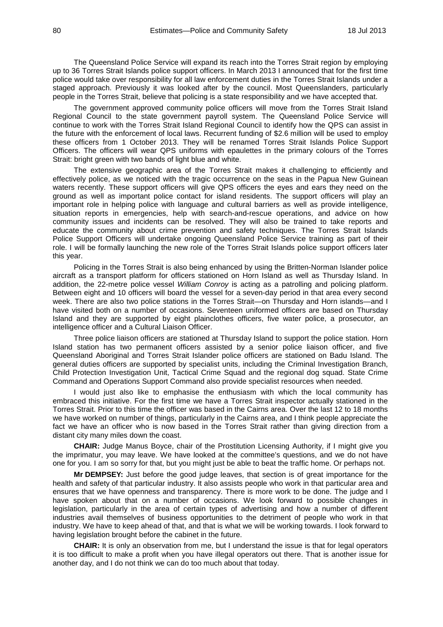The Queensland Police Service will expand its reach into the Torres Strait region by employing up to 36 Torres Strait Islands police support officers. In March 2013 I announced that for the first time police would take over responsibility for all law enforcement duties in the Torres Strait Islands under a staged approach. Previously it was looked after by the council. Most Queenslanders, particularly people in the Torres Strait, believe that policing is a state responsibility and we have accepted that.

The government approved community police officers will move from the Torres Strait Island Regional Council to the state government payroll system. The Queensland Police Service will continue to work with the Torres Strait Island Regional Council to identify how the QPS can assist in the future with the enforcement of local laws. Recurrent funding of \$2.6 million will be used to employ these officers from 1 October 2013. They will be renamed Torres Strait Islands Police Support Officers. The officers will wear QPS uniforms with epaulettes in the primary colours of the Torres Strait: bright green with two bands of light blue and white.

The extensive geographic area of the Torres Strait makes it challenging to efficiently and effectively police, as we noticed with the tragic occurrence on the seas in the Papua New Guinean waters recently. These support officers will give QPS officers the eyes and ears they need on the ground as well as important police contact for island residents. The support officers will play an important role in helping police with language and cultural barriers as well as provide intelligence, situation reports in emergencies, help with search-and-rescue operations, and advice on how community issues and incidents can be resolved. They will also be trained to take reports and educate the community about crime prevention and safety techniques. The Torres Strait Islands Police Support Officers will undertake ongoing Queensland Police Service training as part of their role. I will be formally launching the new role of the Torres Strait Islands police support officers later this year.

Policing in the Torres Strait is also being enhanced by using the Britten-Norman Islander police aircraft as a transport platform for officers stationed on Horn Island as well as Thursday Island. In addition, the 22-metre police vessel *William Conroy* is acting as a patrolling and policing platform. Between eight and 10 officers will board the vessel for a seven-day period in that area every second week. There are also two police stations in the Torres Strait—on Thursday and Horn islands—and I have visited both on a number of occasions. Seventeen uniformed officers are based on Thursday Island and they are supported by eight plainclothes officers, five water police, a prosecutor, an intelligence officer and a Cultural Liaison Officer.

Three police liaison officers are stationed at Thursday Island to support the police station. Horn Island station has two permanent officers assisted by a senior police liaison officer, and five Queensland Aboriginal and Torres Strait Islander police officers are stationed on Badu Island. The general duties officers are supported by specialist units, including the Criminal Investigation Branch, Child Protection Investigation Unit, Tactical Crime Squad and the regional dog squad. State Crime Command and Operations Support Command also provide specialist resources when needed.

I would just also like to emphasise the enthusiasm with which the local community has embraced this initiative. For the first time we have a Torres Strait inspector actually stationed in the Torres Strait. Prior to this time the officer was based in the Cairns area. Over the last 12 to 18 months we have worked on number of things, particularly in the Cairns area, and I think people appreciate the fact we have an officer who is now based in the Torres Strait rather than giving direction from a distant city many miles down the coast.

**CHAIR:** Judge Manus Boyce, chair of the Prostitution Licensing Authority, if I might give you the imprimatur, you may leave. We have looked at the committee's questions, and we do not have one for you. I am so sorry for that, but you might just be able to beat the traffic home. Or perhaps not.

**Mr DEMPSEY:** Just before the good judge leaves, that section is of great importance for the health and safety of that particular industry. It also assists people who work in that particular area and ensures that we have openness and transparency. There is more work to be done. The judge and I have spoken about that on a number of occasions. We look forward to possible changes in legislation, particularly in the area of certain types of advertising and how a number of different industries avail themselves of business opportunities to the detriment of people who work in that industry. We have to keep ahead of that, and that is what we will be working towards. I look forward to having legislation brought before the cabinet in the future.

**CHAIR:** It is only an observation from me, but I understand the issue is that for legal operators it is too difficult to make a profit when you have illegal operators out there. That is another issue for another day, and I do not think we can do too much about that today.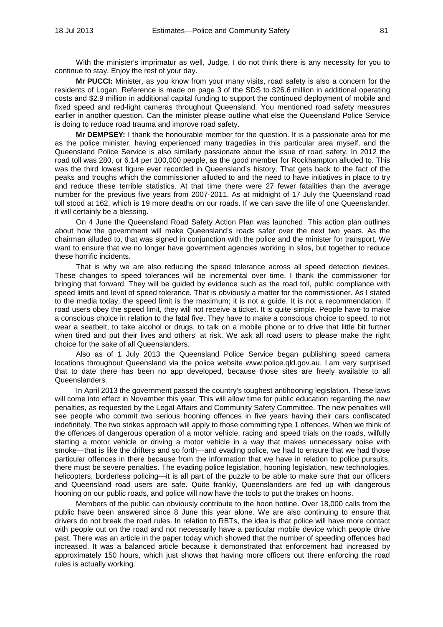With the minister's imprimatur as well, Judge, I do not think there is any necessity for you to continue to stay. Enjoy the rest of your day.

**Mr PUCCI:** Minister, as you know from your many visits, road safety is also a concern for the residents of Logan. Reference is made on page 3 of the SDS to \$26.6 million in additional operating costs and \$2.9 million in additional capital funding to support the continued deployment of mobile and fixed speed and red-light cameras throughout Queensland. You mentioned road safety measures earlier in another question. Can the minister please outline what else the Queensland Police Service is doing to reduce road trauma and improve road safety.

**Mr DEMPSEY:** I thank the honourable member for the question. It is a passionate area for me as the police minister, having experienced many tragedies in this particular area myself, and the Queensland Police Service is also similarly passionate about the issue of road safety. In 2012 the road toll was 280, or 6.14 per 100,000 people, as the good member for Rockhampton alluded to. This was the third lowest figure ever recorded in Queensland's history. That gets back to the fact of the peaks and troughs which the commissioner alluded to and the need to have initiatives in place to try and reduce these terrible statistics. At that time there were 27 fewer fatalities than the average number for the previous five years from 2007-2011. As at midnight of 17 July the Queensland road toll stood at 162, which is 19 more deaths on our roads. If we can save the life of one Queenslander, it will certainly be a blessing.

On 4 June the Queensland Road Safety Action Plan was launched. This action plan outlines about how the government will make Queensland's roads safer over the next two years. As the chairman alluded to, that was signed in conjunction with the police and the minister for transport. We want to ensure that we no longer have government agencies working in silos, but together to reduce these horrific incidents.

That is why we are also reducing the speed tolerance across all speed detection devices. These changes to speed tolerances will be incremental over time. I thank the commissioner for bringing that forward. They will be guided by evidence such as the road toll, public compliance with speed limits and level of speed tolerance. That is obviously a matter for the commissioner. As I stated to the media today, the speed limit is the maximum; it is not a guide. It is not a recommendation. If road users obey the speed limit, they will not receive a ticket. It is quite simple. People have to make a conscious choice in relation to the fatal five. They have to make a conscious choice to speed, to not wear a seatbelt, to take alcohol or drugs, to talk on a mobile phone or to drive that little bit further when tired and put their lives and others' at risk. We ask all road users to please make the right choice for the sake of all Queenslanders.

Also as of 1 July 2013 the Queensland Police Service began publishing speed camera locations throughout Queensland via the police website www.police.qld.gov.au. I am very surprised that to date there has been no app developed, because those sites are freely available to all Queenslanders.

In April 2013 the government passed the country's toughest antihooning legislation. These laws will come into effect in November this year. This will allow time for public education regarding the new penalties, as requested by the Legal Affairs and Community Safety Committee. The new penalties will see people who commit two serious hooning offences in five years having their cars confiscated indefinitely. The two strikes approach will apply to those committing type 1 offences. When we think of the offences of dangerous operation of a motor vehicle, racing and speed trials on the roads, wilfully starting a motor vehicle or driving a motor vehicle in a way that makes unnecessary noise with smoke—that is like the drifters and so forth—and evading police, we had to ensure that we had those particular offences in there because from the information that we have in relation to police pursuits, there must be severe penalties. The evading police legislation, hooning legislation, new technologies, helicopters, borderless policing—it is all part of the puzzle to be able to make sure that our officers and Queensland road users are safe. Quite frankly, Queenslanders are fed up with dangerous hooning on our public roads, and police will now have the tools to put the brakes on hoons.

Members of the public can obviously contribute to the hoon hotline. Over 18,000 calls from the public have been answered since 8 June this year alone. We are also continuing to ensure that drivers do not break the road rules. In relation to RBTs, the idea is that police will have more contact with people out on the road and not necessarily have a particular mobile device which people drive past. There was an article in the paper today which showed that the number of speeding offences had increased. It was a balanced article because it demonstrated that enforcement had increased by approximately 150 hours, which just shows that having more officers out there enforcing the road rules is actually working.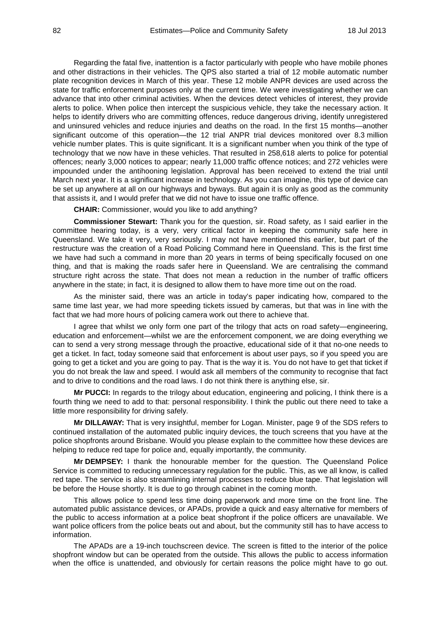Regarding the fatal five, inattention is a factor particularly with people who have mobile phones and other distractions in their vehicles. The QPS also started a trial of 12 mobile automatic number plate recognition devices in March of this year. These 12 mobile ANPR devices are used across the state for traffic enforcement purposes only at the current time. We were investigating whether we can advance that into other criminal activities. When the devices detect vehicles of interest, they provide alerts to police. When police then intercept the suspicious vehicle, they take the necessary action. It helps to identify drivers who are committing offences, reduce dangerous driving, identify unregistered and uninsured vehicles and reduce injuries and deaths on the road. In the first 15 months—another significant outcome of this operation—the 12 trial ANPR trial devices monitored over 8.3 million vehicle number plates. This is quite significant. It is a significant number when you think of the type of technology that we now have in these vehicles. That resulted in 258,618 alerts to police for potential offences; nearly 3,000 notices to appear; nearly 11,000 traffic offence notices; and 272 vehicles were impounded under the antihooning legislation. Approval has been received to extend the trial until March next year. It is a significant increase in technology. As you can imagine, this type of device can be set up anywhere at all on our highways and byways. But again it is only as good as the community that assists it, and I would prefer that we did not have to issue one traffic offence.

**CHAIR:** Commissioner, would you like to add anything?

**Commissioner Stewart:** Thank you for the question, sir. Road safety, as I said earlier in the committee hearing today, is a very, very critical factor in keeping the community safe here in Queensland. We take it very, very seriously. I may not have mentioned this earlier, but part of the restructure was the creation of a Road Policing Command here in Queensland. This is the first time we have had such a command in more than 20 years in terms of being specifically focused on one thing, and that is making the roads safer here in Queensland. We are centralising the command structure right across the state. That does not mean a reduction in the number of traffic officers anywhere in the state; in fact, it is designed to allow them to have more time out on the road.

As the minister said, there was an article in today's paper indicating how, compared to the same time last year, we had more speeding tickets issued by cameras, but that was in line with the fact that we had more hours of policing camera work out there to achieve that.

I agree that whilst we only form one part of the trilogy that acts on road safety—engineering, education and enforcement—whilst we are the enforcement component, we are doing everything we can to send a very strong message through the proactive, educational side of it that no-one needs to get a ticket. In fact, today someone said that enforcement is about user pays, so if you speed you are going to get a ticket and you are going to pay. That is the way it is. You do not have to get that ticket if you do not break the law and speed. I would ask all members of the community to recognise that fact and to drive to conditions and the road laws. I do not think there is anything else, sir.

**Mr PUCCI:** In regards to the trilogy about education, engineering and policing, I think there is a fourth thing we need to add to that: personal responsibility. I think the public out there need to take a little more responsibility for driving safely.

**Mr DILLAWAY:** That is very insightful, member for Logan. Minister, page 9 of the SDS refers to continued installation of the automated public inquiry devices, the touch screens that you have at the police shopfronts around Brisbane. Would you please explain to the committee how these devices are helping to reduce red tape for police and, equally importantly, the community.

**Mr DEMPSEY:** I thank the honourable member for the question. The Queensland Police Service is committed to reducing unnecessary regulation for the public. This, as we all know, is called red tape. The service is also streamlining internal processes to reduce blue tape. That legislation will be before the House shortly. It is due to go through cabinet in the coming month.

This allows police to spend less time doing paperwork and more time on the front line. The automated public assistance devices, or APADs, provide a quick and easy alternative for members of the public to access information at a police beat shopfront if the police officers are unavailable. We want police officers from the police beats out and about, but the community still has to have access to information.

The APADs are a 19-inch touchscreen device. The screen is fitted to the interior of the police shopfront window but can be operated from the outside. This allows the public to access information when the office is unattended, and obviously for certain reasons the police might have to go out.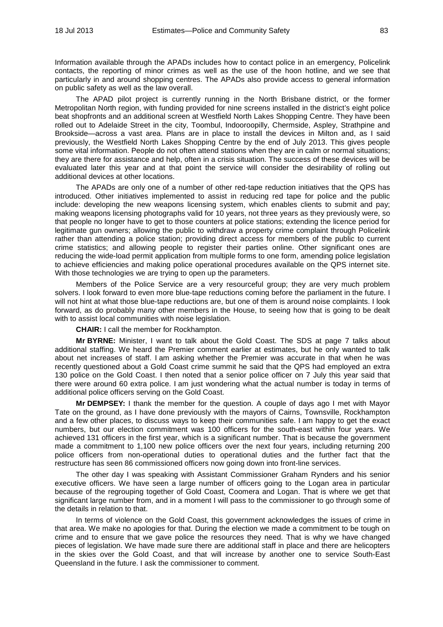Information available through the APADs includes how to contact police in an emergency, Policelink contacts, the reporting of minor crimes as well as the use of the hoon hotline, and we see that particularly in and around shopping centres. The APADs also provide access to general information on public safety as well as the law overall.

The APAD pilot project is currently running in the North Brisbane district, or the former Metropolitan North region, with funding provided for nine screens installed in the district's eight police beat shopfronts and an additional screen at Westfield North Lakes Shopping Centre. They have been rolled out to Adelaide Street in the city, Toombul, Indooroopilly, Chermside, Aspley, Strathpine and Brookside—across a vast area. Plans are in place to install the devices in Milton and, as I said previously, the Westfield North Lakes Shopping Centre by the end of July 2013. This gives people some vital information. People do not often attend stations when they are in calm or normal situations; they are there for assistance and help, often in a crisis situation. The success of these devices will be evaluated later this year and at that point the service will consider the desirability of rolling out additional devices at other locations.

The APADs are only one of a number of other red-tape reduction initiatives that the QPS has introduced. Other initiatives implemented to assist in reducing red tape for police and the public include: developing the new weapons licensing system, which enables clients to submit and pay; making weapons licensing photographs valid for 10 years, not three years as they previously were, so that people no longer have to get to those counters at police stations; extending the licence period for legitimate gun owners; allowing the public to withdraw a property crime complaint through Policelink rather than attending a police station; providing direct access for members of the public to current crime statistics; and allowing people to register their parties online. Other significant ones are reducing the wide-load permit application from multiple forms to one form, amending police legislation to achieve efficiencies and making police operational procedures available on the QPS internet site. With those technologies we are trying to open up the parameters.

Members of the Police Service are a very resourceful group; they are very much problem solvers. I look forward to even more blue-tape reductions coming before the parliament in the future. I will not hint at what those blue-tape reductions are, but one of them is around noise complaints. I look forward, as do probably many other members in the House, to seeing how that is going to be dealt with to assist local communities with noise legislation.

**CHAIR:** I call the member for Rockhampton.

**Mr BYRNE:** Minister, I want to talk about the Gold Coast. The SDS at page 7 talks about additional staffing. We heard the Premier comment earlier at estimates, but he only wanted to talk about net increases of staff. I am asking whether the Premier was accurate in that when he was recently questioned about a Gold Coast crime summit he said that the QPS had employed an extra 130 police on the Gold Coast. I then noted that a senior police officer on 7 July this year said that there were around 60 extra police. I am just wondering what the actual number is today in terms of additional police officers serving on the Gold Coast.

**Mr DEMPSEY:** I thank the member for the question. A couple of days ago I met with Mayor Tate on the ground, as I have done previously with the mayors of Cairns, Townsville, Rockhampton and a few other places, to discuss ways to keep their communities safe. I am happy to get the exact numbers, but our election commitment was 100 officers for the south-east within four years. We achieved 131 officers in the first year, which is a significant number. That is because the government made a commitment to 1,100 new police officers over the next four years, including returning 200 police officers from non-operational duties to operational duties and the further fact that the restructure has seen 86 commissioned officers now going down into front-line services.

The other day I was speaking with Assistant Commissioner Graham Rynders and his senior executive officers. We have seen a large number of officers going to the Logan area in particular because of the regrouping together of Gold Coast, Coomera and Logan. That is where we get that significant large number from, and in a moment I will pass to the commissioner to go through some of the details in relation to that.

In terms of violence on the Gold Coast, this government acknowledges the issues of crime in that area. We make no apologies for that. During the election we made a commitment to be tough on crime and to ensure that we gave police the resources they need. That is why we have changed pieces of legislation. We have made sure there are additional staff in place and there are helicopters in the skies over the Gold Coast, and that will increase by another one to service South-East Queensland in the future. I ask the commissioner to comment.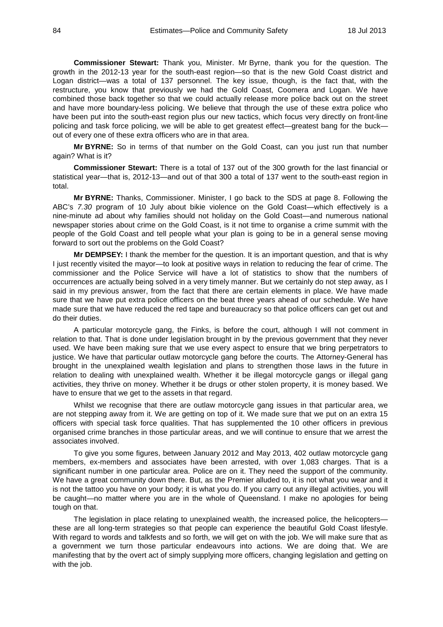**Commissioner Stewart:** Thank you, Minister. Mr Byrne, thank you for the question. The growth in the 2012-13 year for the south-east region—so that is the new Gold Coast district and Logan district—was a total of 137 personnel. The key issue, though, is the fact that, with the restructure, you know that previously we had the Gold Coast, Coomera and Logan. We have combined those back together so that we could actually release more police back out on the street and have more boundary-less policing. We believe that through the use of these extra police who have been put into the south-east region plus our new tactics, which focus very directly on front-line policing and task force policing, we will be able to get greatest effect—greatest bang for the buck out of every one of these extra officers who are in that area.

**Mr BYRNE:** So in terms of that number on the Gold Coast, can you just run that number again? What is it?

**Commissioner Stewart:** There is a total of 137 out of the 300 growth for the last financial or statistical year—that is, 2012-13—and out of that 300 a total of 137 went to the south-east region in total.

**Mr BYRNE:** Thanks, Commissioner. Minister, I go back to the SDS at page 8. Following the ABC's *7.30* program of 10 July about bikie violence on the Gold Coast—which effectively is a nine-minute ad about why families should not holiday on the Gold Coast—and numerous national newspaper stories about crime on the Gold Coast, is it not time to organise a crime summit with the people of the Gold Coast and tell people what your plan is going to be in a general sense moving forward to sort out the problems on the Gold Coast?

**Mr DEMPSEY:** I thank the member for the question. It is an important question, and that is why I just recently visited the mayor—to look at positive ways in relation to reducing the fear of crime. The commissioner and the Police Service will have a lot of statistics to show that the numbers of occurrences are actually being solved in a very timely manner. But we certainly do not step away, as I said in my previous answer, from the fact that there are certain elements in place. We have made sure that we have put extra police officers on the beat three years ahead of our schedule. We have made sure that we have reduced the red tape and bureaucracy so that police officers can get out and do their duties.

A particular motorcycle gang, the Finks, is before the court, although I will not comment in relation to that. That is done under legislation brought in by the previous government that they never used. We have been making sure that we use every aspect to ensure that we bring perpetrators to justice. We have that particular outlaw motorcycle gang before the courts. The Attorney-General has brought in the unexplained wealth legislation and plans to strengthen those laws in the future in relation to dealing with unexplained wealth. Whether it be illegal motorcycle gangs or illegal gang activities, they thrive on money. Whether it be drugs or other stolen property, it is money based. We have to ensure that we get to the assets in that regard.

Whilst we recognise that there are outlaw motorcycle gang issues in that particular area, we are not stepping away from it. We are getting on top of it. We made sure that we put on an extra 15 officers with special task force qualities. That has supplemented the 10 other officers in previous organised crime branches in those particular areas, and we will continue to ensure that we arrest the associates involved.

To give you some figures, between January 2012 and May 2013, 402 outlaw motorcycle gang members, ex-members and associates have been arrested, with over 1,083 charges. That is a significant number in one particular area. Police are on it. They need the support of the community. We have a great community down there. But, as the Premier alluded to, it is not what you wear and it is not the tattoo you have on your body; it is what you do. If you carry out any illegal activities, you will be caught—no matter where you are in the whole of Queensland. I make no apologies for being tough on that.

The legislation in place relating to unexplained wealth, the increased police, the helicopters these are all long-term strategies so that people can experience the beautiful Gold Coast lifestyle. With regard to words and talkfests and so forth, we will get on with the job. We will make sure that as a government we turn those particular endeavours into actions. We are doing that. We are manifesting that by the overt act of simply supplying more officers, changing legislation and getting on with the job.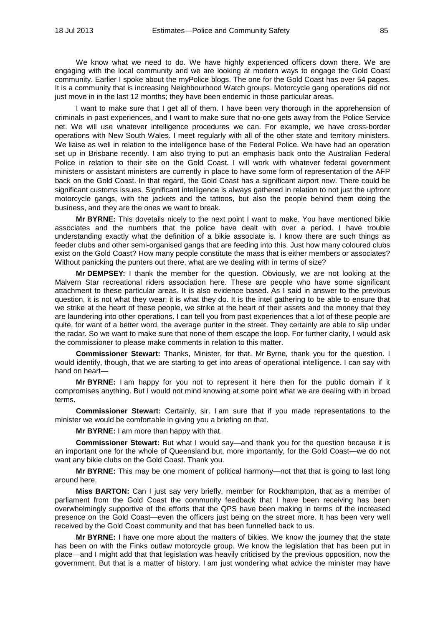We know what we need to do. We have highly experienced officers down there. We are engaging with the local community and we are looking at modern ways to engage the Gold Coast community. Earlier I spoke about the myPolice blogs. The one for the Gold Coast has over 54 pages. It is a community that is increasing Neighbourhood Watch groups. Motorcycle gang operations did not just move in in the last 12 months; they have been endemic in those particular areas.

I want to make sure that I get all of them. I have been very thorough in the apprehension of criminals in past experiences, and I want to make sure that no-one gets away from the Police Service net. We will use whatever intelligence procedures we can. For example, we have cross-border operations with New South Wales. I meet regularly with all of the other state and territory ministers. We liaise as well in relation to the intelligence base of the Federal Police. We have had an operation set up in Brisbane recently. I am also trying to put an emphasis back onto the Australian Federal Police in relation to their site on the Gold Coast. I will work with whatever federal government ministers or assistant ministers are currently in place to have some form of representation of the AFP back on the Gold Coast. In that regard, the Gold Coast has a significant airport now. There could be significant customs issues. Significant intelligence is always gathered in relation to not just the upfront motorcycle gangs, with the jackets and the tattoos, but also the people behind them doing the business, and they are the ones we want to break.

**Mr BYRNE:** This dovetails nicely to the next point I want to make. You have mentioned bikie associates and the numbers that the police have dealt with over a period. I have trouble understanding exactly what the definition of a bikie associate is. I know there are such things as feeder clubs and other semi-organised gangs that are feeding into this. Just how many coloured clubs exist on the Gold Coast? How many people constitute the mass that is either members or associates? Without panicking the punters out there, what are we dealing with in terms of size?

**Mr DEMPSEY:** I thank the member for the question. Obviously, we are not looking at the Malvern Star recreational riders association here. These are people who have some significant attachment to these particular areas. It is also evidence based. As I said in answer to the previous question, it is not what they wear; it is what they do. It is the intel gathering to be able to ensure that we strike at the heart of these people, we strike at the heart of their assets and the money that they are laundering into other operations. I can tell you from past experiences that a lot of these people are quite, for want of a better word, the average punter in the street. They certainly are able to slip under the radar. So we want to make sure that none of them escape the loop. For further clarity, I would ask the commissioner to please make comments in relation to this matter.

**Commissioner Stewart:** Thanks, Minister, for that. Mr Byrne, thank you for the question. I would identify, though, that we are starting to get into areas of operational intelligence. I can say with hand on heart—

**Mr BYRNE:** I am happy for you not to represent it here then for the public domain if it compromises anything. But I would not mind knowing at some point what we are dealing with in broad terms.

**Commissioner Stewart:** Certainly, sir. I am sure that if you made representations to the minister we would be comfortable in giving you a briefing on that.

**Mr BYRNE:** I am more than happy with that.

**Commissioner Stewart:** But what I would say—and thank you for the question because it is an important one for the whole of Queensland but, more importantly, for the Gold Coast—we do not want any bikie clubs on the Gold Coast. Thank you.

**Mr BYRNE:** This may be one moment of political harmony—not that that is going to last long around here.

**Miss BARTON:** Can I just say very briefly, member for Rockhampton, that as a member of parliament from the Gold Coast the community feedback that I have been receiving has been overwhelmingly supportive of the efforts that the QPS have been making in terms of the increased presence on the Gold Coast—even the officers just being on the street more. It has been very well received by the Gold Coast community and that has been funnelled back to us.

**Mr BYRNE:** I have one more about the matters of bikies. We know the journey that the state has been on with the Finks outlaw motorcycle group. We know the legislation that has been put in place—and I might add that that legislation was heavily criticised by the previous opposition, now the government. But that is a matter of history. I am just wondering what advice the minister may have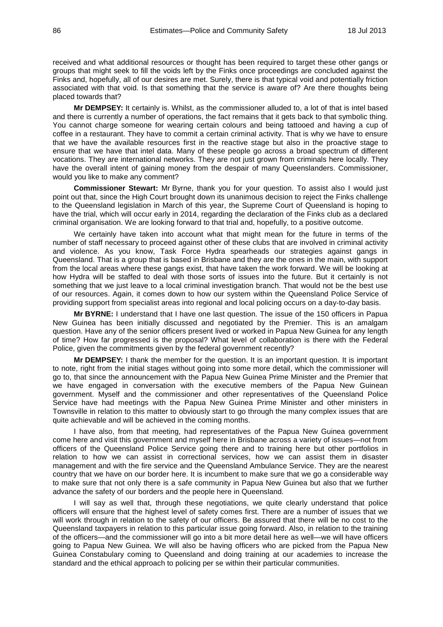received and what additional resources or thought has been required to target these other gangs or groups that might seek to fill the voids left by the Finks once proceedings are concluded against the Finks and, hopefully, all of our desires are met. Surely, there is that typical void and potentially friction associated with that void. Is that something that the service is aware of? Are there thoughts being placed towards that?

**Mr DEMPSEY:** It certainly is. Whilst, as the commissioner alluded to, a lot of that is intel based and there is currently a number of operations, the fact remains that it gets back to that symbolic thing. You cannot charge someone for wearing certain colours and being tattooed and having a cup of coffee in a restaurant. They have to commit a certain criminal activity. That is why we have to ensure that we have the available resources first in the reactive stage but also in the proactive stage to ensure that we have that intel data. Many of these people go across a broad spectrum of different vocations. They are international networks. They are not just grown from criminals here locally. They have the overall intent of gaining money from the despair of many Queenslanders. Commissioner, would you like to make any comment?

**Commissioner Stewart:** Mr Byrne, thank you for your question. To assist also I would just point out that, since the High Court brought down its unanimous decision to reject the Finks challenge to the Queensland legislation in March of this year, the Supreme Court of Queensland is hoping to have the trial, which will occur early in 2014, regarding the declaration of the Finks club as a declared criminal organisation. We are looking forward to that trial and, hopefully, to a positive outcome.

We certainly have taken into account what that might mean for the future in terms of the number of staff necessary to proceed against other of these clubs that are involved in criminal activity and violence. As you know, Task Force Hydra spearheads our strategies against gangs in Queensland. That is a group that is based in Brisbane and they are the ones in the main, with support from the local areas where these gangs exist, that have taken the work forward. We will be looking at how Hydra will be staffed to deal with those sorts of issues into the future. But it certainly is not something that we just leave to a local criminal investigation branch. That would not be the best use of our resources. Again, it comes down to how our system within the Queensland Police Service of providing support from specialist areas into regional and local policing occurs on a day-to-day basis.

**Mr BYRNE:** I understand that I have one last question. The issue of the 150 officers in Papua New Guinea has been initially discussed and negotiated by the Premier. This is an amalgam question. Have any of the senior officers present lived or worked in Papua New Guinea for any length of time? How far progressed is the proposal? What level of collaboration is there with the Federal Police, given the commitments given by the federal government recently?

**Mr DEMPSEY:** I thank the member for the question. It is an important question. It is important to note, right from the initial stages without going into some more detail, which the commissioner will go to, that since the announcement with the Papua New Guinea Prime Minister and the Premier that we have engaged in conversation with the executive members of the Papua New Guinean government. Myself and the commissioner and other representatives of the Queensland Police Service have had meetings with the Papua New Guinea Prime Minister and other ministers in Townsville in relation to this matter to obviously start to go through the many complex issues that are quite achievable and will be achieved in the coming months.

I have also, from that meeting, had representatives of the Papua New Guinea government come here and visit this government and myself here in Brisbane across a variety of issues—not from officers of the Queensland Police Service going there and to training here but other portfolios in relation to how we can assist in correctional services, how we can assist them in disaster management and with the fire service and the Queensland Ambulance Service. They are the nearest country that we have on our border here. It is incumbent to make sure that we go a considerable way to make sure that not only there is a safe community in Papua New Guinea but also that we further advance the safety of our borders and the people here in Queensland.

I will say as well that, through these negotiations, we quite clearly understand that police officers will ensure that the highest level of safety comes first. There are a number of issues that we will work through in relation to the safety of our officers. Be assured that there will be no cost to the Queensland taxpayers in relation to this particular issue going forward. Also, in relation to the training of the officers—and the commissioner will go into a bit more detail here as well—we will have officers going to Papua New Guinea. We will also be having officers who are picked from the Papua New Guinea Constabulary coming to Queensland and doing training at our academies to increase the standard and the ethical approach to policing per se within their particular communities.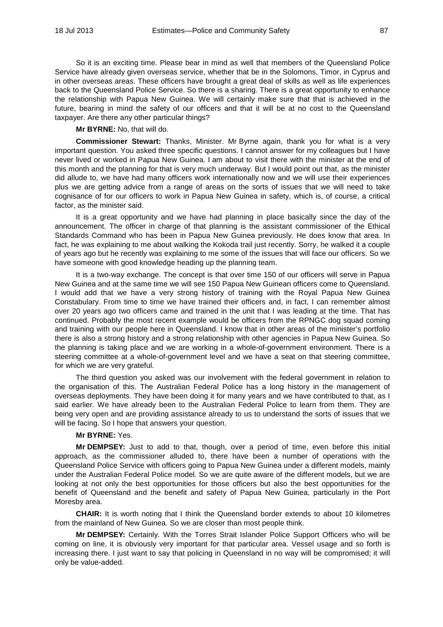So it is an exciting time. Please bear in mind as well that members of the Queensland Police Service have already given overseas service, whether that be in the Solomons, Timor, in Cyprus and in other overseas areas. These officers have brought a great deal of skills as well as life experiences back to the Queensland Police Service. So there is a sharing. There is a great opportunity to enhance the relationship with Papua New Guinea. We will certainly make sure that that is achieved in the future, bearing in mind the safety of our officers and that it will be at no cost to the Queensland taxpayer. Are there any other particular things?

**Mr BYRNE:** No, that will do.

**Commissioner Stewart:** Thanks, Minister. Mr Byrne again, thank you for what is a very important question. You asked three specific questions. I cannot answer for my colleagues but I have never lived or worked in Papua New Guinea. I am about to visit there with the minister at the end of this month and the planning for that is very much underway. But I would point out that, as the minister did allude to, we have had many officers work internationally now and we will use their experiences plus we are getting advice from a range of areas on the sorts of issues that we will need to take cognisance of for our officers to work in Papua New Guinea in safety, which is, of course, a critical factor, as the minister said.

It is a great opportunity and we have had planning in place basically since the day of the announcement. The officer in charge of that planning is the assistant commissioner of the Ethical Standards Command who has been in Papua New Guinea previously. He does know that area. In fact, he was explaining to me about walking the Kokoda trail just recently. Sorry, he walked it a couple of years ago but he recently was explaining to me some of the issues that will face our officers. So we have someone with good knowledge heading up the planning team.

It is a two-way exchange. The concept is that over time 150 of our officers will serve in Papua New Guinea and at the same time we will see 150 Papua New Guinean officers come to Queensland. I would add that we have a very strong history of training with the Royal Papua New Guinea Constabulary. From time to time we have trained their officers and, in fact, I can remember almost over 20 years ago two officers came and trained in the unit that I was leading at the time. That has continued. Probably the most recent example would be officers from the RPNGC dog squad coming and training with our people here in Queensland. I know that in other areas of the minister's portfolio there is also a strong history and a strong relationship with other agencies in Papua New Guinea. So the planning is taking place and we are working in a whole-of-government environment. There is a steering committee at a whole-of-government level and we have a seat on that steering committee, for which we are very grateful.

The third question you asked was our involvement with the federal government in relation to the organisation of this. The Australian Federal Police has a long history in the management of overseas deployments. They have been doing it for many years and we have contributed to that, as I said earlier. We have already been to the Australian Federal Police to learn from them. They are being very open and are providing assistance already to us to understand the sorts of issues that we will be facing. So I hope that answers your question.

### **Mr BYRNE:** Yes.

**Mr DEMPSEY:** Just to add to that, though, over a period of time, even before this initial approach, as the commissioner alluded to, there have been a number of operations with the Queensland Police Service with officers going to Papua New Guinea under a different models, mainly under the Australian Federal Police model. So we are quite aware of the different models, but we are looking at not only the best opportunities for those officers but also the best opportunities for the benefit of Queensland and the benefit and safety of Papua New Guinea, particularly in the Port Moresby area.

**CHAIR:** It is worth noting that I think the Queensland border extends to about 10 kilometres from the mainland of New Guinea. So we are closer than most people think.

**Mr DEMPSEY:** Certainly. With the Torres Strait Islander Police Support Officers who will be coming on line, it is obviously very important for that particular area. Vessel usage and so forth is increasing there. I just want to say that policing in Queensland in no way will be compromised; it will only be value-added.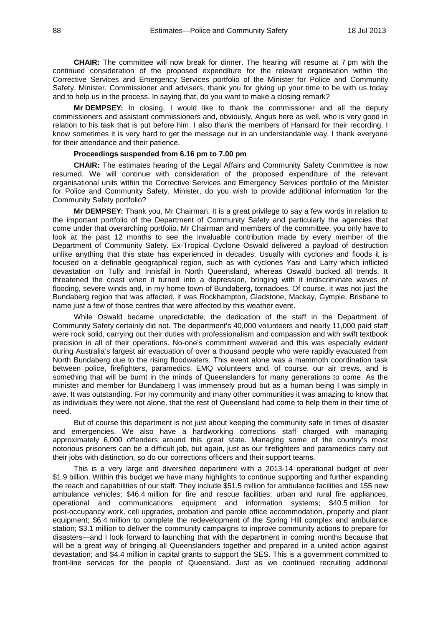**CHAIR:** The committee will now break for dinner. The hearing will resume at 7 pm with the continued consideration of the proposed expenditure for the relevant organisation within the Corrective Services and Emergency Services portfolio of the Minister for Police and Community Safety. Minister, Commissioner and advisers, thank you for giving up your time to be with us today and to help us in the process. In saying that, do you want to make a closing remark?

**Mr DEMPSEY:** In closing, I would like to thank the commissioner and all the deputy commissioners and assistant commissioners and, obviously, Angus here as well, who is very good in relation to his task that is put before him. I also thank the members of Hansard for their recording. I know sometimes it is very hard to get the message out in an understandable way. I thank everyone for their attendance and their patience.

# **Proceedings suspended from 6.16 pm to 7.00 pm**

**CHAIR:** The estimates hearing of the Legal Affairs and Community Safety Committee is now resumed. We will continue with consideration of the proposed expenditure of the relevant organisational units within the Corrective Services and Emergency Services portfolio of the Minister for Police and Community Safety. Minister, do you wish to provide additional information for the Community Safety portfolio?

**Mr DEMPSEY:** Thank you, Mr Chairman. It is a great privilege to say a few words in relation to the important portfolio of the Department of Community Safety and particularly the agencies that come under that overarching portfolio. Mr Chairman and members of the committee, you only have to look at the past 12 months to see the invaluable contribution made by every member of the Department of Community Safety. Ex-Tropical Cyclone Oswald delivered a payload of destruction unlike anything that this state has experienced in decades. Usually with cyclones and floods it is focused on a definable geographical region, such as with cyclones Yasi and Larry which inflicted devastation on Tully and Innisfail in North Queensland, whereas Oswald bucked all trends. It threatened the coast when it turned into a depression, bringing with it indiscriminate waves of flooding, severe winds and, in my home town of Bundaberg, tornadoes. Of course, it was not just the Bundaberg region that was affected, it was Rockhampton, Gladstone, Mackay, Gympie, Brisbane to name just a few of those centres that were affected by this weather event.

While Oswald became unpredictable, the dedication of the staff in the Department of Community Safety certainly did not. The department's 40,000 volunteers and nearly 11,000 paid staff were rock solid, carrying out their duties with professionalism and compassion and with swift textbook precision in all of their operations. No-one's commitment wavered and this was especially evident during Australia's largest air evacuation of over a thousand people who were rapidly evacuated from North Bundaberg due to the rising floodwaters. This event alone was a mammoth coordination task between police, firefighters, paramedics, EMQ volunteers and, of course, our air crews, and is something that will be burnt in the minds of Queenslanders for many generations to come. As the minister and member for Bundaberg I was immensely proud but as a human being I was simply in awe. It was outstanding. For my community and many other communities it was amazing to know that as individuals they were not alone, that the rest of Queensland had come to help them in their time of need.

But of course this department is not just about keeping the community safe in times of disaster and emergencies. We also have a hardworking corrections staff charged with managing approximately 6,000 offenders around this great state. Managing some of the country's most notorious prisoners can be a difficult job, but again, just as our firefighters and paramedics carry out their jobs with distinction, so do our corrections officers and their support teams.

This is a very large and diversified department with a 2013-14 operational budget of over \$1.9 billion. Within this budget we have many highlights to continue supporting and further expanding the reach and capabilities of our staff. They include \$51.5 million for ambulance facilities and 155 new ambulance vehicles; \$46.4 million for fire and rescue facilities, urban and rural fire appliances, operational and communications equipment and information systems; \$40.5 million for post-occupancy work, cell upgrades, probation and parole office accommodation, property and plant equipment; \$6.4 million to complete the redevelopment of the Spring Hill complex and ambulance station; \$3.1 million to deliver the community campaigns to improve community actions to prepare for disasters—and I look forward to launching that with the department in coming months because that will be a great way of bringing all Queenslanders together and prepared in a united action against devastation; and \$4.4 million in capital grants to support the SES. This is a government committed to front-line services for the people of Queensland. Just as we continued recruiting additional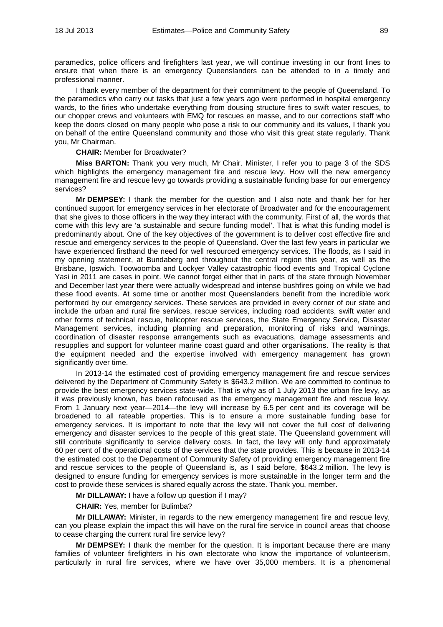paramedics, police officers and firefighters last year, we will continue investing in our front lines to ensure that when there is an emergency Queenslanders can be attended to in a timely and professional manner.

I thank every member of the department for their commitment to the people of Queensland. To the paramedics who carry out tasks that just a few years ago were performed in hospital emergency wards, to the firies who undertake everything from dousing structure fires to swift water rescues, to our chopper crews and volunteers with EMQ for rescues en masse, and to our corrections staff who keep the doors closed on many people who pose a risk to our community and its values, I thank you on behalf of the entire Queensland community and those who visit this great state regularly. Thank you, Mr Chairman.

### **CHAIR:** Member for Broadwater?

**Miss BARTON:** Thank you very much, Mr Chair. Minister, I refer you to page 3 of the SDS which highlights the emergency management fire and rescue levy. How will the new emergency management fire and rescue levy go towards providing a sustainable funding base for our emergency services?

**Mr DEMPSEY:** I thank the member for the question and I also note and thank her for her continued support for emergency services in her electorate of Broadwater and for the encouragement that she gives to those officers in the way they interact with the community. First of all, the words that come with this levy are 'a sustainable and secure funding model'. That is what this funding model is predominantly about. One of the key objectives of the government is to deliver cost effective fire and rescue and emergency services to the people of Queensland. Over the last few years in particular we have experienced firsthand the need for well resourced emergency services. The floods, as I said in my opening statement, at Bundaberg and throughout the central region this year, as well as the Brisbane, Ipswich, Toowoomba and Lockyer Valley catastrophic flood events and Tropical Cyclone Yasi in 2011 are cases in point. We cannot forget either that in parts of the state through November and December last year there were actually widespread and intense bushfires going on while we had these flood events. At some time or another most Queenslanders benefit from the incredible work performed by our emergency services. These services are provided in every corner of our state and include the urban and rural fire services, rescue services, including road accidents, swift water and other forms of technical rescue, helicopter rescue services, the State Emergency Service, Disaster Management services, including planning and preparation, monitoring of risks and warnings, coordination of disaster response arrangements such as evacuations, damage assessments and resupplies and support for volunteer marine coast guard and other organisations. The reality is that the equipment needed and the expertise involved with emergency management has grown significantly over time.

In 2013-14 the estimated cost of providing emergency management fire and rescue services delivered by the Department of Community Safety is \$643.2 million. We are committed to continue to provide the best emergency services state-wide. That is why as of 1 July 2013 the urban fire levy, as it was previously known, has been refocused as the emergency management fire and rescue levy. From 1 January next year—2014—the levy will increase by 6.5 per cent and its coverage will be broadened to all rateable properties. This is to ensure a more sustainable funding base for emergency services. It is important to note that the levy will not cover the full cost of delivering emergency and disaster services to the people of this great state. The Queensland government will still contribute significantly to service delivery costs. In fact, the levy will only fund approximately 60 per cent of the operational costs of the services that the state provides. This is because in 2013-14 the estimated cost to the Department of Community Safety of providing emergency management fire and rescue services to the people of Queensland is, as I said before, \$643.2 million. The levy is designed to ensure funding for emergency services is more sustainable in the longer term and the cost to provide these services is shared equally across the state. Thank you, member.

**Mr DILLAWAY:** I have a follow up question if I may?

#### **CHAIR:** Yes, member for Bulimba?

**Mr DILLAWAY:** Minister, in regards to the new emergency management fire and rescue levy, can you please explain the impact this will have on the rural fire service in council areas that choose to cease charging the current rural fire service levy?

**Mr DEMPSEY:** I thank the member for the question. It is important because there are many families of volunteer firefighters in his own electorate who know the importance of volunteerism, particularly in rural fire services, where we have over 35,000 members. It is a phenomenal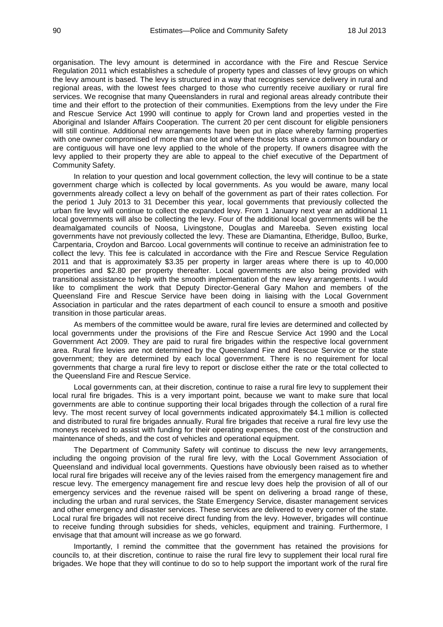organisation. The levy amount is determined in accordance with the Fire and Rescue Service Regulation 2011 which establishes a schedule of property types and classes of levy groups on which the levy amount is based. The levy is structured in a way that recognises service delivery in rural and regional areas, with the lowest fees charged to those who currently receive auxiliary or rural fire services. We recognise that many Queenslanders in rural and regional areas already contribute their time and their effort to the protection of their communities. Exemptions from the levy under the Fire and Rescue Service Act 1990 will continue to apply for Crown land and properties vested in the Aboriginal and Islander Affairs Cooperation. The current 20 per cent discount for eligible pensioners will still continue. Additional new arrangements have been put in place whereby farming properties with one owner compromised of more than one lot and where those lots share a common boundary or are contiguous will have one levy applied to the whole of the property. If owners disagree with the levy applied to their property they are able to appeal to the chief executive of the Department of Community Safety.

In relation to your question and local government collection, the levy will continue to be a state government charge which is collected by local governments. As you would be aware, many local governments already collect a levy on behalf of the government as part of their rates collection. For the period 1 July 2013 to 31 December this year, local governments that previously collected the urban fire levy will continue to collect the expanded levy. From 1 January next year an additional 11 local governments will also be collecting the levy. Four of the additional local governments will be the deamalgamated councils of Noosa, Livingstone, Douglas and Mareeba. Seven existing local governments have not previously collected the levy. These are Diamantina, Etheridge, Bulloo, Burke, Carpentaria, Croydon and Barcoo. Local governments will continue to receive an administration fee to collect the levy. This fee is calculated in accordance with the Fire and Rescue Service Regulation 2011 and that is approximately \$3.35 per property in larger areas where there is up to 40,000 properties and \$2.80 per property thereafter. Local governments are also being provided with transitional assistance to help with the smooth implementation of the new levy arrangements. I would like to compliment the work that Deputy Director-General Gary Mahon and members of the Queensland Fire and Rescue Service have been doing in liaising with the Local Government Association in particular and the rates department of each council to ensure a smooth and positive transition in those particular areas.

As members of the committee would be aware, rural fire levies are determined and collected by local governments under the provisions of the Fire and Rescue Service Act 1990 and the Local Government Act 2009. They are paid to rural fire brigades within the respective local government area. Rural fire levies are not determined by the Queensland Fire and Rescue Service or the state government; they are determined by each local government. There is no requirement for local governments that charge a rural fire levy to report or disclose either the rate or the total collected to the Queensland Fire and Rescue Service.

Local governments can, at their discretion, continue to raise a rural fire levy to supplement their local rural fire brigades. This is a very important point, because we want to make sure that local governments are able to continue supporting their local brigades through the collection of a rural fire levy. The most recent survey of local governments indicated approximately \$4.1 million is collected and distributed to rural fire brigades annually. Rural fire brigades that receive a rural fire levy use the moneys received to assist with funding for their operating expenses, the cost of the construction and maintenance of sheds, and the cost of vehicles and operational equipment.

The Department of Community Safety will continue to discuss the new levy arrangements, including the ongoing provision of the rural fire levy, with the Local Government Association of Queensland and individual local governments. Questions have obviously been raised as to whether local rural fire brigades will receive any of the levies raised from the emergency management fire and rescue levy. The emergency management fire and rescue levy does help the provision of all of our emergency services and the revenue raised will be spent on delivering a broad range of these, including the urban and rural services, the State Emergency Service, disaster management services and other emergency and disaster services. These services are delivered to every corner of the state. Local rural fire brigades will not receive direct funding from the levy. However, brigades will continue to receive funding through subsidies for sheds, vehicles, equipment and training. Furthermore, I envisage that that amount will increase as we go forward.

Importantly, I remind the committee that the government has retained the provisions for councils to, at their discretion, continue to raise the rural fire levy to supplement their local rural fire brigades. We hope that they will continue to do so to help support the important work of the rural fire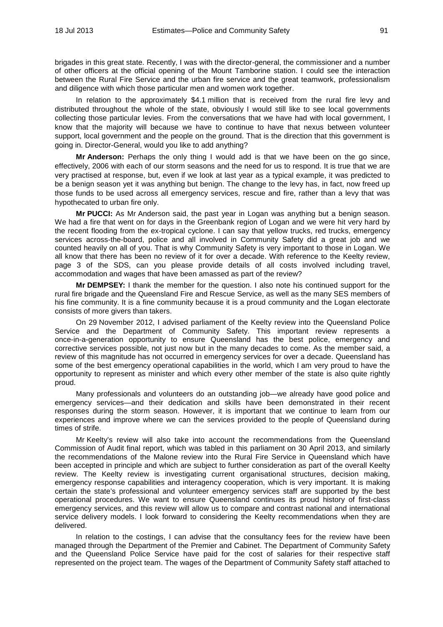brigades in this great state. Recently, I was with the director-general, the commissioner and a number of other officers at the official opening of the Mount Tamborine station. I could see the interaction between the Rural Fire Service and the urban fire service and the great teamwork, professionalism and diligence with which those particular men and women work together.

In relation to the approximately \$4.1 million that is received from the rural fire levy and distributed throughout the whole of the state, obviously I would still like to see local governments collecting those particular levies. From the conversations that we have had with local government, I know that the majority will because we have to continue to have that nexus between volunteer support, local government and the people on the ground. That is the direction that this government is going in. Director-General, would you like to add anything?

**Mr Anderson:** Perhaps the only thing I would add is that we have been on the go since, effectively, 2006 with each of our storm seasons and the need for us to respond. It is true that we are very practised at response, but, even if we look at last year as a typical example, it was predicted to be a benign season yet it was anything but benign. The change to the levy has, in fact, now freed up those funds to be used across all emergency services, rescue and fire, rather than a levy that was hypothecated to urban fire only.

**Mr PUCCI:** As Mr Anderson said, the past year in Logan was anything but a benign season. We had a fire that went on for days in the Greenbank region of Logan and we were hit very hard by the recent flooding from the ex-tropical cyclone. I can say that yellow trucks, red trucks, emergency services across-the-board, police and all involved in Community Safety did a great job and we counted heavily on all of you. That is why Community Safety is very important to those in Logan. We all know that there has been no review of it for over a decade. With reference to the Keelty review, page 3 of the SDS, can you please provide details of all costs involved including travel, accommodation and wages that have been amassed as part of the review?

**Mr DEMPSEY:** I thank the member for the question. I also note his continued support for the rural fire brigade and the Queensland Fire and Rescue Service, as well as the many SES members of his fine community. It is a fine community because it is a proud community and the Logan electorate consists of more givers than takers.

On 29 November 2012, I advised parliament of the Keelty review into the Queensland Police Service and the Department of Community Safety. This important review represents a once-in-a-generation opportunity to ensure Queensland has the best police, emergency and corrective services possible, not just now but in the many decades to come. As the member said, a review of this magnitude has not occurred in emergency services for over a decade. Queensland has some of the best emergency operational capabilities in the world, which I am very proud to have the opportunity to represent as minister and which every other member of the state is also quite rightly proud.

Many professionals and volunteers do an outstanding job—we already have good police and emergency services—and their dedication and skills have been demonstrated in their recent responses during the storm season. However, it is important that we continue to learn from our experiences and improve where we can the services provided to the people of Queensland during times of strife.

Mr Keelty's review will also take into account the recommendations from the Queensland Commission of Audit final report, which was tabled in this parliament on 30 April 2013, and similarly the recommendations of the Malone review into the Rural Fire Service in Queensland which have been accepted in principle and which are subject to further consideration as part of the overall Keelty review. The Keelty review is investigating current organisational structures, decision making, emergency response capabilities and interagency cooperation, which is very important. It is making certain the state's professional and volunteer emergency services staff are supported by the best operational procedures. We want to ensure Queensland continues its proud history of first-class emergency services, and this review will allow us to compare and contrast national and international service delivery models. I look forward to considering the Keelty recommendations when they are delivered.

In relation to the costings, I can advise that the consultancy fees for the review have been managed through the Department of the Premier and Cabinet. The Department of Community Safety and the Queensland Police Service have paid for the cost of salaries for their respective staff represented on the project team. The wages of the Department of Community Safety staff attached to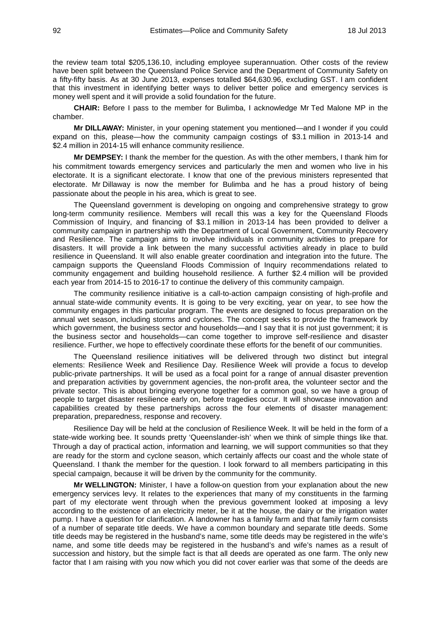the review team total \$205,136.10, including employee superannuation. Other costs of the review have been split between the Queensland Police Service and the Department of Community Safety on a fifty-fifty basis. As at 30 June 2013, expenses totalled \$64,630.96, excluding GST. I am confident that this investment in identifying better ways to deliver better police and emergency services is money well spent and it will provide a solid foundation for the future.

**CHAIR:** Before I pass to the member for Bulimba, I acknowledge Mr Ted Malone MP in the chamber.

**Mr DILLAWAY:** Minister, in your opening statement you mentioned—and I wonder if you could expand on this, please—how the community campaign costings of \$3.1 million in 2013-14 and \$2.4 million in 2014-15 will enhance community resilience.

**Mr DEMPSEY:** I thank the member for the question. As with the other members, I thank him for his commitment towards emergency services and particularly the men and women who live in his electorate. It is a significant electorate. I know that one of the previous ministers represented that electorate. Mr Dillaway is now the member for Bulimba and he has a proud history of being passionate about the people in his area, which is great to see.

The Queensland government is developing on ongoing and comprehensive strategy to grow long-term community resilience. Members will recall this was a key for the Queensland Floods Commission of Inquiry, and financing of \$3.1 million in 2013-14 has been provided to deliver a community campaign in partnership with the Department of Local Government, Community Recovery and Resilience. The campaign aims to involve individuals in community activities to prepare for disasters. It will provide a link between the many successful activities already in place to build resilience in Queensland. It will also enable greater coordination and integration into the future. The campaign supports the Queensland Floods Commission of Inquiry recommendations related to community engagement and building household resilience. A further \$2.4 million will be provided each year from 2014-15 to 2016-17 to continue the delivery of this community campaign.

The community resilience initiative is a call-to-action campaign consisting of high-profile and annual state-wide community events. It is going to be very exciting, year on year, to see how the community engages in this particular program. The events are designed to focus preparation on the annual wet season, including storms and cyclones. The concept seeks to provide the framework by which government, the business sector and households—and I say that it is not just government; it is the business sector and households—can come together to improve self-resilience and disaster resilience. Further, we hope to effectively coordinate these efforts for the benefit of our communities.

The Queensland resilience initiatives will be delivered through two distinct but integral elements: Resilience Week and Resilience Day. Resilience Week will provide a focus to develop public-private partnerships. It will be used as a focal point for a range of annual disaster prevention and preparation activities by government agencies, the non-profit area, the volunteer sector and the private sector. This is about bringing everyone together for a common goal, so we have a group of people to target disaster resilience early on, before tragedies occur. It will showcase innovation and capabilities created by these partnerships across the four elements of disaster management: preparation, preparedness, response and recovery.

Resilience Day will be held at the conclusion of Resilience Week. It will be held in the form of a state-wide working bee. It sounds pretty 'Queenslander-ish' when we think of simple things like that. Through a day of practical action, information and learning, we will support communities so that they are ready for the storm and cyclone season, which certainly affects our coast and the whole state of Queensland. I thank the member for the question. I look forward to all members participating in this special campaign, because it will be driven by the community for the community.

**Mr WELLINGTON:** Minister, I have a follow-on question from your explanation about the new emergency services levy. It relates to the experiences that many of my constituents in the farming part of my electorate went through when the previous government looked at imposing a levy according to the existence of an electricity meter, be it at the house, the dairy or the irrigation water pump. I have a question for clarification. A landowner has a family farm and that family farm consists of a number of separate title deeds. We have a common boundary and separate title deeds. Some title deeds may be registered in the husband's name, some title deeds may be registered in the wife's name, and some title deeds may be registered in the husband's and wife's names as a result of succession and history, but the simple fact is that all deeds are operated as one farm. The only new factor that I am raising with you now which you did not cover earlier was that some of the deeds are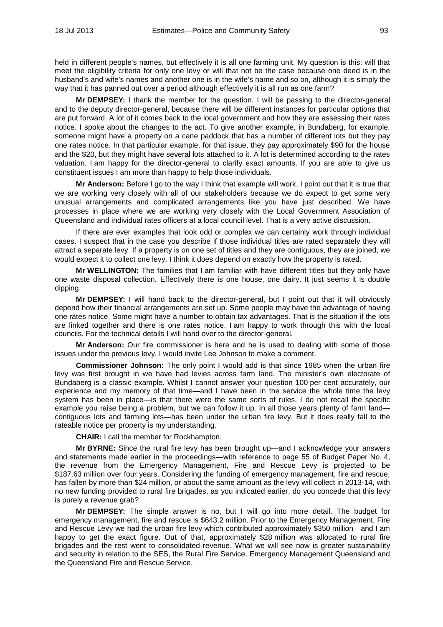held in different people's names, but effectively it is all one farming unit. My question is this: will that meet the eligibility criteria for only one levy or will that not be the case because one deed is in the husband's and wife's names and another one is in the wife's name and so on, although it is simply the way that it has panned out over a period although effectively it is all run as one farm?

**Mr DEMPSEY:** I thank the member for the question. I will be passing to the director-general and to the deputy director-general, because there will be different instances for particular options that are put forward. A lot of it comes back to the local government and how they are assessing their rates notice. I spoke about the changes to the act. To give another example, in Bundaberg, for example, someone might have a property on a cane paddock that has a number of different lots but they pay one rates notice. In that particular example, for that issue, they pay approximately \$90 for the house and the \$20, but they might have several lots attached to it. A lot is determined according to the rates valuation. I am happy for the director-general to clarify exact amounts. If you are able to give us constituent issues I am more than happy to help those individuals.

**Mr Anderson:** Before I go to the way I think that example will work, I point out that it is true that we are working very closely with all of our stakeholders because we do expect to get some very unusual arrangements and complicated arrangements like you have just described. We have processes in place where we are working very closely with the Local Government Association of Queensland and individual rates officers at a local council level. That is a very active discussion.

If there are ever examples that look odd or complex we can certainly work through individual cases. I suspect that in the case you describe if those individual titles are rated separately they will attract a separate levy. If a property is on one set of titles and they are contiguous, they are joined, we would expect it to collect one levy. I think it does depend on exactly how the property is rated.

**Mr WELLINGTON:** The families that I am familiar with have different titles but they only have one waste disposal collection. Effectively there is one house, one dairy. It just seems it is double dipping.

**Mr DEMPSEY:** I will hand back to the director-general, but I point out that it will obviously depend how their financial arrangements are set up. Some people may have the advantage of having one rates notice. Some might have a number to obtain tax advantages. That is the situation if the lots are linked together and there is one rates notice. I am happy to work through this with the local councils. For the technical details I will hand over to the director-general.

**Mr Anderson:** Our fire commissioner is here and he is used to dealing with some of those issues under the previous levy. I would invite Lee Johnson to make a comment.

**Commissioner Johnson:** The only point I would add is that since 1985 when the urban fire levy was first brought in we have had levies across farm land. The minister's own electorate of Bundaberg is a classic example. Whilst I cannot answer your question 100 per cent accurately, our experience and my memory of that time—and I have been in the service the whole time the levy system has been in place—is that there were the same sorts of rules. I do not recall the specific example you raise being a problem, but we can follow it up. In all those years plenty of farm land contiguous lots and farming lots—has been under the urban fire levy. But it does really fall to the rateable notice per property is my understanding.

**CHAIR:** I call the member for Rockhampton.

**Mr BYRNE:** Since the rural fire levy has been brought up—and I acknowledge your answers and statements made earlier in the proceedings—with reference to page 55 of Budget Paper No. 4, the revenue from the Emergency Management, Fire and Rescue Levy is projected to be \$187.63 million over four years. Considering the funding of emergency management, fire and rescue, has fallen by more than \$24 million, or about the same amount as the levy will collect in 2013-14, with no new funding provided to rural fire brigades, as you indicated earlier, do you concede that this levy is purely a revenue grab?

**Mr DEMPSEY:** The simple answer is no, but I will go into more detail. The budget for emergency management, fire and rescue is \$643.2 million. Prior to the Emergency Management, Fire and Rescue Levy we had the urban fire levy which contributed approximately \$350 million—and I am happy to get the exact figure. Out of that, approximately \$28 million was allocated to rural fire brigades and the rest went to consolidated revenue. What we will see now is greater sustainability and security in relation to the SES, the Rural Fire Service, Emergency Management Queensland and the Queensland Fire and Rescue Service.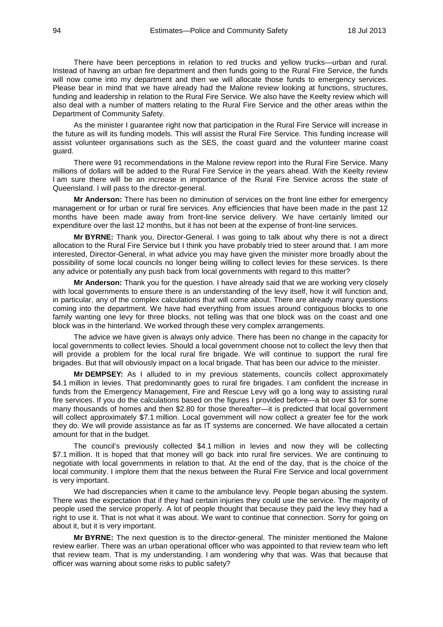There have been perceptions in relation to red trucks and yellow trucks—urban and rural. Instead of having an urban fire department and then funds going to the Rural Fire Service, the funds will now come into my department and then we will allocate those funds to emergency services. Please bear in mind that we have already had the Malone review looking at functions, structures, funding and leadership in relation to the Rural Fire Service. We also have the Keelty review which will also deal with a number of matters relating to the Rural Fire Service and the other areas within the Department of Community Safety.

As the minister I guarantee right now that participation in the Rural Fire Service will increase in the future as will its funding models. This will assist the Rural Fire Service. This funding increase will assist volunteer organisations such as the SES, the coast guard and the volunteer marine coast guard.

There were 91 recommendations in the Malone review report into the Rural Fire Service. Many millions of dollars will be added to the Rural Fire Service in the years ahead. With the Keelty review I am sure there will be an increase in importance of the Rural Fire Service across the state of Queensland. I will pass to the director-general.

**Mr Anderson:** There has been no diminution of services on the front line either for emergency management or for urban or rural fire services. Any efficiencies that have been made in the past 12 months have been made away from front-line service delivery. We have certainly limited our expenditure over the last 12 months, but it has not been at the expense of front-line services.

**Mr BYRNE:** Thank you, Director-General. I was going to talk about why there is not a direct allocation to the Rural Fire Service but I think you have probably tried to steer around that. I am more interested, Director-General, in what advice you may have given the minister more broadly about the possibility of some local councils no longer being willing to collect levies for these services. Is there any advice or potentially any push back from local governments with regard to this matter?

**Mr Anderson:** Thank you for the question. I have already said that we are working very closely with local governments to ensure there is an understanding of the levy itself, how it will function and, in particular, any of the complex calculations that will come about. There are already many questions coming into the department. We have had everything from issues around contiguous blocks to one family wanting one levy for three blocks, not telling was that one block was on the coast and one block was in the hinterland. We worked through these very complex arrangements.

The advice we have given is always only advice. There has been no change in the capacity for local governments to collect levies. Should a local government choose not to collect the levy then that will provide a problem for the local rural fire brigade. We will continue to support the rural fire brigades. But that will obviously impact on a local brigade. That has been our advice to the minister.

**Mr DEMPSEY:** As I alluded to in my previous statements, councils collect approximately \$4.1 million in levies. That predominantly goes to rural fire brigades. I am confident the increase in funds from the Emergency Management, Fire and Rescue Levy will go a long way to assisting rural fire services. If you do the calculations based on the figures I provided before—a bit over \$3 for some many thousands of homes and then \$2.80 for those thereafter—it is predicted that local government will collect approximately \$7.1 million. Local government will now collect a greater fee for the work they do. We will provide assistance as far as IT systems are concerned. We have allocated a certain amount for that in the budget.

The council's previously collected \$4.1 million in levies and now they will be collecting \$7.1 million. It is hoped that that money will go back into rural fire services. We are continuing to negotiate with local governments in relation to that. At the end of the day, that is the choice of the local community. I implore them that the nexus between the Rural Fire Service and local government is very important.

We had discrepancies when it came to the ambulance levy. People began abusing the system. There was the expectation that if they had certain injuries they could use the service. The majority of people used the service properly. A lot of people thought that because they paid the levy they had a right to use it. That is not what it was about. We want to continue that connection. Sorry for going on about it, but it is very important.

**Mr BYRNE:** The next question is to the director-general. The minister mentioned the Malone review earlier. There was an urban operational officer who was appointed to that review team who left that review team. That is my understanding. I am wondering why that was. Was that because that officer was warning about some risks to public safety?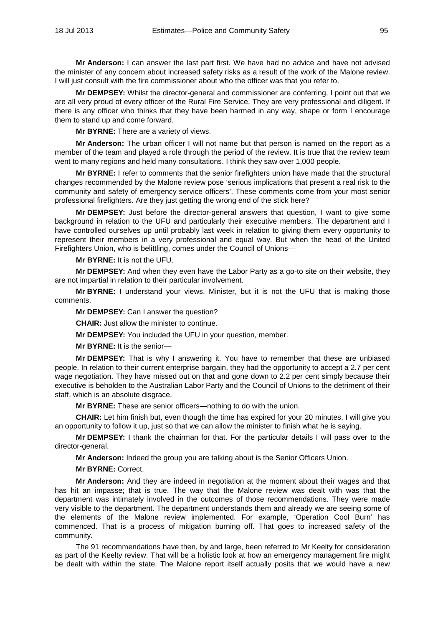**Mr Anderson:** I can answer the last part first. We have had no advice and have not advised the minister of any concern about increased safety risks as a result of the work of the Malone review. I will just consult with the fire commissioner about who the officer was that you refer to.

**Mr DEMPSEY:** Whilst the director-general and commissioner are conferring, I point out that we are all very proud of every officer of the Rural Fire Service. They are very professional and diligent. If there is any officer who thinks that they have been harmed in any way, shape or form I encourage them to stand up and come forward.

**Mr BYRNE:** There are a variety of views.

**Mr Anderson:** The urban officer I will not name but that person is named on the report as a member of the team and played a role through the period of the review. It is true that the review team went to many regions and held many consultations. I think they saw over 1,000 people.

**Mr BYRNE:** I refer to comments that the senior firefighters union have made that the structural changes recommended by the Malone review pose 'serious implications that present a real risk to the community and safety of emergency service officers'. These comments come from your most senior professional firefighters. Are they just getting the wrong end of the stick here?

**Mr DEMPSEY:** Just before the director-general answers that question, I want to give some background in relation to the UFU and particularly their executive members. The department and I have controlled ourselves up until probably last week in relation to giving them every opportunity to represent their members in a very professional and equal way. But when the head of the United Firefighters Union, who is belittling, comes under the Council of Unions—

**Mr BYRNE:** It is not the UFU.

**Mr DEMPSEY:** And when they even have the Labor Party as a go-to site on their website, they are not impartial in relation to their particular involvement.

**Mr BYRNE:** I understand your views, Minister, but it is not the UFU that is making those comments.

**Mr DEMPSEY:** Can I answer the question?

**CHAIR:** Just allow the minister to continue.

**Mr DEMPSEY:** You included the UFU in your question, member.

**Mr BYRNE:** It is the senior—

**Mr DEMPSEY:** That is why I answering it. You have to remember that these are unbiased people. In relation to their current enterprise bargain, they had the opportunity to accept a 2.7 per cent wage negotiation. They have missed out on that and gone down to 2.2 per cent simply because their executive is beholden to the Australian Labor Party and the Council of Unions to the detriment of their staff, which is an absolute disgrace.

**Mr BYRNE:** These are senior officers—nothing to do with the union.

**CHAIR:** Let him finish but, even though the time has expired for your 20 minutes, I will give you an opportunity to follow it up, just so that we can allow the minister to finish what he is saying.

**Mr DEMPSEY:** I thank the chairman for that. For the particular details I will pass over to the director-general.

**Mr Anderson:** Indeed the group you are talking about is the Senior Officers Union.

**Mr BYRNE:** Correct.

**Mr Anderson:** And they are indeed in negotiation at the moment about their wages and that has hit an impasse; that is true. The way that the Malone review was dealt with was that the department was intimately involved in the outcomes of those recommendations. They were made very visible to the department. The department understands them and already we are seeing some of the elements of the Malone review implemented. For example, 'Operation Cool Burn' has commenced. That is a process of mitigation burning off. That goes to increased safety of the community.

The 91 recommendations have then, by and large, been referred to Mr Keelty for consideration as part of the Keelty review. That will be a holistic look at how an emergency management fire might be dealt with within the state. The Malone report itself actually posits that we would have a new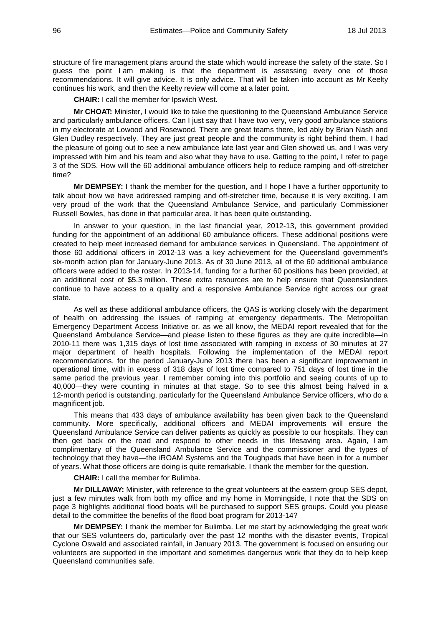structure of fire management plans around the state which would increase the safety of the state. So I guess the point I am making is that the department is assessing every one of those recommendations. It will give advice. It is only advice. That will be taken into account as Mr Keelty continues his work, and then the Keelty review will come at a later point.

**CHAIR:** I call the member for Ipswich West.

**Mr CHOAT:** Minister, I would like to take the questioning to the Queensland Ambulance Service and particularly ambulance officers. Can I just say that I have two very, very good ambulance stations in my electorate at Lowood and Rosewood. There are great teams there, led ably by Brian Nash and Glen Dudley respectively. They are just great people and the community is right behind them. I had the pleasure of going out to see a new ambulance late last year and Glen showed us, and I was very impressed with him and his team and also what they have to use. Getting to the point, I refer to page 3 of the SDS. How will the 60 additional ambulance officers help to reduce ramping and off-stretcher time?

**Mr DEMPSEY:** I thank the member for the question, and I hope I have a further opportunity to talk about how we have addressed ramping and off-stretcher time, because it is very exciting. I am very proud of the work that the Queensland Ambulance Service, and particularly Commissioner Russell Bowles, has done in that particular area. It has been quite outstanding.

In answer to your question, in the last financial year, 2012-13, this government provided funding for the appointment of an additional 60 ambulance officers. These additional positions were created to help meet increased demand for ambulance services in Queensland. The appointment of those 60 additional officers in 2012-13 was a key achievement for the Queensland government's six-month action plan for January-June 2013. As of 30 June 2013, all of the 60 additional ambulance officers were added to the roster. In 2013-14, funding for a further 60 positions has been provided, at an additional cost of \$5.3 million. These extra resources are to help ensure that Queenslanders continue to have access to a quality and a responsive Ambulance Service right across our great state.

As well as these additional ambulance officers, the QAS is working closely with the department of health on addressing the issues of ramping at emergency departments. The Metropolitan Emergency Department Access Initiative or, as we all know, the MEDAI report revealed that for the Queensland Ambulance Service—and please listen to these figures as they are quite incredible—in 2010-11 there was 1,315 days of lost time associated with ramping in excess of 30 minutes at 27 major department of health hospitals. Following the implementation of the MEDAI report recommendations, for the period January-June 2013 there has been a significant improvement in operational time, with in excess of 318 days of lost time compared to 751 days of lost time in the same period the previous year. I remember coming into this portfolio and seeing counts of up to 40,000—they were counting in minutes at that stage. So to see this almost being halved in a 12-month period is outstanding, particularly for the Queensland Ambulance Service officers, who do a magnificent job.

This means that 433 days of ambulance availability has been given back to the Queensland community. More specifically, additional officers and MEDAI improvements will ensure the Queensland Ambulance Service can deliver patients as quickly as possible to our hospitals. They can then get back on the road and respond to other needs in this lifesaving area. Again, I am complimentary of the Queensland Ambulance Service and the commissioner and the types of technology that they have—the iROAM Systems and the Toughpads that have been in for a number of years. What those officers are doing is quite remarkable. I thank the member for the question.

**CHAIR:** I call the member for Bulimba.

**Mr DILLAWAY:** Minister, with reference to the great volunteers at the eastern group SES depot, just a few minutes walk from both my office and my home in Morningside, I note that the SDS on page 3 highlights additional flood boats will be purchased to support SES groups. Could you please detail to the committee the benefits of the flood boat program for 2013-14?

**Mr DEMPSEY:** I thank the member for Bulimba. Let me start by acknowledging the great work that our SES volunteers do, particularly over the past 12 months with the disaster events, Tropical Cyclone Oswald and associated rainfall, in January 2013. The government is focused on ensuring our volunteers are supported in the important and sometimes dangerous work that they do to help keep Queensland communities safe.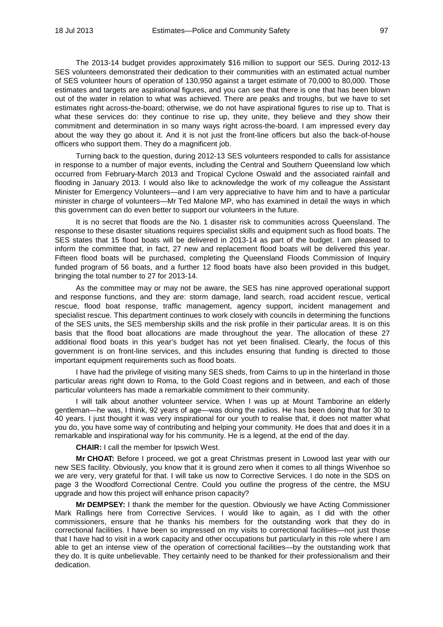The 2013-14 budget provides approximately \$16 million to support our SES. During 2012-13 SES volunteers demonstrated their dedication to their communities with an estimated actual number of SES volunteer hours of operation of 130,950 against a target estimate of 70,000 to 80,000. Those estimates and targets are aspirational figures, and you can see that there is one that has been blown out of the water in relation to what was achieved. There are peaks and troughs, but we have to set estimates right across-the-board; otherwise, we do not have aspirational figures to rise up to. That is what these services do: they continue to rise up, they unite, they believe and they show their commitment and determination in so many ways right across-the-board. I am impressed every day about the way they go about it. And it is not just the front-line officers but also the back-of-house officers who support them. They do a magnificent job.

Turning back to the question, during 2012-13 SES volunteers responded to calls for assistance in response to a number of major events, including the Central and Southern Queensland low which occurred from February-March 2013 and Tropical Cyclone Oswald and the associated rainfall and flooding in January 2013. I would also like to acknowledge the work of my colleague the Assistant Minister for Emergency Volunteers—and I am very appreciative to have him and to have a particular minister in charge of volunteers—Mr Ted Malone MP, who has examined in detail the ways in which this government can do even better to support our volunteers in the future.

It is no secret that floods are the No. 1 disaster risk to communities across Queensland. The response to these disaster situations requires specialist skills and equipment such as flood boats. The SES states that 15 flood boats will be delivered in 2013-14 as part of the budget. I am pleased to inform the committee that, in fact, 27 new and replacement flood boats will be delivered this year. Fifteen flood boats will be purchased, completing the Queensland Floods Commission of Inquiry funded program of 56 boats, and a further 12 flood boats have also been provided in this budget, bringing the total number to 27 for 2013-14.

As the committee may or may not be aware, the SES has nine approved operational support and response functions, and they are: storm damage, land search, road accident rescue, vertical rescue, flood boat response, traffic management, agency support, incident management and specialist rescue. This department continues to work closely with councils in determining the functions of the SES units, the SES membership skills and the risk profile in their particular areas. It is on this basis that the flood boat allocations are made throughout the year. The allocation of these 27 additional flood boats in this year's budget has not yet been finalised. Clearly, the focus of this government is on front-line services, and this includes ensuring that funding is directed to those important equipment requirements such as flood boats.

I have had the privilege of visiting many SES sheds, from Cairns to up in the hinterland in those particular areas right down to Roma, to the Gold Coast regions and in between, and each of those particular volunteers has made a remarkable commitment to their community.

I will talk about another volunteer service. When I was up at Mount Tamborine an elderly gentleman—he was, I think, 92 years of age—was doing the radios. He has been doing that for 30 to 40 years. I just thought it was very inspirational for our youth to realise that, it does not matter what you do, you have some way of contributing and helping your community. He does that and does it in a remarkable and inspirational way for his community. He is a legend, at the end of the day.

**CHAIR:** I call the member for Ipswich West.

**Mr CHOAT:** Before I proceed, we got a great Christmas present in Lowood last year with our new SES facility. Obviously, you know that it is ground zero when it comes to all things Wivenhoe so we are very, very grateful for that. I will take us now to Corrective Services. I do note in the SDS on page 3 the Woodford Correctional Centre. Could you outline the progress of the centre, the MSU upgrade and how this project will enhance prison capacity?

**Mr DEMPSEY:** I thank the member for the question. Obviously we have Acting Commissioner Mark Rallings here from Corrective Services. I would like to again, as I did with the other commissioners, ensure that he thanks his members for the outstanding work that they do in correctional facilities. I have been so impressed on my visits to correctional facilities—not just those that I have had to visit in a work capacity and other occupations but particularly in this role where I am able to get an intense view of the operation of correctional facilities—by the outstanding work that they do. It is quite unbelievable. They certainly need to be thanked for their professionalism and their dedication.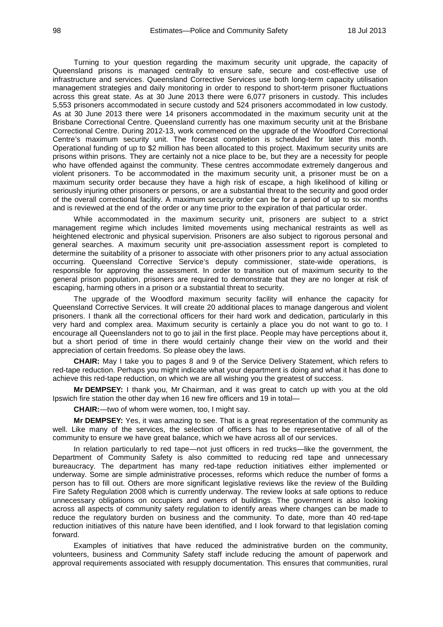Turning to your question regarding the maximum security unit upgrade, the capacity of Queensland prisons is managed centrally to ensure safe, secure and cost-effective use of infrastructure and services. Queensland Corrective Services use both long-term capacity utilisation management strategies and daily monitoring in order to respond to short-term prisoner fluctuations across this great state. As at 30 June 2013 there were 6,077 prisoners in custody. This includes 5,553 prisoners accommodated in secure custody and 524 prisoners accommodated in low custody. As at 30 June 2013 there were 14 prisoners accommodated in the maximum security unit at the Brisbane Correctional Centre. Queensland currently has one maximum security unit at the Brisbane Correctional Centre. During 2012-13, work commenced on the upgrade of the Woodford Correctional Centre's maximum security unit. The forecast completion is scheduled for later this month. Operational funding of up to \$2 million has been allocated to this project. Maximum security units are prisons within prisons. They are certainly not a nice place to be, but they are a necessity for people who have offended against the community. These centres accommodate extremely dangerous and violent prisoners. To be accommodated in the maximum security unit, a prisoner must be on a maximum security order because they have a high risk of escape, a high likelihood of killing or seriously injuring other prisoners or persons, or are a substantial threat to the security and good order of the overall correctional facility. A maximum security order can be for a period of up to six months and is reviewed at the end of the order or any time prior to the expiration of that particular order.

While accommodated in the maximum security unit, prisoners are subject to a strict management regime which includes limited movements using mechanical restraints as well as heightened electronic and physical supervision. Prisoners are also subject to rigorous personal and general searches. A maximum security unit pre-association assessment report is completed to determine the suitability of a prisoner to associate with other prisoners prior to any actual association occurring. Queensland Corrective Service's deputy commissioner, state-wide operations, is responsible for approving the assessment. In order to transition out of maximum security to the general prison population, prisoners are required to demonstrate that they are no longer at risk of escaping, harming others in a prison or a substantial threat to security.

The upgrade of the Woodford maximum security facility will enhance the capacity for Queensland Corrective Services. It will create 20 additional places to manage dangerous and violent prisoners. I thank all the correctional officers for their hard work and dedication, particularly in this very hard and complex area. Maximum security is certainly a place you do not want to go to. I encourage all Queenslanders not to go to jail in the first place. People may have perceptions about it, but a short period of time in there would certainly change their view on the world and their appreciation of certain freedoms. So please obey the laws.

**CHAIR:** May I take you to pages 8 and 9 of the Service Delivery Statement, which refers to red-tape reduction. Perhaps you might indicate what your department is doing and what it has done to achieve this red-tape reduction, on which we are all wishing you the greatest of success.

**Mr DEMPSEY:** I thank you, Mr Chairman, and it was great to catch up with you at the old Ipswich fire station the other day when 16 new fire officers and 19 in total—

**CHAIR:**—two of whom were women, too, I might say.

**Mr DEMPSEY:** Yes, it was amazing to see. That is a great representation of the community as well. Like many of the services, the selection of officers has to be representative of all of the community to ensure we have great balance, which we have across all of our services.

In relation particularly to red tape—not just officers in red trucks—like the government, the Department of Community Safety is also committed to reducing red tape and unnecessary bureaucracy. The department has many red-tape reduction initiatives either implemented or underway. Some are simple administrative processes, reforms which reduce the number of forms a person has to fill out. Others are more significant legislative reviews like the review of the Building Fire Safety Regulation 2008 which is currently underway. The review looks at safe options to reduce unnecessary obligations on occupiers and owners of buildings. The government is also looking across all aspects of community safety regulation to identify areas where changes can be made to reduce the regulatory burden on business and the community. To date, more than 40 red-tape reduction initiatives of this nature have been identified, and I look forward to that legislation coming forward.

Examples of initiatives that have reduced the administrative burden on the community, volunteers, business and Community Safety staff include reducing the amount of paperwork and approval requirements associated with resupply documentation. This ensures that communities, rural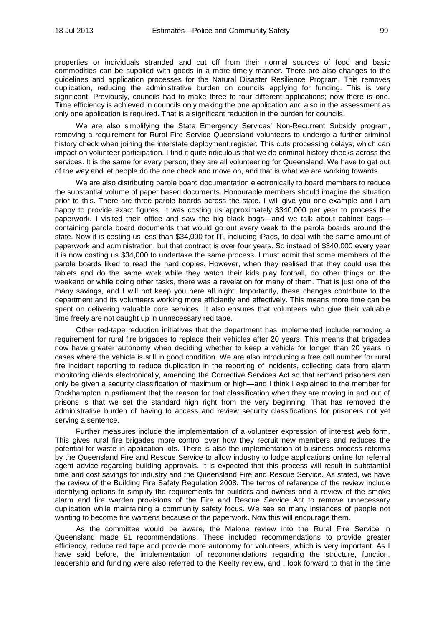properties or individuals stranded and cut off from their normal sources of food and basic commodities can be supplied with goods in a more timely manner. There are also changes to the guidelines and application processes for the Natural Disaster Resilience Program. This removes duplication, reducing the administrative burden on councils applying for funding. This is very significant. Previously, councils had to make three to four different applications; now there is one. Time efficiency is achieved in councils only making the one application and also in the assessment as only one application is required. That is a significant reduction in the burden for councils.

We are also simplifying the State Emergency Services' Non-Recurrent Subsidy program, removing a requirement for Rural Fire Service Queensland volunteers to undergo a further criminal history check when joining the interstate deployment register. This cuts processing delays, which can impact on volunteer participation. I find it quite ridiculous that we do criminal history checks across the services. It is the same for every person; they are all volunteering for Queensland. We have to get out of the way and let people do the one check and move on, and that is what we are working towards.

We are also distributing parole board documentation electronically to board members to reduce the substantial volume of paper based documents. Honourable members should imagine the situation prior to this. There are three parole boards across the state. I will give you one example and I am happy to provide exact figures. It was costing us approximately \$340,000 per year to process the paperwork. I visited their office and saw the big black bags—and we talk about cabinet bags containing parole board documents that would go out every week to the parole boards around the state. Now it is costing us less than \$34,000 for IT, including iPads, to deal with the same amount of paperwork and administration, but that contract is over four years. So instead of \$340,000 every year it is now costing us \$34,000 to undertake the same process. I must admit that some members of the parole boards liked to read the hard copies. However, when they realised that they could use the tablets and do the same work while they watch their kids play football, do other things on the weekend or while doing other tasks, there was a revelation for many of them. That is just one of the many savings, and I will not keep you here all night. Importantly, these changes contribute to the department and its volunteers working more efficiently and effectively. This means more time can be spent on delivering valuable core services. It also ensures that volunteers who give their valuable time freely are not caught up in unnecessary red tape.

Other red-tape reduction initiatives that the department has implemented include removing a requirement for rural fire brigades to replace their vehicles after 20 years. This means that brigades now have greater autonomy when deciding whether to keep a vehicle for longer than 20 years in cases where the vehicle is still in good condition. We are also introducing a free call number for rural fire incident reporting to reduce duplication in the reporting of incidents, collecting data from alarm monitoring clients electronically, amending the Corrective Services Act so that remand prisoners can only be given a security classification of maximum or high—and I think I explained to the member for Rockhampton in parliament that the reason for that classification when they are moving in and out of prisons is that we set the standard high right from the very beginning. That has removed the administrative burden of having to access and review security classifications for prisoners not yet serving a sentence.

Further measures include the implementation of a volunteer expression of interest web form. This gives rural fire brigades more control over how they recruit new members and reduces the potential for waste in application kits. There is also the implementation of business process reforms by the Queensland Fire and Rescue Service to allow industry to lodge applications online for referral agent advice regarding building approvals. It is expected that this process will result in substantial time and cost savings for industry and the Queensland Fire and Rescue Service. As stated, we have the review of the Building Fire Safety Regulation 2008. The terms of reference of the review include identifying options to simplify the requirements for builders and owners and a review of the smoke alarm and fire warden provisions of the Fire and Rescue Service Act to remove unnecessary duplication while maintaining a community safety focus. We see so many instances of people not wanting to become fire wardens because of the paperwork. Now this will encourage them.

As the committee would be aware, the Malone review into the Rural Fire Service in Queensland made 91 recommendations. These included recommendations to provide greater efficiency, reduce red tape and provide more autonomy for volunteers, which is very important. As I have said before, the implementation of recommendations regarding the structure, function, leadership and funding were also referred to the Keelty review, and I look forward to that in the time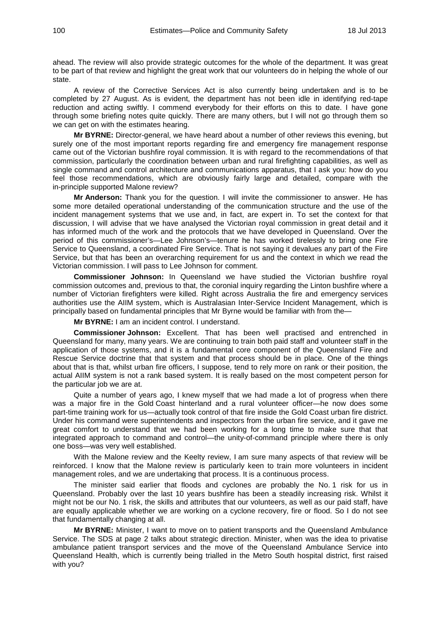ahead. The review will also provide strategic outcomes for the whole of the department. It was great to be part of that review and highlight the great work that our volunteers do in helping the whole of our state.

A review of the Corrective Services Act is also currently being undertaken and is to be completed by 27 August. As is evident, the department has not been idle in identifying red-tape reduction and acting swiftly. I commend everybody for their efforts on this to date. I have gone through some briefing notes quite quickly. There are many others, but I will not go through them so we can get on with the estimates hearing.

**Mr BYRNE:** Director-general, we have heard about a number of other reviews this evening, but surely one of the most important reports regarding fire and emergency fire management response came out of the Victorian bushfire royal commission. It is with regard to the recommendations of that commission, particularly the coordination between urban and rural firefighting capabilities, as well as single command and control architecture and communications apparatus, that I ask you: how do you feel those recommendations, which are obviously fairly large and detailed, compare with the in-principle supported Malone review?

**Mr Anderson:** Thank you for the question. I will invite the commissioner to answer. He has some more detailed operational understanding of the communication structure and the use of the incident management systems that we use and, in fact, are expert in. To set the context for that discussion, I will advise that we have analysed the Victorian royal commission in great detail and it has informed much of the work and the protocols that we have developed in Queensland. Over the period of this commissioner's—Lee Johnson's—tenure he has worked tirelessly to bring one Fire Service to Queensland, a coordinated Fire Service. That is not saying it devalues any part of the Fire Service, but that has been an overarching requirement for us and the context in which we read the Victorian commission. I will pass to Lee Johnson for comment.

**Commissioner Johnson:** In Queensland we have studied the Victorian bushfire royal commission outcomes and, previous to that, the coronial inquiry regarding the Linton bushfire where a number of Victorian firefighters were killed. Right across Australia the fire and emergency services authorities use the AIIM system, which is Australasian Inter-Service Incident Management, which is principally based on fundamental principles that Mr Byrne would be familiar with from the—

**Mr BYRNE:** I am an incident control. I understand.

**Commissioner Johnson:** Excellent. That has been well practised and entrenched in Queensland for many, many years. We are continuing to train both paid staff and volunteer staff in the application of those systems, and it is a fundamental core component of the Queensland Fire and Rescue Service doctrine that that system and that process should be in place. One of the things about that is that, whilst urban fire officers, I suppose, tend to rely more on rank or their position, the actual AIIM system is not a rank based system. It is really based on the most competent person for the particular job we are at.

Quite a number of years ago, I knew myself that we had made a lot of progress when there was a major fire in the Gold Coast hinterland and a rural volunteer officer—he now does some part-time training work for us—actually took control of that fire inside the Gold Coast urban fire district. Under his command were superintendents and inspectors from the urban fire service, and it gave me great comfort to understand that we had been working for a long time to make sure that that integrated approach to command and control—the unity-of-command principle where there is only one boss—was very well established.

With the Malone review and the Keelty review, I am sure many aspects of that review will be reinforced. I know that the Malone review is particularly keen to train more volunteers in incident management roles, and we are undertaking that process. It is a continuous process.

The minister said earlier that floods and cyclones are probably the No. 1 risk for us in Queensland. Probably over the last 10 years bushfire has been a steadily increasing risk. Whilst it might not be our No. 1 risk, the skills and attributes that our volunteers, as well as our paid staff, have are equally applicable whether we are working on a cyclone recovery, fire or flood. So I do not see that fundamentally changing at all.

**Mr BYRNE:** Minister, I want to move on to patient transports and the Queensland Ambulance Service. The SDS at page 2 talks about strategic direction. Minister, when was the idea to privatise ambulance patient transport services and the move of the Queensland Ambulance Service into Queensland Health, which is currently being trialled in the Metro South hospital district, first raised with you?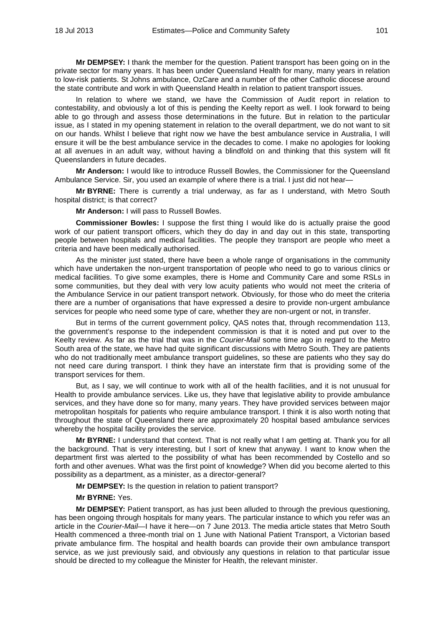**Mr DEMPSEY:** I thank the member for the question. Patient transport has been going on in the private sector for many years. It has been under Queensland Health for many, many years in relation to low-risk patients. St Johns ambulance, OzCare and a number of the other Catholic diocese around the state contribute and work in with Queensland Health in relation to patient transport issues.

In relation to where we stand, we have the Commission of Audit report in relation to contestability, and obviously a lot of this is pending the Keelty report as well. I look forward to being able to go through and assess those determinations in the future. But in relation to the particular issue, as I stated in my opening statement in relation to the overall department, we do not want to sit on our hands. Whilst I believe that right now we have the best ambulance service in Australia, I will ensure it will be the best ambulance service in the decades to come. I make no apologies for looking at all avenues in an adult way, without having a blindfold on and thinking that this system will fit Queenslanders in future decades.

**Mr Anderson:** I would like to introduce Russell Bowles, the Commissioner for the Queensland Ambulance Service. Sir, you used an example of where there is a trial. I just did not hear—

**Mr BYRNE:** There is currently a trial underway, as far as I understand, with Metro South hospital district; is that correct?

**Mr Anderson:** I will pass to Russell Bowles.

**Commissioner Bowles:** I suppose the first thing I would like do is actually praise the good work of our patient transport officers, which they do day in and day out in this state, transporting people between hospitals and medical facilities. The people they transport are people who meet a criteria and have been medically authorised.

As the minister just stated, there have been a whole range of organisations in the community which have undertaken the non-urgent transportation of people who need to go to various clinics or medical facilities. To give some examples, there is Home and Community Care and some RSLs in some communities, but they deal with very low acuity patients who would not meet the criteria of the Ambulance Service in our patient transport network. Obviously, for those who do meet the criteria there are a number of organisations that have expressed a desire to provide non-urgent ambulance services for people who need some type of care, whether they are non-urgent or not, in transfer.

But in terms of the current government policy, QAS notes that, through recommendation 113, the government's response to the independent commission is that it is noted and put over to the Keelty review. As far as the trial that was in the *Courier-Mail* some time ago in regard to the Metro South area of the state, we have had quite significant discussions with Metro South. They are patients who do not traditionally meet ambulance transport guidelines, so these are patients who they say do not need care during transport. I think they have an interstate firm that is providing some of the transport services for them.

But, as I say, we will continue to work with all of the health facilities, and it is not unusual for Health to provide ambulance services. Like us, they have that legislative ability to provide ambulance services, and they have done so for many, many years. They have provided services between major metropolitan hospitals for patients who require ambulance transport. I think it is also worth noting that throughout the state of Queensland there are approximately 20 hospital based ambulance services whereby the hospital facility provides the service.

**Mr BYRNE:** I understand that context. That is not really what I am getting at. Thank you for all the background. That is very interesting, but I sort of knew that anyway. I want to know when the department first was alerted to the possibility of what has been recommended by Costello and so forth and other avenues. What was the first point of knowledge? When did you become alerted to this possibility as a department, as a minister, as a director-general?

**Mr DEMPSEY:** Is the question in relation to patient transport?

#### **Mr BYRNE:** Yes.

**Mr DEMPSEY:** Patient transport, as has just been alluded to through the previous questioning, has been ongoing through hospitals for many years. The particular instance to which you refer was an article in the *Courier-Mail*—I have it here—on 7 June 2013. The media article states that Metro South Health commenced a three-month trial on 1 June with National Patient Transport, a Victorian based private ambulance firm. The hospital and health boards can provide their own ambulance transport service, as we just previously said, and obviously any questions in relation to that particular issue should be directed to my colleague the Minister for Health, the relevant minister.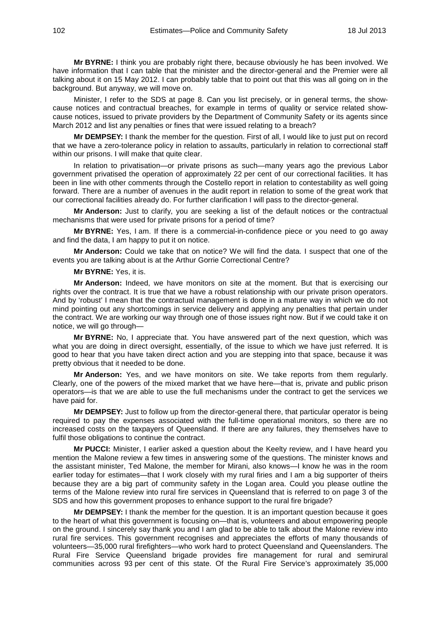**Mr BYRNE:** I think you are probably right there, because obviously he has been involved. We have information that I can table that the minister and the director-general and the Premier were all talking about it on 15 May 2012. I can probably table that to point out that this was all going on in the background. But anyway, we will move on.

Minister, I refer to the SDS at page 8. Can you list precisely, or in general terms, the showcause notices and contractual breaches, for example in terms of quality or service related showcause notices, issued to private providers by the Department of Community Safety or its agents since March 2012 and list any penalties or fines that were issued relating to a breach?

**Mr DEMPSEY:** I thank the member for the question. First of all, I would like to just put on record that we have a zero-tolerance policy in relation to assaults, particularly in relation to correctional staff within our prisons. I will make that quite clear.

In relation to privatisation—or private prisons as such—many years ago the previous Labor government privatised the operation of approximately 22 per cent of our correctional facilities. It has been in line with other comments through the Costello report in relation to contestability as well going forward. There are a number of avenues in the audit report in relation to some of the great work that our correctional facilities already do. For further clarification I will pass to the director-general.

**Mr Anderson:** Just to clarify, you are seeking a list of the default notices or the contractual mechanisms that were used for private prisons for a period of time?

**Mr BYRNE:** Yes, I am. If there is a commercial-in-confidence piece or you need to go away and find the data, I am happy to put it on notice.

**Mr Anderson:** Could we take that on notice? We will find the data. I suspect that one of the events you are talking about is at the Arthur Gorrie Correctional Centre?

### **Mr BYRNE:** Yes, it is.

**Mr Anderson:** Indeed, we have monitors on site at the moment. But that is exercising our rights over the contract. It is true that we have a robust relationship with our private prison operators. And by 'robust' I mean that the contractual management is done in a mature way in which we do not mind pointing out any shortcomings in service delivery and applying any penalties that pertain under the contract. We are working our way through one of those issues right now. But if we could take it on notice, we will go through—

**Mr BYRNE:** No, I appreciate that. You have answered part of the next question, which was what you are doing in direct oversight, essentially, of the issue to which we have just referred. It is good to hear that you have taken direct action and you are stepping into that space, because it was pretty obvious that it needed to be done.

**Mr Anderson:** Yes, and we have monitors on site. We take reports from them regularly. Clearly, one of the powers of the mixed market that we have here—that is, private and public prison operators—is that we are able to use the full mechanisms under the contract to get the services we have paid for.

**Mr DEMPSEY:** Just to follow up from the director-general there, that particular operator is being required to pay the expenses associated with the full-time operational monitors, so there are no increased costs on the taxpayers of Queensland. If there are any failures, they themselves have to fulfil those obligations to continue the contract.

**Mr PUCCI:** Minister, I earlier asked a question about the Keelty review, and I have heard you mention the Malone review a few times in answering some of the questions. The minister knows and the assistant minister, Ted Malone, the member for Mirani, also knows—I know he was in the room earlier today for estimates—that I work closely with my rural firies and I am a big supporter of theirs because they are a big part of community safety in the Logan area. Could you please outline the terms of the Malone review into rural fire services in Queensland that is referred to on page 3 of the SDS and how this government proposes to enhance support to the rural fire brigade?

**Mr DEMPSEY:** I thank the member for the question. It is an important question because it goes to the heart of what this government is focusing on—that is, volunteers and about empowering people on the ground. I sincerely say thank you and I am glad to be able to talk about the Malone review into rural fire services. This government recognises and appreciates the efforts of many thousands of volunteers—35,000 rural firefighters—who work hard to protect Queensland and Queenslanders. The Rural Fire Service Queensland brigade provides fire management for rural and semirural communities across 93 per cent of this state. Of the Rural Fire Service's approximately 35,000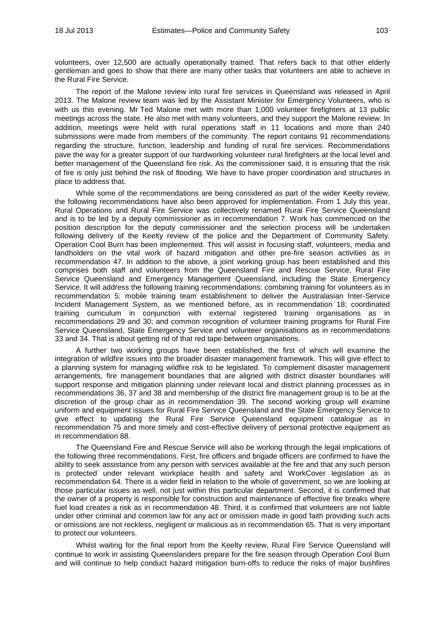volunteers, over 12,500 are actually operationally trained. That refers back to that other elderly gentleman and goes to show that there are many other tasks that volunteers are able to achieve in the Rural Fire Service.

The report of the Malone review into rural fire services in Queensland was released in April 2013. The Malone review team was led by the Assistant Minister for Emergency Volunteers, who is with us this evening. Mr Ted Malone met with more than 1,000 volunteer firefighters at 13 public meetings across the state. He also met with many volunteers, and they support the Malone review. In addition, meetings were held with rural operations staff in 11 locations and more than 240 submissions were made from members of the community. The report contains 91 recommendations regarding the structure, function, leadership and funding of rural fire services. Recommendations pave the way for a greater support of our hardworking volunteer rural firefighters at the local level and better management of the Queensland fire risk. As the commissioner said, it is ensuring that the risk of fire is only just behind the risk of flooding. We have to have proper coordination and structures in place to address that.

While some of the recommendations are being considered as part of the wider Keelty review, the following recommendations have also been approved for implementation. From 1 July this year, Rural Operations and Rural Fire Service was collectively renamed Rural Fire Service Queensland and is to be led by a deputy commissioner as in recommendation 7. Work has commenced on the position description for the deputy commissioner and the selection process will be undertaken following delivery of the Keelty review of the police and the Department of Community Safety. Operation Cool Burn has been implemented. This will assist in focusing staff, volunteers, media and landholders on the vital work of hazard mitigation and other pre-fire season activities as in recommendation 47. In addition to the above, a joint working group has been established and this comprises both staff and volunteers from the Queensland Fire and Rescue Service, Rural Fire Service Queensland and Emergency Management Queensland, including the State Emergency Service. It will address the following training recommendations: combining training for volunteers as in recommendation 5; mobile training team establishment to deliver the Australasian Inter-Service Incident Management System, as we mentioned before, as in recommendation 18; coordinated training curriculum in conjunction with external registered training organisations as in recommendations 29 and 30; and common recognition of volunteer training programs for Rural Fire Service Queensland, State Emergency Service and volunteer organisations as in recommendations 33 and 34. That is about getting rid of that red tape between organisations.

A further two working groups have been established, the first of which will examine the integration of wildfire issues into the broader disaster management framework. This will give effect to a planning system for managing wildfire risk to be legislated. To complement disaster management arrangements, fire management boundaries that are aligned with district disaster boundaries will support response and mitigation planning under relevant local and district planning processes as in recommendations 36, 37 and 38 and membership of the district fire management group is to be at the discretion of the group chair as in recommendation 39. The second working group will examine uniform and equipment issues for Rural Fire Service Queensland and the State Emergency Service to give effect to updating the Rural Fire Service Queensland equipment catalogue as in recommendation 75 and more timely and cost-effective delivery of personal protective equipment as in recommendation 88.

The Queensland Fire and Rescue Service will also be working through the legal implications of the following three recommendations. First, fire officers and brigade officers are confirmed to have the ability to seek assistance from any person with services available at the fire and that any such person is protected under relevant workplace health and safety and WorkCover legislation as in recommendation 64. There is a wider field in relation to the whole of government, so we are looking at those particular issues as well, not just within this particular department. Second, it is confirmed that the owner of a property is responsible for construction and maintenance of effective fire breaks where fuel load creates a risk as in recommendation 48. Third, it is confirmed that volunteers are not liable under other criminal and common law for any act or omission made in good faith providing such acts or omissions are not reckless, negligent or malicious as in recommendation 65. That is very important to protect our volunteers.

Whilst waiting for the final report from the Keelty review, Rural Fire Service Queensland will continue to work in assisting Queenslanders prepare for the fire season through Operation Cool Burn and will continue to help conduct hazard mitigation burn-offs to reduce the risks of major bushfires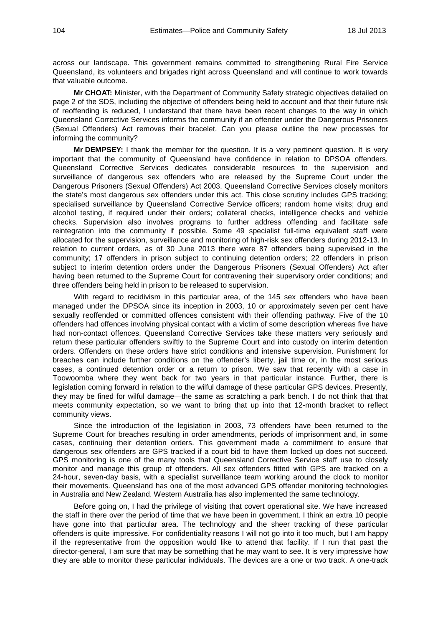across our landscape. This government remains committed to strengthening Rural Fire Service Queensland, its volunteers and brigades right across Queensland and will continue to work towards that valuable outcome.

**Mr CHOAT:** Minister, with the Department of Community Safety strategic objectives detailed on page 2 of the SDS, including the objective of offenders being held to account and that their future risk of reoffending is reduced, I understand that there have been recent changes to the way in which Queensland Corrective Services informs the community if an offender under the Dangerous Prisoners (Sexual Offenders) Act removes their bracelet. Can you please outline the new processes for informing the community?

**Mr DEMPSEY:** I thank the member for the question. It is a very pertinent question. It is very important that the community of Queensland have confidence in relation to DPSOA offenders. Queensland Corrective Services dedicates considerable resources to the supervision and surveillance of dangerous sex offenders who are released by the Supreme Court under the Dangerous Prisoners (Sexual Offenders) Act 2003. Queensland Corrective Services closely monitors the state's most dangerous sex offenders under this act. This close scrutiny includes GPS tracking; specialised surveillance by Queensland Corrective Service officers; random home visits; drug and alcohol testing, if required under their orders; collateral checks, intelligence checks and vehicle checks. Supervision also involves programs to further address offending and facilitate safe reintegration into the community if possible. Some 49 specialist full-time equivalent staff were allocated for the supervision, surveillance and monitoring of high-risk sex offenders during 2012-13. In relation to current orders, as of 30 June 2013 there were 87 offenders being supervised in the community; 17 offenders in prison subject to continuing detention orders; 22 offenders in prison subject to interim detention orders under the Dangerous Prisoners (Sexual Offenders) Act after having been returned to the Supreme Court for contravening their supervisory order conditions; and three offenders being held in prison to be released to supervision.

With regard to recidivism in this particular area, of the 145 sex offenders who have been managed under the DPSOA since its inception in 2003, 10 or approximately seven per cent have sexually reoffended or committed offences consistent with their offending pathway. Five of the 10 offenders had offences involving physical contact with a victim of some description whereas five have had non-contact offences. Queensland Corrective Services take these matters very seriously and return these particular offenders swiftly to the Supreme Court and into custody on interim detention orders. Offenders on these orders have strict conditions and intensive supervision. Punishment for breaches can include further conditions on the offender's liberty, jail time or, in the most serious cases, a continued detention order or a return to prison. We saw that recently with a case in Toowoomba where they went back for two years in that particular instance. Further, there is legislation coming forward in relation to the wilful damage of these particular GPS devices. Presently, they may be fined for wilful damage—the same as scratching a park bench. I do not think that that meets community expectation, so we want to bring that up into that 12-month bracket to reflect community views.

Since the introduction of the legislation in 2003, 73 offenders have been returned to the Supreme Court for breaches resulting in order amendments, periods of imprisonment and, in some cases, continuing their detention orders. This government made a commitment to ensure that dangerous sex offenders are GPS tracked if a court bid to have them locked up does not succeed. GPS monitoring is one of the many tools that Queensland Corrective Service staff use to closely monitor and manage this group of offenders. All sex offenders fitted with GPS are tracked on a 24-hour, seven-day basis, with a specialist surveillance team working around the clock to monitor their movements. Queensland has one of the most advanced GPS offender monitoring technologies in Australia and New Zealand. Western Australia has also implemented the same technology.

Before going on, I had the privilege of visiting that covert operational site. We have increased the staff in there over the period of time that we have been in government. I think an extra 10 people have gone into that particular area. The technology and the sheer tracking of these particular offenders is quite impressive. For confidentiality reasons I will not go into it too much, but I am happy if the representative from the opposition would like to attend that facility. If I run that past the director-general, I am sure that may be something that he may want to see. It is very impressive how they are able to monitor these particular individuals. The devices are a one or two track. A one-track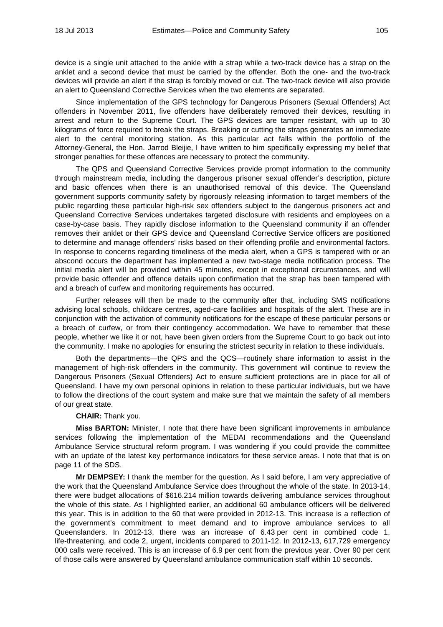device is a single unit attached to the ankle with a strap while a two-track device has a strap on the anklet and a second device that must be carried by the offender. Both the one- and the two-track devices will provide an alert if the strap is forcibly moved or cut. The two-track device will also provide an alert to Queensland Corrective Services when the two elements are separated.

Since implementation of the GPS technology for Dangerous Prisoners (Sexual Offenders) Act offenders in November 2011, five offenders have deliberately removed their devices, resulting in arrest and return to the Supreme Court. The GPS devices are tamper resistant, with up to 30 kilograms of force required to break the straps. Breaking or cutting the straps generates an immediate alert to the central monitoring station. As this particular act falls within the portfolio of the Attorney-General, the Hon. Jarrod Bleijie, I have written to him specifically expressing my belief that stronger penalties for these offences are necessary to protect the community.

The QPS and Queensland Corrective Services provide prompt information to the community through mainstream media, including the dangerous prisoner sexual offender's description, picture and basic offences when there is an unauthorised removal of this device. The Queensland government supports community safety by rigorously releasing information to target members of the public regarding these particular high-risk sex offenders subject to the dangerous prisoners act and Queensland Corrective Services undertakes targeted disclosure with residents and employees on a case-by-case basis. They rapidly disclose information to the Queensland community if an offender removes their anklet or their GPS device and Queensland Corrective Service officers are positioned to determine and manage offenders' risks based on their offending profile and environmental factors. In response to concerns regarding timeliness of the media alert, when a GPS is tampered with or an abscond occurs the department has implemented a new two-stage media notification process. The initial media alert will be provided within 45 minutes, except in exceptional circumstances, and will provide basic offender and offence details upon confirmation that the strap has been tampered with and a breach of curfew and monitoring requirements has occurred.

Further releases will then be made to the community after that, including SMS notifications advising local schools, childcare centres, aged-care facilities and hospitals of the alert. These are in conjunction with the activation of community notifications for the escape of these particular persons or a breach of curfew, or from their contingency accommodation. We have to remember that these people, whether we like it or not, have been given orders from the Supreme Court to go back out into the community. I make no apologies for ensuring the strictest security in relation to these individuals.

Both the departments—the QPS and the QCS—routinely share information to assist in the management of high-risk offenders in the community. This government will continue to review the Dangerous Prisoners (Sexual Offenders) Act to ensure sufficient protections are in place for all of Queensland. I have my own personal opinions in relation to these particular individuals, but we have to follow the directions of the court system and make sure that we maintain the safety of all members of our great state.

## **CHAIR:** Thank you.

**Miss BARTON:** Minister, I note that there have been significant improvements in ambulance services following the implementation of the MEDAI recommendations and the Queensland Ambulance Service structural reform program. I was wondering if you could provide the committee with an update of the latest key performance indicators for these service areas. I note that that is on page 11 of the SDS.

**Mr DEMPSEY:** I thank the member for the question. As I said before, I am very appreciative of the work that the Queensland Ambulance Service does throughout the whole of the state. In 2013-14, there were budget allocations of \$616.214 million towards delivering ambulance services throughout the whole of this state. As I highlighted earlier, an additional 60 ambulance officers will be delivered this year. This is in addition to the 60 that were provided in 2012-13. This increase is a reflection of the government's commitment to meet demand and to improve ambulance services to all Queenslanders. In 2012-13, there was an increase of 6.43 per cent in combined code 1, life-threatening, and code 2, urgent, incidents compared to 2011-12. In 2012-13, 617,729 emergency 000 calls were received. This is an increase of 6.9 per cent from the previous year. Over 90 per cent of those calls were answered by Queensland ambulance communication staff within 10 seconds.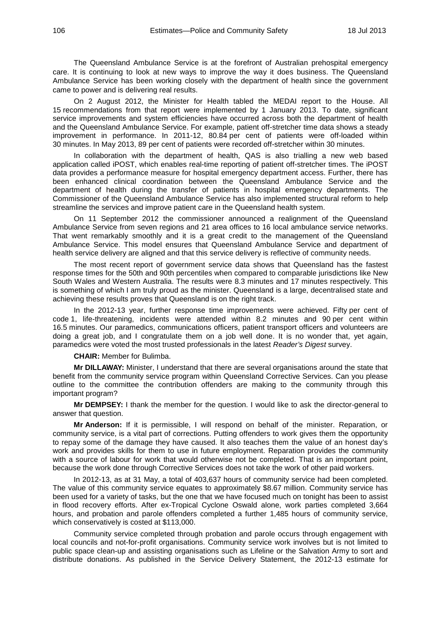The Queensland Ambulance Service is at the forefront of Australian prehospital emergency care. It is continuing to look at new ways to improve the way it does business. The Queensland Ambulance Service has been working closely with the department of health since the government came to power and is delivering real results.

On 2 August 2012, the Minister for Health tabled the MEDAI report to the House. All 15 recommendations from that report were implemented by 1 January 2013. To date, significant service improvements and system efficiencies have occurred across both the department of health and the Queensland Ambulance Service. For example, patient off-stretcher time data shows a steady improvement in performance. In 2011-12, 80.84 per cent of patients were off-loaded within 30 minutes. In May 2013, 89 per cent of patients were recorded off-stretcher within 30 minutes.

In collaboration with the department of health, QAS is also trialling a new web based application called iPOST, which enables real-time reporting of patient off-stretcher times. The iPOST data provides a performance measure for hospital emergency department access. Further, there has been enhanced clinical coordination between the Queensland Ambulance Service and the department of health during the transfer of patients in hospital emergency departments. The Commissioner of the Queensland Ambulance Service has also implemented structural reform to help streamline the services and improve patient care in the Queensland health system.

On 11 September 2012 the commissioner announced a realignment of the Queensland Ambulance Service from seven regions and 21 area offices to 16 local ambulance service networks. That went remarkably smoothly and it is a great credit to the management of the Queensland Ambulance Service. This model ensures that Queensland Ambulance Service and department of health service delivery are aligned and that this service delivery is reflective of community needs.

The most recent report of government service data shows that Queensland has the fastest response times for the 50th and 90th percentiles when compared to comparable jurisdictions like New South Wales and Western Australia. The results were 8.3 minutes and 17 minutes respectively. This is something of which I am truly proud as the minister. Queensland is a large, decentralised state and achieving these results proves that Queensland is on the right track.

In the 2012-13 year, further response time improvements were achieved. Fifty per cent of code 1, life-threatening, incidents were attended within 8.2 minutes and 90 per cent within 16.5 minutes. Our paramedics, communications officers, patient transport officers and volunteers are doing a great job, and I congratulate them on a job well done. It is no wonder that, yet again, paramedics were voted the most trusted professionals in the latest *Reader's Digest* survey.

**CHAIR:** Member for Bulimba.

**Mr DILLAWAY:** Minister, I understand that there are several organisations around the state that benefit from the community service program within Queensland Corrective Services. Can you please outline to the committee the contribution offenders are making to the community through this important program?

**Mr DEMPSEY:** I thank the member for the question. I would like to ask the director-general to answer that question.

**Mr Anderson:** If it is permissible, I will respond on behalf of the minister. Reparation, or community service, is a vital part of corrections. Putting offenders to work gives them the opportunity to repay some of the damage they have caused. It also teaches them the value of an honest day's work and provides skills for them to use in future employment. Reparation provides the community with a source of labour for work that would otherwise not be completed. That is an important point, because the work done through Corrective Services does not take the work of other paid workers.

In 2012-13, as at 31 May, a total of 403,637 hours of community service had been completed. The value of this community service equates to approximately \$8.67 million. Community service has been used for a variety of tasks, but the one that we have focused much on tonight has been to assist in flood recovery efforts. After ex-Tropical Cyclone Oswald alone, work parties completed 3,664 hours, and probation and parole offenders completed a further 1,485 hours of community service, which conservatively is costed at \$113,000.

Community service completed through probation and parole occurs through engagement with local councils and not-for-profit organisations. Community service work involves but is not limited to public space clean-up and assisting organisations such as Lifeline or the Salvation Army to sort and distribute donations. As published in the Service Delivery Statement, the 2012-13 estimate for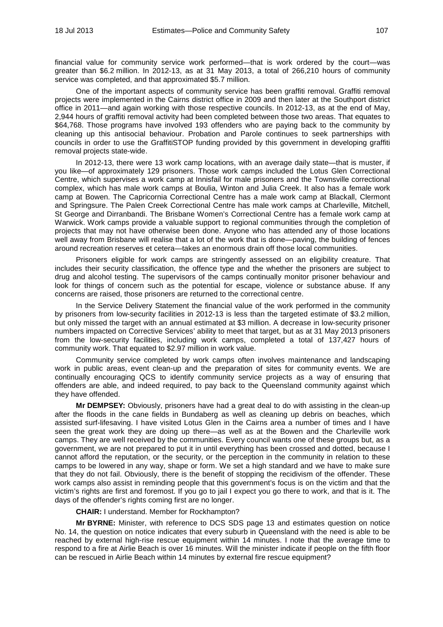financial value for community service work performed—that is work ordered by the court—was greater than \$6.2 million. In 2012-13, as at 31 May 2013, a total of 266,210 hours of community service was completed, and that approximated \$5.7 million.

One of the important aspects of community service has been graffiti removal. Graffiti removal projects were implemented in the Cairns district office in 2009 and then later at the Southport district office in 2011—and again working with those respective councils. In 2012-13, as at the end of May, 2,944 hours of graffiti removal activity had been completed between those two areas. That equates to \$64,768. Those programs have involved 193 offenders who are paying back to the community by cleaning up this antisocial behaviour. Probation and Parole continues to seek partnerships with councils in order to use the GraffitiSTOP funding provided by this government in developing graffiti removal projects state-wide.

In 2012-13, there were 13 work camp locations, with an average daily state—that is muster, if you like—of approximately 129 prisoners. Those work camps included the Lotus Glen Correctional Centre, which supervises a work camp at Innisfail for male prisoners and the Townsville correctional complex, which has male work camps at Boulia, Winton and Julia Creek. It also has a female work camp at Bowen. The Capricornia Correctional Centre has a male work camp at Blackall, Clermont and Springsure. The Palen Creek Correctional Centre has male work camps at Charleville, Mitchell, St George and Dirranbandi. The Brisbane Women's Correctional Centre has a female work camp at Warwick. Work camps provide a valuable support to regional communities through the completion of projects that may not have otherwise been done. Anyone who has attended any of those locations well away from Brisbane will realise that a lot of the work that is done—paving, the building of fences around recreation reserves et cetera—takes an enormous drain off those local communities.

Prisoners eligible for work camps are stringently assessed on an eligibility creature. That includes their security classification, the offence type and the whether the prisoners are subject to drug and alcohol testing. The supervisors of the camps continually monitor prisoner behaviour and look for things of concern such as the potential for escape, violence or substance abuse. If any concerns are raised, those prisoners are returned to the correctional centre.

In the Service Delivery Statement the financial value of the work performed in the community by prisoners from low-security facilities in 2012-13 is less than the targeted estimate of \$3.2 million, but only missed the target with an annual estimated at \$3 million. A decrease in low-security prisoner numbers impacted on Corrective Services' ability to meet that target, but as at 31 May 2013 prisoners from the low-security facilities, including work camps, completed a total of 137,427 hours of community work. That equated to \$2.97 million in work value.

Community service completed by work camps often involves maintenance and landscaping work in public areas, event clean-up and the preparation of sites for community events. We are continually encouraging QCS to identify community service projects as a way of ensuring that offenders are able, and indeed required, to pay back to the Queensland community against which they have offended.

**Mr DEMPSEY:** Obviously, prisoners have had a great deal to do with assisting in the clean-up after the floods in the cane fields in Bundaberg as well as cleaning up debris on beaches, which assisted surf-lifesaving. I have visited Lotus Glen in the Cairns area a number of times and I have seen the great work they are doing up there—as well as at the Bowen and the Charleville work camps. They are well received by the communities. Every council wants one of these groups but, as a government, we are not prepared to put it in until everything has been crossed and dotted, because I cannot afford the reputation, or the security, or the perception in the community in relation to these camps to be lowered in any way, shape or form. We set a high standard and we have to make sure that they do not fail. Obviously, there is the benefit of stopping the recidivism of the offender. These work camps also assist in reminding people that this government's focus is on the victim and that the victim's rights are first and foremost. If you go to jail I expect you go there to work, and that is it. The days of the offender's rights coming first are no longer.

### **CHAIR:** I understand. Member for Rockhampton?

**Mr BYRNE:** Minister, with reference to DCS SDS page 13 and estimates question on notice No. 14, the question on notice indicates that every suburb in Queensland with the need is able to be reached by external high-rise rescue equipment within 14 minutes. I note that the average time to respond to a fire at Airlie Beach is over 16 minutes. Will the minister indicate if people on the fifth floor can be rescued in Airlie Beach within 14 minutes by external fire rescue equipment?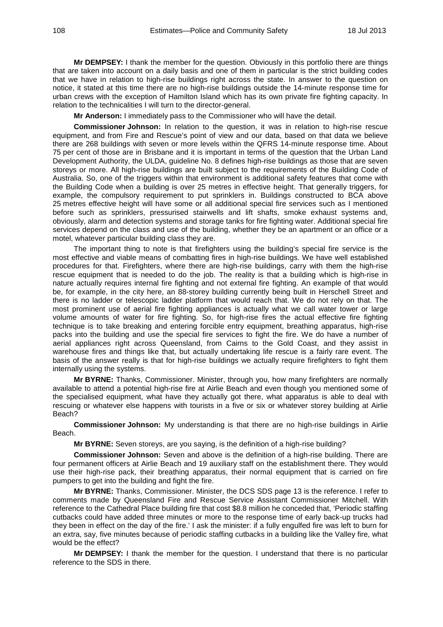**Mr DEMPSEY:** I thank the member for the question. Obviously in this portfolio there are things that are taken into account on a daily basis and one of them in particular is the strict building codes that we have in relation to high-rise buildings right across the state. In answer to the question on notice, it stated at this time there are no high-rise buildings outside the 14-minute response time for urban crews with the exception of Hamilton Island which has its own private fire fighting capacity. In relation to the technicalities I will turn to the director-general.

**Mr Anderson:** I immediately pass to the Commissioner who will have the detail.

**Commissioner Johnson:** In relation to the question, it was in relation to high-rise rescue equipment, and from Fire and Rescue's point of view and our data, based on that data we believe there are 268 buildings with seven or more levels within the QFRS 14-minute response time. About 75 per cent of those are in Brisbane and it is important in terms of the question that the Urban Land Development Authority, the ULDA, guideline No. 8 defines high-rise buildings as those that are seven storeys or more. All high-rise buildings are built subject to the requirements of the Building Code of Australia. So, one of the triggers within that environment is additional safety features that come with the Building Code when a building is over 25 metres in effective height. That generally triggers, for example, the compulsory requirement to put sprinklers in. Buildings constructed to BCA above 25 metres effective height will have some or all additional special fire services such as I mentioned before such as sprinklers, pressurised stairwells and lift shafts, smoke exhaust systems and, obviously, alarm and detection systems and storage tanks for fire fighting water. Additional special fire services depend on the class and use of the building, whether they be an apartment or an office or a motel, whatever particular building class they are.

The important thing to note is that firefighters using the building's special fire service is the most effective and viable means of combatting fires in high-rise buildings. We have well established procedures for that. Firefighters, where there are high-rise buildings, carry with them the high-rise rescue equipment that is needed to do the job. The reality is that a building which is high-rise in nature actually requires internal fire fighting and not external fire fighting. An example of that would be, for example, in the city here, an 88-storey building currently being built in Herschell Street and there is no ladder or telescopic ladder platform that would reach that. We do not rely on that. The most prominent use of aerial fire fighting appliances is actually what we call water tower or large volume amounts of water for fire fighting. So, for high-rise fires the actual effective fire fighting technique is to take breaking and entering forcible entry equipment, breathing apparatus, high-rise packs into the building and use the special fire services to fight the fire. We do have a number of aerial appliances right across Queensland, from Cairns to the Gold Coast, and they assist in warehouse fires and things like that, but actually undertaking life rescue is a fairly rare event. The basis of the answer really is that for high-rise buildings we actually require firefighters to fight them internally using the systems.

**Mr BYRNE:** Thanks, Commissioner. Minister, through you, how many firefighters are normally available to attend a potential high-rise fire at Airlie Beach and even though you mentioned some of the specialised equipment, what have they actually got there, what apparatus is able to deal with rescuing or whatever else happens with tourists in a five or six or whatever storey building at Airlie Beach?

**Commissioner Johnson:** My understanding is that there are no high-rise buildings in Airlie Beach.

**Mr BYRNE:** Seven storeys, are you saying, is the definition of a high-rise building?

**Commissioner Johnson:** Seven and above is the definition of a high-rise building. There are four permanent officers at Airlie Beach and 19 auxiliary staff on the establishment there. They would use their high-rise pack, their breathing apparatus, their normal equipment that is carried on fire pumpers to get into the building and fight the fire.

**Mr BYRNE:** Thanks, Commissioner. Minister, the DCS SDS page 13 is the reference. I refer to comments made by Queensland Fire and Rescue Service Assistant Commissioner Mitchell. With reference to the Cathedral Place building fire that cost \$8.8 million he conceded that, 'Periodic staffing cutbacks could have added three minutes or more to the response time of early back-up trucks had they been in effect on the day of the fire.' I ask the minister: if a fully engulfed fire was left to burn for an extra, say, five minutes because of periodic staffing cutbacks in a building like the Valley fire, what would be the effect?

**Mr DEMPSEY:** I thank the member for the question. I understand that there is no particular reference to the SDS in there.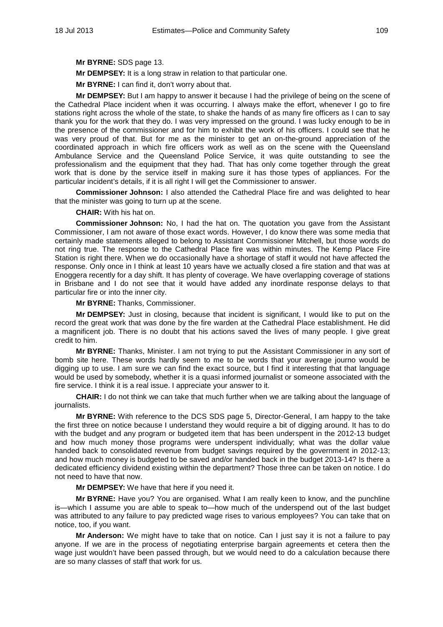**Mr BYRNE:** SDS page 13.

**Mr DEMPSEY:** It is a long straw in relation to that particular one.

**Mr BYRNE:** I can find it, don't worry about that.

**Mr DEMPSEY:** But I am happy to answer it because I had the privilege of being on the scene of the Cathedral Place incident when it was occurring. I always make the effort, whenever I go to fire stations right across the whole of the state, to shake the hands of as many fire officers as I can to say thank you for the work that they do. I was very impressed on the ground. I was lucky enough to be in the presence of the commissioner and for him to exhibit the work of his officers. I could see that he was very proud of that. But for me as the minister to get an on-the-ground appreciation of the coordinated approach in which fire officers work as well as on the scene with the Queensland Ambulance Service and the Queensland Police Service, it was quite outstanding to see the professionalism and the equipment that they had. That has only come together through the great work that is done by the service itself in making sure it has those types of appliances. For the particular incident's details, if it is all right I will get the Commissioner to answer.

**Commissioner Johnson:** I also attended the Cathedral Place fire and was delighted to hear that the minister was going to turn up at the scene.

**CHAIR:** With his hat on.

**Commissioner Johnson:** No, I had the hat on. The quotation you gave from the Assistant Commissioner, I am not aware of those exact words. However, I do know there was some media that certainly made statements alleged to belong to Assistant Commissioner Mitchell, but those words do not ring true. The response to the Cathedral Place fire was within minutes. The Kemp Place Fire Station is right there. When we do occasionally have a shortage of staff it would not have affected the response. Only once in I think at least 10 years have we actually closed a fire station and that was at Enoggera recently for a day shift. It has plenty of coverage. We have overlapping coverage of stations in Brisbane and I do not see that it would have added any inordinate response delays to that particular fire or into the inner city.

**Mr BYRNE:** Thanks, Commissioner.

**Mr DEMPSEY:** Just in closing, because that incident is significant, I would like to put on the record the great work that was done by the fire warden at the Cathedral Place establishment. He did a magnificent job. There is no doubt that his actions saved the lives of many people. I give great credit to him.

**Mr BYRNE:** Thanks, Minister. I am not trying to put the Assistant Commissioner in any sort of bomb site here. These words hardly seem to me to be words that your average journo would be digging up to use. I am sure we can find the exact source, but I find it interesting that that language would be used by somebody, whether it is a quasi informed journalist or someone associated with the fire service. I think it is a real issue. I appreciate your answer to it.

**CHAIR:** I do not think we can take that much further when we are talking about the language of journalists.

**Mr BYRNE:** With reference to the DCS SDS page 5, Director-General, I am happy to the take the first three on notice because I understand they would require a bit of digging around. It has to do with the budget and any program or budgeted item that has been underspent in the 2012-13 budget and how much money those programs were underspent individually; what was the dollar value handed back to consolidated revenue from budget savings required by the government in 2012-13; and how much money is budgeted to be saved and/or handed back in the budget 2013-14? Is there a dedicated efficiency dividend existing within the department? Those three can be taken on notice. I do not need to have that now.

**Mr DEMPSEY:** We have that here if you need it.

**Mr BYRNE:** Have you? You are organised. What I am really keen to know, and the punchline is—which I assume you are able to speak to—how much of the underspend out of the last budget was attributed to any failure to pay predicted wage rises to various employees? You can take that on notice, too, if you want.

**Mr Anderson:** We might have to take that on notice. Can I just say it is not a failure to pay anyone. If we are in the process of negotiating enterprise bargain agreements et cetera then the wage just wouldn't have been passed through, but we would need to do a calculation because there are so many classes of staff that work for us.